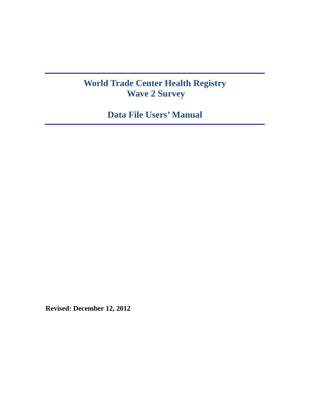# **World Trade Center Health Registry Wave 2 Survey**

**Data File Users' Manual** 

**Revised: December 12, 2012**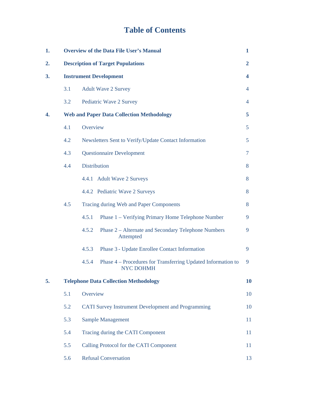# **Table of Contents**

| 1. |     | <b>Overview of the Data File User's Manual</b><br>1                                       |    |  |  |
|----|-----|-------------------------------------------------------------------------------------------|----|--|--|
| 2. |     | <b>Description of Target Populations</b><br>$\mathbf{2}$                                  |    |  |  |
| 3. |     | <b>Instrument Development</b>                                                             | 4  |  |  |
|    | 3.1 | <b>Adult Wave 2 Survey</b>                                                                | 4  |  |  |
|    | 3.2 | Pediatric Wave 2 Survey                                                                   | 4  |  |  |
| 4. |     | <b>Web and Paper Data Collection Methodology</b>                                          | 5  |  |  |
|    | 4.1 | Overview                                                                                  | 5  |  |  |
|    | 4.2 | Newsletters Sent to Verify/Update Contact Information                                     | 5  |  |  |
|    | 4.3 | <b>Questionnaire Development</b>                                                          | 7  |  |  |
|    | 4.4 | <b>Distribution</b>                                                                       | 8  |  |  |
|    |     | 4.4.1 Adult Wave 2 Surveys                                                                | 8  |  |  |
|    |     | 4.4.2 Pediatric Wave 2 Surveys                                                            | 8  |  |  |
|    | 4.5 | Tracing during Web and Paper Components                                                   | 8  |  |  |
|    |     | 4.5.1<br>Phase 1 – Verifying Primary Home Telephone Number                                | 9  |  |  |
|    |     | 4.5.2<br>Phase 2 – Alternate and Secondary Telephone Numbers<br>Attempted                 | 9  |  |  |
|    |     | 4.5.3<br>Phase 3 - Update Enrollee Contact Information                                    | 9  |  |  |
|    |     | 4.5.4<br>Phase 4 – Procedures for Transferring Updated Information to<br><b>NYC DOHMH</b> | 9  |  |  |
| 5. |     | <b>Telephone Data Collection Methodology</b>                                              | 10 |  |  |
|    | 5.1 | Overview                                                                                  | 10 |  |  |
|    | 5.2 | <b>CATI Survey Instrument Development and Programming</b>                                 | 10 |  |  |
|    | 5.3 | <b>Sample Management</b>                                                                  | 11 |  |  |
|    | 5.4 | Tracing during the CATI Component                                                         | 11 |  |  |
|    | 5.5 | Calling Protocol for the CATI Component                                                   | 11 |  |  |
|    | 5.6 | <b>Refusal Conversation</b>                                                               | 13 |  |  |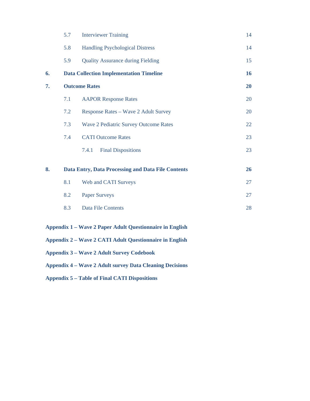|    | 5.7 | <b>Interviewer Training</b>                        | 14 |
|----|-----|----------------------------------------------------|----|
|    | 5.8 | <b>Handling Psychological Distress</b>             | 14 |
|    | 5.9 | <b>Quality Assurance during Fielding</b>           | 15 |
| 6. |     | <b>Data Collection Implementation Timeline</b>     | 16 |
| 7. |     | <b>Outcome Rates</b>                               | 20 |
|    | 7.1 | <b>AAPOR Response Rates</b>                        | 20 |
|    | 7.2 | Response Rates - Wave 2 Adult Survey               | 20 |
|    | 7.3 | <b>Wave 2 Pediatric Survey Outcome Rates</b>       | 22 |
|    | 7.4 | <b>CATI Outcome Rates</b>                          | 23 |
|    |     | <b>Final Dispositions</b><br>7.4.1                 | 23 |
| 8. |     | Data Entry, Data Processing and Data File Contents | 26 |
|    | 8.1 | Web and CATI Surveys                               | 27 |
|    | 8.2 | <b>Paper Surveys</b>                               | 27 |
|    | 8.3 | <b>Data File Contents</b>                          | 28 |
|    |     |                                                    |    |

# **Appendix 1 – Wave 2 Paper Adult Questionnaire in English**

- **Appendix 2 Wave 2 CATI Adult Questionnaire in English**
- **Appendix 3 Wave 2 Adult Survey Codebook**
- **Appendix 4 Wave 2 Adult survey Data Cleaning Decisions**
- **Appendix 5 Table of Final CATI Dispositions**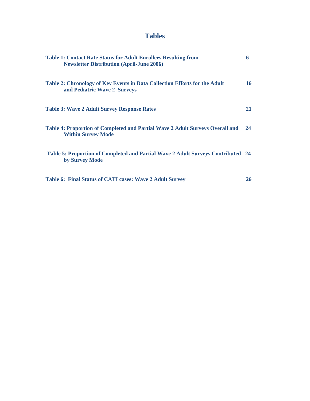# **Tables**

| <b>Table 1: Contact Rate Status for Adult Enrollees Resulting from</b><br><b>Newsletter Distribution (April-June 2006)</b> | 6  |
|----------------------------------------------------------------------------------------------------------------------------|----|
| Table 2: Chronology of Key Events in Data Collection Efforts for the Adult<br>and Pediatric Wave 2 Surveys                 | 16 |
| <b>Table 3: Wave 2 Adult Survey Response Rates</b>                                                                         | 21 |
| Table 4: Proportion of Completed and Partial Wave 2 Adult Surveys Overall and<br><b>Within Survey Mode</b>                 | 24 |
| Table 5: Proportion of Completed and Partial Wave 2 Adult Surveys Contributed 24<br>by Survey Mode                         |    |
| <b>Table 6: Final Status of CATI cases: Wave 2 Adult Survey</b>                                                            | 26 |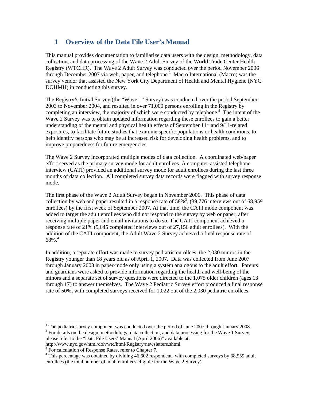# **1 Overview of the Data File User's Manual**

This manual provides documentation to familiarize data users with the design, methodology, data collection, and data processing of the Wave 2 Adult Survey of the World Trade Center Health Registry (WTCHR). The Wave 2 Adult Survey was conducted over the period November 2006 through December 2007 via web, paper, and telephone.<sup>1</sup> Macro International (Macro) was the survey vendor that assisted the New York City Department of Health and Mental Hygiene (NYC DOHMH) in conducting this survey.

The Registry's Initial Survey (the "Wave 1" Survey) was conducted over the period September 2003 to November 2004, and resulted in over 71,000 persons enrolling in the Registry by completing an interview, the majority of which were conducted by telephone.<sup>2</sup> The intent of the Wave 2 Survey was to obtain updated information regarding these enrollees to gain a better understanding of the mental and physical health effects of September  $11<sup>th</sup>$  and  $9/11$ -related exposures, to facilitate future studies that examine specific populations or health conditions, to help identify persons who may be at increased risk for developing health problems, and to improve preparedness for future emergencies.

The Wave 2 Survey incorporated multiple modes of data collection. A coordinated web/paper effort served as the primary survey mode for adult enrollees. A computer-assisted telephone interview (CATI) provided an additional survey mode for adult enrollees during the last three months of data collection. All completed survey data records were flagged with survey response mode.

The first phase of the Wave 2 Adult Survey began in November 2006. This phase of data collection by web and paper resulted in a response rate of  $58\%$ <sup>3</sup>,  $(39,776$  interviews out of 68,959 enrollees) by the first week of September 2007. At that time, the CATI mode component was added to target the adult enrollees who did not respond to the survey by web or paper, after receiving multiple paper and email invitations to do so. The CATI component achieved a response rate of 21% (5,645 completed interviews out of 27,156 adult enrollees). With the addition of the CATI component, the Adult Wave 2 Survey achieved a final response rate of  $68\%$ . $^4$ 

In addition, a separate effort was made to survey pediatric enrollees, the 2,030 minors in the Registry younger than 18 years old as of April 1, 2007. Data was collected from June 2007 through January 2008 in paper-mode only using a system analogous to the adult effort. Parents and guardians were asked to provide information regarding the health and well-being of the minors and a separate set of survey questions were directed to the 1,075 older children (ages 13 through 17) to answer themselves. The Wave 2 Pediatric Survey effort produced a final response rate of 50%, with completed surveys received for 1,022 out of the 2,030 pediatric enrollees.

 $\overline{a}$ 

<sup>&</sup>lt;sup>1</sup> The pediatric survey component was conducted over the period of June 2007 through January 2008.  $2^2$  For details on the design, methodology, data collection, and data processing for the Wave 1 Survey, please refer to the "Data File Users' Manual (April 2006)" available at:

http://www.nyc.gov/html/doh/wtc/html/Registry/newsletters.shtml 3

<sup>&</sup>lt;sup>3</sup> For calculation of Response Rates, refer to Chapter 7.

<sup>&</sup>lt;sup>4</sup> This percentage was obtained by dividing 46,602 respondents with completed surveys by 68,959 adult enrollees (the total number of adult enrollees eligible for the Wave 2 Survey).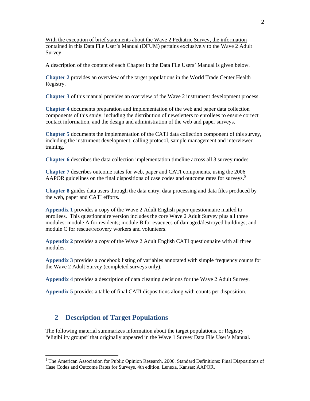With the exception of brief statements about the Wave 2 Pediatric Survey, the information contained in this Data File User's Manual (DFUM) pertains exclusively to the Wave 2 Adult Survey.

A description of the content of each Chapter in the Data File Users' Manual is given below.

**Chapter 2** provides an overview of the target populations in the World Trade Center Health Registry.

**Chapter 3** of this manual provides an overview of the Wave 2 instrument development process.

**Chapter 4** documents preparation and implementation of the web and paper data collection components of this study, including the distribution of newsletters to enrollees to ensure correct contact information, and the design and administration of the web and paper surveys.

**Chapter 5** documents the implementation of the CATI data collection component of this survey, including the instrument development, calling protocol, sample management and interviewer training.

**Chapter 6** describes the data collection implementation timeline across all 3 survey modes.

**Chapter 7** describes outcome rates for web, paper and CATI components, using the 2006 AAPOR guidelines on the final dispositions of case codes and outcome rates for surveys.<sup>5</sup>

**Chapter 8** guides data users through the data entry, data processing and data files produced by the web, paper and CATI efforts.

**Appendix 1** provides a copy of the Wave 2 Adult English paper questionnaire mailed to enrollees. This questionnaire version includes the core Wave 2 Adult Survey plus all three modules: module A for residents; module B for evacuees of damaged/destroyed buildings; and module C for rescue/recovery workers and volunteers.

**Appendix 2** provides a copy of the Wave 2 Adult English CATI questionnaire with all three modules.

**Appendix 3** provides a codebook listing of variables annotated with simple frequency counts for the Wave 2 Adult Survey (completed surveys only).

**Appendix 4** provides a description of data cleaning decisions for the Wave 2 Adult Survey.

**Appendix 5** provides a table of final CATI dispositions along with counts per disposition.

# **2 Description of Target Populations**

 $\overline{a}$ 

The following material summarizes information about the target populations, or Registry "eligibility groups" that originally appeared in the Wave 1 Survey Data File User's Manual.

<sup>&</sup>lt;sup>5</sup> The American Association for Public Opinion Research. 2006. Standard Definitions: Final Dispositions of Case Codes and Outcome Rates for Surveys. 4th edition. Lenexa, Kansas: AAPOR.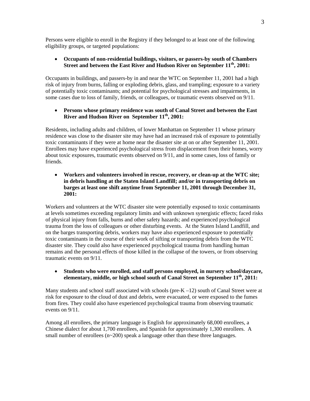Persons were eligible to enroll in the Registry if they belonged to at least one of the following eligibility groups, or targeted populations:

#### **Occupants of non-residential buildings, visitors, or passers-by south of Chambers Street and between the East River and Hudson River on September 11th, 2001:**

Occupants in buildings, and passers-by in and near the WTC on September 11, 2001 had a high risk of injury from burns, falling or exploding debris, glass, and trampling; exposure to a variety of potentially toxic contaminants; and potential for psychological stresses and impairments, in some cases due to loss of family, friends, or colleagues, or traumatic events observed on 9/11.

#### **Persons whose primary residence was south of Canal Street and between the East River and Hudson River on September 11th, 2001:**

Residents, including adults and children, of lower Manhattan on September 11 whose primary residence was close to the disaster site may have had an increased risk of exposure to potentially toxic contaminants if they were at home near the disaster site at on or after September 11, 2001. Enrollees may have experienced psychological stress from displacement from their homes, worry about toxic exposures, traumatic events observed on 9/11, and in some cases, loss of family or friends.

 **Workers and volunteers involved in rescue, recovery, or clean-up at the WTC site; in debris handling at the Staten Island Landfill; and/or in transporting debris on barges at least one shift anytime from September 11, 2001 through December 31, 2001:** 

Workers and volunteers at the WTC disaster site were potentially exposed to toxic contaminants at levels sometimes exceeding regulatory limits and with unknown synergistic effects; faced risks of physical injury from falls, burns and other safety hazards; and experienced psychological trauma from the loss of colleagues or other disturbing events. At the Staten Island Landfill, and on the barges transporting debris, workers may have also experienced exposure to potentially toxic contaminants in the course of their work of sifting or transporting debris from the WTC disaster site. They could also have experienced psychological trauma from handling human remains and the personal effects of those killed in the collapse of the towers, or from observing traumatic events on 9/11.

#### **Students who were enrolled, and staff persons employed, in nursery school/daycare, elementary, middle, or high school south of Canal Street on September 11<sup>th</sup>, 2011:**

Many students and school staff associated with schools (pre- $K-12$ ) south of Canal Street were at risk for exposure to the cloud of dust and debris, were evacuated, or were exposed to the fumes from fires. They could also have experienced psychological trauma from observing traumatic events on 9/11.

Among all enrollees, the primary language is English for approximately 68,000 enrollees, a Chinese dialect for about 1,700 enrollees, and Spanish for approximately 1,300 enrollees. A small number of enrollees  $(n \sim 200)$  speak a language other than these three languages.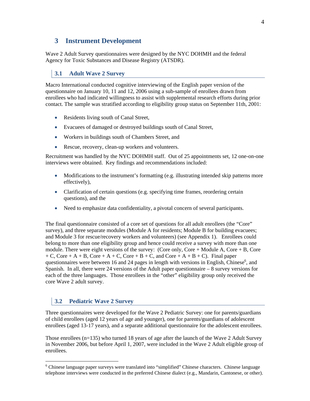# **3 Instrument Development**

Wave 2 Adult Survey questionnaires were designed by the NYC DOHMH and the federal Agency for Toxic Substances and Disease Registry (ATSDR).

# **3.1 Adult Wave 2 Survey**

Macro International conducted cognitive interviewing of the English paper version of the questionnaire on January 10, 11 and 12, 2006 using a sub-sample of enrollees drawn from enrollees who had indicated willingness to assist with supplemental research efforts during prior contact. The sample was stratified according to eligibility group status on September 11th, 2001:

- Residents living south of Canal Street,
- Evacuees of damaged or destroyed buildings south of Canal Street,
- Workers in buildings south of Chambers Street, and
- Rescue, recovery, clean-up workers and volunteers.

Recruitment was handled by the NYC DOHMH staff. Out of 25 appointments set, 12 one-on-one interviews were obtained. Key findings and recommendations included:

- Modifications to the instrument's formatting (e.g. illustrating intended skip patterns more effectively),
- Clarification of certain questions (e.g. specifying time frames, reordering certain questions), and the
- Need to emphasize data confidentiality, a pivotal concern of several participants.

The final questionnaire consisted of a core set of questions for all adult enrollees (the "Core" survey), and three separate modules (Module A for residents; Module B for building evacuees; and Module 3 for rescue/recovery workers and volunteers) (see Appendix 1). Enrollees could belong to more than one eligibility group and hence could receive a survey with more than one module. There were eight versions of the survey: (Core only, Core + Module A, Core + B, Core  $+ C$ , Core  $+ A + B$ , Core  $+ A + C$ , Core  $+ B + C$ , and Core  $+ A + B + C$ ). Final paper questionnaires were between 16 and 24 pages in length with versions in English, Chinese<sup>6</sup>, and Spanish. In all, there were 24 versions of the Adult paper questionnaire – 8 survey versions for each of the three languages. Those enrollees in the "other" eligibility group only received the core Wave 2 adult survey.

# **3.2 Pediatric Wave 2 Survey**

 $\overline{a}$ 

Three questionnaires were developed for the Wave 2 Pediatric Survey: one for parents/guardians of child enrollees (aged 12 years of age and younger), one for parents/guardians of adolescent enrollees (aged 13-17 years), and a separate additional questionnaire for the adolescent enrollees.

Those enrollees  $(n=135)$  who turned 18 years of age after the launch of the Wave 2 Adult Survey in November 2006, but before April 1, 2007, were included in the Wave 2 Adult eligible group of enrollees.

<sup>&</sup>lt;sup>6</sup> Chinese language paper surveys were translated into "simplified" Chinese characters. Chinese language telephone interviews were conducted in the preferred Chinese dialect (e.g., Mandarin, Cantonese, or other).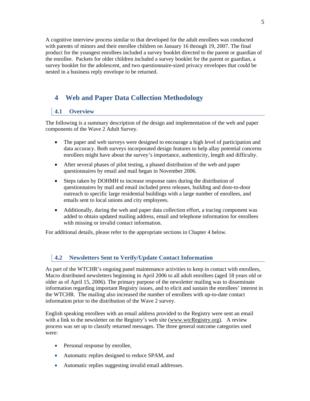A cognitive interview process similar to that developed for the adult enrollees was conducted with parents of minors and their enrollee children on January 16 through 19, 2007. The final product for the youngest enrollees included a survey booklet directed to the parent or guardian of the enrollee. Packets for older children included a survey booklet for the parent or guardian, a survey booklet for the adolescent, and two questionnaire-sized privacy envelopes that could be nested in a business reply envelope to be returned.

# **4 Web and Paper Data Collection Methodology**

### **4.1 Overview**

The following is a summary description of the design and implementation of the web and paper components of the Wave 2 Adult Survey.

- The paper and web surveys were designed to encourage a high level of participation and data accuracy. Both surveys incorporated design features to help allay potential concerns enrollees might have about the survey's importance, authenticity, length and difficulty.
- After several phases of pilot testing, a phased distribution of the web and paper questionnaires by email and mail began in November 2006.
- Steps taken by DOHMH to increase response rates during the distribution of questionnaires by mail and email included press releases, building and door-to-door outreach to specific large residential buildings with a large number of enrollees, and emails sent to local unions and city employees.
- Additionally, during the web and paper data collection effort, a tracing component was added to obtain updated mailing address, email and telephone information for enrollees with missing or invalid contact information.

For additional details, please refer to the appropriate sections in Chapter 4 below.

### **4.2 Newsletters Sent to Verify/Update Contact Information**

As part of the WTCHR's ongoing panel maintenance activities to keep in contact with enrollees, Macro distributed newsletters beginning in April 2006 to all adult enrollees (aged 18 years old or older as of April 15, 2006). The primary purpose of the newsletter mailing was to disseminate information regarding important Registry issues, and to elicit and sustain the enrollees' interest in the WTCHR. The mailing also increased the number of enrollees with up-to-date contact information prior to the distribution of the Wave 2 survey.

English speaking enrollees with an email address provided to the Registry were sent an email with a link to the newsletter on the Registry's web site (www.wtcRegistry.org). A review process was set up to classify returned messages. The three general outcome categories used were:

- Personal response by enrollee,
- Automatic replies designed to reduce SPAM, and
- Automatic replies suggesting invalid email addresses.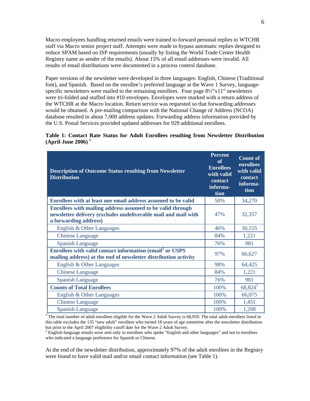Macro employees handling returned emails were trained to forward personal replies to WTCHR staff via Macro senior project staff. Attempts were made to bypass automatic replies designed to reduce SPAM based on ISP requirements (usually by listing the World Trade Center Health Registry name as sender of the emails). About 15% of all email addresses were invalid. All results of email distributions were documented in a process control database.

Paper versions of the newsletter were developed in three languages: English, Chinese (Traditional font), and Spanish. Based on the enrollee's preferred language at the Wave 1 Survey, languagespecific newsletters were mailed to the remaining enrollees. Four page  $8\frac{1}{2}$ 'x11" newsletters were tri-folded and stuffed into #10 envelopes. Envelopes were marked with a return address of the WTCHR at the Macro location. Return service was requested so that forwarding addresses would be obtained. A pre-mailing comparison with the National Change of Address (NCOA) database resulted in about 7,000 address updates. Forwarding address information provided by the U.S. Postal Services provided updated addresses for 929 additional enrollees.

#### **Table 1: Contact Rate Status for Adult Enrollees resulting from Newsletter Distribution (April-June 2006) 1**

| <b>Description of Outcome Status resulting from Newsletter</b><br><b>Distribution</b>                                                                 | <b>Percent</b><br>of<br><b>Enrollees</b><br>with valid<br>contact<br>informa-<br>tion | <b>Count of</b><br>enrollees<br>with valid<br>contact<br>informa-<br>tion |
|-------------------------------------------------------------------------------------------------------------------------------------------------------|---------------------------------------------------------------------------------------|---------------------------------------------------------------------------|
| Enrollees with at least one email address assumed to be valid                                                                                         | 50%                                                                                   | 34,270                                                                    |
| Enrollees with mailing address assumed to be valid through<br>newsletter delivery (excludes undeliverable mail and mail with<br>a forwarding address) | 47%                                                                                   | 32,357                                                                    |
| English & Other Languages                                                                                                                             | 46%                                                                                   | 30,155                                                                    |
| <b>Chinese Language</b>                                                                                                                               | 84%                                                                                   | 1,221                                                                     |
| <b>Spanish Language</b>                                                                                                                               | 76%                                                                                   | 981                                                                       |
| Enrollees with valid contact information (email <sup>2</sup> or USPS<br>mailing address) at the end of newsletter distribution activity               | 97%                                                                                   | 66,627                                                                    |
| English & Other Languages                                                                                                                             | 98%                                                                                   | 64,425                                                                    |
| <b>Chinese Language</b>                                                                                                                               | 84%                                                                                   | 1,221                                                                     |
| <b>Spanish Language</b>                                                                                                                               | 76%                                                                                   | 981                                                                       |
| <b>Counts of Total Enrollees</b>                                                                                                                      | 100%                                                                                  | $68,824$ <sup>1</sup>                                                     |
| English & Other Languages                                                                                                                             | 100%                                                                                  | 66,075                                                                    |
| <b>Chinese Language</b>                                                                                                                               | 100%                                                                                  | 1,451                                                                     |
| <b>Spanish Language</b>                                                                                                                               | 100%                                                                                  | 1,298                                                                     |

<sup>1</sup>The total number of adult enrollees eligible for the Wave 2 Adult Survey is 68,959. The total adult enrollees listed in this table excludes the 135 "new adult" enrollees who turned 18 years of age sometime after the newsletter distribution but prior to the April 2007 eligibility cutoff date for the Wave 2 Adult Survey.

 $2$  English-language emails were sent only to enrollees who spoke "English and other languages" and not to enrollees who indicated a language preference for Spanish or Chinese.

At the end of the newsletter distribution, approximately 97% of the adult enrollees in the Registry were found to have valid mail and/or email contact information (see Table 1).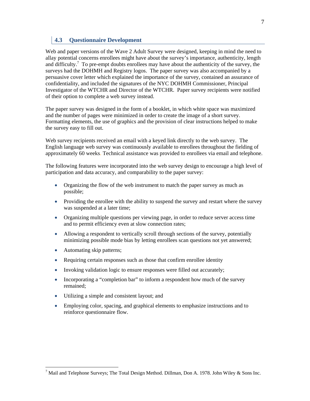## **4.3 Questionnaire Development**

Web and paper versions of the Wave 2 Adult Survey were designed, keeping in mind the need to allay potential concerns enrollees might have about the survey's importance, authenticity, length and difficulty.<sup>7</sup> To pre-empt doubts enrollees may have about the authenticity of the survey, the surveys had the DOHMH and Registry logos. The paper survey was also accompanied by a persuasive cover letter which explained the importance of the survey, contained an assurance of confidentiality, and included the signatures of the NYC DOHMH Commissioner, Principal Investigator of the WTCHR and Director of the WTCHR. Paper survey recipients were notified of their option to complete a web survey instead.

The paper survey was designed in the form of a booklet, in which white space was maximized and the number of pages were minimized in order to create the image of a short survey. Formatting elements, the use of graphics and the provision of clear instructions helped to make the survey easy to fill out.

Web survey recipients received an email with a keyed link directly to the web survey. The English language web survey was continuously available to enrollees throughout the fielding of approximately 60 weeks. Technical assistance was provided to enrollees via email and telephone.

The following features were incorporated into the web survey design to encourage a high level of participation and data accuracy, and comparability to the paper survey:

- Organizing the flow of the web instrument to match the paper survey as much as possible;
- Providing the enrollee with the ability to suspend the survey and restart where the survey was suspended at a later time;
- Organizing multiple questions per viewing page, in order to reduce server access time and to permit efficiency even at slow connection rates;
- Allowing a respondent to vertically scroll through sections of the survey, potentially minimizing possible mode bias by letting enrollees scan questions not yet answered;
- Automating skip patterns;

 $\overline{a}$ 

- Requiring certain responses such as those that confirm enrollee identity
- Invoking validation logic to ensure responses were filled out accurately;
- Incorporating a "completion bar" to inform a respondent how much of the survey remained;
- Utilizing a simple and consistent layout; and
- Employing color, spacing, and graphical elements to emphasize instructions and to reinforce questionnaire flow.

<sup>&</sup>lt;sup>7</sup> Mail and Telephone Surveys; The Total Design Method. Dillman, Don A. 1978. John Wiley & Sons Inc.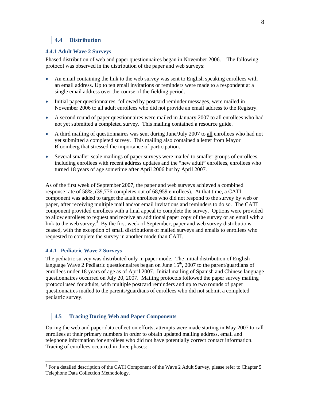## **4.4 Distribution**

#### **4.4.1 Adult Wave 2 Surveys**

Phased distribution of web and paper questionnaires began in November 2006. The following protocol was observed in the distribution of the paper and web surveys:

- An email containing the link to the web survey was sent to English speaking enrollees with an email address. Up to ten email invitations or reminders were made to a respondent at a single email address over the course of the fielding period.
- Initial paper questionnaires, followed by postcard reminder messages, were mailed in November 2006 to all adult enrollees who did not provide an email address to the Registry.
- A second round of paper questionnaires were mailed in January 2007 to all enrollees who had not yet submitted a completed survey. This mailing contained a resource guide.
- A third mailing of questionnaires was sent during June/July 2007 to all enrollees who had not yet submitted a completed survey. This mailing also contained a letter from Mayor Bloomberg that stressed the importance of participation.
- Several smaller-scale mailings of paper surveys were mailed to smaller groups of enrollees, including enrollees with recent address updates and the "new adult" enrollees, enrollees who turned 18 years of age sometime after April 2006 but by April 2007.

As of the first week of September 2007, the paper and web surveys achieved a combined response rate of 58%, (39,776 completes out of 68,959 enrollees). At that time, a CATI component was added to target the adult enrollees who did not respond to the survey by web or paper, after receiving multiple mail and/or email invitations and reminders to do so. The CATI component provided enrollees with a final appeal to complete the survey. Options were provided to allow enrollees to request and receive an additional paper copy of the survey or an email with a link to the web survey.<sup>8</sup> By the first week of September, paper and web survey distributions ceased, with the exception of small distributions of mailed surveys and emails to enrollees who requested to complete the survey in another mode than CATI.

### **4.4.1 Pediatric Wave 2 Surveys**

 $\overline{a}$ 

The pediatric survey was distributed only in paper mode. The initial distribution of Englishlanguage Wave 2 Pediatric questionnaires began on June  $15<sup>th</sup>$ , 2007 to the parent/guardians of enrollees under 18 years of age as of April 2007. Initial mailing of Spanish and Chinese language questionnaires occurred on July 20, 2007. Mailing protocols followed the paper survey mailing protocol used for adults, with multiple postcard reminders and up to two rounds of paper questionnaires mailed to the parents/guardians of enrollees who did not submit a completed pediatric survey.

### **4.5 Tracing During Web and Paper Components**

During the web and paper data collection efforts, attempts were made starting in May 2007 to call enrollees at their primary numbers in order to obtain updated mailing address, email and telephone information for enrollees who did not have potentially correct contact information. Tracing of enrollees occurred in three phases:

 $8$  For a detailed description of the CATI Component of the Wave 2 Adult Survey, please refer to Chapter 5 Telephone Data Collection Methodology.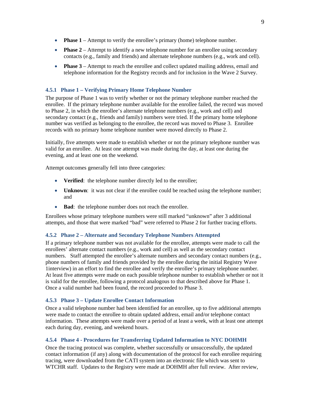- **Phase 1** Attempt to verify the enrollee's primary (home) telephone number.
- **Phase 2** Attempt to identify a new telephone number for an enrollee using secondary contacts (e.g., family and friends) and alternate telephone numbers (e.g., work and cell).
- **Phase 3** Attempt to reach the enrollee and collect updated mailing address, email and telephone information for the Registry records and for inclusion in the Wave 2 Survey.

#### **4.5.1 Phase 1 – Verifying Primary Home Telephone Number**

The purpose of Phase 1 was to verify whether or not the primary telephone number reached the enrollee. If the primary telephone number available for the enrollee failed, the record was moved to Phase 2, in which the enrollee's alternate telephone numbers (e.g., work and cell) and secondary contact (e.g., friends and family) numbers were tried. If the primary home telephone number was verified as belonging to the enrollee, the record was moved to Phase 3. Enrollee records with no primary home telephone number were moved directly to Phase 2.

Initially, five attempts were made to establish whether or not the primary telephone number was valid for an enrollee. At least one attempt was made during the day, at least one during the evening, and at least one on the weekend.

Attempt outcomes generally fell into three categories:

- **Verified**: the telephone number directly led to the enrollee;
- **Unknown**: it was not clear if the enrollee could be reached using the telephone number; and
- **Bad**: the telephone number does not reach the enrollee.

Enrollees whose primary telephone numbers were still marked "unknown" after 3 additional attempts, and those that were marked "bad" were referred to Phase 2 for further tracing efforts.

#### **4.5.2 Phase 2 – Alternate and Secondary Telephone Numbers Attempted**

If a primary telephone number was not available for the enrollee, attempts were made to call the enrollees' alternate contact numbers (e.g., work and cell) as well as the secondary contact numbers. Staff attempted the enrollee's alternate numbers and secondary contact numbers (e.g., phone numbers of family and friends provided by the enrollee during the initial Registry Wave 1interview) in an effort to find the enrollee and verify the enrollee's primary telephone number. At least five attempts were made on each possible telephone number to establish whether or not it is valid for the enrollee, following a protocol analogous to that described above for Phase 1. Once a valid number had been found, the record proceeded to Phase 3.

#### **4.5.3 Phase 3 – Update Enrollee Contact Information**

Once a valid telephone number had been identified for an enrollee, up to five additional attempts were made to contact the enrollee to obtain updated address, email and/or telephone contact information. These attempts were made over a period of at least a week, with at least one attempt each during day, evening, and weekend hours.

#### **4.5.4 Phase 4 - Procedures for Transferring Updated Information to NYC DOHMH**

Once the tracing protocol was complete, whether successfully or unsuccessfully, the updated contact information (if any) along with documentation of the protocol for each enrollee requiring tracing, were downloaded from the CATI system into an electronic file which was sent to WTCHR staff. Updates to the Registry were made at DOHMH after full review. After review,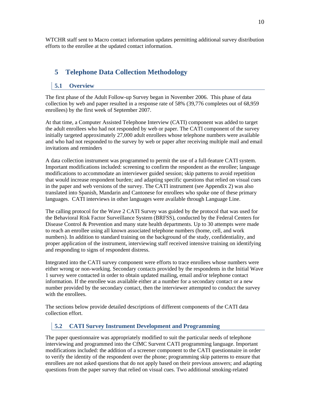WTCHR staff sent to Macro contact information updates permitting additional survey distribution efforts to the enrollee at the updated contact information.

# **5 Telephone Data Collection Methodology**

#### **5.1 Overview**

The first phase of the Adult Follow-up Survey began in November 2006. This phase of data collection by web and paper resulted in a response rate of 58% (39,776 completes out of 68,959 enrollees) by the first week of September 2007.

At that time, a Computer Assisted Telephone Interview (CATI) component was added to target the adult enrollees who had not responded by web or paper. The CATI component of the survey initially targeted approximately 27,000 adult enrollees whose telephone numbers were available and who had not responded to the survey by web or paper after receiving multiple mail and email invitations and reminders

A data collection instrument was programmed to permit the use of a full-feature CATI system. Important modifications included: screening to confirm the respondent as the enrollee; language modifications to accommodate an interviewer guided session; skip patterns to avoid repetition that would increase respondent burden; and adapting specific questions that relied on visual cues in the paper and web versions of the survey. The CATI instrument (see Appendix 2) was also translated into Spanish, Mandarin and Cantonese for enrollees who spoke one of these primary languages. CATI interviews in other languages were available through Language Line.

The calling protocol for the Wave 2 CATI Survey was guided by the protocol that was used for the Behavioral Risk Factor Surveillance System (BRFSS), conducted by the Federal Centers for Disease Control & Prevention and many state health departments. Up to 30 attempts were made to reach an enrollee using all known associated telephone numbers (home, cell, and work numbers). In addition to standard training on the background of the study, confidentiality, and proper application of the instrument, interviewing staff received intensive training on identifying and responding to signs of respondent distress.

Integrated into the CATI survey component were efforts to trace enrollees whose numbers were either wrong or non-working. Secondary contacts provided by the respondents in the Initial Wave 1 survey were contacted in order to obtain updated mailing, email and/or telephone contact information. If the enrollee was available either at a number for a secondary contact or a new number provided by the secondary contact, then the interviewer attempted to conduct the survey with the enrollees.

The sections below provide detailed descriptions of different components of the CATI data collection effort.

### **5.2 CATI Survey Instrument Development and Programming**

The paper questionnaire was appropriately modified to suit the particular needs of telephone interviewing and programmed into the CfMC Survent CATI programming language. Important modifications included: the addition of a screener component to the CATI questionnaire in order to verify the identity of the respondent over the phone; programming skip patterns to ensure that enrollees are not asked questions that do not apply based on their previous answers; and adapting questions from the paper survey that relied on visual cues. Two additional smoking-related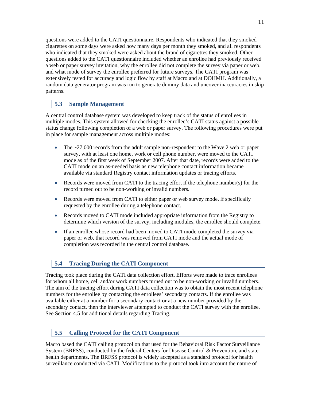questions were added to the CATI questionnaire. Respondents who indicated that they smoked cigarettes on some days were asked how many days per month they smoked, and all respondents who indicated that they smoked were asked about the brand of cigarettes they smoked. Other questions added to the CATI questionnaire included whether an enrollee had previously received a web or paper survey invitation, why the enrollee did not complete the survey via paper or web, and what mode of survey the enrollee preferred for future surveys. The CATI program was extensively tested for accuracy and logic flow by staff at Macro and at DOHMH. Additionally, a random data generator program was run to generate dummy data and uncover inaccuracies in skip patterns.

## **5.3 Sample Management**

A central control database system was developed to keep track of the status of enrollees in multiple modes. This system allowed for checking the enrollee's CATI status against a possible status change following completion of a web or paper survey. The following procedures were put in place for sample management across multiple modes:

- The ~27,000 records from the adult sample non-respondent to the Wave 2 web or paper survey, with at least one home, work or cell phone number, were moved to the CATI mode as of the first week of September 2007. After that date, records were added to the CATI mode on an as-needed basis as new telephone contact information became available via standard Registry contact information updates or tracing efforts.
- Records were moved from CATI to the tracing effort if the telephone number(s) for the record turned out to be non-working or invalid numbers.
- Records were moved from CATI to either paper or web survey mode, if specifically requested by the enrollee during a telephone contact.
- Records moved to CATI mode included appropriate information from the Registry to determine which version of the survey, including modules, the enrollee should complete.
- If an enrollee whose record had been moved to CATI mode completed the survey via paper or web, that record was removed from CATI mode and the actual mode of completion was recorded in the central control database.

## **5.4 Tracing During the CATI Component**

Tracing took place during the CATI data collection effort. Efforts were made to trace enrollees for whom all home, cell and/or work numbers turned out to be non-working or invalid numbers. The aim of the tracing effort during CATI data collection was to obtain the most recent telephone numbers for the enrollee by contacting the enrollees' secondary contacts. If the enrollee was available either at a number for a secondary contact or at a new number provided by the secondary contact, then the interviewer attempted to conduct the CATI survey with the enrollee. See Section 4.5 for additional details regarding Tracing.

## **5.5 Calling Protocol for the CATI Component**

Macro based the CATI calling protocol on that used for the Behavioral Risk Factor Surveillance System (BRFSS), conducted by the federal Centers for Disease Control & Prevention, and state health departments. The BRFSS protocol is widely accepted as a standard protocol for health surveillance conducted via CATI. Modifications to the protocol took into account the nature of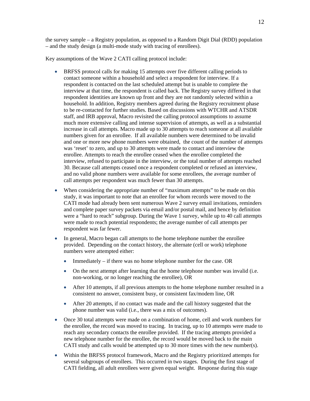the survey sample – a Registry population, as opposed to a Random Digit Dial (RDD) population – and the study design (a multi-mode study with tracing of enrollees).

Key assumptions of the Wave 2 CATI calling protocol include:

- BRFSS protocol calls for making 15 attempts over five different calling periods to contact someone within a household and select a respondent for interview. If a respondent is contacted on the last scheduled attempt but is unable to complete the interview at that time, the respondent is called back. The Registry survey differed in that respondent identities are known up front and they are not randomly selected within a household. In addition, Registry members agreed during the Registry recruitment phase to be re-contacted for further studies. Based on discussions with WTCHR and ATSDR staff, and IRB approval, Macro revisited the calling protocol assumptions to assume much more extensive calling and intense supervision of attempts, as well as a substantial increase in call attempts. Macro made up to 30 attempts to reach someone at all available numbers given for an enrollee. If all available numbers were determined to be invalid and one or more new phone numbers were obtained, the count of the number of attempts was 'reset' to zero, and up to 30 attempts were made to contact and interview the enrollee. Attempts to reach the enrollee ceased when the enrollee completed the interview, refused to participate in the interview, or the total number of attempts reached 30. Because call attempts ceased once a respondent completed or refused an interview, and no valid phone numbers were available for some enrollees, the average number of call attempts per respondent was much fewer than 30 attempts.
- When considering the appropriate number of "maximum attempts" to be made on this study, it was important to note that an enrollee for whom records were moved to the CATI mode had already been sent numerous Wave 2 survey email invitations, reminders and complete paper survey packets via email and/or postal mail, and hence by definition were a "hard to reach" subgroup. During the Wave 1 survey, while up to 40 call attempts were made to reach potential respondents; the average number of call attempts per respondent was far fewer.
- In general, Macro began call attempts to the home telephone number the enrollee provided. Depending on the contact history, the alternate (cell or work) telephone numbers were attempted either:
	- Immediately if there was no home telephone number for the case. OR
	- On the next attempt after learning that the home telephone number was invalid (i.e. non-working, or no longer reaching the enrollee), OR
	- After 10 attempts, if all previous attempts to the home telephone number resulted in a consistent no answer, consistent busy, or consistent fax/modem line, OR
	- After 20 attempts, if no contact was made and the call history suggested that the phone number was valid (i.e., there was a mix of outcomes).
- Once 30 total attempts were made on a combination of home, cell and work numbers for the enrollee, the record was moved to tracing. In tracing, up to 10 attempts were made to reach any secondary contacts the enrollee provided. If the tracing attempts provided a new telephone number for the enrollee, the record would be moved back to the main CATI study and calls would be attempted up to 30 more times with the new number(s).
- Within the BRFSS protocol framework, Macro and the Registry prioritized attempts for several subgroups of enrollees. This occurred in two stages. During the first stage of CATI fielding, all adult enrollees were given equal weight. Response during this stage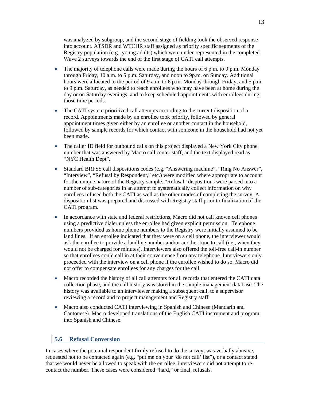was analyzed by subgroup, and the second stage of fielding took the observed response into account. ATSDR and WTCHR staff assigned as priority specific segments of the Registry population (e.g., young adults) which were under-represented in the completed Wave 2 surveys towards the end of the first stage of CATI call attempts.

- The majority of telephone calls were made during the hours of 6 p.m. to 9 p.m. Monday through Friday, 10 a.m. to 5 p.m. Saturday, and noon to 9p.m. on Sunday. Additional hours were allocated to the period of 9 a.m. to 6 p.m. Monday through Friday, and 5 p.m. to 9 p.m. Saturday, as needed to reach enrollees who may have been at home during the day or on Saturday evenings, and to keep scheduled appointments with enrollees during those time periods.
- The CATI system prioritized call attempts according to the current disposition of a record. Appointments made by an enrollee took priority, followed by general appointment times given either by an enrollee or another contact in the household, followed by sample records for which contact with someone in the household had not yet been made.
- The caller ID field for outbound calls on this project displayed a New York City phone number that was answered by Macro call center staff, and the text displayed read as "NYC Health Dept".
- Standard BRFSS call dispositions codes (e.g. "Answering machine", "Ring No Answer", "Interview", "Refusal by Respondent," etc.) were modified where appropriate to account for the unique nature of the Registry sample. "Refusal" dispositions were parsed into a number of sub-categories in an attempt to systematically collect information on why enrollees refused both the CATI as well as the other modes of completing the survey. A disposition list was prepared and discussed with Registry staff prior to finalization of the CATI program.
- In accordance with state and federal restrictions, Macro did not call known cell phones using a predictive dialer unless the enrollee had given explicit permission. Telephone numbers provided as home phone numbers to the Registry were initially assumed to be land lines. If an enrollee indicated that they were on a cell phone, the interviewer would ask the enrollee to provide a landline number and/or another time to call (i.e., when they would not be charged for minutes). Interviewers also offered the toll-free call-in number so that enrollees could call in at their convenience from any telephone. Interviewers only proceeded with the interview on a cell phone if the enrollee wished to do so. Macro did not offer to compensate enrollees for any charges for the call.
- Macro recorded the history of all call attempts for all records that entered the CATI data collection phase, and the call history was stored in the sample management database. The history was available to an interviewer making a subsequent call, to a supervisor reviewing a record and to project management and Registry staff.
- Macro also conducted CATI interviewing in Spanish and Chinese (Mandarin and Cantonese). Macro developed translations of the English CATI instrument and program into Spanish and Chinese.

#### **5.6 Refusal Conversion**

In cases where the potential respondent firmly refused to do the survey, was verbally abusive, requested not to be contacted again (e.g. "put me on your 'do not call' list"), or a contact stated that we would never be allowed to speak with the enrollee, interviewers did not attempt to recontact the number. These cases were considered "hard," or final, refusals.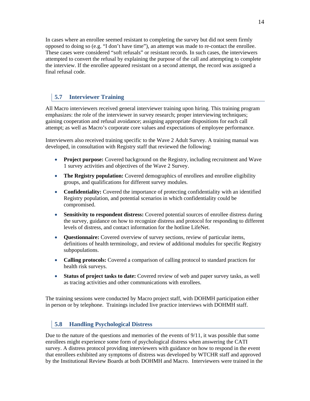In cases where an enrollee seemed resistant to completing the survey but did not seem firmly opposed to doing so (e.g. "I don't have time"), an attempt was made to re-contact the enrollee. These cases were considered "soft refusals" or resistant records. In such cases, the interviewers attempted to convert the refusal by explaining the purpose of the call and attempting to complete the interview. If the enrollee appeared resistant on a second attempt, the record was assigned a final refusal code.

## **5.7 Interviewer Training**

All Macro interviewers received general interviewer training upon hiring. This training program emphasizes: the role of the interviewer in survey research; proper interviewing techniques; gaining cooperation and refusal avoidance; assigning appropriate dispositions for each call attempt; as well as Macro's corporate core values and expectations of employee performance.

Interviewers also received training specific to the Wave 2 Adult Survey. A training manual was developed, in consultation with Registry staff that reviewed the following:

- **Project purpose:** Covered background on the Registry, including recruitment and Wave 1 survey activities and objectives of the Wave 2 Survey.
- **The Registry population:** Covered demographics of enrollees and enrollee eligibility groups, and qualifications for different survey modules.
- **Confidentiality:** Covered the importance of protecting confidentiality with an identified Registry population, and potential scenarios in which confidentiality could be compromised.
- **Sensitivity to respondent distress:** Covered potential sources of enrollee distress during the survey, guidance on how to recognize distress and protocol for responding to different levels of distress, and contact information for the hotline LifeNet.
- **Questionnaire:** Covered overview of survey sections, review of particular items, definitions of health terminology, and review of additional modules for specific Registry subpopulations.
- **Calling protocols:** Covered a comparison of calling protocol to standard practices for health risk surveys.
- **Status of project tasks to date:** Covered review of web and paper survey tasks, as well as tracing activities and other communications with enrollees.

The training sessions were conducted by Macro project staff, with DOHMH participation either in person or by telephone. Trainings included live practice interviews with DOHMH staff.

### **5.8 Handling Psychological Distress**

Due to the nature of the questions and memories of the events of  $9/11$ , it was possible that some enrollees might experience some form of psychological distress when answering the CATI survey. A distress protocol providing interviewers with guidance on how to respond in the event that enrollees exhibited any symptoms of distress was developed by WTCHR staff and approved by the Institutional Review Boards at both DOHMH and Macro. Interviewers were trained in the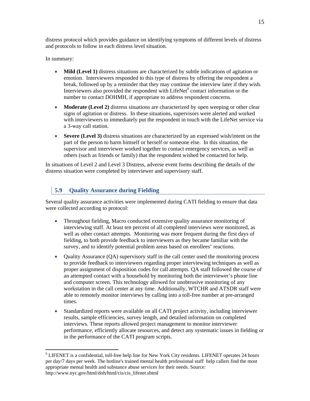distress protocol which provides guidance on identifying symptoms of different levels of distress and protocols to follow in each distress level situation.

In summary:

- **Mild (Level 1)** distress situations are characterized by subtle indications of agitation or emotion. Interviewers responded to this type of distress by offering the respondent a break, followed up by a reminder that they may continue the interview later if they wish. Interviewers also provided the respondent with  $L$ ifeNet $\degree$  contact information or the number to contact DOHMH, if appropriate to address respondent concerns.
- **Moderate (Level 2)** distress situations are characterized by open weeping or other clear signs of agitation or distress. In these situations, supervisors were alerted and worked with interviewers to immediately put the respondent in touch with the LifeNet service via a 3-way call station.
- **Severe (Level 3)** distress situations are characterized by an expressed wish/intent on the part of the person to harm himself or herself or someone else. In this situation, the supervisor and interviewer worked together to contact emergency services, as well as others (such as friends or family) that the respondent wished be contacted for help.

In situations of Level 2 and Level 3 Distress, adverse event forms describing the details of the distress situation were completed by interviewer and supervisory staff.

# **5.9 Quality Assurance during Fielding**

Several quality assurance activities were implemented during CATI fielding to ensure that data were collected according to protocol:

- Throughout fielding, Macro conducted extensive quality assurance monitoring of interviewing staff. At least ten percent of all completed interviews were monitored, as well as other contact attempts. Monitoring was more frequent during the first days of fielding, to both provide feedback to interviewers as they became familiar with the survey, and to identify potential problem areas based on enrollees' reactions.
- Quality Assurance (QA) supervisory staff in the call center used the monitoring process to provide feedback to interviewers regarding proper interviewing techniques as well as proper assignment of disposition codes for call attempts. QA staff followed the course of an attempted contact with a household by monitoring both the interviewer's phone line and computer screen. This technology allowed for unobtrusive monitoring of any workstation in the call center at any time. Additionally, WTCHR and ATSDR staff were able to remotely monitor interviews by calling into a toll-free number at pre-arranged times.
- Standardized reports were available on all CATI project activity, including interviewer results, sample efficiencies, survey length, and detailed information on completed interviews. These reports allowed project management to monitor interviewer performance, efficiently allocate resources, and detect any systematic issues in fielding or in the performance of the CATI program scripts.

 $\overline{a}$  $9$  LIFENET is a confidential, toll-free help line for New York City residents. LIFENET operates 24 hours per day/7 days per week. The hotline's trained mental health professional staff help callers find the most appropriate mental health and substance abuse services for their needs. Source: http://www.nyc.gov/html/doh/html/cis/cis\_lifenet.shtml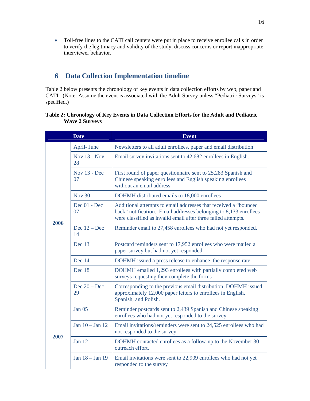Toll-free lines to the CATI call centers were put in place to receive enrollee calls in order to verify the legitimacy and validity of the study, discuss concerns or report inappropriate interviewer behavior.

# **6 Data Collection Implementation timeline**

Table 2 below presents the chronology of key events in data collection efforts by web, paper and CATI. (Note: Assume the event is associated with the Adult Survey unless "Pediatric Surveys" is specified.)

#### **Table 2: Chronology of Key Events in Data Collection Efforts for the Adult and Pediatric Wave 2 Surveys**

|      | <b>Date</b>          | <b>Event</b>                                                                                                                                                                                         |
|------|----------------------|------------------------------------------------------------------------------------------------------------------------------------------------------------------------------------------------------|
|      | April- June          | Newsletters to all adult enrollees, paper and email distribution                                                                                                                                     |
|      | Nov $13 - Now$<br>28 | Email survey invitations sent to 42,682 enrollees in English.                                                                                                                                        |
|      | Nov 13 - Dec<br>07   | First round of paper questionnaire sent to 25,283 Spanish and<br>Chinese speaking enrollees and English speaking enrollees<br>without an email address                                               |
|      | <b>Nov 30</b>        | DOHMH distributed emails to 18,000 enrollees                                                                                                                                                         |
|      | Dec 01 - Dec<br>07   | Additional attempts to email addresses that received a "bounced<br>back" notification. Email addresses belonging to 8,133 enrollees<br>were classified as invalid email after three failed attempts. |
| 2006 | Dec $12 - Dec$<br>14 | Reminder email to 27,458 enrollees who had not yet responded.                                                                                                                                        |
|      | Dec 13               | Postcard reminders sent to 17,952 enrollees who were mailed a<br>paper survey but had not yet responded                                                                                              |
|      | Dec 14               | DOHMH issued a press release to enhance the response rate                                                                                                                                            |
|      | Dec 18               | DOHMH emailed 1,293 enrollees with partially completed web<br>surveys requesting they complete the forms                                                                                             |
|      | Dec $20 - Dec$<br>29 | Corresponding to the previous email distribution, DOHMH issued<br>approximately 12,000 paper letters to enrollees in English,<br>Spanish, and Polish.                                                |
|      | <b>Jan 05</b>        | Reminder postcards sent to 2,439 Spanish and Chinese speaking<br>enrollees who had not yet responded to the survey                                                                                   |
|      | Jan $10 -$ Jan $12$  | Email invitations/reminders were sent to 24,525 enrollees who had<br>not responded to the survey                                                                                                     |
| 2007 | Jan 12               | DOHMH contacted enrollees as a follow-up to the November 30<br>outreach effort.                                                                                                                      |
|      | Jan 18 - Jan 19      | Email invitations were sent to 22,909 enrollees who had not yet<br>responded to the survey                                                                                                           |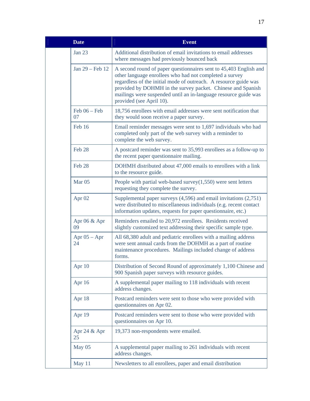| <b>Date</b>           | <b>Event</b>                                                                                                                                                                                                                                                                                                                                                   |
|-----------------------|----------------------------------------------------------------------------------------------------------------------------------------------------------------------------------------------------------------------------------------------------------------------------------------------------------------------------------------------------------------|
| <b>Jan 23</b>         | Additional distribution of email invitations to email addresses<br>where messages had previously bounced back                                                                                                                                                                                                                                                  |
| Jan 29 – Feb 12       | A second round of paper questionnaires sent to 45,403 English and<br>other language enrollees who had not completed a survey<br>regardless of the initial mode of outreach. A resource guide was<br>provided by DOHMH in the survey packet. Chinese and Spanish<br>mailings were suspended until an in-language resource guide was<br>provided (see April 10). |
| $Feb 06 - Feb$<br>07  | 18,756 enrollees with email addresses were sent notification that<br>they would soon receive a paper survey.                                                                                                                                                                                                                                                   |
| Feb 16                | Email reminder messages were sent to 1,697 individuals who had<br>completed only part of the web survey with a reminder to<br>complete the web survey.                                                                                                                                                                                                         |
| Feb 28                | A postcard reminder was sent to 35,993 enrollees as a follow-up to<br>the recent paper questionnaire mailing.                                                                                                                                                                                                                                                  |
| Feb 28                | DOHMH distributed about 47,000 emails to enrollees with a link<br>to the resource guide.                                                                                                                                                                                                                                                                       |
| Mar <sub>05</sub>     | People with partial web-based survey $(1,550)$ were sent letters<br>requesting they complete the survey.                                                                                                                                                                                                                                                       |
| Apr <sub>02</sub>     | Supplemental paper surveys $(4,596)$ and email invitations $(2,751)$<br>were distributed to miscellaneous individuals (e.g. recent contact<br>information updates, requests for paper questionnaire, etc.)                                                                                                                                                     |
| Apr $06 \&$ Apr<br>09 | Reminders emailed to 20,972 enrollees. Residents received<br>slightly customized text addressing their specific sample type.                                                                                                                                                                                                                                   |
| Apr $05 -$ Apr<br>24  | All 68,380 adult and pediatric enrollees with a mailing address<br>were sent annual cards from the DOHMH as a part of routine<br>maintenance procedures. Mailings included change of address<br>forms.                                                                                                                                                         |
| Apr 10                | Distribution of Second Round of approximately 1,100 Chinese and<br>900 Spanish paper surveys with resource guides.                                                                                                                                                                                                                                             |
| Apr 16                | A supplemental paper mailing to 118 individuals with recent<br>address changes.                                                                                                                                                                                                                                                                                |
| Apr 18                | Postcard reminders were sent to those who were provided with<br>questionnaires on Apr 02.                                                                                                                                                                                                                                                                      |
| Apr 19                | Postcard reminders were sent to those who were provided with<br>questionnaires on Apr 10.                                                                                                                                                                                                                                                                      |
| Apr $24 &$ Apr<br>25  | 19,373 non-respondents were emailed.                                                                                                                                                                                                                                                                                                                           |
| May 05                | A supplemental paper mailing to 261 individuals with recent<br>address changes.                                                                                                                                                                                                                                                                                |
| May 11                | Newsletters to all enrollees, paper and email distribution                                                                                                                                                                                                                                                                                                     |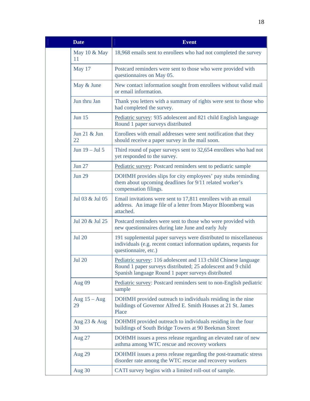| <b>Date</b>          | <b>Event</b>                                                                                                                                                                          |
|----------------------|---------------------------------------------------------------------------------------------------------------------------------------------------------------------------------------|
| May 10 & May<br>11   | 18,968 emails sent to enrollees who had not completed the survey                                                                                                                      |
| May 17               | Postcard reminders were sent to those who were provided with<br>questionnaires on May 05.                                                                                             |
| May & June           | New contact information sought from enrollees without valid mail<br>or email information.                                                                                             |
| Jun thru Jan         | Thank you letters with a summary of rights were sent to those who<br>had completed the survey.                                                                                        |
| <b>Jun 15</b>        | Pediatric survey: 935 adolescent and 821 child English language<br>Round 1 paper surveys distributed                                                                                  |
| Jun 21 & Jun<br>22   | Enrollees with email addresses were sent notification that they<br>should receive a paper survey in the mail soon.                                                                    |
| Jun 19 - Jul 5       | Third round of paper surveys sent to 32,654 enrollees who had not<br>yet responded to the survey.                                                                                     |
| <b>Jun 27</b>        | Pediatric survey: Postcard reminders sent to pediatric sample                                                                                                                         |
| <b>Jun 29</b>        | DOHMH provides slips for city employees' pay stubs reminding<br>them about upcoming deadlines for 9/11 related worker's<br>compensation filings.                                      |
| Jul 03 & Jul 05      | Email invitations were sent to 17,811 enrollees with an email<br>address. An image file of a letter from Mayor Bloomberg was<br>attached.                                             |
| Jul 20 & Jul 25      | Postcard reminders were sent to those who were provided with<br>new questionnaires during late June and early July                                                                    |
| <b>Jul 20</b>        | 191 supplemental paper surveys were distributed to miscellaneous<br>individuals (e.g. recent contact information updates, requests for<br>questionnaire, etc.)                        |
| <b>Jul 20</b>        | Pediatric survey: 116 adolescent and 113 child Chinese language<br>Round 1 paper surveys distributed; 25 adolescent and 9 child<br>Spanish language Round 1 paper surveys distributed |
| Aug 09               | Pediatric survey: Postcard reminders sent to non-English pediatric<br>sample                                                                                                          |
| Aug $15 - Aug$<br>29 | DOHMH provided outreach to individuals residing in the nine<br>buildings of Governor Alfred E. Smith Houses at 21 St. James<br>Place                                                  |
| Aug 23 & Aug<br>30   | DOHMH provided outreach to individuals residing in the four<br>buildings of South Bridge Towers at 90 Beekman Street                                                                  |
| Aug 27               | DOHMH issues a press release regarding an elevated rate of new<br>asthma among WTC rescue and recovery workers                                                                        |
| <b>Aug 29</b>        | DOHMH issues a press release regarding the post-traumatic stress<br>disorder rate among the WTC rescue and recovery workers                                                           |
| Aug 30               | CATI survey begins with a limited roll-out of sample.                                                                                                                                 |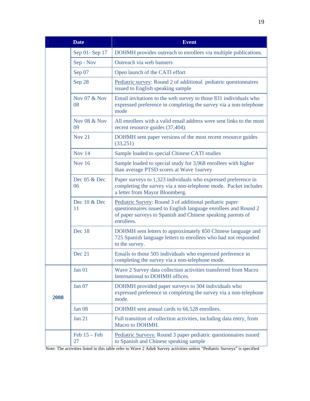|      | <b>Date</b>                   | <b>Event</b>                                                                                                                                                                                            |
|------|-------------------------------|---------------------------------------------------------------------------------------------------------------------------------------------------------------------------------------------------------|
|      | Sep 01- Sep 17                | DOHMH provides outreach to enrollees via multiple publications.                                                                                                                                         |
|      | Sep - Nov                     | Outreach via web banners                                                                                                                                                                                |
|      | Sep 07                        | Open launch of the CATI effort                                                                                                                                                                          |
|      | Sep 28                        | Pediatric survey: Round 2 of additional pediatric questionnaires<br>issued to English speaking sample                                                                                                   |
|      | Nov 07 & Nov<br>08            | Email invitations to the web survey to those 831 individuals who<br>expressed preference in completing the survey via a non-telephone<br>mode                                                           |
|      | <b>Nov 08 &amp; Nov</b><br>09 | All enrollees with a valid email address were sent links to the most<br>recent resource guides (37,404).                                                                                                |
|      | <b>Nov 21</b>                 | DOHMH sent paper versions of the most recent resource guides<br>(33,251)                                                                                                                                |
|      | Nov 14                        | Sample loaded to special Chinese CATI studies                                                                                                                                                           |
|      | <b>Nov 16</b>                 | Sample loaded to special study for 3,968 enrollees with higher<br>than average PTSD scores at Wave 1survey                                                                                              |
|      | Dec 05 & Dec<br>06            | Paper surveys to 1,323 individuals who expressed preference in<br>completing the survey via a non-telephone mode. Packet includes<br>a letter from Mayor Bloomberg.                                     |
|      | Dec 10 & Dec<br>11            | Pediatric Survey: Round 3 of additional pediatric paper<br>questionnaires issued to English language enrollees and Round 2<br>of paper surveys to Spanish and Chinese speaking parents of<br>enrollees. |
|      | Dec 18                        | DOHMH sent letters to approximately 850 Chinese language and<br>725 Spanish language letters to enrollees who had not responded<br>to the survey.                                                       |
|      | Dec 21                        | Emails to those 505 individuals who expressed preference in<br>completing the survey via a non-telephone mode.                                                                                          |
|      | Jan 01                        | Wave 2 Survey data collection activities transferred from Macro<br>International to DOHMH offices.                                                                                                      |
| 2008 | Jan 07                        | DOHMH provided paper surveys to 304 individuals who<br>expressed preference in completing the survey via a non-telephone<br>mode.                                                                       |
|      | Jan 08                        | DOHMH sent annual cards to 66,528 enrollees.                                                                                                                                                            |
|      | Jan 21                        | Full transition of collection activities, including data entry, from<br>Macro to DOHMH.                                                                                                                 |
|      | Feb $15 - Feb$<br>27          | Pediatric Surveys: Round 3 paper pediatric questionnaires issued<br>to Spanish and Chinese speaking sample                                                                                              |

Note: The activities listed in this table refer to Wave 2 Adult Survey activities unless "Pediatric Surveys" is specified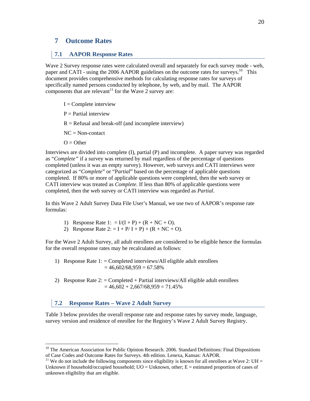# **7 Outcome Rates**

### **7.1 AAPOR Response Rates**

Wave 2 Survey response rates were calculated overall and separately for each survey mode - web, paper and CATI - using the 2006 AAPOR guidelines on the outcome rates for surveys.<sup>10</sup> This document provides comprehensive methods for calculating response rates for surveys of specifically named persons conducted by telephone, by web, and by mail. The AAPOR components that are relevant<sup>11</sup> for the Wave  $2$  survey are:

- $I =$ Complete interview
- $P =$  Partial interview
- $R =$  Refusal and break-off (and incomplete interview)
- $NC = Non-contact$
- $Q =$ Other

 $\overline{a}$ 

Interviews are divided into complete (I), partial (P) and incomplete. A paper survey was regarded as "*Complete"* if a survey was returned by mail regardless of the percentage of questions completed (unless it was an empty survey). However, web surveys and CATI interviews were categorized as "*Complete*" or "P*artial*" based on the percentage of applicable questions completed. If 80% or more of applicable questions were completed, then the web survey or CATI interview was treated as *Complete*. If less than 80% of applicable questions were completed, then the web survey or CATI interview was regarded as *Partial*.

In this Wave 2 Adult Survey Data File User's Manual, we use two of AAPOR's response rate formulas:

- 1) Response Rate 1: =  $I/(I + P) + (R + NC + O)$ .
- 2) Response Rate  $2: = I + P/I + P$  +  $(R + NC + O)$ .

For the Wave 2 Adult Survey, all adult enrollees are considered to be eligible hence the formulas for the overall response rates may be recalculated as follows:

- 1) Response Rate 1:  $=$  Completed interviews/All eligible adult enrollees  $= 46,602/68,959 = 67.58\%$
- 2) Response Rate  $2:$  = Completed + Partial interviews/All eligible adult enrollees  $= 46,602 + 2,667/68,959 = 71.45%$

### **7.2 Response Rates – Wave 2 Adult Survey**

Table 3 below provides the overall response rate and response rates by survey mode, language, survey version and residence of enrollee for the Registry's Wave 2 Adult Survey Registry.

 $10$  The American Association for Public Opinion Research. 2006. Standard Definitions: Final Dispositions of Case Codes and Outcome Rates for Surveys. 4th edition. Lenexa, Kansas: AAPOR.

<sup>&</sup>lt;sup>11</sup> We do not include the following components since eligibility is known for all enrollees at Wave 2: UH = Unknown if household/occupied household; UO = Unknown, other; E = estimated proportion of cases of unknown eligibility that are eligible.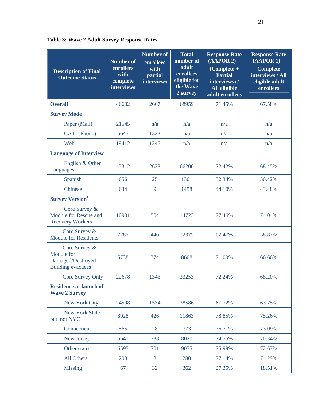| <b>Description of Final</b><br><b>Outcome Status</b>                         | <b>Number of</b><br>enrollees<br>with<br>complete<br>interviews | <b>Number of</b><br>enrollees<br>with<br>partial<br>interviews | <b>Total</b><br>number of<br>adult<br>enrollees<br>eligible for<br>the Wave<br>2 survey | <b>Response Rate</b><br>$(AAPOR 2) =$<br>$(Complete +$<br><b>Partial</b><br>interviews) /<br>All eligible<br>adult enrollees | <b>Response Rate</b><br>$(AAPOR 1) =$<br><b>Complete</b><br>interviews / All<br>eligible adult<br>enrollees |
|------------------------------------------------------------------------------|-----------------------------------------------------------------|----------------------------------------------------------------|-----------------------------------------------------------------------------------------|------------------------------------------------------------------------------------------------------------------------------|-------------------------------------------------------------------------------------------------------------|
| <b>Overall</b>                                                               | 46602                                                           | 2667                                                           | 68959                                                                                   | 71.45%                                                                                                                       | 67.58%                                                                                                      |
| <b>Survey Mode</b>                                                           |                                                                 |                                                                |                                                                                         |                                                                                                                              |                                                                                                             |
| Paper (Mail)                                                                 | 21545                                                           | n/a                                                            | n/a                                                                                     | n/a                                                                                                                          | n/a                                                                                                         |
| CATI (Phone)                                                                 | 5645                                                            | 1322                                                           | n/a                                                                                     | n/a                                                                                                                          | n/a                                                                                                         |
| Web                                                                          | 19412                                                           | 1345                                                           | n/a                                                                                     | n/a                                                                                                                          | n/a                                                                                                         |
| <b>Language of Interview</b>                                                 |                                                                 |                                                                |                                                                                         |                                                                                                                              |                                                                                                             |
| English & Other<br>Languages                                                 | 45312                                                           | 2633                                                           | 66200                                                                                   | 72.42%                                                                                                                       | 68.45%                                                                                                      |
| Spanish                                                                      | 656                                                             | 25                                                             | 1301                                                                                    | 52.34%                                                                                                                       | 50.42%                                                                                                      |
| Chinese                                                                      | 634                                                             | 9                                                              | 1458                                                                                    | 44.10%                                                                                                                       | 43.48%                                                                                                      |
| <b>Survey Version</b> <sup>1</sup>                                           |                                                                 |                                                                |                                                                                         |                                                                                                                              |                                                                                                             |
| Core Survey &<br>Module for Rescue and<br><b>Recovery Workers</b>            | 10901                                                           | 504                                                            | 14723                                                                                   | 77.46%                                                                                                                       | 74.04%                                                                                                      |
| Core Survey &<br><b>Module for Residents</b>                                 | 7285                                                            | 446                                                            | 12375                                                                                   | 62.47%                                                                                                                       | 58.87%                                                                                                      |
| Core Survey &<br>Module for<br>Damaged/Destroyed<br><b>Building evacuees</b> | 5738                                                            | 374                                                            | 8608                                                                                    | 71.00%                                                                                                                       | 66.66%                                                                                                      |
| <b>Core Survey Only</b>                                                      | 22678                                                           | 1343                                                           | 33253                                                                                   | 72.24%                                                                                                                       | 68.20%                                                                                                      |
| <b>Residence at launch of</b><br><b>Wave 2 Survey</b>                        |                                                                 |                                                                |                                                                                         |                                                                                                                              |                                                                                                             |
| New York City                                                                | 24598                                                           | 1534                                                           | 38586                                                                                   | 67.72%                                                                                                                       | 63.75%                                                                                                      |
| <b>New York State</b><br>but not NYC                                         | 8928                                                            | 426                                                            | 11863                                                                                   | 78.85%                                                                                                                       | 75.26%                                                                                                      |
| Connecticut                                                                  | 565                                                             | 28                                                             | 773                                                                                     | 76.71%                                                                                                                       | 73.09%                                                                                                      |
| New Jersey                                                                   | 5641                                                            | 338                                                            | 8020                                                                                    | 74.55%                                                                                                                       | 70.34%                                                                                                      |
| Other states                                                                 | 6595                                                            | 301                                                            | 9075                                                                                    | 75.99%                                                                                                                       | 72.67%                                                                                                      |
| All Others                                                                   | 208                                                             | 8                                                              | 280                                                                                     | 77.14%                                                                                                                       | 74.29%                                                                                                      |
| <b>Missing</b>                                                               | 67                                                              | 32                                                             | 362                                                                                     | 27.35%                                                                                                                       | 18.51%                                                                                                      |

**Table 3: Wave 2 Adult Survey Response Rates**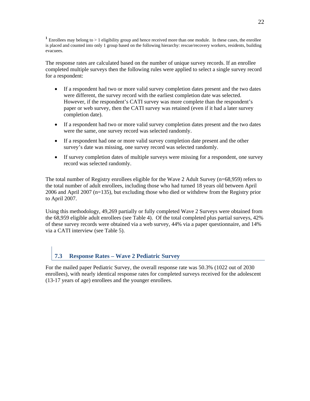**<sup>1</sup>** Enrollees may belong to > 1 eligibility group and hence received more than one module. In these cases, the enrollee is placed and counted into only 1 group based on the following hierarchy: rescue/recovery workers, residents, building evacuees.

The response rates are calculated based on the number of unique survey records. If an enrollee completed multiple surveys then the following rules were applied to select a single survey record for a respondent:

- If a respondent had two or more valid survey completion dates present and the two dates were different, the survey record with the earliest completion date was selected. However, if the respondent's CATI survey was more complete than the respondent's paper or web survey, then the CATI survey was retained (even if it had a later survey completion date).
- If a respondent had two or more valid survey completion dates present and the two dates were the same, one survey record was selected randomly.
- If a respondent had one or more valid survey completion date present and the other survey's date was missing, one survey record was selected randomly.
- If survey completion dates of multiple surveys were missing for a respondent, one survey record was selected randomly.

The total number of Registry enrollees eligible for the Wave 2 Adult Survey (n=68,959) refers to the total number of adult enrollees, including those who had turned 18 years old between April 2006 and April 2007 (n=135), but excluding those who died or withdrew from the Registry prior to April 2007.

Using this methodology, 49,269 partially or fully completed Wave 2 Surveys were obtained from the 68,959 eligible adult enrollees (see Table 4). Of the total completed plus partial surveys, 42% of these survey records were obtained via a web survey, 44% via a paper questionnaire, and 14% via a CATI interview (see Table 5).

# **7.3 Response Rates – Wave 2 Pediatric Survey**

For the mailed paper Pediatric Survey, the overall response rate was 50.3% (1022 out of 2030 enrollees), with nearly identical response rates for completed surveys received for the adolescent (13-17 years of age) enrollees and the younger enrollees.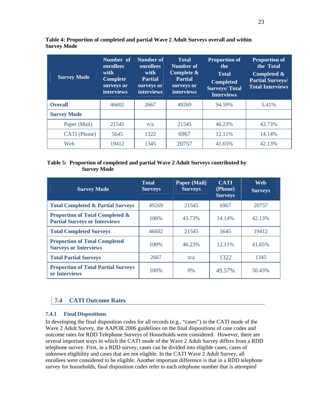| <b>Survey Mode</b> | Number of<br><b>enrollees</b><br>with<br><b>Complete</b><br>surveys or<br><i>interviews</i> | <b>Number of</b><br>enrollees<br>with<br><b>Partial</b><br>surveys or<br><i>interviews</i> | <b>Total</b><br><b>Number of</b><br>Complete $\&$<br><b>Partial</b><br>surveys or<br><i>interviews</i> | <b>Proportion of</b><br>the<br><b>Total</b><br><b>Completed</b><br><b>Surveys/Total</b><br><b>Interviews</b> | <b>Proportion of</b><br>the Total<br>Completed &<br><b>Partial Surveys/</b><br><b>Total Interviews</b> |
|--------------------|---------------------------------------------------------------------------------------------|--------------------------------------------------------------------------------------------|--------------------------------------------------------------------------------------------------------|--------------------------------------------------------------------------------------------------------------|--------------------------------------------------------------------------------------------------------|
| <b>Overall</b>     | 46602                                                                                       | 2667                                                                                       | 49269                                                                                                  | 94.59%                                                                                                       | 5.41%                                                                                                  |
| <b>Survey Mode</b> |                                                                                             |                                                                                            |                                                                                                        |                                                                                                              |                                                                                                        |
| Paper (Mail)       | 21545                                                                                       | n/a                                                                                        | 21545                                                                                                  | 46.23%                                                                                                       | 43.73%                                                                                                 |
| CATI (Phone)       | 5645                                                                                        | 1322                                                                                       | 6967                                                                                                   | 12.11%                                                                                                       | 14.14%                                                                                                 |
| Web                | 19412                                                                                       | 1345                                                                                       | 20757                                                                                                  | 41.65%                                                                                                       | 42.13%                                                                                                 |

**Table 4: Proportion of completed and partial Wave 2 Adult Surveys overall and within Survey Mode**

#### **Table 5: Proportion of completed and partial Wave 2 Adult Surveys contributed by Survey Mode**

| <b>Survey Mode</b>                                                                 | <b>Total</b><br><b>Surveys</b> | Paper (Mail)<br><b>Surveys</b> | <b>CATI</b><br>(Phone)<br><b>Surveys</b> | Web<br><b>Surveys</b> |
|------------------------------------------------------------------------------------|--------------------------------|--------------------------------|------------------------------------------|-----------------------|
| <b>Total Completed &amp; Partial Surveys</b>                                       | 49269                          | 21545                          | 6967                                     | 20757                 |
| <b>Proportion of Total Completed &amp;</b><br><b>Partial Surveys or Interviews</b> | 100\%                          | 43.73%                         | 14.14%                                   | 42.13%                |
| <b>Total Completed Surveys</b>                                                     | 46602                          | 21545                          | 5645                                     | 19412                 |
| <b>Proportion of Total Completed</b><br><b>Surveys or Interviews</b>               | 100\%                          | 46.23%                         | 12.11%                                   | 41.65%                |
| <b>Total Partial Surveys</b>                                                       | 2667                           | n/a                            | 1322                                     | 1345                  |
| <b>Proportion of Total Partial Surveys</b><br>or Interviews                        | 100\%                          | $0\%$                          | 49.57%                                   | 50.43%                |

## **7.4 CATI Outcome Rates**

### **7.4.1 Final Dispositions**

In developing the final disposition codes for all records (e.g., "cases") in the CATI mode of the Wave 2 Adult Survey, the AAPOR 2006 guidelines on the final dispositions of case codes and outcome rates for RDD Telephone Surveys of Households were considered. However, there are several important ways in which the CATI mode of the Wave 2 Adult Survey differs from a RDD telephone survey. First, in a RDD survey, cases can be divided into eligible cases, cases of unknown eligibility and cases that are not eligible. In the CATI Wave 2 Adult Survey, all enrollees were considered to be eligible. Another important difference is that in a RDD telephone survey for households, final disposition codes refer to each telephone number that is attempted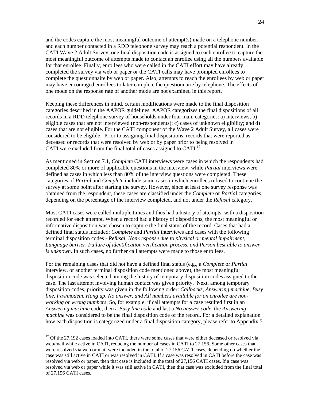and the codes capture the most meaningful outcome of attempt(s) made on a telephone number, and each number contacted in a RDD telephone survey may reach a potential respondent. In the CATI Wave 2 Adult Survey, one final disposition code is assigned to each enrollee to capture the most meaningful outcome of attempts made to contact an enrollee using all the numbers available for that enrollee. Finally, enrollees who were called in the CATI effort may have already completed the survey via web or paper or the CATI calls may have prompted enrollees to complete the questionnaire by web or paper. Also, attempts to reach the enrollees by web or paper may have encouraged enrollees to later complete the questionnaire by telephone. The effects of one mode on the response rate of another mode are not examined in this report.

Keeping these differences in mind, certain modifications were made to the final disposition categories described in the AAPOR guidelines. AAPOR categorizes the final dispositions of all records in a RDD telephone survey of households under four main categories: a) interviews; b) eligible cases that are not interviewed (non-respondents); c) cases of unknown eligibility; and d) cases that are not eligible. For the CATI component of the Wave 2 Adult Survey, all cases were considered to be eligible. Prior to assigning final dispositions, records that were reported as deceased or records that were resolved by web or by paper prior to being resolved in CATI were excluded from the final total of cases assigned to CATI.<sup>12</sup>

As mentioned in Section 7.1, *Complete* CATI interviews were cases in which the respondents had completed 80% or more of applicable questions in the interview, while *Partial* interviews were defined as cases in which less than 80% of the interview questions were completed. These categories of *Partial* and *Complete* include some cases in which enrollees refused to continue the survey at some point after starting the survey. However, since at least one survey response was obtained from the respondent, these cases are classified under the *Complete* or *Partia*l categories, depending on the percentage of the interview completed, and not under the *Refusal* category.

Most CATI cases were called multiple times and thus had a history of attempts, with a disposition recorded for each attempt. When a record had a history of dispositions, the most meaningful or informative disposition was chosen to capture the final status of the record. Cases that had a defined final status included: *Complete* and *Partial* interviews and cases with the following terminal disposition codes - *Refusal, Non-response due to physical or mental impairment, Language barrier, Failure of identification verification process, and Person best able to answer is unknown*. In such cases, no further call attempts were made to those enrollees.

For the remaining cases that did not have a defined final status (e.g., a *Complete* or *Partial* interview, or another terminal disposition code mentioned above), the most meaningful disposition code was selected among the history of temporary disposition codes assigned to the case. The last attempt involving human contact was given priority. Next, among temporary disposition codes, priority was given in the following order: *Callbacks, Answering machine, Busy line, Fax/modem, Hang up, No answer, and All numbers available for an enrollee are nonworking or wrong numbers*. So, for example, if call attempts for a case resulted first in an *Answering machine* code, then a *Busy line code* and last a *No answer code*, the *Answering machine* was considered to be the final disposition code of the record. For a detailed explanation how each disposition is categorized under a final disposition category, please refer to Appendix 5.

 $\overline{a}$ 

 $12$  Of the 27,192 cases loaded into CATI, there were some cases that were either deceased or resolved via web/mail while active in CATI, reducing the number of cases in CATI to 27,156. Some other cases that were resolved via web or mail were included in the total of 27,156 CATI cases, depending on whether the case was still active in CATI or was resolved in CATI. If a case was resolved in CATI before the case was resolved via web or paper, then that case is included in the total of 27,156 CATI cases. If a case was resolved via web or paper while it was still active in CATI, then that case was excluded from the final total of 27,156 CATI cases.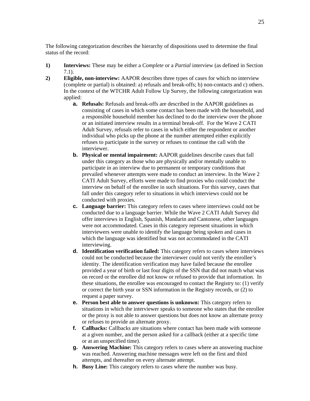The following categorization describes the hierarchy of dispositions used to determine the final status of the record:

- **1) Interviews:** These may be either a *Complete* or a *Partial* interview (as defined in Section 7.1).
- **2) Eligible, non-interview:** AAPOR describes three types of cases for which no interview (complete or partial) is obtained: a) refusals and break-offs; b) non-contacts and c) others. In the context of the WTCHR Adult Follow Up Survey, the following categorization was applied:
	- **a. Refusals:** Refusals and break-offs are described in the AAPOR guidelines as consisting of cases in which some contact has been made with the household, and a responsible household member has declined to do the interview over the phone or an initiated interview results in a terminal break-off. For the Wave 2 CATI Adult Survey, refusals refer to cases in which either the respondent or another individual who picks up the phone at the number attempted either explicitly refuses to participate in the survey or refuses to continue the call with the interviewer.
	- **b. Physical or mental impairment:** AAPOR guidelines describe cases that fall under this category as those who are physically and/or mentally unable to participate in an interview due to permanent or temporary conditions that prevailed whenever attempts were made to conduct an interview. In the Wave 2 CATI Adult Survey, efforts were made to find proxies who could conduct the interview on behalf of the enrollee in such situations. For this survey, cases that fall under this category refer to situations in which interviews could not be conducted with proxies.
	- **c. Language barrier:** This category refers to cases where interviews could not be conducted due to a language barrier. While the Wave 2 CATI Adult Survey did offer interviews in English, Spanish, Mandarin and Cantonese, other languages were not accommodated. Cases in this category represent situations in which interviewers were unable to identify the language being spoken and cases in which the language was identified but was not accommodated in the CATI interviewing.
	- **d. Identification verification failed:** This category refers to cases where interviews could not be conducted because the interviewer could not verify the enrollee's identity. The identification verification may have failed because the enrollee provided a year of birth or last four digits of the SSN that did not match what was on record or the enrollee did not know or refused to provide that information. In these situations, the enrollee was encouraged to contact the Registry to: (1) verify or correct the birth year or SSN information in the Registry records, or (2) to request a paper survey.
	- **e. Person best able to answer questions is unknown:** This category refers to situations in which the interviewer speaks to someone who states that the enrollee or the proxy is not able to answer questions but does not know an alternate proxy or refuses to provide an alternate proxy.
	- **f. Callbacks:** Callbacks are situations where contact has been made with someone at a given number, and the person asked for a callback (either at a specific time or at an unspecified time).
	- **g. Answering Machine:** This category refers to cases where an answering machine was reached. Answering machine messages were left on the first and third attempts, and thereafter on every alternate attempt.
	- **h. Busy Line:** This category refers to cases where the number was busy.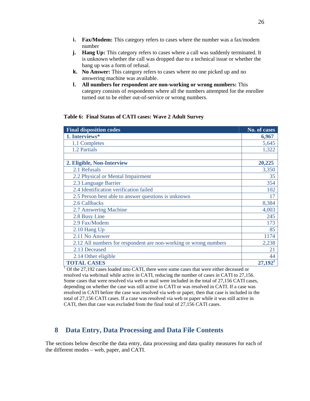- **i. Fax/Modem:** This category refers to cases where the number was a fax/modem number
- **j. Hang Up:** This category refers to cases where a call was suddenly terminated. It is unknown whether the call was dropped due to a technical issue or whether the hang up was a form of refusal.
- **k. No Answer:** This category refers to cases where no one picked up and no answering machine was available.
- **l. All numbers for respondent are non-working or wrong numbers:** This category consists of respondents where all the numbers attempted for the enrollee turned out to be either out-of-service or wrong numbers.

#### **Table 6: Final Status of CATI cases: Wave 2 Adult Survey**

| <b>Final disposition codes</b>                                   | No. of cases          |
|------------------------------------------------------------------|-----------------------|
| 1. Interviews*                                                   | 6,967                 |
| 1.1 Completes                                                    | 5,645                 |
| 1.2 Partials                                                     | 1,322                 |
|                                                                  |                       |
| 2. Eligible, Non-Interview                                       | 20,225                |
| 2.1 Refusals                                                     | 3,350                 |
| 2.2 Physical or Mental Impairment                                | 35                    |
| 2.3 Language Barrier                                             | 354                   |
| 2.4 Identification verification failed                           | 102                   |
| 2.5 Person best able to answer questions is unknown              | 17                    |
| 2.6 Callbacks                                                    | 8,384                 |
| 2.7 Answering Machine                                            | 4,003                 |
| 2.8 Busy Line                                                    | 245                   |
| 2.9 Fax/Modem                                                    | 173                   |
| $2.10$ Hang Up                                                   | 85                    |
| 2.11 No Answer                                                   | 1174                  |
| 2.12 All numbers for respondent are non-working or wrong numbers | 2,238                 |
| 2.13 Deceased                                                    | 21                    |
| 2.14 Other eligible                                              | 44                    |
| <b>TOTAL CASES</b>                                               | $27,192$ <sup>1</sup> |

1  $1$ <sup>1</sup> Of the 27,192 cases loaded into CATI, there were some cases that were either deceased or resolved via web/mail while active in CATI, reducing the number of cases in CATI to 27,156. Some cases that were resolved via web or mail were included in the total of 27,156 CATI cases, depending on whether the case was still active in CATI or was resolved in CATI. If a case was resolved in CATI before the case was resolved via web or paper, then that case is included in the total of 27,156 CATI cases. If a case was resolved via web or paper while it was still active in CATI, then that case was excluded from the final total of 27,156 CATI cases.

## **8 Data Entry, Data Processing and Data File Contents**

The sections below describe the data entry, data processing and data quality measures for each of the different modes – web, paper, and CATI.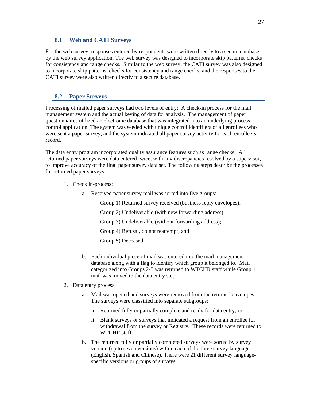## **8.1 Web and CATI Surveys**

For the web survey, responses entered by respondents were written directly to a secure database by the web survey application. The web survey was designed to incorporate skip patterns, checks for consistency and range checks. Similar to the web survey, the CATI survey was also designed to incorporate skip patterns, checks for consistency and range checks, and the responses to the CATI survey were also written directly to a secure database.

## **8.2 Paper Surveys**

Processing of mailed paper surveys had two levels of entry: A check-in process for the mail management system and the actual keying of data for analysis. The management of paper questionnaires utilized an electronic database that was integrated into an underlying process control application. The system was seeded with unique control identifiers of all enrollees who were sent a paper survey, and the system indicated all paper survey activity for each enrollee's record.

The data entry program incorporated quality assurance features such as range checks. All returned paper surveys were data entered twice, with any discrepancies resolved by a supervisor, to improve accuracy of the final paper survey data set. The following steps describe the processes for returned paper surveys:

- 1. Check in-process:
	- a. Received paper survey mail was sorted into five groups:

Group 1) Returned survey received (business reply envelopes);

Group 2) Undeliverable (with new forwarding address);

Group 3) Undeliverable (without forwarding address);

Group 4) Refusal, do not reattempt; and

Group 5) Deceased.

- b. Each individual piece of mail was entered into the mail management database along with a flag to identify which group it belonged to. Mail categorized into Groups 2-5 was returned to WTCHR staff while Group 1 mail was moved to the data entry step.
- 2. Data entry process
	- a. Mail was opened and surveys were removed from the returned envelopes. The surveys were classified into separate subgroups:
		- i. Returned fully or partially complete and ready for data entry; or
		- ii. Blank surveys or surveys that indicated a request from an enrollee for withdrawal from the survey or Registry. These records were returned to WTCHR staff.
	- b. The returned fully or partially completed surveys were sorted by survey version (up to seven versions) within each of the three survey languages (English, Spanish and Chinese). There were 21 different survey languagespecific versions or groups of surveys.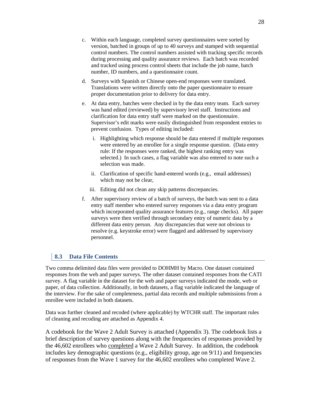- c. Within each language, completed survey questionnaires were sorted by version, batched in groups of up to 40 surveys and stamped with sequential control numbers. The control numbers assisted with tracking specific records during processing and quality assurance reviews. Each batch was recorded and tracked using process control sheets that include the job name, batch number, ID numbers, and a questionnaire count.
- d. Surveys with Spanish or Chinese open-end responses were translated. Translations were written directly onto the paper questionnaire to ensure proper documentation prior to delivery for data entry.
- e. At data entry, batches were checked in by the data entry team. Each survey was hand edited (reviewed) by supervisory level staff. Instructions and clarification for data entry staff were marked on the questionnaire. Supervisor's edit marks were easily distinguished from respondent entries to prevent confusion. Types of editing included:
	- i. Highlighting which response should be data entered if multiple responses were entered by an enrollee for a single response question. (Data entry rule: If the responses were ranked, the highest ranking entry was selected.) In such cases, a flag variable was also entered to note such a selection was made.
	- ii. Clarification of specific hand-entered words (e.g., email addresses) which may not be clear,
	- iii. Editing did not clean any skip patterns discrepancies.
- f. After supervisory review of a batch of surveys, the batch was sent to a data entry staff member who entered survey responses via a data entry program which incorporated quality assurance features (e.g., range checks). All paper surveys were then verified through secondary entry of numeric data by a different data entry person. Any discrepancies that were not obvious to resolve (e.g. keystroke error) were flagged and addressed by supervisory personnel.

## **8.3 Data File Contents**

Two comma delimited data files were provided to DOHMH by Macro. One dataset contained responses from the web and paper surveys. The other dataset contained responses from the CATI survey. A flag variable in the dataset for the web and paper surveys indicated the mode, web or paper, of data collection. Additionally, in both datasets, a flag variable indicated the language of the interview. For the sake of completeness, partial data records and multiple submissions from a enrollee were included in both datasets.

Data was further cleaned and recoded (where applicable) by WTCHR staff. The important rules of cleaning and recoding are attached as Appendix 4.

A codebook for the Wave 2 Adult Survey is attached (Appendix 3). The codebook lists a brief description of survey questions along with the frequencies of responses provided by the 46,602 enrollees who completed a Wave 2 Adult Survey. In addition, the codebook includes key demographic questions (e.g., eligibility group, age on 9/11) and frequencies of responses from the Wave 1 survey for the 46,602 enrollees who completed Wave 2.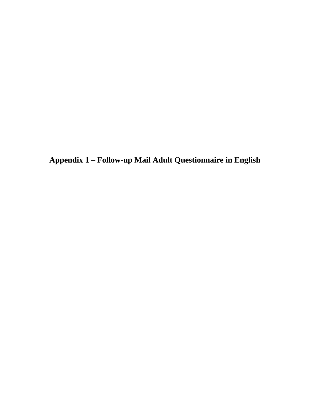**Appendix 1 – Follow-up Mail Adult Questionnaire in English**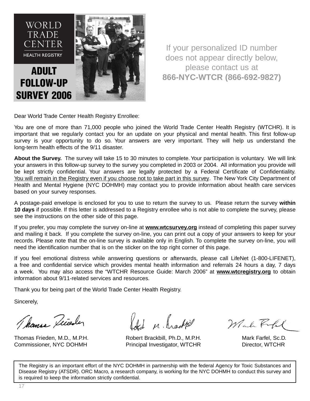

If your personalized ID number does not appear directly below, please contact us at **866-NYC-WTCR (866-692-9827)**

Dear World Trade Center Health Registry Enrollee:

You are one of more than 71,000 people who joined the World Trade Center Health Registry (WTCHR). It is important that we regularly contact you for an update on your physical and mental health. This first follow-up survey is your opportunity to do so. Your answers are very important. They will help us understand the long-term health effects of the 9/11 disaster.

**About the Survey.** The survey will take 15 to 30 minutes to complete. Your participation is voluntary. We will link your answers in this follow-up survey to the survey you completed in 2003 or 2004. All information you provide will be kept strictly confidential. Your answers are legally protected by a Federal Certificate of Confidentiality. You will remain in the Registry even if you choose not to take part in this survey. The New York City Department of Health and Mental Hygiene (NYC DOHMH) may contact you to provide information about health care services based on your survey responses.

A postage-paid envelope is enclosed for you to use to return the survey to us. Please return the survey **within 10 days** if possible. If this letter is addressed to a Registry enrollee who is not able to complete the survey, please see the instructions on the other side of this page.

If you prefer, you may complete the survey on-line at **www.wtcsurvey.org** instead of completing this paper survey and mailing it back. If you complete the survey on-line, you can print out a copy of your answers to keep for your records. Please note that the on-line survey is available only in English. To complete the survey on-line, you will need the identification number that is on the sticker on the top right corner of this page.

If you feel emotional distress while answering questions or afterwards, please call LifeNet (1-800-LIFENET), a free and confidential service which provides mental health information and referrals 24 hours a day, 7 days a week. You may also access the "WTCHR Resource Guide: March 2006" at **www.wtcregistry.org** to obtain information about 9/11-related services and resources.

Thank you for being part of the World Trade Center Health Registry.

Sincerely,

Thomas Diveder

Id M. Lackteel

Thomas Frieden, M.D., M.P.H. **Robert Brackbill, Ph.D., M.P.H.** Mark Farfel, Sc.D. Commissioner, NYC DOHMH Principal Investigator, WTCHR Director, WTCHR

Mah Rfl

The Registry is an important effort of the NYC DOHMH in partnership with the federal Agency for Toxic Substances and Disease Registry (ATSDR). ORC Macro, a research company, is working for the NYC DOHMH to conduct this survey and is required to keep the information strictly confidential.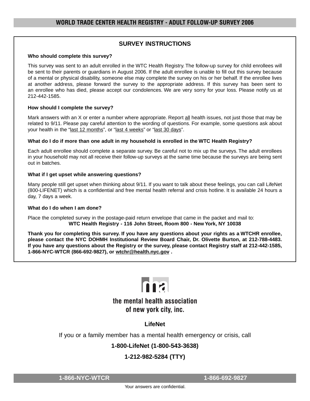## **SURVEY INSTRUCTIONS**

#### **Who should complete this survey?**

This survey was sent to an adult enrolled in the WTC Health Registry. The follow-up survey for child enrollees will be sent to their parents or guardians in August 2006. If the adult enrollee is unable to fill out this survey because of a mental or physical disability, someone else may complete the survey on his or her behalf. If the enrollee lives at another address, please forward the survey to the appropriate address. If this survey has been sent to an enrollee who has died, please accept our condolences. We are very sorry for your loss. Please notify us at 212-442-1585.

#### **How should I complete the survey?**

Mark answers with an X or enter a number where appropriate. Report all health issues, not just those that may be related to 9/11. Please pay careful attention to the wording of questions. For example, some questions ask about your health in the "last 12 months", or "last 4 weeks" or "last 30 days".

#### **What do I do if more than one adult in my household is enrolled in the WTC Health Registry?**

Each adult enrollee should complete a separate survey. Be careful not to mix up the surveys. The adult enrollees in your household may not all receive their follow-up surveys at the same time because the surveys are being sent out in batches.

#### **What if I get upset while answering questions?**

Many people still get upset when thinking about 9/11. If you want to talk about these feelings, you can call LifeNet (800-LIFENET) which is a confidential and free mental health referral and crisis hotline. It is available 24 hours a day, 7 days a week.

#### **What do I do when I am done?**

Place the completed survey in the postage-paid return envelope that came in the packet and mail to: **WTC Health Registry - 116 John Street, Room 800 - New York, NY 10038**

**Thank you for completing this survey. If you have any questions about your rights as a WTCHR enrollee, please contact the NYC DOHMH Institutional Review Board Chair, Dr. Olivette Burton, at 212-788-4483. If you have any questions about the Registry or the survey, please contact Registry staff at 212-442-1585, 1-866-NYC-WTCR (866-692-9827), or wtchr@health.nyc.gov .**



# the mental health association of new york city, inc.

**LifeNet**

If you or a family member has a mental health emergency or crisis, call

# **1-800-LifeNet (1-800-543-3638)**

# **1-212-982-5284 (TTY)**

**1-866-NYC-WTCR 1-866-692-9827**

Your answers are confidential.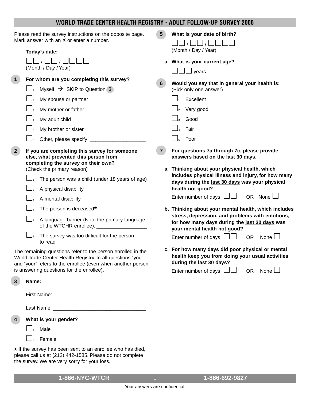# **WORLD TRADE CENTER HEALTH REGISTRY - ADULT FOLLOW-UP SURVEY 2006**

| Please read the survey instructions on the opposite page.<br>Mark answer with an X or enter a number.                                                                                    |                                                                                                                               | 5 <sup>5</sup> | What is your date of birth?                                                                                                      |
|------------------------------------------------------------------------------------------------------------------------------------------------------------------------------------------|-------------------------------------------------------------------------------------------------------------------------------|----------------|----------------------------------------------------------------------------------------------------------------------------------|
|                                                                                                                                                                                          | Today's date:                                                                                                                 |                | (Month / Day / Year)                                                                                                             |
|                                                                                                                                                                                          | (Month / Day / Year)                                                                                                          |                | a. What is your current age?<br>$\Box$ $\Box$ years                                                                              |
| $\mathbf 1$                                                                                                                                                                              | For whom are you completing this survey?                                                                                      |                |                                                                                                                                  |
|                                                                                                                                                                                          | Myself $\rightarrow$ SKIP to Question 3                                                                                       | $6\phantom{1}$ | Would you say that in general your health is:<br>(Pick only one answer)                                                          |
|                                                                                                                                                                                          | My spouse or partner                                                                                                          |                | Excellent                                                                                                                        |
|                                                                                                                                                                                          | My mother or father                                                                                                           |                | Very good                                                                                                                        |
|                                                                                                                                                                                          | My adult child                                                                                                                |                | Good                                                                                                                             |
|                                                                                                                                                                                          | My brother or sister                                                                                                          |                | Fair                                                                                                                             |
|                                                                                                                                                                                          | Other, please specify: ___                                                                                                    |                | Poor                                                                                                                             |
| 2 <sup>1</sup>                                                                                                                                                                           | If you are completing this survey for someone<br>else, what prevented this person from<br>completing the survey on their own? | 7 <sup>1</sup> | For questions 7a through 7c, please provide<br>answers based on the last 30 days.                                                |
|                                                                                                                                                                                          | (Check the primary reason)                                                                                                    |                | a. Thinking about your physical health, which                                                                                    |
|                                                                                                                                                                                          | The person was a child (under 18 years of age)                                                                                |                | includes physical illness and injury, for how many<br>days during the last 30 days was your physical                             |
|                                                                                                                                                                                          | A physical disability                                                                                                         |                | health not good?                                                                                                                 |
|                                                                                                                                                                                          | A mental disability                                                                                                           |                | OR None $\Box$<br>Enter number of days $\Box\Box$                                                                                |
|                                                                                                                                                                                          | The person is deceased*                                                                                                       |                | b. Thinking about your mental health, which includes                                                                             |
|                                                                                                                                                                                          | A language barrier (Note the primary language                                                                                 |                | stress, depression, and problems with emotions,<br>for how many days during the last 30 days was<br>your mental health not good? |
|                                                                                                                                                                                          | $\Box$<br>The survey was too difficult for the person<br>to read                                                              |                | Enter number of days $\Box\Box$<br>None $\Box$<br><b>OR</b>                                                                      |
| The remaining questions refer to the person enrolled in the<br>World Trade Center Health Registry. In all questions "you"<br>and "your" refers to the enrollee (even when another person |                                                                                                                               |                | c. For how many days did poor physical or mental<br>health keep you from doing your usual activities<br>during the last 30 days? |
| is answering questions for the enrollee).                                                                                                                                                |                                                                                                                               |                | None $\Box$<br>Enter number of days $\Box$<br><b>OR</b>                                                                          |
| 3<br>Name:                                                                                                                                                                               |                                                                                                                               |                |                                                                                                                                  |
|                                                                                                                                                                                          |                                                                                                                               |                |                                                                                                                                  |
|                                                                                                                                                                                          |                                                                                                                               |                |                                                                                                                                  |
| What is your gender?<br>4                                                                                                                                                                |                                                                                                                               |                |                                                                                                                                  |
|                                                                                                                                                                                          | Male                                                                                                                          |                |                                                                                                                                  |
|                                                                                                                                                                                          | Female                                                                                                                        |                |                                                                                                                                  |
| * If the survey has been sent to an enrollee who has died,<br>please call us at (212) 442-1585. Please do not complete<br>the survey. We are very sorry for your loss.                   |                                                                                                                               |                |                                                                                                                                  |

**1-866-NYC-WTCR 1-866-692-9827** 1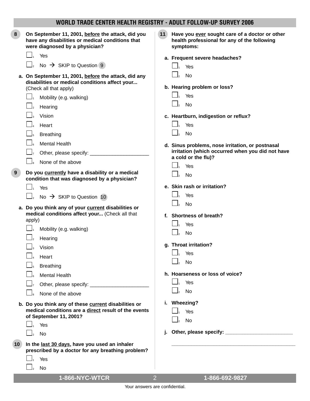| 8  | On September 11, 2001, before the attack, did you<br>have any disabilities or medical conditions that<br>were diagnosed by a physician? | 11 | Have you ever sought care of a doctor or other<br>health professional for any of the following<br>symptoms: |
|----|-----------------------------------------------------------------------------------------------------------------------------------------|----|-------------------------------------------------------------------------------------------------------------|
|    | Yes<br>$\mathbf{I}_1$                                                                                                                   |    | a. Frequent severe headaches?                                                                               |
|    | No $\rightarrow$ SKIP to Question 9                                                                                                     |    | $\Box$<br>Yes                                                                                               |
|    | a. On September 11, 2001, before the attack, did any<br>disabilities or medical conditions affect your                                  |    | <b>No</b>                                                                                                   |
|    | (Check all that apply)                                                                                                                  |    | b. Hearing problem or loss?                                                                                 |
|    | Mobility (e.g. walking)                                                                                                                 |    | Yes                                                                                                         |
|    | Hearing                                                                                                                                 |    | <b>No</b>                                                                                                   |
|    | Vision                                                                                                                                  |    | c. Heartburn, indigestion or reflux?                                                                        |
|    | Heart                                                                                                                                   |    | Yes                                                                                                         |
|    | <b>Breathing</b>                                                                                                                        |    | $\vert \_2$<br><b>No</b>                                                                                    |
|    | $\Box$<br><b>Mental Health</b>                                                                                                          |    | d. Sinus problems, nose irritation, or postnasal                                                            |
|    | $\Box$ 7                                                                                                                                |    | irritation (which occurred when you did not have                                                            |
|    | None of the above                                                                                                                       |    | a cold or the flu)?                                                                                         |
| 9  | Do you currently have a disability or a medical                                                                                         |    | Yes                                                                                                         |
|    | condition that was diagnosed by a physician?                                                                                            |    | No                                                                                                          |
|    | Yes                                                                                                                                     |    | e. Skin rash or irritation?                                                                                 |
|    | No $\rightarrow$ SKIP to Question 10                                                                                                    |    | Yes                                                                                                         |
|    | a. Do you think any of your current disabilities or                                                                                     |    | <b>No</b>                                                                                                   |
|    | medical conditions affect your (Check all that                                                                                          |    | f. Shortness of breath?                                                                                     |
|    | apply)                                                                                                                                  |    | Yes                                                                                                         |
|    | Mobility (e.g. walking)                                                                                                                 |    | <b>No</b>                                                                                                   |
|    | Hearing                                                                                                                                 |    | g. Throat irritation?                                                                                       |
|    | Vision                                                                                                                                  |    | Yes                                                                                                         |
|    | Heart                                                                                                                                   |    | No                                                                                                          |
|    | <b>Breathing</b>                                                                                                                        |    |                                                                                                             |
|    | <b>Mental Health</b>                                                                                                                    |    | h. Hoarseness or loss of voice?                                                                             |
|    |                                                                                                                                         |    | Yes                                                                                                         |
|    | None of the above                                                                                                                       |    | <b>No</b>                                                                                                   |
|    | b. Do you think any of these current disabilities or                                                                                    |    | i. Wheezing?                                                                                                |
|    | medical conditions are a direct result of the events<br>of September 11, 2001?                                                          |    | Yes                                                                                                         |
|    | Yes                                                                                                                                     |    | <b>No</b>                                                                                                   |
|    | <b>No</b>                                                                                                                               |    |                                                                                                             |
|    |                                                                                                                                         |    |                                                                                                             |
| 10 | In the last 30 days, have you used an inhaler<br>prescribed by a doctor for any breathing problem?                                      |    |                                                                                                             |
|    | Yes                                                                                                                                     |    |                                                                                                             |
|    | No                                                                                                                                      |    |                                                                                                             |
|    |                                                                                                                                         |    |                                                                                                             |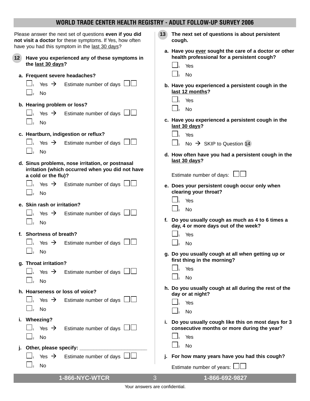| Please answer the next set of questions even if you did<br>not visit a doctor for these symptoms. If Yes, how often<br>have you had this symptom in the last 30 days? | The next set of questions is about persistent<br>13 <sub>1</sub><br>cough.                                  |
|-----------------------------------------------------------------------------------------------------------------------------------------------------------------------|-------------------------------------------------------------------------------------------------------------|
| 12 <sup>7</sup><br>Have you experienced any of these symptoms in<br>the last 30 days?                                                                                 | a. Have you ever sought the care of a doctor or other<br>health professional for a persistent cough?<br>Yes |
| a. Frequent severe headaches?                                                                                                                                         | <b>No</b>                                                                                                   |
| Estimate number of days I<br>Yes $\rightarrow$<br><b>No</b><br>$\bigcup_2$                                                                                            | b. Have you experienced a persistent cough in the<br>last 12 months?                                        |
| b. Hearing problem or loss?<br>Estimate number of days<br>Yes $\rightarrow$                                                                                           | Yes<br><b>No</b>                                                                                            |
| <b>No</b><br>$\vert$ <sub>2</sub>                                                                                                                                     | c. Have you experienced a persistent cough in the<br>last 30 days?                                          |
| c. Heartburn, indigestion or reflux?                                                                                                                                  | Yes                                                                                                         |
| Estimate number of days $\Box\Box$<br>Yes $\rightarrow$                                                                                                               | No $\rightarrow$ SKIP to Question 14                                                                        |
| <b>No</b><br>d. Sinus problems, nose irritation, or postnasal                                                                                                         | d. How often have you had a persistent cough in the<br>last 30 days?                                        |
| irritation (which occurred when you did not have<br>a cold or the flu)?                                                                                               | Estimate number of days: $\Box$                                                                             |
| Yes $\rightarrow$ Estimate number of days $\lfloor$<br><b>No</b>                                                                                                      | e. Does your persistent cough occur only when<br>clearing your throat?                                      |
| e. Skin rash or irritation?                                                                                                                                           | Yes                                                                                                         |
| Estimate number of days<br>Yes $\rightarrow$                                                                                                                          | <b>No</b>                                                                                                   |
| <b>No</b>                                                                                                                                                             | f. Do you usually cough as much as 4 to 6 times a<br>day, 4 or more days out of the week?                   |
| f. Shortness of breath?<br>Estimate number of days $\Box\Box$<br>Yes $\rightarrow$                                                                                    | Yes<br><b>No</b>                                                                                            |
| <b>No</b>                                                                                                                                                             |                                                                                                             |
|                                                                                                                                                                       | g. Do you usually cough at all when getting up or<br>first thing in the morning?                            |
| g. Throat irritation?                                                                                                                                                 | Yes                                                                                                         |
| Estimate number of days  <br>Yes $\rightarrow$                                                                                                                        | <b>No</b><br>$\mathsf{I}_2$                                                                                 |
| No                                                                                                                                                                    |                                                                                                             |
| h. Hoarseness or loss of voice?                                                                                                                                       | h. Do you usually cough at all during the rest of the<br>day or at night?                                   |
| Estimate number of days<br>Yes $\rightarrow$                                                                                                                          | Yes                                                                                                         |
| No                                                                                                                                                                    | <b>No</b>                                                                                                   |
| i. Wheezing?<br>Estimate number of days<br>Yes $\rightarrow$                                                                                                          | i. Do you usually cough like this on most days for 3<br>consecutive months or more during the year?         |
| <b>No</b>                                                                                                                                                             | Yes                                                                                                         |
| Other, please specify: _________                                                                                                                                      | <b>No</b>                                                                                                   |
| Estimate number of days  <br>Yes $\rightarrow$                                                                                                                        | For how many years have you had this cough?                                                                 |
| No                                                                                                                                                                    | Estimate number of years: $\Box\Box$                                                                        |
| 1-866-NYC-WTCR                                                                                                                                                        | 1-866-692-9827<br>3                                                                                         |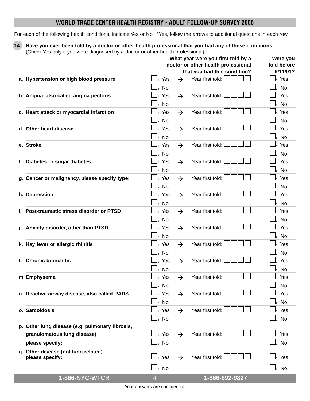For each of the following health conditions, indicate Yes or No. If Yes, follow the arrows to additional questions in each row.

**14 Have you ever been told by a doctor or other health professional that you had any of these conditions:** (Check Yes only if you were diagnosed by a doctor or other health professional)

|                                                 | What year were you first told by a<br>Were you |                |                             |               |                                     |                                  |
|-------------------------------------------------|------------------------------------------------|----------------|-----------------------------|---------------|-------------------------------------|----------------------------------|
|                                                 |                                                |                |                             |               | doctor or other health professional | told before                      |
|                                                 |                                                |                |                             |               | that you had this condition?        | 9/11/01?                         |
| a. Hypertension or high blood pressure          |                                                |                | Yes                         | $\rightarrow$ | Year first told: $\Box$             | $\mathrel{\sqcup}_1$ Yes         |
|                                                 | $\frac{1}{2}$                                  |                | No                          |               |                                     | $\mathsf{l}_2$ No                |
| b. Angina, also called angina pectoris          |                                                |                | Yes                         | $\rightarrow$ | Year first told:                    | Yes                              |
|                                                 |                                                |                | <b>No</b>                   |               |                                     | No                               |
|                                                 |                                                |                |                             |               |                                     | $\overline{a}$                   |
| c. Heart attack or myocardial infarction        |                                                |                | Yes                         | $\rightarrow$ | Year first told:                    | Yes                              |
|                                                 |                                                |                | $\mathsf{l}_2$ No           |               |                                     | 2 No                             |
| d. Other heart disease                          |                                                |                | Yes                         | $\rightarrow$ | Year first told:                    | Yes                              |
|                                                 |                                                |                | No                          |               |                                     | 2 NQ                             |
| e. Stroke                                       |                                                |                | Yes                         | $\rightarrow$ | Year first told:                    | Yes                              |
|                                                 |                                                |                | No                          |               |                                     | $\vert_2$ No                     |
| f. Diabetes or sugar diabetes                   |                                                |                | Yes                         | $\rightarrow$ | Year first told:                    | Yes                              |
|                                                 |                                                |                |                             |               |                                     |                                  |
|                                                 |                                                |                | No                          |               |                                     | No                               |
| g. Cancer or malignancy, please specify type:   |                                                |                | Yes                         | $\rightarrow$ | Year first told:                    | Yes                              |
|                                                 |                                                |                | <b>No</b>                   |               |                                     | No                               |
| h. Depression                                   |                                                |                | Yes                         | $\rightarrow$ | Year first told:                    | Yes                              |
|                                                 |                                                | $\mathsf{I}_2$ | No                          |               |                                     | l2 No                            |
| i. Post-traumatic stress disorder or PTSD       |                                                |                | Yes                         | $\rightarrow$ | Year first told:                    | Yes                              |
|                                                 |                                                |                | No                          |               |                                     | No<br>$\overline{a}$             |
| Anxiety disorder, other than PTSD               |                                                |                | Yes                         | $\rightarrow$ | Year first told:                    | Yes                              |
|                                                 |                                                |                | $\mathsf{l}_2$ No           |               |                                     | 2 No                             |
|                                                 |                                                |                |                             |               | Year first told:                    | Yes                              |
| k. Hay fever or allergic rhinitis               |                                                |                | Yes                         | $\rightarrow$ |                                     |                                  |
|                                                 |                                                |                | No                          |               |                                     | $2$ No                           |
| I. Chronic bronchitis                           |                                                |                | Yes                         | $\rightarrow$ | Year first told:                    | Yes                              |
|                                                 |                                                | $\overline{2}$ | No                          |               |                                     | 2 No                             |
| m. Emphysema                                    |                                                |                | Yes                         | $\rightarrow$ | Year first told:                    | Yes                              |
|                                                 |                                                | $\overline{2}$ | No                          |               |                                     | 2 No                             |
| n. Reactive airway disease, also called RADS    |                                                |                | Yes                         | $\rightarrow$ | Year first told: L                  | Yes                              |
|                                                 |                                                |                | $\mathsf{l}_2$ No           |               |                                     | $2$ No                           |
| o. Sarcoidosis                                  |                                                |                | Yes                         | $\rightarrow$ | Year first told:                    | Yes                              |
|                                                 |                                                |                |                             |               |                                     |                                  |
|                                                 |                                                |                | $\mathrel{\sqcup}_2$ No     |               |                                     | $\mathrel{\sqcup}_2$ No          |
| p. Other lung disease (e.g. pulmonary fibrosis, |                                                |                |                             |               |                                     |                                  |
| granulomatous lung disease)                     |                                                |                | $\Box_1$ Yes                | $\rightarrow$ | Year first told:                    | $\mathbf{\mathcal{\perp}}_1$ Yes |
|                                                 |                                                |                | $\bigsqcup_{\mathsf{2}}$ No |               |                                     | $\mathrel{\sqcup}_2$ No          |
| q. Other disease (not lung related)             |                                                |                |                             |               |                                     |                                  |
| please specify: Network and the specify:        |                                                |                | $\Box_1$ Yes                | $\rightarrow$ | Year first told:                    | $\mathrel{\sqcup}_1$ Yes         |
|                                                 |                                                |                | $\bigsqcup_{2}$ No          |               |                                     | $\mathrel{\sqcup}_2$ No          |
|                                                 |                                                |                |                             |               |                                     |                                  |
| 1-866-NYC-WTCR                                  | $\overline{4}$                                 |                |                             |               | 1-866-692-9827                      |                                  |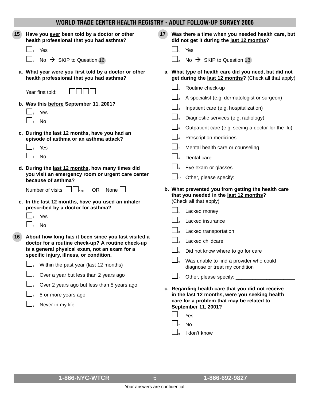| 15 | Have you ever been told by a doctor or other<br>health professional that you had asthma?<br>Yes                                                                                                                                                                                                                                                                                                                                                                                                                                                                                                                               | 17 <sup>2</sup><br>Was there a time when you needed health care, but<br>did not get it during the last 12 months?<br>Yes                                                                                                                                                                                                                                                                                                                                                                                                                                                 |
|----|-------------------------------------------------------------------------------------------------------------------------------------------------------------------------------------------------------------------------------------------------------------------------------------------------------------------------------------------------------------------------------------------------------------------------------------------------------------------------------------------------------------------------------------------------------------------------------------------------------------------------------|--------------------------------------------------------------------------------------------------------------------------------------------------------------------------------------------------------------------------------------------------------------------------------------------------------------------------------------------------------------------------------------------------------------------------------------------------------------------------------------------------------------------------------------------------------------------------|
|    | No $\rightarrow$ SKIP to Question 16                                                                                                                                                                                                                                                                                                                                                                                                                                                                                                                                                                                          | No $\rightarrow$ SKIP to Question 18                                                                                                                                                                                                                                                                                                                                                                                                                                                                                                                                     |
|    | a. What year were you first told by a doctor or other<br>health professional that you had asthma?                                                                                                                                                                                                                                                                                                                                                                                                                                                                                                                             | a. What type of health care did you need, but did not<br>get during the last 12 months? (Check all that apply)                                                                                                                                                                                                                                                                                                                                                                                                                                                           |
| 16 | Year first told:<br>b. Was this before September 11, 2001?<br>Yes<br><b>No</b><br>c. During the last 12 months, have you had an<br>episode of asthma or an asthma attack?<br>Yes<br><b>No</b><br>d. During the last 12 months, how many times did<br>you visit an emergency room or urgent care center<br>because of asthma?<br>None $\Box$<br>Number of visits $\Box$ $\Box$ $\Box$<br><b>OR</b><br>e. In the last 12 months, have you used an inhaler<br>prescribed by a doctor for asthma?<br>Yes<br><b>No</b><br>About how long has it been since you last visited a<br>doctor for a routine check-up? A routine check-up | Routine check-up<br>A specialist (e.g. dermatologist or surgeon)<br>Inpatient care (e.g. hospitalization)<br>Diagnostic services (e.g. radiology)<br>Outpatient care (e.g. seeing a doctor for the flu)<br>Prescription medicines<br>Mental health care or counseling<br>Dental care<br>Eye exam or glasses<br>Other, please specify:<br>$\Box$ <sub>10</sub><br>b. What prevented you from getting the health care<br>that you needed in the last 12 months?<br>(Check all that apply)<br>Lacked money<br>Lacked insurance<br>Lacked transportation<br>Lacked childcare |
|    | is a general physical exam, not an exam for a<br>specific injury, illness, or condition.<br>Within the past year (last 12 months)                                                                                                                                                                                                                                                                                                                                                                                                                                                                                             | Did not know where to go for care<br>Was unable to find a provider who could<br>diagnose or treat my condition                                                                                                                                                                                                                                                                                                                                                                                                                                                           |
|    | Over a year but less than 2 years ago                                                                                                                                                                                                                                                                                                                                                                                                                                                                                                                                                                                         | Other, please specify: ___________                                                                                                                                                                                                                                                                                                                                                                                                                                                                                                                                       |
|    | Over 2 years ago but less than 5 years ago<br>5 or more years ago<br>Never in my life                                                                                                                                                                                                                                                                                                                                                                                                                                                                                                                                         | c. Regarding health care that you did not receive<br>in the last 12 months, were you seeking health<br>care for a problem that may be related to<br>September 11, 2001?<br>Yes<br>No<br>I don't know                                                                                                                                                                                                                                                                                                                                                                     |
|    |                                                                                                                                                                                                                                                                                                                                                                                                                                                                                                                                                                                                                               |                                                                                                                                                                                                                                                                                                                                                                                                                                                                                                                                                                          |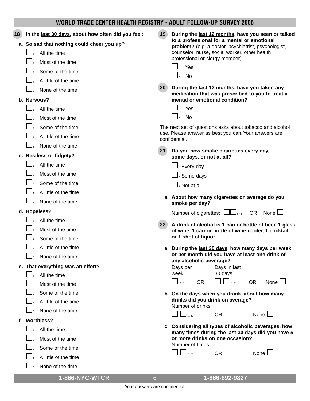| WORLD TRADE CENTER HEALTH REGISTRY - ADULT FOLLOW-UP SURVEY 2006                                                                                                                            |                                                                                                                                                                                                                                                                                                                                                                                                                                                                                |  |  |
|---------------------------------------------------------------------------------------------------------------------------------------------------------------------------------------------|--------------------------------------------------------------------------------------------------------------------------------------------------------------------------------------------------------------------------------------------------------------------------------------------------------------------------------------------------------------------------------------------------------------------------------------------------------------------------------|--|--|
| In the last 30 days, about how often did you feel:<br>18<br>a. So sad that nothing could cheer you up?<br>All the time<br>Most of the time<br>Some of the time<br>A little of the time      | 19<br>During the last 12 months, have you seen or talked<br>to a professional for a mental or emotional<br>problem? (e.g. a doctor, psychiatrist, psychologist,<br>counselor, nurse, social worker, other health<br>professional or clergy member)<br>Yes<br><b>No</b><br>20 <sub>2</sub><br>During the last 12 months, have you taken any                                                                                                                                     |  |  |
| None of the time<br>b. Nervous?<br>All the time<br>Most of the time<br>Some of the time<br>A little of the time<br>None of the time                                                         | medication that was prescribed to you to treat a<br>mental or emotional condition?<br>Yes<br><b>No</b><br>The next set of questions asks about tobacco and alcohol<br>use. Please answer as best you can. Your answers are<br>confidential.                                                                                                                                                                                                                                    |  |  |
| c. Restless or fidgety?<br>All the time<br>Most of the time<br>Some of the time<br>A little of the time<br>None of the time                                                                 | 21<br>Do you now smoke cigarettes every day,<br>some days, or not at all?<br>$\Box_1$ Every day<br>$\bigsqcup_{2}$ Some days<br>$\bigsqcup_\text{\tiny 3}$ Not at all<br>a. About how many cigarettes on average do you<br>smoke per day?                                                                                                                                                                                                                                      |  |  |
| d. Hopeless?<br>All the time<br>Most of the time<br>Some of the time<br>A little of the time<br>None of the time<br>e. That everything was an effort?<br>All the time<br>Most of the time   | Number of cigarettes: $L_{\text{max}}$<br>OR None $\Box$<br>A drink of alcohol is 1 can or bottle of beer, 1 glass<br>22<br>of wine, 1 can or bottle of wine cooler, 1 cocktail,<br>or 1 shot of liquor.<br>a. During the last 30 days, how many days per week<br>or per month did you have at least one drink of<br>any alcoholic beverage?<br>Days per<br>Days in last<br>week:<br>30 days:<br>$\Box$ <sub>1-7</sub><br><b>OR</b><br>$\Box$ 1-30<br><b>OR</b><br>None $\Box$ |  |  |
| Some of the time<br>A little of the time<br>None of the time<br><b>Worthless?</b><br>f.<br>All the time<br>Most of the time<br>Some of the time<br>A little of the time<br>None of the time | b. On the days when you drank, about how many<br>drinks did you drink on average?<br>Number of drinks:<br>None<br><b>OR</b><br>$1 - 30$<br>c. Considering all types of alcoholic beverages, how<br>many times during the last 30 days did you have 5<br>or more drinks on one occasion?<br>Number of times:<br>None l<br><b>OR</b><br>$1 - 30$                                                                                                                                 |  |  |
| 1-866-NYC-WTCR                                                                                                                                                                              | 1-866-692-9827<br>6                                                                                                                                                                                                                                                                                                                                                                                                                                                            |  |  |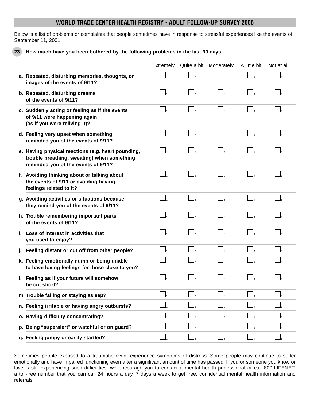Below is a list of problems or complaints that people sometimes have in response to stressful experiences like the events of September 11, 2001.

**23 How much have you been bothered by the following problems in the last 30 days:**

|                                                                                                                                          | Extremely Quite a bit Moderately        |                            | A little bit | Not at all          |
|------------------------------------------------------------------------------------------------------------------------------------------|-----------------------------------------|----------------------------|--------------|---------------------|
| a. Repeated, disturbing memories, thoughts, or<br>images of the events of 9/11?                                                          |                                         |                            |              |                     |
| b. Repeated, disturbing dreams<br>of the events of 9/11?                                                                                 | $\Box$                                  | $\Box$ <sub>3</sub>        | $\vert$      | $\Box$ <sub>5</sub> |
| c. Suddenly acting or feeling as if the events<br>of 9/11 were happening again<br>(as if you were reliving it)?                          | $\Box$ <sub>2</sub>                     |                            |              | $\Box$ <sub>5</sub> |
| d. Feeling very upset when something<br>reminded you of the events of 9/11?                                                              | $\Box$                                  |                            |              | $\Box$              |
| e. Having physical reactions (e.g. heart pounding,<br>trouble breathing, sweating) when something<br>reminded you of the events of 9/11? | $\Box$                                  |                            |              |                     |
| f. Avoiding thinking about or talking about<br>the events of 9/11 or avoiding having<br>feelings related to it?                          | $\Box$ <sub>2</sub>                     | $\overline{\phantom{a}}^3$ |              | $\Box$              |
| g. Avoiding activities or situations because<br>they remind you of the events of 9/11?                                                   | $\Box$ <sub>2</sub>                     | $\overline{\phantom{a}}$   |              |                     |
| h. Trouble remembering important parts<br>of the events of 9/11?                                                                         | $\vert \vert_2$                         |                            |              |                     |
| i. Loss of interest in activities that<br>you used to enjoy?                                                                             | $\Box$                                  |                            |              | $\Box$              |
| j. Feeling distant or cut off from other people?                                                                                         | $\overline{\Box}$                       |                            |              | $\Box$ <sub>5</sub> |
| k. Feeling emotionally numb or being unable<br>to have loving feelings for those close to you?                                           | $\vert$ <sub>2</sub>                    |                            |              |                     |
| I. Feeling as if your future will somehow<br>be cut short?                                                                               | $\Box$                                  |                            |              |                     |
| m. Trouble falling or staying asleep?                                                                                                    | $\mathsf{I}_2$                          |                            |              |                     |
| n. Feeling irritable or having angry outbursts?                                                                                          | $\Box$ <sub>2</sub>                     |                            |              |                     |
| o. Having difficulty concentrating?                                                                                                      |                                         |                            |              |                     |
| p. Being "superalert" or watchful or on guard?                                                                                           | $\Box$                                  |                            |              |                     |
| q. Feeling jumpy or easily startled?                                                                                                     | $\begin{bmatrix} 1 \\ -2 \end{bmatrix}$ |                            |              |                     |

Sometimes people exposed to a traumatic event experience symptoms of distress. Some people may continue to suffer emotionally and have impaired functioning even after a significant amount of time has passed. If you or someone you know or love is still experiencing such difficulties, we encourage you to contact a mental health professional or call 800-LIFENET, a toll-free number that you can call 24 hours a day, 7 days a week to get free, confidential mental health information and referrals.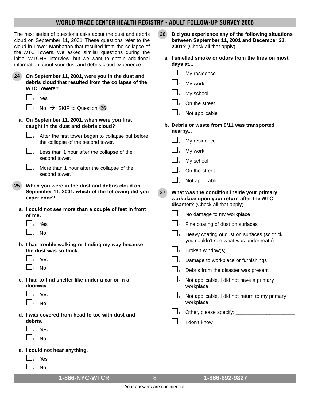| The next series of questions asks about the dust and debris<br>cloud on September 11, 2001. These questions refer to the<br>cloud in Lower Manhattan that resulted from the collapse of<br>the WTC Towers. We asked similar questions during the<br>initial WTCHR interview, but we want to obtain additional<br>information about your dust and debris cloud experience.                                                                                                            | Did you experience any of the following situations<br>26<br>between September 11, 2001 and December 31,<br>2001? (Check all that apply)<br>a. I smelled smoke or odors from the fires on most<br>days at                                                                                                                                                                                                                                                                                                                                                          |
|--------------------------------------------------------------------------------------------------------------------------------------------------------------------------------------------------------------------------------------------------------------------------------------------------------------------------------------------------------------------------------------------------------------------------------------------------------------------------------------|-------------------------------------------------------------------------------------------------------------------------------------------------------------------------------------------------------------------------------------------------------------------------------------------------------------------------------------------------------------------------------------------------------------------------------------------------------------------------------------------------------------------------------------------------------------------|
| 24<br>On September 11, 2001, were you in the dust and<br>debris cloud that resulted from the collapse of the<br><b>WTC Towers?</b><br>Yes<br>No $\rightarrow$ SKIP to Question 26<br>a. On September 11, 2001, when were you first<br>caught in the dust and debris cloud?<br>After the first tower began to collapse but before<br>the collapse of the second tower.                                                                                                                | My residence<br>My work<br>My school<br>On the street<br>Not applicable<br>b. Debris or waste from 9/11 was transported<br>nearby<br>My residence<br>My work                                                                                                                                                                                                                                                                                                                                                                                                      |
| $\Box$ <sub>2</sub><br>Less than 1 hour after the collapse of the<br>second tower.<br>$\Box$ <sub>3</sub><br>More than 1 hour after the collapse of the<br>second tower.                                                                                                                                                                                                                                                                                                             | My school<br>On the street                                                                                                                                                                                                                                                                                                                                                                                                                                                                                                                                        |
| When you were in the dust and debris cloud on<br>25 <sub>2</sub><br>September 11, 2001, which of the following did you<br>experience?<br>a. I could not see more than a couple of feet in front<br>of me.<br>Yes<br><b>No</b><br>b. I had trouble walking or finding my way because<br>the dust was so thick.<br>Yes<br><b>No</b><br>c. I had to find shelter like under a car or in a<br>doorway.<br>Yes<br><b>No</b><br>d. I was covered from head to toe with dust and<br>debris. | Not applicable<br>27<br>What was the condition inside your primary<br>workplace upon your return after the WTC<br>disaster? (Check all that apply)<br>No damage to my workplace<br>Fine coating of dust on surfaces<br>Heavy coating of dust on surfaces (so thick<br>you couldn't see what was underneath)<br>Broken window(s)<br>Damage to workplace or furnishings<br>Debris from the disaster was present<br>Not applicable, I did not have a primary<br>workplace<br>$\Box$ 8<br>Not applicable, I did not return to my primary<br>workplace<br>I don't know |
| Yes<br><b>No</b><br>e. I could not hear anything.<br>Yes<br>No                                                                                                                                                                                                                                                                                                                                                                                                                       |                                                                                                                                                                                                                                                                                                                                                                                                                                                                                                                                                                   |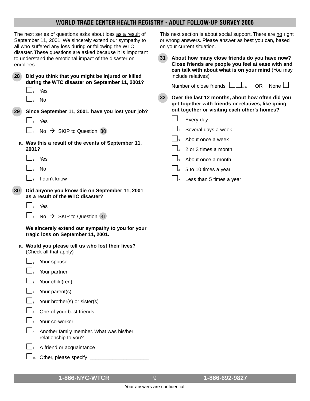| The next series of questions asks about loss as a result of<br>September 11, 2001. We sincerely extend our sympathy to<br>all who suffered any loss during or following the WTC<br>disaster. These questions are asked because it is important<br>to understand the emotional impact of the disaster on<br>enrollees.                                    | This next section is about social support. There are no right<br>or wrong answers. Please answer as best you can, based<br>on your current situation.<br>31<br>About how many close friends do you have now?<br>Close friends are people you feel at ease with and<br>can talk with about what is on your mind (You may                                                                          |  |  |  |
|----------------------------------------------------------------------------------------------------------------------------------------------------------------------------------------------------------------------------------------------------------------------------------------------------------------------------------------------------------|--------------------------------------------------------------------------------------------------------------------------------------------------------------------------------------------------------------------------------------------------------------------------------------------------------------------------------------------------------------------------------------------------|--|--|--|
| 28<br>Did you think that you might be injured or killed<br>during the WTC disaster on September 11, 2001?<br>Yes<br><b>No</b><br>Since September 11, 2001, have you lost your job?<br>29 <sup>°</sup><br>Yes<br>No $\rightarrow$ SKIP to Question 30<br>a. Was this a result of the events of September 11,<br>2001?<br>Yes<br><b>No</b><br>I don't know | include relatives)<br>Number of close friends $\Box$<br>OR.<br>None l<br>32<br>Over the last 12 months, about how often did you<br>get together with friends or relatives, like going<br>out together or visiting each other's homes?<br>Every day<br>Several days a week<br>About once a week<br>2 or 3 times a month<br>About once a month<br>5 to 10 times a year<br>Less than 5 times a year |  |  |  |
| 30 <sup>°</sup><br>Did anyone you know die on September 11, 2001<br>as a result of the WTC disaster?<br>Yes<br>No $\rightarrow$ SKIP to Question 31<br>We sincerely extend our sympathy to you for your<br>tragic loss on September 11, 2001.                                                                                                            |                                                                                                                                                                                                                                                                                                                                                                                                  |  |  |  |
| a. Would you please tell us who lost their lives?<br>(Check all that apply)<br>Your spouse<br>Your partner<br>Your child(ren)<br>Your parent(s)<br>Your brother(s) or sister(s)<br>One of your best friends<br>Your co-worker<br>Another family member. What was his/her<br>A friend or acquaintance                                                     |                                                                                                                                                                                                                                                                                                                                                                                                  |  |  |  |

# **1-866-NYC-WTCR** 9 **1-866-692-9827**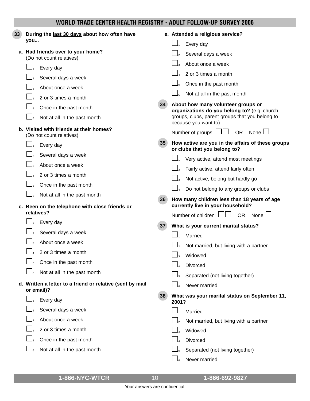| 33 | During the last 30 days about how often have<br>you                     |    | e. Attended a religious service?                                                   |
|----|-------------------------------------------------------------------------|----|------------------------------------------------------------------------------------|
|    | a. Had friends over to your home?                                       |    | Every day<br>Several days a week                                                   |
|    | (Do not count relatives)                                                |    | About once a week                                                                  |
|    | Every day                                                               |    | 2 or 3 times a month                                                               |
|    | Several days a week                                                     |    | Once in the past month                                                             |
|    | About once a week                                                       |    | Not at all in the past month                                                       |
|    | 2 or 3 times a month                                                    | 34 |                                                                                    |
|    | Once in the past month                                                  |    | About how many volunteer groups or<br>organizations do you belong to? (e.g. church |
|    | Not at all in the past month                                            |    | groups, clubs, parent groups that you belong to<br>because you want to)            |
|    | b. Visited with friends at their homes?<br>(Do not count relatives)     |    | Number of groups LILI<br><b>OR</b><br>None $\Box$                                  |
|    | Every day                                                               | 35 | How active are you in the affairs of these groups<br>or clubs that you belong to?  |
|    | Several days a week                                                     |    | Very active, attend most meetings                                                  |
|    | About once a week                                                       |    | Fairly active, attend fairly often                                                 |
|    | 2 or 3 times a month                                                    |    | $\Box_3$<br>Not active, belong but hardly go                                       |
|    | Once in the past month                                                  |    | Do not belong to any groups or clubs                                               |
|    | Not at all in the past month                                            | 36 |                                                                                    |
|    | c. Been on the telephone with close friends or                          |    | How many children less than 18 years of age<br>currently live in your household?   |
|    | relatives?                                                              |    | Number of children $\Box\Box$<br><b>OR</b><br>None $\Box$                          |
|    | Every day                                                               | 37 | What is your current marital status?                                               |
|    | Several days a week                                                     |    | Married                                                                            |
|    | About once a week                                                       |    | Not married, but living with a partner                                             |
|    | 2 or 3 times a month                                                    |    | Widowed<br>$\Box_3$                                                                |
|    | Once in the past month                                                  |    | Divorced                                                                           |
|    | Not at all in the past month                                            |    | Separated (not living together)                                                    |
|    | d. Written a letter to a friend or relative (sent by mail<br>or email)? |    | Never married                                                                      |
|    | Every day                                                               | 38 | What was your marital status on September 11,<br>2001?                             |
|    | Several days a week                                                     |    | Married                                                                            |
|    | About once a week                                                       |    | Not married, but living with a partner                                             |
|    | 2 or 3 times a month                                                    |    | Widowed                                                                            |
|    | Once in the past month                                                  |    | Divorced                                                                           |
|    | Not at all in the past month                                            |    | Separated (not living together)                                                    |
|    |                                                                         |    | Never married                                                                      |
|    |                                                                         |    |                                                                                    |

**1-866-NYC-WTCR** 10 **1-866-692-9827**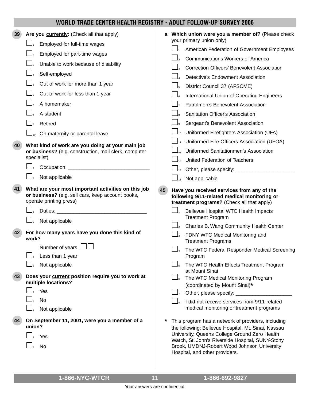| 39 | Are you currently: (Check all that apply)                                                                                           |    | a. Which union were you a member of? (Please check<br>your primary union only)                                                                                                                                                                                                                  |
|----|-------------------------------------------------------------------------------------------------------------------------------------|----|-------------------------------------------------------------------------------------------------------------------------------------------------------------------------------------------------------------------------------------------------------------------------------------------------|
|    | $\Box_1$<br>Employed for full-time wages                                                                                            |    | American Federation of Government Employees                                                                                                                                                                                                                                                     |
|    | Employed for part-time wages                                                                                                        |    | <b>Communications Workers of America</b>                                                                                                                                                                                                                                                        |
|    | Unable to work because of disability                                                                                                |    | <b>Correction Officers' Benevolent Association</b>                                                                                                                                                                                                                                              |
|    | Self-employed                                                                                                                       |    | Detective's Endowment Association                                                                                                                                                                                                                                                               |
|    | Out of work for more than 1 year                                                                                                    |    | District Council 37 (AFSCME)                                                                                                                                                                                                                                                                    |
|    | Out of work for less than 1 year                                                                                                    |    | International Union of Operating Engineers                                                                                                                                                                                                                                                      |
|    | A homemaker                                                                                                                         |    | Patrolmen's Benevolent Association                                                                                                                                                                                                                                                              |
|    | A student                                                                                                                           |    | Sanitation Officer's Association                                                                                                                                                                                                                                                                |
|    | Retired                                                                                                                             |    | Sergeant's Benevolent Association                                                                                                                                                                                                                                                               |
|    | On maternity or parental leave<br>10 <sup>10</sup>                                                                                  |    | $\Box_{10}$ Uniformed Firefighters Association (UFA)                                                                                                                                                                                                                                            |
|    |                                                                                                                                     |    | Uniformed Fire Officers Association (UFOA)                                                                                                                                                                                                                                                      |
| 40 | What kind of work are you doing at your main job<br>or business? (e.g. construction, mail clerk, computer                           |    | Uniformed Sanitationmen's Association                                                                                                                                                                                                                                                           |
|    | specialist)                                                                                                                         |    | $\Box$ <sub>13</sub> United Federation of Teachers                                                                                                                                                                                                                                              |
|    | Occupation: <u>www.community.com</u>                                                                                                |    | └┘ <sub>14</sub> Other, please specify: ______________________                                                                                                                                                                                                                                  |
|    | Not applicable                                                                                                                      |    | $\Box$ <sub>15</sub> Not applicable                                                                                                                                                                                                                                                             |
| 41 | What are your most important activities on this job<br>or business? (e.g. sell cars, keep account books,<br>operate printing press) | 45 | Have you received services from any of the<br>following 9/11-related medical monitoring or<br>treatment programs? (Check all that apply)                                                                                                                                                        |
|    |                                                                                                                                     |    | Bellevue Hospital WTC Health Impacts<br><b>Treatment Program</b>                                                                                                                                                                                                                                |
|    | $\Box$ <sub>2</sub><br>Not applicable                                                                                               |    | Charles B. Wang Community Health Center                                                                                                                                                                                                                                                         |
| 42 | For how many years have you done this kind of<br>work?                                                                              |    | FDNY WTC Medical Monitoring and<br><b>Treatment Programs</b>                                                                                                                                                                                                                                    |
|    | Number of years $\Box$<br>Less than 1 year                                                                                          |    | The WTC Federal Responder Medical Screening<br>Program                                                                                                                                                                                                                                          |
|    | Not applicable                                                                                                                      |    | The WTC Health Effects Treatment Program<br>at Mount Sinai                                                                                                                                                                                                                                      |
| 43 | Does your current position require you to work at<br>multiple locations?                                                            |    | The WTC Medical Monitoring Program<br>(coordinated by Mount Sinai)*                                                                                                                                                                                                                             |
|    | Yes                                                                                                                                 |    | Other, please specify: ______                                                                                                                                                                                                                                                                   |
|    | No                                                                                                                                  |    | I did not receive services from 9/11-related                                                                                                                                                                                                                                                    |
|    | Not applicable                                                                                                                      |    | medical monitoring or treatment programs                                                                                                                                                                                                                                                        |
|    | On September 11, 2001, were you a member of a<br>union?<br>Yes<br><b>No</b>                                                         | *  | This program has a network of providers, including<br>the following: Bellevue Hospital, Mt. Sinai, Nassau<br>University, Queens College Ground Zero Health<br>Watch, St. John's Riverside Hospital, SUNY-Stony<br>Brook, UMDNJ-Robert Wood Johnson University<br>Hospital, and other providers. |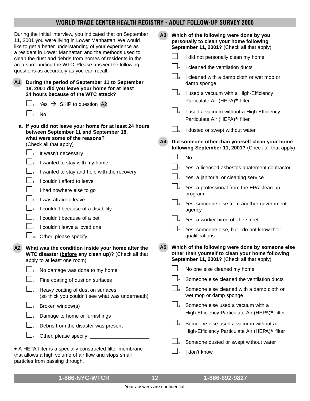| During the initial interview, you indicated that on September                                                                                                                                                                                                                                                                                                                                                                                                                                                                                                                                                                                   | A3                                                                                                                                                                                                                                                                                                                                                                                                                                                                                                                                                                       |
|-------------------------------------------------------------------------------------------------------------------------------------------------------------------------------------------------------------------------------------------------------------------------------------------------------------------------------------------------------------------------------------------------------------------------------------------------------------------------------------------------------------------------------------------------------------------------------------------------------------------------------------------------|--------------------------------------------------------------------------------------------------------------------------------------------------------------------------------------------------------------------------------------------------------------------------------------------------------------------------------------------------------------------------------------------------------------------------------------------------------------------------------------------------------------------------------------------------------------------------|
| 11, 2001 you were living in Lower Manhattan. We would                                                                                                                                                                                                                                                                                                                                                                                                                                                                                                                                                                                           | Which of the following were done by you                                                                                                                                                                                                                                                                                                                                                                                                                                                                                                                                  |
| like to get a better understanding of your experience as                                                                                                                                                                                                                                                                                                                                                                                                                                                                                                                                                                                        | personally to clean your home following                                                                                                                                                                                                                                                                                                                                                                                                                                                                                                                                  |
| a resident in Lower Manhattan and the methods used to                                                                                                                                                                                                                                                                                                                                                                                                                                                                                                                                                                                           | September 11, 2001? (Check all that apply)                                                                                                                                                                                                                                                                                                                                                                                                                                                                                                                               |
| clean the dust and debris from homes of residents in the                                                                                                                                                                                                                                                                                                                                                                                                                                                                                                                                                                                        | I did not personally clean my home                                                                                                                                                                                                                                                                                                                                                                                                                                                                                                                                       |
| area surrounding the WTC. Please answer the following                                                                                                                                                                                                                                                                                                                                                                                                                                                                                                                                                                                           | I cleaned the ventilation ducts                                                                                                                                                                                                                                                                                                                                                                                                                                                                                                                                          |
| questions as accurately as you can recall.                                                                                                                                                                                                                                                                                                                                                                                                                                                                                                                                                                                                      | I cleaned with a damp cloth or wet mop or                                                                                                                                                                                                                                                                                                                                                                                                                                                                                                                                |
| During the period of September 11 to September<br>A <sub>1</sub><br>18, 2001 did you leave your home for at least<br>24 hours because of the WTC attack?<br>Yes $\rightarrow$ SKIP to question A2<br><b>No</b>                                                                                                                                                                                                                                                                                                                                                                                                                                  | damp sponge<br>I used a vacuum with a High-Efficiency<br>Particulate Air (HEPA)* filter<br>I used a vacuum without a High-Efficiency<br>Particulate Air (HEPA)* filter                                                                                                                                                                                                                                                                                                                                                                                                   |
| a. If you did not leave your home for at least 24 hours                                                                                                                                                                                                                                                                                                                                                                                                                                                                                                                                                                                         | I dusted or swept without water                                                                                                                                                                                                                                                                                                                                                                                                                                                                                                                                          |
| between September 11 and September 18,                                                                                                                                                                                                                                                                                                                                                                                                                                                                                                                                                                                                          | Did someone other than yourself clean your home                                                                                                                                                                                                                                                                                                                                                                                                                                                                                                                          |
| what were some of the reasons?                                                                                                                                                                                                                                                                                                                                                                                                                                                                                                                                                                                                                  | A <sub>4</sub>                                                                                                                                                                                                                                                                                                                                                                                                                                                                                                                                                           |
| (Check all that apply)                                                                                                                                                                                                                                                                                                                                                                                                                                                                                                                                                                                                                          | following September 11, 2001? (Check all that apply)                                                                                                                                                                                                                                                                                                                                                                                                                                                                                                                     |
| It wasn't necessary                                                                                                                                                                                                                                                                                                                                                                                                                                                                                                                                                                                                                             | <b>No</b>                                                                                                                                                                                                                                                                                                                                                                                                                                                                                                                                                                |
| I wanted to stay with my home                                                                                                                                                                                                                                                                                                                                                                                                                                                                                                                                                                                                                   | Yes, a licensed asbestos abatement contractor                                                                                                                                                                                                                                                                                                                                                                                                                                                                                                                            |
| I wanted to stay and help with the recovery                                                                                                                                                                                                                                                                                                                                                                                                                                                                                                                                                                                                     | Yes, a janitorial or cleaning service                                                                                                                                                                                                                                                                                                                                                                                                                                                                                                                                    |
| I couldn't afford to leave                                                                                                                                                                                                                                                                                                                                                                                                                                                                                                                                                                                                                      | Yes, a professional from the EPA clean-up                                                                                                                                                                                                                                                                                                                                                                                                                                                                                                                                |
| I had nowhere else to go                                                                                                                                                                                                                                                                                                                                                                                                                                                                                                                                                                                                                        | program                                                                                                                                                                                                                                                                                                                                                                                                                                                                                                                                                                  |
| I was afraid to leave                                                                                                                                                                                                                                                                                                                                                                                                                                                                                                                                                                                                                           | Yes, someone else from another government                                                                                                                                                                                                                                                                                                                                                                                                                                                                                                                                |
| I couldn't because of a disability                                                                                                                                                                                                                                                                                                                                                                                                                                                                                                                                                                                                              | agency                                                                                                                                                                                                                                                                                                                                                                                                                                                                                                                                                                   |
| I couldn't because of a pet                                                                                                                                                                                                                                                                                                                                                                                                                                                                                                                                                                                                                     | Yes, a worker hired off the street                                                                                                                                                                                                                                                                                                                                                                                                                                                                                                                                       |
| I couldn't leave a loved one                                                                                                                                                                                                                                                                                                                                                                                                                                                                                                                                                                                                                    | Yes, someone else, but I do not know their                                                                                                                                                                                                                                                                                                                                                                                                                                                                                                                               |
| Other, please specify:<br>$\Box$ <sub>10</sub><br>What was the condition inside your home after the<br>A2<br>WTC disaster (before any clean up)? (Check all that<br>apply to at least one room)<br>No damage was done to my home<br>Fine coating of dust on surfaces<br>Heavy coating of dust on surfaces<br>(so thick you couldn't see what was underneath)<br>Broken window(s)<br>Damage to home or furnishings<br>Debris from the disaster was present<br>Other, please specify: _<br>* A HEPA filter is a specially constructed filter membrane<br>that allows a high volume of air flow and stops small<br>particles from passing through. | qualifications<br>A5<br>Which of the following were done by someone else<br>other than yourself to clean your home following<br>September 11, 2001? (Check all that apply)<br>No one else cleaned my home<br>Someone else cleaned the ventilation ducts<br>Someone else cleaned with a damp cloth or<br>wet mop or damp sponge<br>Someone else used a vacuum with a<br>High-Efficiency Particulate Air (HEPA)* filter<br>Someone else used a vacuum without a<br>High-Efficiency Particulate Air (HEPA)* filter<br>Someone dusted or swept without water<br>I don't know |

**1-866-NYC-WTCR 1-866-692-9827** 12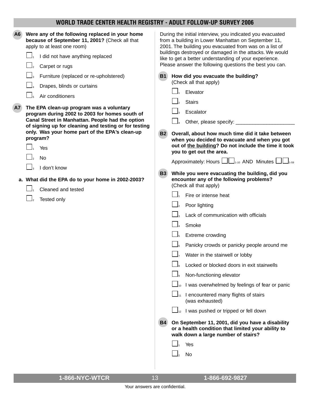| A6 | Were any of the following replaced in your home<br>because of September 11, 2001? (Check all that<br>apply to at least one room)<br>I did not have anything replaced<br>Carpet or rugs                                                                                                                                                                                                                                                                                                          |                                                  | During the initial interview, you indicated you evacuated<br>from a building in Lower Manhattan on September 11,<br>2001. The building you evacuated from was on a list of<br>buildings destroyed or damaged in the attacks. We would<br>like to get a better understanding of your experience.<br>Please answer the following questions the best you can.                                                                                                                                                                                                                                                                                                                                                                                                                                                                                                                                                                                                                                                                                                                                                                                       |
|----|-------------------------------------------------------------------------------------------------------------------------------------------------------------------------------------------------------------------------------------------------------------------------------------------------------------------------------------------------------------------------------------------------------------------------------------------------------------------------------------------------|--------------------------------------------------|--------------------------------------------------------------------------------------------------------------------------------------------------------------------------------------------------------------------------------------------------------------------------------------------------------------------------------------------------------------------------------------------------------------------------------------------------------------------------------------------------------------------------------------------------------------------------------------------------------------------------------------------------------------------------------------------------------------------------------------------------------------------------------------------------------------------------------------------------------------------------------------------------------------------------------------------------------------------------------------------------------------------------------------------------------------------------------------------------------------------------------------------------|
| A7 | Furniture (replaced or re-upholstered)<br>Drapes, blinds or curtains<br>Air conditioners<br>The EPA clean-up program was a voluntary<br>program during 2002 to 2003 for homes south of<br>Canal Street in Manhattan. People had the option<br>of signing up for cleaning and testing or for testing<br>only. Was your home part of the EPA's clean-up<br>program?<br>Yes<br><b>No</b><br>I don't know<br>a. What did the EPA do to your home in 2002-2003?<br>Cleaned and tested<br>Tested only | <b>B1</b><br><b>B2</b><br><b>B3</b><br><b>B4</b> | How did you evacuate the building?<br>(Check all that apply)<br>Elevator<br><b>Stairs</b><br>Escalator<br>Other, please specify:<br>Overall, about how much time did it take between<br>when you decided to evacuate and when you got<br>out of the building? Do not include the time it took<br>you to get out the area.<br>Approximately: Hours $\Box\Box_{1\text{-}10}$ AND Minutes $\Box\Box_{1\text{-}59}$<br>While you were evacuating the building, did you<br>encounter any of the following problems?<br>(Check all that apply)<br>Fire or intense heat<br>Poor lighting<br>Lack of communication with officials<br>Smoke<br>Extreme crowding<br>Panicky crowds or panicky people around me<br>Water in the stairwell or lobby<br>Locked or blocked doors in exit stairwells<br>Non-functioning elevator<br>I was overwhelmed by feelings of fear or panic<br>I encountered many flights of stairs<br>(was exhausted)<br>$\Box_{12}$ I was pushed or tripped or fell down<br>On September 11, 2001, did you have a disability<br>or a health condition that limited your ability to<br>walk down a large number of stairs?<br>Yes<br>No |
|    |                                                                                                                                                                                                                                                                                                                                                                                                                                                                                                 |                                                  |                                                                                                                                                                                                                                                                                                                                                                                                                                                                                                                                                                                                                                                                                                                                                                                                                                                                                                                                                                                                                                                                                                                                                  |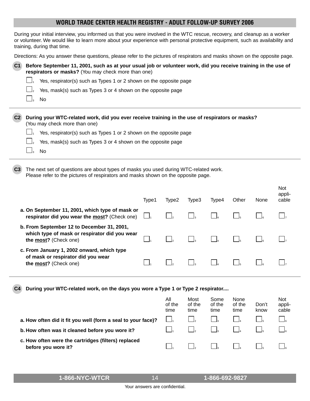During your initial interview, you informed us that you were involved in the WTC rescue, recovery, and cleanup as a worker or volunteer. We would like to learn more about your experience with personal protective equipment, such as availability and training, during that time.

|  | Directions: As you answer these questions, please refer to the pictures of respirators and masks shown on the opposite page. |  |  |  |  |  |
|--|------------------------------------------------------------------------------------------------------------------------------|--|--|--|--|--|
|  |                                                                                                                              |  |  |  |  |  |
|  |                                                                                                                              |  |  |  |  |  |
|  |                                                                                                                              |  |  |  |  |  |

| C1 Before September 11, 2001, such as at your usual job or volunteer work, did you receive training in the use of |
|-------------------------------------------------------------------------------------------------------------------|
| respirators or masks? (You may check more than one)                                                               |

- $\Box$ <sub>1</sub> Yes, respirator(s) such as Types 1 or 2 shown on the opposite page
	- Yes, mask(s) such as Types 3 or 4 shown on the opposite page
	- No.
- **C2 During your WTC-related work, did you ever receive training in the use of respirators or masks?**  (You may check more than one)
	- $\Box$ <sub>1</sub> Yes, respirator(s) such as Types 1 or 2 shown on the opposite page
		- Yes, mask(s) such as Types 3 or 4 shown on the opposite page
		- No.
- **C3** The next set of questions are about types of masks you used during WTC-related work. Please refer to the pictures of respirators and masks shown on the opposite page.

|                                                                                                                      | Type1 | Type2 | Type3 | Type4 | Other | None | <b>Not</b><br>appli-<br>cable |
|----------------------------------------------------------------------------------------------------------------------|-------|-------|-------|-------|-------|------|-------------------------------|
| a. On September 11, 2001, which type of mask or<br>respirator did you wear the most? (Check one)                     |       |       |       |       |       |      |                               |
| b. From September 12 to December 31, 2001,<br>which type of mask or respirator did you wear<br>the most? (Check one) |       |       |       |       |       |      |                               |
| c. From January 1, 2002 onward, which type<br>of mask or respirator did you wear<br>the most? (Check one)            |       |       |       |       |       |      |                               |

**C4 During your WTC-related work, on the days you wore a Type 1 or Type 2 respirator....**

|                                                                            | All<br>of the<br>time | Most<br>of the<br>time | Some<br>of the<br>time | None<br>of the<br>time | Don't<br>know | <b>Not</b><br>appli-<br>cable |
|----------------------------------------------------------------------------|-----------------------|------------------------|------------------------|------------------------|---------------|-------------------------------|
| a. How often did it fit you well (form a seal to your face)?               |                       |                        |                        |                        |               |                               |
| b. How often was it cleaned before you wore it?                            |                       |                        |                        |                        |               |                               |
| c. How often were the cartridges (filters) replaced<br>before you wore it? |                       |                        |                        |                        |               |                               |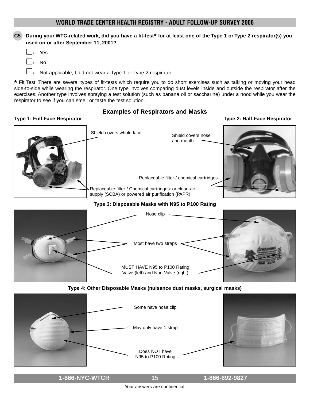#### **C5 During your WTC-related work, did you have a fit-test\* for at least one of the Type 1 or Type 2 respirator(s) you used on or after September 11, 2001?**

|--|--|

- <sup>2</sup> No
- $\Box$ <sub>3</sub> Not applicable, I did not wear a Type 1 or Type 2 respirator.

**\*** Fit Test: There are several types of fit-tests which require you to do short exercises such as talking or moving your head side-to-side while wearing the respirator. One type involves comparing dust levels inside and outside the respirator after the exercises. Another type involves spraying a test solution (such as banana oil or saccharine) under a hood while you wear the respirator to see if you can smell or taste the test solution.

#### **Type 1: Full-Face Respirator Type 2: Half-Face Respirator Examples of Respirators and Masks**

# Shield covers whole face Replaceable filter / Chemical cartridges: or clean-air supply (SCBA) or powered air purification (PAPR) Shield covers nose and mouth Replaceable filter / chemical cartridges **Type 3: Disposable Masks with N95 to P100 Rating Type 4: Other Disposable Masks (nuisance dust masks, surgical masks)** Nose clip Most have two straps  $\rightarrow$ MUST HAVE N95 to P100 Rating Valve (left) and Non-Valve (right) Some have nose clip May only have 1 strap Does NOT have N95 to P100 Rating

**1-866-NYC-WTCR 1-866-692-9827** 15 Your answers are confidential.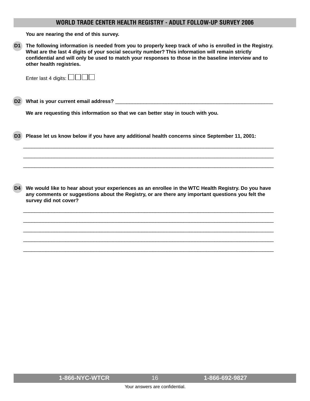**You are nearing the end of this survey.**

**D1 The following information is needed from you to properly keep track of who is enrolled in the Registry. What are the last 4 digits of your social security number? This information will remain strictly confidential and will only be used to match your responses to those in the baseline interview and to other health registries.**

| Enter last 4 digits: $\Box$ $\Box$ $\Box$ |  |
|-------------------------------------------|--|
|-------------------------------------------|--|

**D2 What is your current email address?** \_\_\_\_\_\_\_\_\_\_\_\_\_\_\_\_\_\_\_\_\_\_\_\_\_\_\_\_\_\_\_\_\_\_\_\_\_\_\_\_\_\_\_\_\_\_\_\_\_\_\_\_\_\_\_\_

**We are requesting this information so that we can better stay in touch with you.**

**D3 Please let us know below if you have any additional health concerns since September 11, 2001:**

**D4 We would like to hear about your experiences as an enrollee in the WTC Health Registry. Do you have any comments or suggestions about the Registry, or are there any important questions you felt the survey did not cover?**

\_\_\_\_\_\_\_\_\_\_\_\_\_\_\_\_\_\_\_\_\_\_\_\_\_\_\_\_\_\_\_\_\_\_\_\_\_\_\_\_\_\_\_\_\_\_\_\_\_\_\_\_\_\_\_\_\_\_\_\_\_\_\_\_\_\_\_\_\_\_\_\_\_\_\_\_\_\_\_\_\_\_\_\_\_\_\_\_\_ \_\_\_\_\_\_\_\_\_\_\_\_\_\_\_\_\_\_\_\_\_\_\_\_\_\_\_\_\_\_\_\_\_\_\_\_\_\_\_\_\_\_\_\_\_\_\_\_\_\_\_\_\_\_\_\_\_\_\_\_\_\_\_\_\_\_\_\_\_\_\_\_\_\_\_\_\_\_\_\_\_\_\_\_\_\_\_\_\_ \_\_\_\_\_\_\_\_\_\_\_\_\_\_\_\_\_\_\_\_\_\_\_\_\_\_\_\_\_\_\_\_\_\_\_\_\_\_\_\_\_\_\_\_\_\_\_\_\_\_\_\_\_\_\_\_\_\_\_\_\_\_\_\_\_\_\_\_\_\_\_\_\_\_\_\_\_\_\_\_\_\_\_\_\_\_\_\_\_ \_\_\_\_\_\_\_\_\_\_\_\_\_\_\_\_\_\_\_\_\_\_\_\_\_\_\_\_\_\_\_\_\_\_\_\_\_\_\_\_\_\_\_\_\_\_\_\_\_\_\_\_\_\_\_\_\_\_\_\_\_\_\_\_\_\_\_\_\_\_\_\_\_\_\_\_\_\_\_\_\_\_\_\_\_\_\_\_\_ \_\_\_\_\_\_\_\_\_\_\_\_\_\_\_\_\_\_\_\_\_\_\_\_\_\_\_\_\_\_\_\_\_\_\_\_\_\_\_\_\_\_\_\_\_\_\_\_\_\_\_\_\_\_\_\_\_\_\_\_\_\_\_\_\_\_\_\_\_\_\_\_\_\_\_\_\_\_\_\_\_\_\_\_\_\_\_\_\_

\_\_\_\_\_\_\_\_\_\_\_\_\_\_\_\_\_\_\_\_\_\_\_\_\_\_\_\_\_\_\_\_\_\_\_\_\_\_\_\_\_\_\_\_\_\_\_\_\_\_\_\_\_\_\_\_\_\_\_\_\_\_\_\_\_\_\_\_\_\_\_\_\_\_\_\_\_\_\_\_\_\_\_\_\_\_\_\_\_ \_\_\_\_\_\_\_\_\_\_\_\_\_\_\_\_\_\_\_\_\_\_\_\_\_\_\_\_\_\_\_\_\_\_\_\_\_\_\_\_\_\_\_\_\_\_\_\_\_\_\_\_\_\_\_\_\_\_\_\_\_\_\_\_\_\_\_\_\_\_\_\_\_\_\_\_\_\_\_\_\_\_\_\_\_\_\_\_\_ \_\_\_\_\_\_\_\_\_\_\_\_\_\_\_\_\_\_\_\_\_\_\_\_\_\_\_\_\_\_\_\_\_\_\_\_\_\_\_\_\_\_\_\_\_\_\_\_\_\_\_\_\_\_\_\_\_\_\_\_\_\_\_\_\_\_\_\_\_\_\_\_\_\_\_\_\_\_\_\_\_\_\_\_\_\_\_\_\_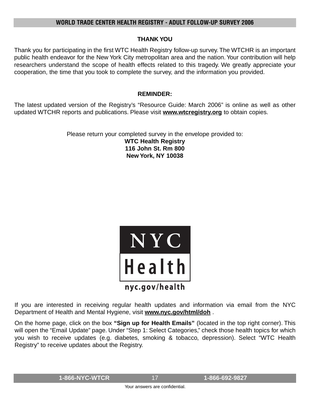### **THANK YOU**

Thank you for participating in the first WTC Health Registry follow-up survey. The WTCHR is an important public health endeavor for the New York City metropolitan area and the nation. Your contribution will help researchers understand the scope of health effects related to this tragedy. We greatly appreciate your cooperation, the time that you took to complete the survey, and the information you provided.

## **REMINDER:**

The latest updated version of the Registry's "Resource Guide: March 2006" is online as well as other updated WTCHR reports and publications. Please visit **www.wtcregistry.org** to obtain copies.

Please return your completed survey in the envelope provided to:

**WTC Health Registry 116 John St. Rm 800 New York, NY 10038**



If you are interested in receiving regular health updates and information via email from the NYC Department of Health and Mental Hygiene, visit **www.nyc.gov/html/doh** .

On the home page, click on the box **"Sign up for Health Emails"** (located in the top right corner). This will open the "Email Update" page. Under "Step 1: Select Categories," check those health topics for which you wish to receive updates (e.g. diabetes, smoking & tobacco, depression). Select "WTC Health Registry" to receive updates about the Registry.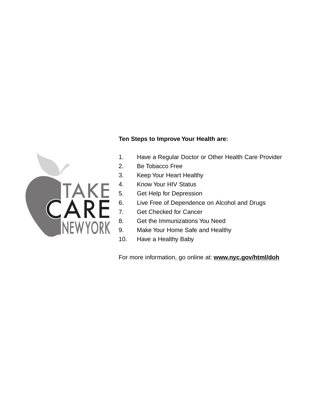# **Ten Steps to Improve Your Health are:**



- 1. Have a Regular Doctor or Other Health Care Provider
- 2. Be Tobacco Free
- 3. Keep Your Heart Healthy
- 4. Know Your HIV Status
- 5. Get Help for Depression
- 6. Live Free of Dependence on Alcohol and Drugs
- 7. Get Checked for Cancer
- 8. Get the Immunizations You Need
- 9. Make Your Home Safe and Healthy
- 10. Have a Healthy Baby

For more information, go online at: **www.nyc.gov/html/doh**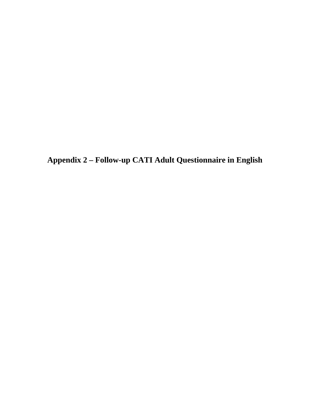**Appendix 2 – Follow-up CATI Adult Questionnaire in English**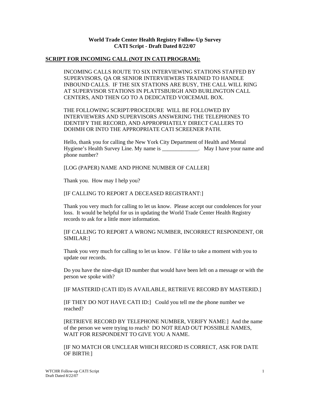#### **World Trade Center Health Registry Follow-Up Survey CATI Script - Draft Dated 8/22/07**

#### **SCRIPT FOR INCOMING CALL (NOT IN CATI PROGRAM):**

INCOMING CALLS ROUTE TO SIX INTERVIEWING STATIONS STAFFED BY SUPERVISORS, QA OR SENIOR INTERVIEWERS TRAINED TO HANDLE INBOUND CALLS. IF THE SIX STATIONS ARE BUSY, THE CALL WILL RING AT SUPERVISOR STATIONS IN PLATTSBURGH AND BURLINGTON CALL CENTERS, AND THEN GO TO A DEDICATED VOICEMAIL BOX.

THE FOLLOWING SCRIPT/PROCEDURE WILL BE FOLLOWED BY INTERVIEWERS AND SUPERVISORS ANSWERING THE TELEPHONES TO IDENTIFY THE RECORD, AND APPROPRIATELY DIRECT CALLERS TO DOHMH OR INTO THE APPROPRIATE CATI SCREENER PATH.

Hello, thank you for calling the New York City Department of Health and Mental Hygiene's Health Survey Line. My name is \_\_\_\_\_\_\_\_\_\_\_\_\_. May I have your name and phone number?

[LOG (PAPER) NAME AND PHONE NUMBER OF CALLER]

Thank you. How may I help you?

#### [IF CALLING TO REPORT A DECEASED REGISTRANT:]

Thank you very much for calling to let us know. Please accept our condolences for your loss. It would be helpful for us in updating the World Trade Center Health Registry records to ask for a little more information.

[IF CALLING TO REPORT A WRONG NUMBER, INCORRECT RESPONDENT, OR SIMILAR:]

Thank you very much for calling to let us know. I'd like to take a moment with you to update our records.

Do you have the nine-digit ID number that would have been left on a message or with the person we spoke with?

[IF MASTERID (CATI ID) IS AVAILABLE, RETRIEVE RECORD BY MASTERID.]

[IF THEY DO NOT HAVE CATI ID:] Could you tell me the phone number we reached?

[RETRIEVE RECORD BY TELEPHONE NUMBER, VERIFY NAME:] And the name of the person we were trying to reach? DO NOT READ OUT POSSIBLE NAMES, WAIT FOR RESPONDENT TO GIVE YOU A NAME.

[IF NO MATCH OR UNCLEAR WHICH RECORD IS CORRECT, ASK FOR DATE OF BIRTH:]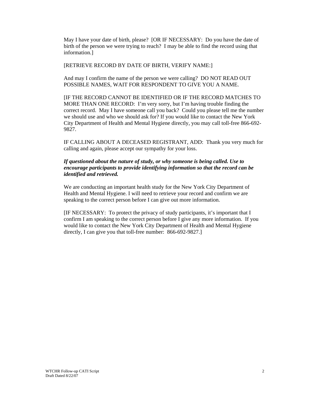May I have your date of birth, please? [OR IF NECESSARY: Do you have the date of birth of the person we were trying to reach? I may be able to find the record using that information.]

[RETRIEVE RECORD BY DATE OF BIRTH, VERIFY NAME:]

And may I confirm the name of the person we were calling? DO NOT READ OUT POSSIBLE NAMES, WAIT FOR RESPONDENT TO GIVE YOU A NAME.

[IF THE RECORD CANNOT BE IDENTIFIED OR IF THE RECORD MATCHES TO MORE THAN ONE RECORD: I'm very sorry, but I'm having trouble finding the correct record. May I have someone call you back? Could you please tell me the number we should use and who we should ask for? If you would like to contact the New York City Department of Health and Mental Hygiene directly, you may call toll-free 866-692- 9827.

IF CALLING ABOUT A DECEASED REGISTRANT, ADD: Thank you very much for calling and again, please accept our sympathy for your loss.

#### *If questioned about the nature of study, or why someone is being called. Use to encourage participants to provide identifying information so that the record can be identified and retrieved.*

We are conducting an important health study for the New York City Department of Health and Mental Hygiene. I will need to retrieve your record and confirm we are speaking to the correct person before I can give out more information.

[IF NECESSARY: To protect the privacy of study participants, it's important that I confirm I am speaking to the correct person before I give any more information. If you would like to contact the New York City Department of Health and Mental Hygiene directly, I can give you that toll-free number: 866-692-9827.]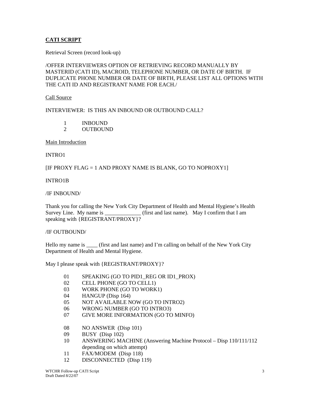#### **CATI SCRIPT**

Retrieval Screen (record look-up)

#### /OFFER INTERVIEWERS OPTION OF RETRIEVING RECORD MANUALLY BY MASTERID (CATI ID), MACROID, TELEPHONE NUMBER, OR DATE OF BIRTH. IF DUPLICATE PHONE NUMBER OR DATE OF BIRTH, PLEASE LIST ALL OPTIONS WITH THE CATI ID AND REGISTRANT NAME FOR EACH./

Call Source

INTERVIEWER: IS THIS AN INBOUND OR OUTBOUND CALL?

- 1 INBOUND
- 2 OUTBOUND

Main Introduction

INTRO1

[IF PROXY FLAG = 1 AND PROXY NAME IS BLANK, GO TO NOPROXY1]

#### INTRO1B

/IF INBOUND/

Thank you for calling the New York City Department of Health and Mental Hygiene's Health Survey Line. My name is  $_{\text{first and last name}}$ . May I confirm that I am speaking with {REGISTRANT/PROXY}?

#### /IF OUTBOUND/

Hello my name is \_\_\_\_\_ (first and last name) and I'm calling on behalf of the New York City Department of Health and Mental Hygiene.

May I please speak with {REGISTRANT/PROXY}?

- 01 SPEAKING (GO TO PID1 REG OR ID1 PROX)
- 02 CELL PHONE (GO TO CELL1)
- 03 WORK PHONE (GO TO WORK1)
- 04 HANGUP (Disp 164)
- 05 NOT AVAILABLE NOW (GO TO INTRO2)
- 06 WRONG NUMBER (GO TO INTRO3)
- 07 GIVE MORE INFORMATION (GO TO MINFO)
- 08 NO ANSWER (Disp 101)
- 09 BUSY (Disp 102)
- 10 ANSWERING MACHINE (Answering Machine Protocol Disp 110/111/112 depending on which attempt)
- 11 FAX/MODEM (Disp 118)
- 12 DISCONNECTED (Disp 119)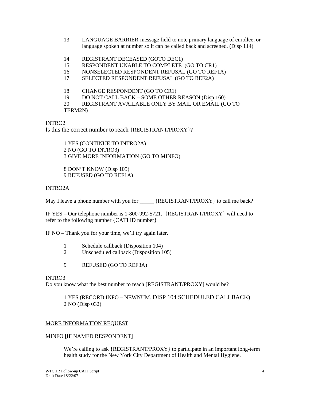- 13 LANGUAGE BARRIER-message field to note primary language of enrollee, or language spoken at number so it can be called back and screened. (Disp 114)
- 14 REGISTRANT DECEASED (GOTO DEC1)
- 15 RESPONDENT UNABLE TO COMPLETE (GO TO CR1)
- 16 NONSELECTED RESPONDENT REFUSAL (GO TO REF1A)
- 17 SELECTED RESPONDENT REFUSAL (GO TO REF2A)
- 18 CHANGE RESPONDENT (GO TO CR1)
- 19 DO NOT CALL BACK SOME OTHER REASON (Disp 160)
- 20 REGISTRANT AVAILABLE ONLY BY MAIL OR EMAIL (GO TO

TERM2N)

INTRO2

Is this the correct number to reach {REGISTRANT/PROXY}?

1 YES (CONTINUE TO INTRO2A) 2 NO (GO TO INTRO3) 3 GIVE MORE INFORMATION (GO TO MINFO)

8 DON'T KNOW (Disp 105) 9 REFUSED (GO TO REF1A)

INTRO2A

May I leave a phone number with you for  ${[REGISTRANT/PROXY]}$  to call me back?

IF YES – Our telephone number is 1-800-992-5721. {REGISTRANT/PROXY} will need to refer to the following number {CATI ID number}

IF NO – Thank you for your time, we'll try again later.

- 1 Schedule callback (Disposition 104)
- 2 Unscheduled callback (Disposition 105)
- 9 REFUSED (GO TO REF3A)

#### INTRO3

Do you know what the best number to reach [REGISTRANT/PROXY] would be?

#### 1 YES (RECORD INFO – NEWNUM. DISP 104 SCHEDULED CALLBACK) 2 NO (Disp 032)

#### MORE INFORMATION REQUEST

#### MINFO [IF NAMED RESPONDENT]

We're calling to ask {REGISTRANT/PROXY} to participate in an important long-term health study for the New York City Department of Health and Mental Hygiene.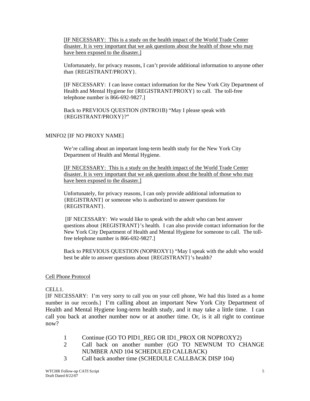[IF NECESSARY: This is a study on the health impact of the World Trade Center disaster. It is very important that we ask questions about the health of those who may have been exposed to the disaster.]

Unfortunately, for privacy reasons, I can't provide additional information to anyone other than {REGISTRANT/PROXY}.

[IF NECESSARY: I can leave contact information for the New York City Department of Health and Mental Hygiene for {REGISTRANT/PROXY} to call. The toll-free telephone number is 866-692-9827.]

Back to PREVIOUS QUESTION (INTRO1B) "May I please speak with {REGISTRANT/PROXY}?"

#### MINFO2 [IF NO PROXY NAME]

We're calling about an important long-term health study for the New York City Department of Health and Mental Hygiene.

[IF NECESSARY: This is a study on the health impact of the World Trade Center disaster. It is very important that we ask questions about the health of those who may have been exposed to the disaster.]

Unfortunately, for privacy reasons, I can only provide additional information to {REGISTRANT} or someone who is authorized to answer questions for {REGISTRANT}.

 [IF NECESSARY: We would like to speak with the adult who can best answer questions about {REGISTRANT}'s health. I can also provide contact information for the New York City Department of Health and Mental Hygiene for someone to call. The tollfree telephone number is 866-692-9827.]

Back to PREVIOUS QUESTION (NOPROXY1) "May I speak with the adult who would best be able to answer questions about {REGISTRANT}'s health?

#### Cell Phone Protocol

CELL1.

[IF NECESSARY: I'm very sorry to call you on your cell phone, We had this listed as a home number in our records.] I'm calling about an important New York City Department of Health and Mental Hygiene long-term health study, and it may take a little time. I can call you back at another number now or at another time. Or, is it all right to continue now?

- 1 Continue (GO TO PID1 REG OR ID1 PROX OR NOPROXY2)
- 2 Call back on another number (GO TO NEWNUM TO CHANGE NUMBER AND 104 SCHEDULED CALLBACK)
- 3 Call back another time (SCHEDULE CALLBACK DISP 104)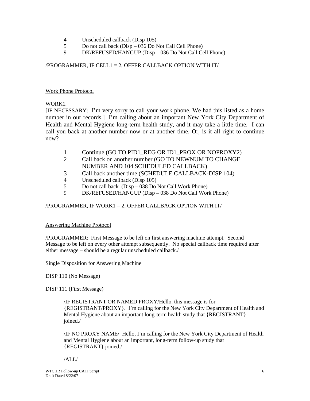- 4 Unscheduled callback (Disp 105)
- 5 Do not call back (Disp 036 Do Not Call Cell Phone)
- 9 DK/REFUSED/HANGUP (Disp 036 Do Not Call Cell Phone)

/PROGRAMMER, IF CELL1 = 2, OFFER CALLBACK OPTION WITH IT/

#### Work Phone Protocol

#### WORK1.

[IF NECESSARY: I'm very sorry to call your work phone. We had this listed as a home number in our records.] I'm calling about an important New York City Department of Health and Mental Hygiene long-term health study, and it may take a little time. I can call you back at another number now or at another time. Or, is it all right to continue now?

- 1 Continue (GO TO PID1\_REG OR ID1\_PROX OR NOPROXY2)
- 2 Call back on another number (GO TO NEWNUM TO CHANGE NUMBER AND 104 SCHEDULED CALLBACK)
- 3 Call back another time (SCHEDULE CALLBACK-DISP 104)
- 4 Unscheduled callback (Disp 105)
- 5 Do not call back (Disp 038 Do Not Call Work Phone)
- 9 DK/REFUSED/HANGUP (Disp 038 Do Not Call Work Phone)

#### /PROGRAMMER, IF WORK1 = 2, OFFER CALLBACK OPTION WITH IT/

#### Answering Machine Protocol

/PROGRAMMER: First Message to be left on first answering machine attempt. Second Message to be left on every other attempt subsequently. No special callback time required after either message – should be a regular unscheduled callback./

Single Disposition for Answering Machine

DISP 110 (No Message)

DISP 111 (First Message)

/IF REGISTRANT OR NAMED PROXY/Hello, this message is for {REGISTRANT/PROXY}. I'm calling for the New York City Department of Health and Mental Hygiene about an important long-term health study that {REGISTRANT} joined./

/IF NO PROXY NAME/ Hello, I'm calling for the New York City Department of Health and Mental Hygiene about an important, long-term follow-up study that {REGISTRANT} joined./

/ALL/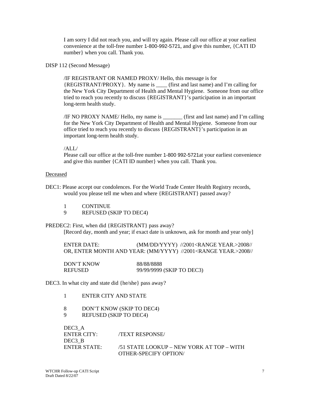I am sorry I did not reach you, and will try again. Please call our office at your earliest convenience at the toll-free number 1-800-992-5721, and give this number, {CATI ID number} when you call. Thank you.

#### DISP 112 (Second Message)

/IF REGISTRANT OR NAMED PROXY/ Hello, this message is for {REGISTRANT/PROXY}. My name is \_\_\_\_ (first and last name) and I'm calling for the New York City Department of Health and Mental Hygiene. Someone from our office tried to reach you recently to discuss {REGISTRANT}'s participation in an important long-term health study.

/IF NO PROXY NAME/ Hello, my name is \_\_\_\_\_\_\_ (first and last name) and I'm calling for the New York City Department of Health and Mental Hygiene. Someone from our office tried to reach you recently to discuss {REGISTRANT}'s participation in an important long-term health study.

#### /ALL/

Please call our office at the toll-free number 1-800 992-5721at your earliest convenience and give this number {CATI ID number} when you call. Thank you.

#### Deceased

- DEC1: Please accept our condolences. For the World Trade Center Health Registry records, would you please tell me when and where {REGISTRANT} passed away?
	- 1 CONTINUE
	- 9 REFUSED (SKIP TO DEC4)

PREDEC2: First, when did {REGISTRANT} pass away? [Record day, month and year; if exact date is unknown, ask for month and year only]

| ENTER DATE:                                                               | (MM/DD/YYYY) //2001 <range year.="">2008//</range> |  |
|---------------------------------------------------------------------------|----------------------------------------------------|--|
| OR, ENTER MONTH AND YEAR: (MM/YYYY) //2001 <range year.="">2008//</range> |                                                    |  |

| DON'T KNOW | 88/88/8888                |
|------------|---------------------------|
| REFUSED    | 99/99/9999 (SKIP TO DEC3) |

DEC3. In what city and state did {he/she} pass away?

- 1 ENTER CITY AND STATE
- 8 DON'T KNOW (SKIP TO DEC4)
- 9 REFUSED (SKIP TO DEC4)

| DEC <sub>3</sub> A |                                           |
|--------------------|-------------------------------------------|
| ENTER CITY:        | <b>TEXT RESPONSE</b>                      |
| DEC <sub>3</sub> B |                                           |
| ENTER STATE        | /51 STATE LOOKUP – NEW YORK AT TOP – WITH |
|                    | OTHER-SPECIFY OPTION/                     |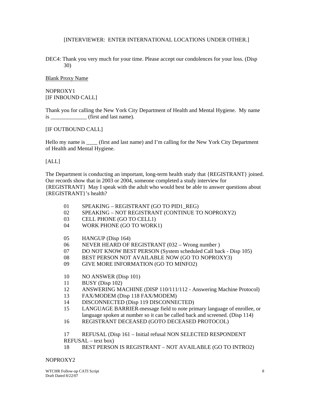#### [INTERVIEWER: ENTER INTERNATIONAL LOCATIONS UNDER OTHER.]

DEC4: Thank you very much for your time. Please accept our condolences for your loss. (Disp 30)

Blank Proxy Name

NOPROXY1 [IF INBOUND CALL]

Thank you for calling the New York City Department of Health and Mental Hygiene. My name is \_\_\_\_\_\_\_\_\_\_\_\_\_ (first and last name).

[IF OUTBOUND CALL]

Hello my name is \_\_\_\_ (first and last name) and I'm calling for the New York City Department of Health and Mental Hygiene.

[ALL]

The Department is conducting an important, long-term health study that {REGISTRANT} joined. Our records show that in 2003 or 2004, someone completed a study interview for {REGISTRANT} May I speak with the adult who would best be able to answer questions about {REGISTRANT}'s health?

- 01 SPEAKING REGISTRANT (GO TO PID1\_REG)
- 02 SPEAKING NOT REGISTRANT (CONTINUE TO NOPROXY2)
- 03 CELL PHONE (GO TO CELL1)
- 04 WORK PHONE (GO TO WORK1)
- 05 HANGUP (Disp 164)
- 06 NEVER HEARD OF REGISTRANT (032 Wrong number )
- 07 DO NOT KNOW BEST PERSON (System scheduled Call back Disp 105)
- 08 BEST PERSON NOT AVAILABLE NOW (GO TO NOPROXY3)
- 09 GIVE MORE INFORMATION (GO TO MINFO2)
- 10 NO ANSWER (Disp 101)
- 11 BUSY (Disp 102)
- 12 ANSWERING MACHINE (DISP 110/111/112 Answering Machine Protocol)
- 13 FAX/MODEM (Disp 118 FAX/MODEM)
- 14 DISCONNECTED (Disp 119 DISCONNECTED)
- 15 LANGUAGE BARRIER-message field to note primary language of enrollee, or language spoken at number so it can be called back and screened. (Disp 114)
- 16 REGISTRANT DECEASED (GOTO DECEASED PROTOCOL)

17 REFUSAL (Disp 161 – Initial refusal NON SELECTED RESPONDENT

- REFUSAL text box)
- 18 BEST PERSON IS REGISTRANT NOT AVAILABLE (GO TO INTRO2)

#### NOPROXY2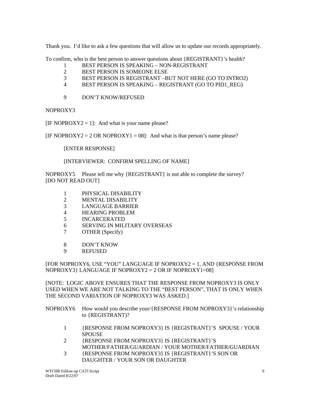Thank you. I'd like to ask a few questions that will allow us to update our records appropriately.

To confirm, who is the best person to answer questions about {REGISTRANT}'s health?

- 1 BEST PERSON IS SPEAKING NON-REGISTRANT
- 2 BEST PERSON IS SOMEONE ELSE
- 3 BEST PERSON IS REGISTRANT –BUT NOT HERE (GO TO INTRO2)
- 4 BEST PERSON IS SPEAKING REGISTRANT (GO TO PID1\_REG)
- 9 DON'T KNOW/REFUSED

NOPROXY3

[IF NOPROXY2 = 1]: And what is your name please?

[IF NOPROXY2 = 2 OR NOPROXY1 = 08]: And what is that person's name please?

[ENTER RESPONSE]

[INTERVIEWER: CONFIRM SPELLING OF NAME]

NOPROXY5 Please tell me why {REGISTRANT} is not able to complete the survey? [DO NOT READ OUT]

- 1 PHYSICAL DISABILITY
- 2 MENTAL DISABILITY
- 3 LANGUAGE BARRIER
- 4 HEARING PROBLEM
- 5 INCARCERATED
- 6 SERVING IN MILITARY OVERSEAS
- 7 OTHER (Specify)
- 8 DON'T KNOW
- 9 REFUSED

[FOR NOPROXY6, USE "YOU" LANGUAGE IF NOPROXY2 = 1, AND {RESPONSE FROM NOPROXY3} LANGUAGE IF NOPROXY2 = 2 OR IF NOPROXY1=08]

[NOTE: LOGIC ABOVE ENSURES THAT THE RESPONSE FROM NOPROXY3 IS ONLY USED WHEN WE ARE NOT TALKING TO THE "BEST PERSON", THAT IS ONLY WHEN THE SECOND VARIATION OF NOPROXY3 WAS ASKED.]

NOPROXY6 How would you describe your/{RESPONSE FROM NOPROXY3}'s relationship to {REGISTRANT)?

- 1 {RESPONSE FROM NOPROXY3} IS {REGISTRANT}'S SPOUSE / YOUR **SPOUSE**
- 2 {RESPONSE FROM NOPROXY3} IS {REGISTRANT}'S MOTHER/FATHER/GUARDIAN / YOUR MOTHER/FATHER/GUARDIAN
- 3 {RESPONSE FROM NOPROXY3} IS {REGISTRANT}'S SON OR DAUGHTER / YOUR SON OR DAUGHTER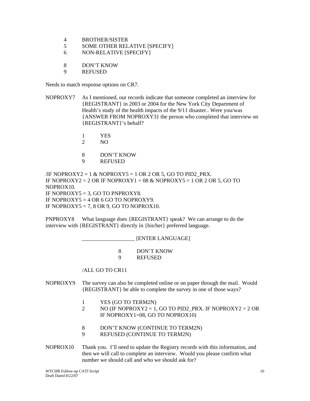- 4 BROTHER/SISTER
- 5 SOME OTHER RELATIVE [SPECIFY]
- 6 NON-RELATIVE [SPECIFY]
- 8 DON'T KNOW
- 9 REFUSED

Needs to match response options on CR7.

- NOPROXY7 As I mentioned, our records indicate that someone completed an interview for {REGISTRANT} in 2003 or 2004 for the New York City Department of Health's study of the health impacts of the 9/11 disaster.. Were you/was {ANSWER FROM NOPROXY3} the person who completed that interview on {REGISTRANT}'s behalf?
	- 1 YES
	- 2 NO
	- 8 DON'T KNOW
	- 9 REFUSED

 $\angle$ IF NOPROXY2 = 1 & NOPROXY5 = 1 OR 2 OR 5, GO TO PID2\_PRX. IF NOPROXY2 = 2 OR IF NOPROXY1 =  $08 \&$  NOPROXY5 = 1 OR 2 OR 5, GO TO NOPROX10. IF NOPROXY5 = 3, GO TO PNPROXY8. IF NOPROXY5 =  $4$  OR 6 GO TO NOPROXY9. IF NOPROXY5 = 7, 8 OR 9, GO TO NOPROX10.

PNPROXY8 What language does {REGISTRANT} speak? We can arrange to do the interview with {REGISTRANT} directly in {his/her} preferred language.

 \_\_\_\_\_\_\_\_\_\_\_\_\_\_\_\_\_\_\_ [ENTER LANGUAGE] 8 DON'T KNOW 9 REFUSED

/ALL GO TO CR11

- NOPROXY9 The survey can also be completed online or on paper through the mail. Would {REGISTRANT} be able to complete the survey in one of those ways?
	- 1 YES (GO TO TERM2N)
	- 2 NO (IF NOPROXY2 = 1, GO TO PID2 PRX. IF NOPROXY2 = 2 OR IF NOPROXY1=08, GO TO NOPROX10)
	- 8 DON'T KNOW (CONTINUE TO TERM2N)
	- 9 REFUSED (CONTINUE TO TERM2N)
- NOPROX10 Thank you. I'll need to update the Registry records with this information, and then we will call to complete an interview. Would you please confirm what number we should call and who we should ask for?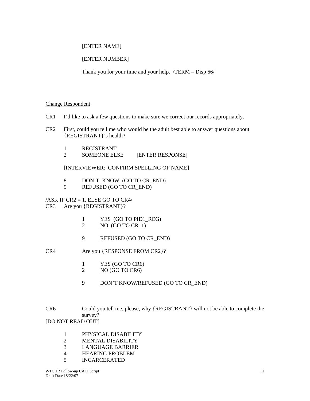#### [ENTER NAME]

### [ENTER NUMBER]

Thank you for your time and your help. /TERM – Disp 66/

#### Change Respondent

- CR1 I'd like to ask a few questions to make sure we correct our records appropriately.
- CR2 First, could you tell me who would be the adult best able to answer questions about {REGISTRANT}'s health?
	- 1 REGISTRANT
	- 2 SOMEONE ELSE [ENTER RESPONSE]

[INTERVIEWER: CONFIRM SPELLING OF NAME]

- 8 DON'T KNOW (GO TO CR\_END)<br>9 REFUSED (GO TO CR\_END)
- 9 REFUSED (GO TO CR\_END)

 $/ASK$  IF  $CR2 = 1$ , ELSE GO TO  $CR4/$ CR3 Are you {REGISTRANT}?

- 1 YES (GO TO PID1\_REG)
- 2 NO (GO TO CR11)
- 9 REFUSED (GO TO CR\_END)
- CR4 Are you {RESPONSE FROM CR2}?
	- 1 YES (GO TO CR6)
	- 2 NO (GO TO CR6)
	- 9 DON'T KNOW/REFUSED (GO TO CR\_END)

CR6 Could you tell me, please, why {REGISTRANT} will not be able to complete the survey? [DO NOT READ OUT]

- 1 PHYSICAL DISABILITY<br>2 MENTAL DISABILITY
- **MENTAL DISABILITY**
- 3 LANGUAGE BARRIER
- 4 HEARING PROBLEM
- 5 INCARCERATED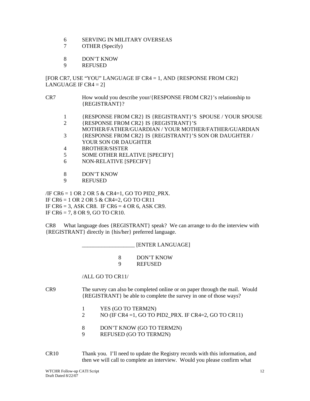- 6 SERVING IN MILITARY OVERSEAS
- 7 OTHER (Specify)
- 8 DON'T KNOW
- 9 REFUSED

[FOR CR7, USE "YOU" LANGUAGE IF CR4 = 1, AND {RESPONSE FROM CR2} LANGUAGE IF  $CR4 = 2$ ]

- CR7 How would you describe your/{RESPONSE FROM CR2}'s relationship to {REGISTRANT}?
	- 1 {RESPONSE FROM CR2} IS {REGISTRANT}'S SPOUSE / YOUR SPOUSE
	- 2 {RESPONSE FROM CR2} IS {REGISTRANT}'S
	- MOTHER/FATHER/GUARDIAN / YOUR MOTHER/FATHER/GUARDIAN
	- 3 {RESPONSE FROM CR2} IS {REGISTRANT}'S SON OR DAUGHTER / YOUR SON OR DAUGHTER
	- 4 BROTHER/SISTER
	- 5 SOME OTHER RELATIVE [SPECIFY]
	- 6 NON-RELATIVE [SPECIFY]
	- 8 DON'T KNOW
	- 9 REFUSED

 $\overline{A}$  /IF CR6 = 1 OR 2 OR 5 & CR4=1, GO TO PID2 PRX. IF CR6 = 1 OR 2 OR 5 & CR4=2, GO TO CR11 IF CR6 = 3, ASK CR8. IF CR6 = 4 OR 6, ASK CR9. IF CR6 = 7, 8 OR 9, GO TO CR10.

CR8 What language does {REGISTRANT} speak? We can arrange to do the interview with {REGISTRANT} directly in {his/her} preferred language.

> \_\_\_\_\_\_\_\_\_\_\_\_\_\_\_\_\_\_\_ [ENTER LANGUAGE] 8 DON'T KNOW 9 REFUSED

/ALL GO TO CR11/

CR9 The survey can also be completed online or on paper through the mail. Would {REGISTRANT} be able to complete the survey in one of those ways?

- 1 YES (GO TO TERM2N)
- 2 NO (IF CR4 = 1, GO TO PID2\_PRX. IF CR4=2, GO TO CR11)
- 8 DON'T KNOW (GO TO TERM2N)
- 9 REFUSED (GO TO TERM2N)

CR10 Thank you. I'll need to update the Registry records with this information, and then we will call to complete an interview. Would you please confirm what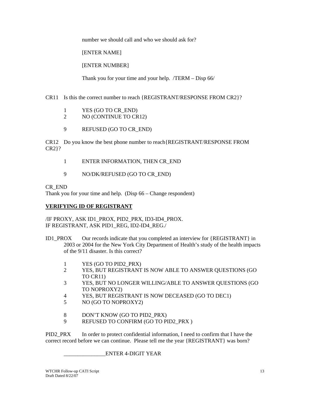number we should call and who we should ask for?

[ENTER NAME]

[ENTER NUMBER]

Thank you for your time and your help. /TERM – Disp 66/

CR11 Is this the correct number to reach {REGISTRANT/RESPONSE FROM CR2}?

- 1 YES (GO TO CR\_END)
- 2 NO (CONTINUE TO CR12)
- 9 REFUSED (GO TO CR\_END)

CR12 Do you know the best phone number to reach{REGISTRANT/RESPONSE FROM CR2}?

- 1 ENTER INFORMATION, THEN CR\_END
- 9 NO/DK/REFUSED (GO TO CR\_END)

CR\_END

Thank you for your time and help. (Disp 66 – Change respondent)

#### **VERIFYING ID OF REGISTRANT**

/IF PROXY, ASK ID1\_PROX, PID2\_PRX, ID3-ID4\_PROX. IF REGISTRANT, ASK PID1\_REG, ID2-ID4\_REG./

- ID1\_PROX Our records indicate that you completed an interview for {REGISTRANT} in 2003 or 2004 for the New York City Department of Health's study of the health impacts of the 9/11 disaster. Is this correct?
	- 1 YES (GO TO PID2\_PRX)
	- 2 YES, BUT REGISTRANT IS NOW ABLE TO ANSWER QUESTIONS (GO TO CR11)
	- 3 YES, BUT NO LONGER WILLING/ABLE TO ANSWER QUESTIONS (GO TO NOPROXY2)
	- 4 YES, BUT REGISTRANT IS NOW DECEASED (GO TO DEC1)
	- 5 NO (GO TO NOPROXY2)
	- 8 DON'T KNOW (GO TO PID2\_PRX)
	- 9 REFUSED TO CONFIRM (GO TO PID2\_PRX )

PID2\_PRX In order to protect confidential information, I need to confirm that I have the correct record before we can continue. Please tell me the year {REGISTRANT} was born?

\_\_\_\_\_\_\_\_\_\_\_\_\_\_\_ENTER 4-DIGIT YEAR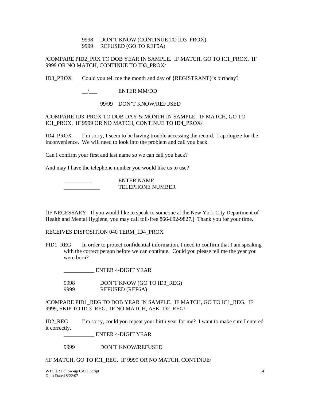#### 9998 DON'T KNOW (CONTINUE TO ID3\_PROX) 9999 REFUSED (GO TO REF5A)

/COMPARE PID2\_PRX TO DOB YEAR IN SAMPLE. IF MATCH, GO TO IC1\_PROX. IF 9999 OR NO MATCH, CONTINUE TO ID3\_PROX/

ID3\_PROX Could you tell me the month and day of {REGISTRANT}'s birthday?

#### $\frac{1}{2}$  ENTER MM/DD

99/99 DON'T KNOW/REFUSED

/COMPARE ID3\_PROX TO DOB DAY & MONTH IN SAMPLE. IF MATCH, GO TO IC1\_PROX. IF 9999 OR NO MATCH, CONTINUE TO ID4\_PROX/

ID4\_PROX I'm sorry, I seem to be having trouble accessing the record. I apologize for the inconvenience. We will need to look into the problem and call you back.

Can I confirm your first and last name so we can call you back?

And may I have the telephone number you would like us to use?

 \_\_\_\_\_\_\_\_\_\_ ENTER NAME TELEPHONE NUMBER

[IF NECESSARY: If you would like to speak to someone at the New York City Department of Health and Mental Hygiene, you may call toll-free 866-692-9827.] Thank you for your time.

RECEIVES DISPOSITION 040 TERM\_ID4\_PROX

PID1 REG In order to protect confidential information, I need to confirm that I am speaking with the correct person before we can continue. Could you please tell me the year you were born?

\_\_\_\_\_\_\_\_\_\_\_ ENTER 4-DIGIT YEAR

9998 DON'T KNOW (GO TO ID3\_REG)<br>9999 REFUSED (REF6A) REFUSED (REF6A)

/COMPARE PID1\_REG TO DOB YEAR IN SAMPLE. IF MATCH, GO TO IC1\_REG. IF 9999, SKIP TO ID 3\_REG. IF NO MATCH, ASK ID2\_REG/

ID2\_REG I'm sorry, could you repeat your birth year for me? I want to make sure I entered it correctly.

\_\_\_\_\_\_\_\_\_\_\_ ENTER 4-DIGIT YEAR

9999 DON'T KNOW/REFUSED

/IF MATCH, GO TO IC1\_REG. IF 9999 OR NO MATCH, CONTINUE/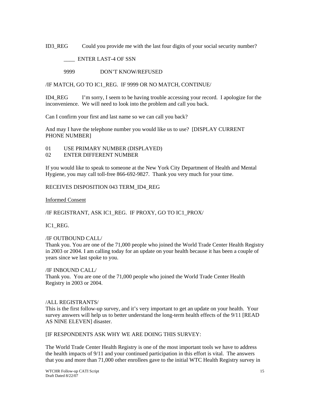ID3 REG Could you provide me with the last four digits of your social security number?

\_\_\_\_ ENTER LAST-4 OF SSN

9999 DON'T KNOW/REFUSED

/IF MATCH, GO TO IC1\_REG. IF 9999 OR NO MATCH, CONTINUE/

ID4\_REG I'm sorry, I seem to be having trouble accessing your record. I apologize for the inconvenience. We will need to look into the problem and call you back.

Can I confirm your first and last name so we can call you back?

And may I have the telephone number you would like us to use? [DISPLAY CURRENT PHONE NUMBER]

- 01 USE PRIMARY NUMBER (DISPLAYED)
- 02 ENTER DIFFERENT NUMBER

If you would like to speak to someone at the New York City Department of Health and Mental Hygiene, you may call toll-free 866-692-9827. Thank you very much for your time.

RECEIVES DISPOSITION 043 TERM\_ID4\_REG

Informed Consent

/IF REGISTRANT, ASK IC1\_REG. IF PROXY, GO TO IC1\_PROX/

IC1\_REG.

#### /IF OUTBOUND CALL/

Thank you. You are one of the 71,000 people who joined the World Trade Center Health Registry in 2003 or 2004. I am calling today for an update on your health because it has been a couple of years since we last spoke to you.

/IF INBOUND CALL/ Thank you. You are one of the 71,000 people who joined the World Trade Center Health Registry in 2003 or 2004.

#### /ALL REGISTRANTS/

This is the first follow-up survey, and it's very important to get an update on your health. Your survey answers will help us to better understand the long-term health effects of the 9/11 [READ AS NINE ELEVEN] disaster.

[IF RESPONDENTS ASK WHY WE ARE DOING THIS SURVEY:

The World Trade Center Health Registry is one of the most important tools we have to address the health impacts of 9/11 and your continued participation in this effort is vital. The answers that you and more than 71,000 other enrollees gave to the initial WTC Health Registry survey in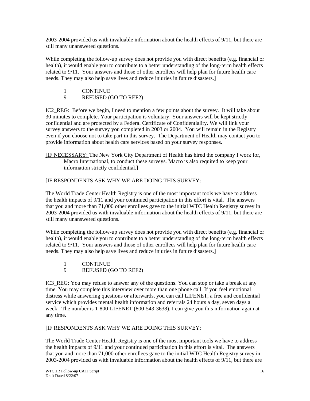2003-2004 provided us with invaluable information about the health effects of 9/11, but there are still many unanswered questions.

While completing the follow-up survey does not provide you with direct benefits (e.g. financial or health), it would enable you to contribute to a better understanding of the long-term health effects related to 9/11. Your answers and those of other enrollees will help plan for future health care needs. They may also help save lives and reduce injuries in future disasters.]

#### 1 CONTINUE

9 REFUSED (GO TO REF2)

IC2\_REG: Before we begin, I need to mention a few points about the survey. It will take about 30 minutes to complete. Your participation is voluntary. Your answers will be kept strictly confidential and are protected by a Federal Certificate of Confidentiality. We will link your survey answers to the survey you completed in 2003 or 2004. You will remain in the Registry even if you choose not to take part in this survey. The Department of Health may contact you to provide information about health care services based on your survey responses.

[IF NECESSARY: The New York City Department of Health has hired the company I work for, Macro International, to conduct these surveys. Macro is also required to keep your information strictly confidential.]

#### [IF RESPONDENTS ASK WHY WE ARE DOING THIS SURVEY:

The World Trade Center Health Registry is one of the most important tools we have to address the health impacts of 9/11 and your continued participation in this effort is vital. The answers that you and more than 71,000 other enrollees gave to the initial WTC Health Registry survey in 2003-2004 provided us with invaluable information about the health effects of 9/11, but there are still many unanswered questions.

While completing the follow-up survey does not provide you with direct benefits (e.g. financial or health), it would enable you to contribute to a better understanding of the long-term health effects related to 9/11. Your answers and those of other enrollees will help plan for future health care needs. They may also help save lives and reduce injuries in future disasters.]

- 1 CONTINUE
- 9 REFUSED (GO TO REF2)

IC3 REG: You may refuse to answer any of the questions. You can stop or take a break at any time. You may complete this interview over more than one phone call. If you feel emotional distress while answering questions or afterwards, you can call LIFENET, a free and confidential service which provides mental health information and referrals 24 hours a day, seven days a week. The number is 1-800-LIFENET (800-543-3638). I can give you this information again at any time.

[IF RESPONDENTS ASK WHY WE ARE DOING THIS SURVEY:

The World Trade Center Health Registry is one of the most important tools we have to address the health impacts of 9/11 and your continued participation in this effort is vital. The answers that you and more than 71,000 other enrollees gave to the initial WTC Health Registry survey in 2003-2004 provided us with invaluable information about the health effects of 9/11, but there are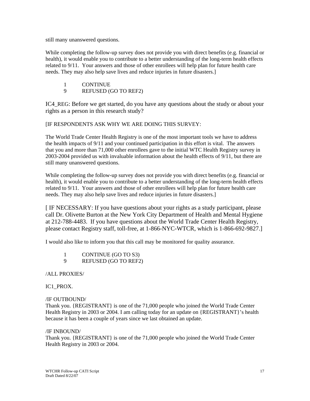still many unanswered questions.

While completing the follow-up survey does not provide you with direct benefits (e.g. financial or health), it would enable you to contribute to a better understanding of the long-term health effects related to 9/11. Your answers and those of other enrollees will help plan for future health care needs. They may also help save lives and reduce injuries in future disasters.]

- 1 CONTINUE
- 9 REFUSED (GO TO REF2)

IC4 REG: Before we get started, do you have any questions about the study or about your rights as a person in this research study?

[IF RESPONDENTS ASK WHY WE ARE DOING THIS SURVEY:

The World Trade Center Health Registry is one of the most important tools we have to address the health impacts of 9/11 and your continued participation in this effort is vital. The answers that you and more than 71,000 other enrollees gave to the initial WTC Health Registry survey in 2003-2004 provided us with invaluable information about the health effects of 9/11, but there are still many unanswered questions.

While completing the follow-up survey does not provide you with direct benefits (e.g. financial or health), it would enable you to contribute to a better understanding of the long-term health effects related to 9/11. Your answers and those of other enrollees will help plan for future health care needs. They may also help save lives and reduce injuries in future disasters.]

[ IF NECESSARY: If you have questions about your rights as a study participant, please call Dr. Olivette Burton at the New York City Department of Health and Mental Hygiene at 212-788-4483. If you have questions about the World Trade Center Health Registry, please contact Registry staff, toll-free, at 1-866-NYC-WTCR, which is 1-866-692-9827.]

I would also like to inform you that this call may be monitored for quality assurance.

1 CONTINUE (GO TO S3) 9 REFUSED (GO TO REF2)

/ALL PROXIES/

#### IC1\_PROX.

#### /IF OUTBOUND/

Thank you. {REGISTRANT} is one of the 71,000 people who joined the World Trade Center Health Registry in 2003 or 2004. I am calling today for an update on {REGISTRANT}'s health because it has been a couple of years since we last obtained an update.

#### /IF INBOUND/

Thank you. {REGISTRANT} is one of the 71,000 people who joined the World Trade Center Health Registry in 2003 or 2004.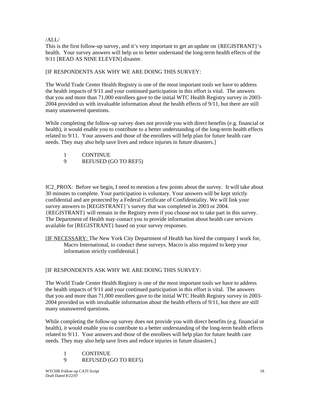#### /ALL/

This is the first follow-up survey, and it's very important to get an update on {REGISTRANT}'s health. Your survey answers will help us to better understand the long-term health effects of the 9/11 [READ AS NINE ELEVEN] disaster.

#### [IF RESPONDENTS ASK WHY WE ARE DOING THIS SURVEY:

The World Trade Center Health Registry is one of the most important tools we have to address the health impacts of 9/11 and your continued participation in this effort is vital. The answers that you and more than 71,000 enrollees gave to the initial WTC Health Registry survey in 2003- 2004 provided us with invaluable information about the health effects of 9/11, but there are still many unanswered questions.

While completing the follow-up survey does not provide you with direct benefits (e.g. financial or health), it would enable you to contribute to a better understanding of the long-term health effects related to 9/11. Your answers and those of the enrollees will help plan for future health care needs. They may also help save lives and reduce injuries in future disasters.]

- 1 CONTINUE
- 9 REFUSED (GO TO REF5)

IC2\_PROX: Before we begin, I need to mention a few points about the survey. It will take about 30 minutes to complete. Your participation is voluntary. Your answers will be kept strictly confidential and are protected by a Federal Certificate of Confidentiality. We will link your survey answers to [REGISTRANT}'s survey that was completed in 2003 or 2004. {REGISTRANT} will remain in the Registry even if you choose not to take part in this survey. The Department of Health may contact you to provide information about health care services available for [REGISTRANT} based on your survey responses.

[IF NECESSARY: The New York City Department of Health has hired the company I work for, Macro International, to conduct these surveys. Macro is also required to keep your information strictly confidential.]

#### [IF RESPONDENTS ASK WHY WE ARE DOING THIS SURVEY:

The World Trade Center Health Registry is one of the most important tools we have to address the health impacts of 9/11 and your continued participation in this effort is vital. The answers that you and more than 71,000 enrollees gave to the initial WTC Health Registry survey in 2003- 2004 provided us with invaluable information about the health effects of 9/11, but there are still many unanswered questions.

While completing the follow-up survey does not provide you with direct benefits (e.g. financial or health), it would enable you to contribute to a better understanding of the long-term health effects related to 9/11. Your answers and those of the enrollees will help plan for future health care needs. They may also help save lives and reduce injuries in future disasters.]

- 1 CONTINUE
- 9 REFUSED (GO TO REF5)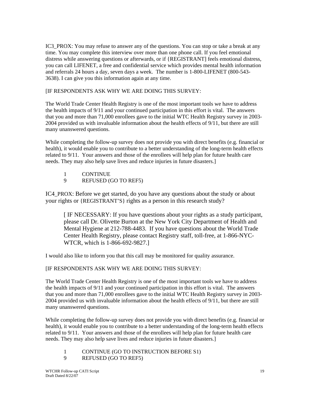IC3 PROX: You may refuse to answer any of the questions. You can stop or take a break at any time. You may complete this interview over more than one phone call. If you feel emotional distress while answering questions or afterwards, or if {REGISTRANT] feels emotional distress, you can call LIFENET, a free and confidential service which provides mental health information and referrals 24 hours a day, seven days a week. The number is 1-800-LIFENET (800-543- 3638). I can give you this information again at any time.

# [IF RESPONDENTS ASK WHY WE ARE DOING THIS SURVEY:

The World Trade Center Health Registry is one of the most important tools we have to address the health impacts of 9/11 and your continued participation in this effort is vital. The answers that you and more than 71,000 enrollees gave to the initial WTC Health Registry survey in 2003- 2004 provided us with invaluable information about the health effects of 9/11, but there are still many unanswered questions.

While completing the follow-up survey does not provide you with direct benefits (e.g. financial or health), it would enable you to contribute to a better understanding of the long-term health effects related to 9/11. Your answers and those of the enrollees will help plan for future health care needs. They may also help save lives and reduce injuries in future disasters.]

- 1 CONTINUE
- 9 REFUSED (GO TO REF5)

IC4\_PROX: Before we get started, do you have any questions about the study or about your rights or {REGISTRANT'S} rights as a person in this research study?

[ IF NECESSARY: If you have questions about your rights as a study participant, please call Dr. Olivette Burton at the New York City Department of Health and Mental Hygiene at 212-788-4483. If you have questions about the World Trade Center Health Registry, please contact Registry staff, toll-free, at 1-866-NYC-WTCR, which is 1-866-692-9827.]

I would also like to inform you that this call may be monitored for quality assurance.

# [IF RESPONDENTS ASK WHY WE ARE DOING THIS SURVEY:

The World Trade Center Health Registry is one of the most important tools we have to address the health impacts of 9/11 and your continued participation in this effort is vital. The answers that you and more than 71,000 enrollees gave to the initial WTC Health Registry survey in 2003- 2004 provided us with invaluable information about the health effects of 9/11, but there are still many unanswered questions.

While completing the follow-up survey does not provide you with direct benefits (e.g. financial or health), it would enable you to contribute to a better understanding of the long-term health effects related to 9/11. Your answers and those of the enrollees will help plan for future health care needs. They may also help save lives and reduce injuries in future disasters.]

- 1 CONTINUE (GO TO INSTRUCTION BEFORE S1)
- 9 REFUSED (GO TO REF5)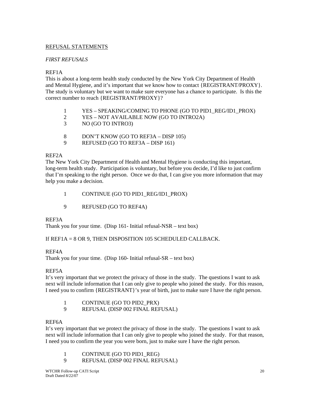# REFUSAL STATEMENTS

# *FIRST REFUSALS*

# REF1A

This is about a long-term health study conducted by the New York City Department of Health and Mental Hygiene, and it's important that we know how to contact {REGISTRANT/PROXY}. The study is voluntary but we want to make sure everyone has a chance to participate. Is this the correct number to reach {REGISTRANT/PROXY}?

- 1 YES SPEAKING/COMING TO PHONE (GO TO PID1\_REG/ID1\_PROX)
- 2 YES NOT AVAILABLE NOW (GO TO INTRO2A)
- 3 NO (GO TO INTRO3)
- 8 DON'T KNOW (GO TO REF3A DISP 105)
- 9 REFUSED (GO TO REF3A DISP 161)

# REF2A

The New York City Department of Health and Mental Hygiene is conducting this important, long-term health study. Participation is voluntary, but before you decide, I'd like to just confirm that I'm speaking to the right person. Once we do that, I can give you more information that may help you make a decision.

- 1 CONTINUE (GO TO PID1\_REG/ID1\_PROX)
- 9 REFUSED (GO TO REF4A)

#### REF3A

Thank you for your time. (Disp  $161$ - Initial refusal-NSR – text box)

# If REF1A = 8 OR 9, THEN DISPOSITION 105 SCHEDULED CALLBACK.

# REF4A

Thank you for your time. (Disp 160- Initial refusal- $SR - text$  box)

# REF5A

It's very important that we protect the privacy of those in the study. The questions I want to ask next will include information that I can only give to people who joined the study. For this reason, I need you to confirm {REGISTRANT}'s year of birth, just to make sure I have the right person.

| CONTINUE (GO TO PID2_PRX) |  |  |  |
|---------------------------|--|--|--|
|---------------------------|--|--|--|

9 REFUSAL (DISP 002 FINAL REFUSAL)

# REF6A

It's very important that we protect the privacy of those in the study. The questions I want to ask next will include information that I can only give to people who joined the study. For that reason, I need you to confirm the year you were born, just to make sure I have the right person.

- 1 CONTINUE (GO TO PID1\_REG)
- 9 REFUSAL (DISP 002 FINAL REFUSAL)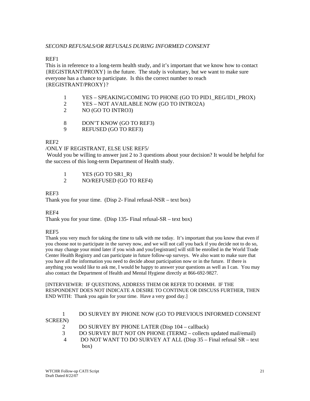# *SECOND REFUSALS/OR REFUSALS DURING INFORMED CONSENT*

# REF1

This is in reference to a long-term health study, and it's important that we know how to contact {REGISTRANT/PROXY} in the future. The study is voluntary, but we want to make sure everyone has a chance to participate. Is this the correct number to reach {REGISTRANT/PROXY}?

- 1 YES SPEAKING/COMING TO PHONE (GO TO PID1\_REG/ID1\_PROX)
- 2 YES NOT AVAILABLE NOW (GO TO INTRO2A)
- 2 NO (GO TO INTRO3)
- 8 DON'T KNOW (GO TO REF3)
- 9 REFUSED (GO TO REF3)

# REF2

# /ONLY IF REGISTRANT, ELSE USE REF5/

 Would you be willing to answer just 2 to 3 questions about your decision? It would be helpful for the success of this long-term Department of Health study.

- 1 YES (GO TO SR1\_R)
- 2 NO/REFUSED (GO TO REF4)

# REF3

Thank you for your time. (Disp 2- Final refusal-NSR – text box)

# REF4

Thank you for your time. (Disp 135- Final refusal-SR – text box)

# REF5

Thank you very much for taking the time to talk with me today. It's important that you know that even if you choose not to participate in the survey now, and we will not call you back if you decide not to do so, you may change your mind later if you wish and you/[registrant] will still be enrolled in the World Trade Center Health Registry and can participate in future follow-up surveys. We also want to make sure that you have all the information you need to decide about participation now or in the future. If there is anything you would like to ask me, I would be happy to answer your questions as well as I can. You may also contact the Department of Health and Mental Hygiene directly at 866-692-9827.

[INTERVIEWER: IF QUESTIONS, ADDRESS THEM OR REFER TO DOHMH. IF THE RESPONDENT DOES NOT INDICATE A DESIRE TO CONTINUE OR DISCUSS FURTHER, THEN END WITH: Thank you again for your time. Have a very good day.]

|                 | DO SURVEY BY PHONE NOW (GO TO PREVIOUS INFORMED CONSENT            |
|-----------------|--------------------------------------------------------------------|
| <b>SCREEN</b> ) |                                                                    |
|                 | DO SURVEY BY PHONE LATER (Disp 104 – callback)                     |
| 3               | DO SURVEY BUT NOT ON PHONE (TERM2 – collects updated mail/email)   |
| $\overline{4}$  | DO NOT WANT TO DO SURVEY AT ALL (Disp 35 - Final refusal SR - text |
|                 | box)                                                               |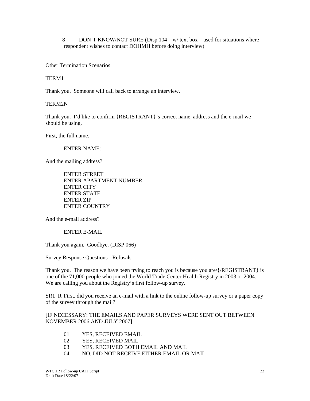8 DON'T KNOW/NOT SURE (Disp 104 – w/ text box – used for situations where respondent wishes to contact DOHMH before doing interview)

### Other Termination Scenarios

### TERM1

Thank you. Someone will call back to arrange an interview.

### TERM2N

Thank you. I'd like to confirm {REGISTRANT}'s correct name, address and the e-mail we should be using.

First, the full name.

#### ENTER NAME:

And the mailing address?

 ENTER STREET ENTER APARTMENT NUMBER ENTER CITY ENTER STATE ENTER ZIP ENTER COUNTRY

And the e-mail address?

ENTER E-MAIL

Thank you again. Goodbye. (DISP 066)

Survey Response Questions - Refusals

Thank you. The reason we have been trying to reach you is because you are/ $\{/REGISTRANT\}$  is one of the 71,000 people who joined the World Trade Center Health Registry in 2003 or 2004. We are calling you about the Registry's first follow-up survey.

SR1\_R First, did you receive an e-mail with a link to the online follow-up survey or a paper copy of the survey through the mail?

[IF NECESSARY: THE EMAILS AND PAPER SURVEYS WERE SENT OUT BETWEEN NOVEMBER 2006 AND JULY 2007]

- 01 YES, RECEIVED EMAIL
- 02 YES, RECEIVED MAIL
- 03 YES, RECEIVED BOTH EMAIL AND MAIL
- 04 NO, DID NOT RECEIVE EITHER EMAIL OR MAIL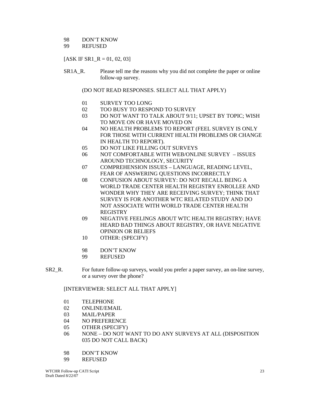# 98 DON'T KNOW

# 99 REFUSED

# $[ASK IF SR1 R = 01, 02, 03]$

SR1A\_R. Please tell me the reasons why you did not complete the paper or online follow-up survey.

(DO NOT READ RESPONSES. SELECT ALL THAT APPLY)

- 01 SURVEY TOO LONG
- 02 TOO BUSY TO RESPOND TO SURVEY
- 03 DO NOT WANT TO TALK ABOUT 9/11; UPSET BY TOPIC; WISH TO MOVE ON OR HAVE MOVED ON
- 04 NO HEALTH PROBLEMS TO REPORT (FEEL SURVEY IS ONLY FOR THOSE WITH CURRENT HEALTH PROBLEMS OR CHANGE IN HEALTH TO REPORT).
- 05 DO NOT LIKE FILLING OUT SURVEYS
- 06 NOT COMFORTABLE WITH WEB/ONLINE SURVEY ISSUES AROUND TECHNOLOGY, SECURITY
- 07 COMPREHENSION ISSUES LANGUAGE, READING LEVEL, FEAR OF ANSWERING QUESTIONS INCORRECTLY
- 08 CONFUSION ABOUT SURVEY: DO NOT RECALL BEING A WORLD TRADE CENTER HEALTH REGISTRY ENROLLEE AND WONDER WHY THEY ARE RECEIVING SURVEY; THINK THAT SURVEY IS FOR ANOTHER WTC RELATED STUDY AND DO NOT ASSOCIATE WITH WORLD TRADE CENTER HEALTH REGISTRY
- 09 NEGATIVE FEELINGS ABOUT WTC HEALTH REGISTRY; HAVE HEARD BAD THINGS ABOUT REGISTRY, OR HAVE NEGATIVE OPINION OR BELIEFS
- 10 OTHER: (SPECIFY)
- 98 DON'T KNOW
- 99 REFUSED
- SR2\_R. For future follow-up surveys, would you prefer a paper survey, an on-line survey, or a survey over the phone?

# [INTERVIEWER: SELECT ALL THAT APPLY]

- 01 TELEPHONE
- 02 ONLINE/EMAIL
- 03 MAIL/PAPER
- 04 NO PREFERENCE
- 05 OTHER (SPECIFY)
- 06 NONE DO NOT WANT TO DO ANY SURVEYS AT ALL (DISPOSITION 035 DO NOT CALL BACK)
- 98 DON'T KNOW
- 99 REFUSED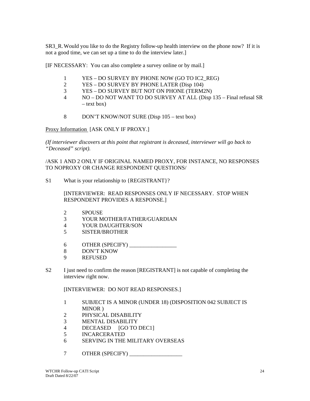SR3 R. Would you like to do the Registry follow-up health interview on the phone now? If it is not a good time, we can set up a time to do the interview later.]

[IF NECESSARY: You can also complete a survey online or by mail.]

- 1 YES DO SURVEY BY PHONE NOW (GO TO IC2\_REG)
- 2 YES DO SURVEY BY PHONE LATER (Disp 104)
- 3 YES DO SURVEY BUT NOT ON PHONE (TERM2N)
- 4 NO DO NOT WANT TO DO SURVEY AT ALL (Disp 135 Final refusal SR – text box)
- 8 DON'T KNOW/NOT SURE (Disp 105 text box)

Proxy Information [ASK ONLY IF PROXY.]

*(If interviewer discovers at this point that registrant is deceased, interviewer will go back to "Deceased" script).* 

/ASK 1 AND 2 ONLY IF ORIGINAL NAMED PROXY, FOR INSTANCE, NO RESPONSES TO NOPROXY OR CHANGE RESPONDENT QUESTIONS/

S1 What is your relationship to {REGISTRANT}?

 [INTERVIEWER: READ RESPONSES ONLY IF NECESSARY. STOP WHEN RESPONDENT PROVIDES A RESPONSE.]

- 2 SPOUSE
- 3 YOUR MOTHER/FATHER/GUARDIAN
- 4 YOUR DAUGHTER/SON
- 5 SISTER/BROTHER
- 6 OTHER (SPECIFY) \_\_\_\_\_\_\_\_\_\_\_\_\_\_\_\_\_
- 8 DON'T KNOW
- 9 REFUSED
- S2 I just need to confirm the reason [REGISTRANT] is not capable of completing the interview right now.

[INTERVIEWER: DO NOT READ RESPONSES.]

- 1 SUBJECT IS A MINOR (UNDER 18) (DISPOSITION 042 SUBJECT IS MINOR )
- 2 PHYSICAL DISABILITY
- 3 MENTAL DISABILITY
- 4 DECEASED [GO TO DEC1]
- 5 INCARCERATED
- 6 SERVING IN THE MILITARY OVERSEAS
- 7 OTHER (SPECIFY) \_\_\_\_\_\_\_\_\_\_\_\_\_\_\_\_\_\_\_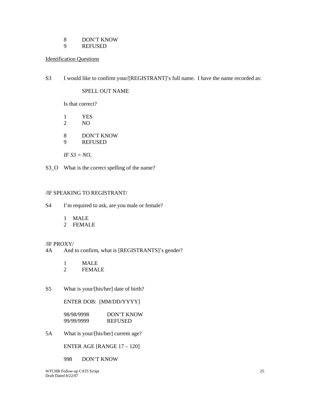8 DON'T KNOW<br>9 REFUSED

**REFUSED** 

# Identification Questions

S3 I would like to confirm your/[REGISTRANT]'s full name. I have the name recorded as:

# SPELL OUT NAME

Is that correct?

- 1 YES 2 NO 8 DON'T KNOW<br>9 REFUSED **REFUSED**  *IF S3 = NO,*
- S3\_O What is the correct spelling of the name?

# /IF SPEAKING TO REGISTRANT/

- S4 I'm required to ask, are you male or female?
	- 1 MALE
	- 2 FEMALE

# /IF PROXY/

- 4A And to confirm, what is [REGISTRANTS]'s gender?
	- 1 MALE
	- 2 FEMALE
- S5 What is your/[his/her] date of birth?

# ENTER DOB: [MM/DD/YYYY]

 98/98/9998 DON'T KNOW 99/99/9999 REFUSED

5A What is your/[his/her] current age?

ENTER AGE [RANGE 17 – 120]

998 DON'T KNOW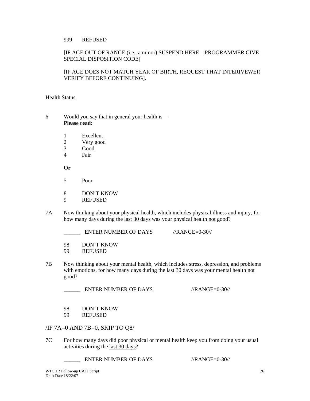# 999 REFUSED

# [IF AGE OUT OF RANGE (i.e., a minor) SUSPEND HERE – PROGRAMMER GIVE SPECIAL DISPOSITION CODE]

# [IF AGE DOES NOT MATCH YEAR OF BIRTH, REQUEST THAT INTERIVEWER VERIFY BEFORE CONTINUING].

# **Health Status**

- 6 Would you say that in general your health is—  **Please read:** 
	- 1 Excellent
	- 2 Very good
	- 3 Good
	- 4 Fair

**Or** 

- 5 Poor
- 8 DON'T KNOW
- 9 REFUSED
- 7A Now thinking about your physical health, which includes physical illness and injury, for how many days during the last 30 days was your physical health not good?

ENTER NUMBER OF DAYS //RANGE=0-30//

98 DON'T KNOW<br>99 REFUSED

- **REFUSED**
- 7B Now thinking about your mental health, which includes stress, depression, and problems with emotions, for how many days during the last 30 days was your mental health not good?

ENTER NUMBER OF DAYS //RANGE=0-30//

- 98 DON'T KNOW
- 99 REFUSED

/IF 7A=0 AND 7B=0, SKIP TO Q8/

7C For how many days did poor physical or mental health keep you from doing your usual activities during the last 30 days?

ENTER NUMBER OF DAYS //RANGE=0-30//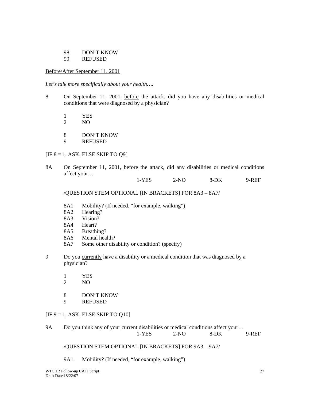#### 98 DON'T KNOW 99 REFUSED

### Before/After September 11, 2001

*Let's talk more specifically about your health….* 

- 8 On September 11, 2001, before the attack, did you have any disabilities or medical conditions that were diagnosed by a physician?
	- 1 YES
	- 2 NO
	- 8 DON'T KNOW
	- 9 REFUSED

 $[IF 8 = 1, ASK, ELSE SKIP TO Q9]$ 

- 8A On September 11, 2001, before the attack, did any disabilities or medical conditions affect your…
- 1-YES 2-NO 8-DK 9-REF

/QUESTION STEM OPTIONAL [IN BRACKETS] FOR 8A3 – 8A7/

- 8A1 Mobility? (If needed, "for example, walking")
- 8A2 Hearing?
- 8A3 Vision?
- 8A4 Heart?
- 8A5 Breathing?
- 8A6 Mental health?
- 8A7 Some other disability or condition? (specify)
- 9 Do you currently have a disability or a medical condition that was diagnosed by a physician?
	- 1 YES
	- 2 NO
	- 8 DON'T KNOW
	- 9 REFUSED

 $[IF 9 = 1, ASK, ELSE SKIP TO Q10]$ 

9A Do you think any of your current disabilities or medical conditions affect your... 1-YES 2-NO 8-DK 9-REF

/QUESTION STEM OPTIONAL [IN BRACKETS] FOR 9A3 – 9A7/

9A1 Mobility? (If needed, "for example, walking")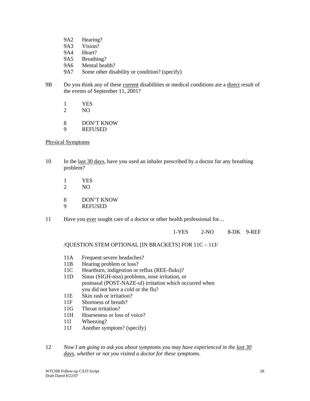- 9A2 Hearing? 9A3 Vision? 9A4 Heart? 9A5 Breathing? 9A6 Mental health? 9A7 Some other disability or condition? (specify)
- 9B Do you think any of these current disabilities or medical conditions are a direct result of the events of September 11, 2001?
	- 1 YES
	- 2 NO
	- 8 DON'T KNOW
	- 9 REFUSED

# Physical Symptoms

- 10 In the <u>last 30 days</u>, have you used an inhaler prescribed by a doctor for any breathing problem?
	- 1 YES<br>2 NO
	- NO<sub>1</sub>
	- 8 DON'T KNOW
	- 9 REFUSED
- 11 Have you ever sought care of a doctor or other health professional for...

1-YES 2-NO 8-DK 9-REF

/QUESTION STEM OPTIONAL [IN BRACKETS] FOR 11C – 11J/

- 11A Frequent severe headaches?
- 11B Hearing problem or loss?
- 11C Heartburn, indigestion or reflux (REE-fluks)?
- 11D Sinus (SIGH-niss) problems, nose irritation, or postnasal (POST-NAZE-ul) irritation which occurred when you did not have a cold or the flu?
- 11E Skin rash or irritation?
- 11F Shortness of breath?
- 11G Throat irritation?
- 11H Hoarseness or loss of voice?
- 11I Wheezing?
- 11J Another symptom? (specify)
- 12 *Now I am going to ask you about symptoms you may have experienced in the last 30 days, whether or not you visited a doctor for these symptoms.*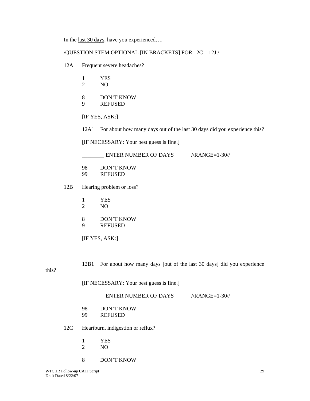In the last 30 days, have you experienced….

### /QUESTION STEM OPTIONAL [IN BRACKETS] FOR 12C – 12J./

- 12A Frequent severe headaches?
	- 1 YES
	- 2 NO
	- 8 DON'T KNOW
	- 9 REFUSED
	- [IF YES, ASK:]
	- 12A1 For about how many days out of the last 30 days did you experience this?

[IF NECESSARY: Your best guess is fine.]

\_\_\_\_\_\_\_\_ ENTER NUMBER OF DAYS //RANGE=1-30//

- 98 DON'T KNOW
- 99 REFUSED
- 12B Hearing problem or loss?
	- 1 YES 2 NO
	- 8 DON'T KNOW
	- 9 REFUSED
	- [IF YES, ASK:]

12B1 For about how many days [out of the last 30 days] did you experience

this?

[IF NECESSARY: Your best guess is fine.]

| <b>ENTER NUMBER OF DAYS</b> | $\frac{\text{N} - 30}{\text{N}}$ |
|-----------------------------|----------------------------------|
|                             |                                  |

- 98 DON'T KNOW
- 99 REFUSED

### 12C Heartburn, indigestion or reflux?

- 1 YES
- 2 NO
- 8 DON'T KNOW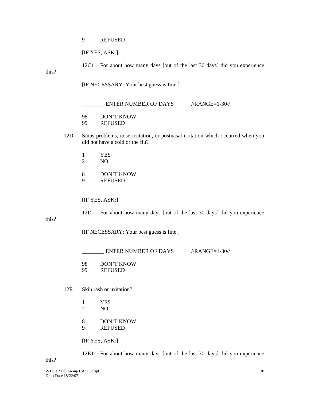9 REFUSED

[IF YES, ASK:]

 12C1 For about how many days [out of the last 30 days] did you experience this?

[IF NECESSARY: Your best guess is fine.]

| <b>ENTER NUMBER OF DAYS</b> | $\frac{\text{N} - 30}{\text{N}}$ |
|-----------------------------|----------------------------------|
|                             |                                  |

- 98 DON'T KNOW
- 99 REFUSED
- 12D Sinus problems, nose irritation, or postnasal irritation which occurred when you did not have a cold or the flu?
	- 1 YES
	- 2 NO
	- 8 DON'T KNOW 9 REFUSED

[IF YES, ASK:]

12D1 For about how many days [out of the last 30 days] did you experience

this?

[IF NECESSARY: Your best guess is fine.]

\_\_\_\_\_\_\_\_ ENTER NUMBER OF DAYS //RANGE=1-30//

98 DON'T KNOW

99 REFUSED

12E Skin rash or irritation?

- 1 YES
- 2 NO

8 DON'T KNOW

9 REFUSED

[IF YES, ASK:]

12E1 For about how many days [out of the last 30 days] did you experience

this?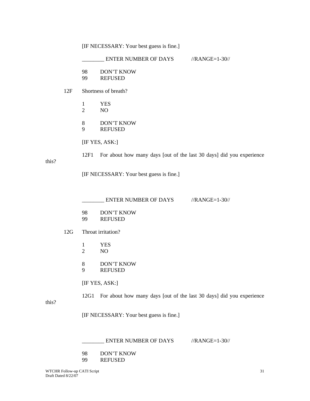[IF NECESSARY: Your best guess is fine.]

|       |     |                    | ENTER NUMBER OF DAYS //RANGE=1-30//                                  |                                  |  |  |  |
|-------|-----|--------------------|----------------------------------------------------------------------|----------------------------------|--|--|--|
|       |     | 98                 | <b>DON'T KNOW</b>                                                    |                                  |  |  |  |
|       |     | 99                 | <b>REFUSED</b>                                                       |                                  |  |  |  |
|       | 12F |                    | Shortness of breath?                                                 |                                  |  |  |  |
|       |     | 1                  | <b>YES</b>                                                           |                                  |  |  |  |
|       |     | $\overline{2}$     | NO                                                                   |                                  |  |  |  |
|       |     | 8                  | <b>DON'T KNOW</b>                                                    |                                  |  |  |  |
|       |     | 9                  | <b>REFUSED</b>                                                       |                                  |  |  |  |
|       |     |                    | [IF YES, ASK:]                                                       |                                  |  |  |  |
| this? |     | 12F1               | For about how many days [out of the last 30 days] did you experience |                                  |  |  |  |
|       |     |                    | [IF NECESSARY: Your best guess is fine.]                             |                                  |  |  |  |
|       |     |                    | ENTER NUMBER OF DAYS                                                 | $\frac{\text{N} - 30}{\text{N}}$ |  |  |  |
|       |     | 98<br>99           | <b>DON'T KNOW</b><br><b>REFUSED</b>                                  |                                  |  |  |  |
|       | 12G | Throat irritation? |                                                                      |                                  |  |  |  |
|       |     | $\mathbf{1}$       | <b>YES</b>                                                           |                                  |  |  |  |
|       |     | $\overline{2}$     | N <sub>O</sub>                                                       |                                  |  |  |  |
|       |     | 8                  | <b>DON'T KNOW</b>                                                    |                                  |  |  |  |
|       |     | 9                  | <b>REFUSED</b>                                                       |                                  |  |  |  |
|       |     |                    | [IF YES, ASK:]                                                       |                                  |  |  |  |
| this? |     | 12G1               | For about how many days [out of the last 30 days] did you experience |                                  |  |  |  |
|       |     |                    | [IF NECESSARY: Your best guess is fine.]                             |                                  |  |  |  |
|       |     |                    | <b>ENTER NUMBER OF DAYS</b>                                          | $//RANGE=1-30//$                 |  |  |  |

 98 DON'T KNOW 99 REFUSED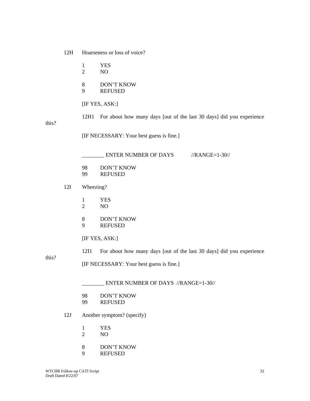12H Hoarseness or loss of voice?

- 1 YES 2 NO
- 
- 8 DON'T KNOW<br>9 REFUSED
- **REFUSED**

[IF YES, ASK:]

this?

this?

12H1 For about how many days [out of the last 30 days] did you experience

[IF NECESSARY: Your best guess is fine.]

|       |     |                     | ENTER NUMBER OF DAYS<br>$\frac{\text{N} - 30}{\text{N}}$             |  |  |
|-------|-----|---------------------|----------------------------------------------------------------------|--|--|
|       |     | 98<br>99            | <b>DON'T KNOW</b><br><b>REFUSED</b>                                  |  |  |
|       | 12I | Wheezing?           |                                                                      |  |  |
|       |     | 1<br>$\overline{2}$ | <b>YES</b><br>N <sub>O</sub>                                         |  |  |
|       |     | 8<br>9              | <b>DON'T KNOW</b><br><b>REFUSED</b>                                  |  |  |
|       |     |                     | [IF YES, ASK:]                                                       |  |  |
|       |     | 12I1                | For about how many days [out of the last 30 days] did you experience |  |  |
| this? |     |                     | [IF NECESSARY: Your best guess is fine.]                             |  |  |
|       |     |                     | ENTER NUMBER OF DAYS //RANGE=1-30//                                  |  |  |
|       |     | 98                  | <b>DON'T KNOW</b>                                                    |  |  |

- 99 REFUSED
- 12J Another symptom? (specify)
	- 1 YES<br>2 NO
	- NO
	- 8 DON'T KNOW
	- 9 REFUSED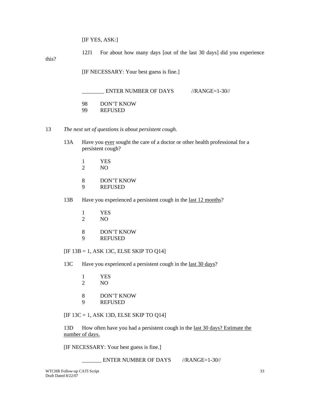12J1 For about how many days [out of the last 30 days] did you experience

this?

[IF NECESSARY: Your best guess is fine.]

- 98 DON'T KNOW
- 99 REFUSED
- 13 *The next set of questions is about persistent cough.*
	- 13A Have you ever sought the care of a doctor or other health professional for a persistent cough?
		- 1 YES
		- 2 NO
		- 8 DON'T KNOW<br>9 REFUSED
		- **REFUSED**
	- 13B Have you experienced a persistent cough in the last 12 months?
		- 1 YES
		- 2 NO
		- 8 DON'T KNOW
		- 9 REFUSED

[IF 13B = 1, ASK 13C, ELSE SKIP TO Q14]

13C Have you experienced a persistent cough in the last 30 days?

- 1 YES
- 2 NO
- 8 DON'T KNOW
- 9 REFUSED

[IF 13C = 1, ASK 13D, ELSE SKIP TO Q14]

13D How often have you had a persistent cough in the last 30 days? Estimate the number of days.

[IF NECESSARY: Your best guess is fine.]

ENTER NUMBER OF DAYS //RANGE=1-30//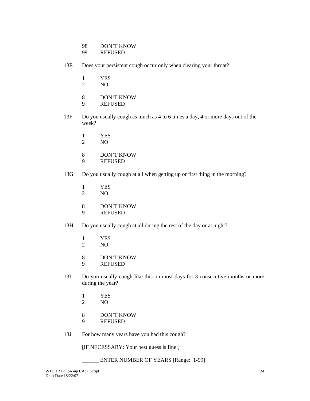- 98 DON'T KNOW
- 99 REFUSED
- 13E Does your persistent cough occur only when clearing your throat?
	- 1 YES
	- 2 NO
	- 8 DON'T KNOW<br>9 REFUSED
	- **REFUSED**
- 13F Do you usually cough as much as 4 to 6 times a day, 4 or more days out of the week?
	- $\frac{1}{2}$  YES
	- NO<sub>1</sub>
	- 8 DON'T KNOW
	- 9 REFUSED
- 13G Do you usually cough at all when getting up or first thing in the morning?
	- 1 YES<br>2 NO
	- NO<sub>1</sub>
	- 8 DON'T KNOW
	- 9 REFUSED
- 13H Do you usually cough at all during the rest of the day or at night?
	- 1 YES<br>2 NO
	- NO
	- 8 DON'T KNOW
	- 9 REFUSED
- 13I Do you usually cough like this on most days for 3 consecutive months or more during the year?
	- 1 YES
	- 2 NO
	- 8 DON'T KNOW
	- 9 REFUSED
- 13J For how many years have you had this cough?

[IF NECESSARY: Your best guess is fine.]

ENTER NUMBER OF YEARS [Range: 1-99]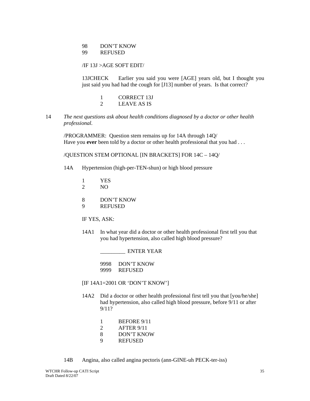#### 98 DON'T KNOW 99 REFUSED

/IF 13J >AGE SOFT EDIT/

 13JCHECK Earlier you said you were [AGE] years old, but I thought you just said you had had the cough for [J13] number of years. Is that correct?

- 1 CORRECT 13J<br>2 LEAVE AS IS
- LEAVE AS IS
- 14 *The next questions ask about health conditions diagnosed by a doctor or other health professional.*

 /PROGRAMMER: Question stem remains up for 14A through 14Q/ Have you **ever** been told by a doctor or other health professional that you had ...

/QUESTION STEM OPTIONAL [IN BRACKETS] FOR 14C – 14Q/

- 14A Hypertension (high-per-TEN-shun) or high blood pressure
	- 1 YES<br>2 NO
	- NO<sub>1</sub>
	- 8 DON'T KNOW
	- 9 REFUSED

IF YES, ASK:

14A1 In what year did a doctor or other health professional first tell you that you had hypertension, also called high blood pressure?

\_\_\_\_\_\_\_\_\_ ENTER YEAR

 9998 DON'T KNOW 9999 REFUSED

- [IF 14A1=2001 OR 'DON'T KNOW']
- 14A2 Did a doctor or other health professional first tell you that [you/he/she] had hypertension, also called high blood pressure, before 9/11 or after 9/11?
	- 1 BEFORE 9/11
	- 2 AFTER 9/11
	- 8 DON'T KNOW
	- 9 REFUSED

14B Angina, also called angina pectoris (ann-GINE-uh PECK-ter-iss)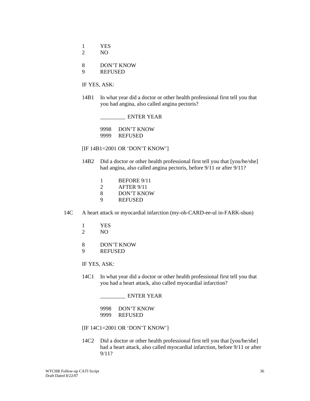- 1 YES
- 2 NO
- 8 DON'T KNOW
- 9 REFUSED

14B1 In what year did a doctor or other health professional first tell you that you had angina, also called angina pectoris?

\_\_\_\_\_\_\_\_\_ ENTER YEAR

 9998 DON'T KNOW 9999 REFUSED

- [IF 14B1=2001 OR 'DON'T KNOW']
- 14B2 Did a doctor or other health professional first tell you that [you/he/she] had angina, also called angina pectoris, before 9/11 or after 9/11?
	- 1 BEFORE 9/11
	- 2 AFTER 9/11
	- 8 DON'T KNOW
	- 9 REFUSED
- 14C A heart attack or myocardial infarction (my-oh-CARD-ee-ul in-FARK-shun)
	- 1 YES
	- 2 NO
	- 8 DON'T KNOW
	- 9 REFUSED

IF YES, ASK:

14C1 In what year did a doctor or other health professional first tell you that you had a heart attack, also called myocardial infarction?

\_\_\_\_\_\_\_\_\_ ENTER YEAR

 9998 DON'T KNOW 9999 REFUSED

- [IF 14C1=2001 OR 'DON'T KNOW']
- 14C2 Did a doctor or other health professional first tell you that [you/he/she] had a heart attack, also called myocardial infarction, before 9/11 or after 9/11?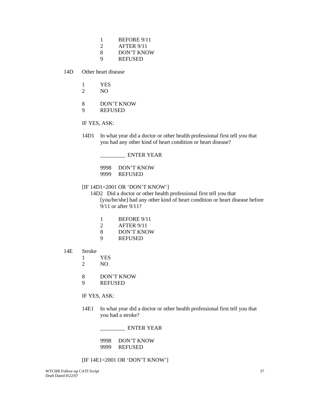- 1 BEFORE 9/11
- 2 AFTER 9/11
- 8 DON'T KNOW
- 9 REFUSED
- 14D Other heart disease
	- 1 YES
	- 2 NO
	- 8 DON'T KNOW
	- 9 REFUSED

14D1 In what year did a doctor or other health professional first tell you that you had any other kind of heart condition or heart disease?

\_\_\_\_\_\_\_\_\_ ENTER YEAR

 9998 DON'T KNOW 9999 REFUSED

[IF 14D1=2001 OR 'DON'T KNOW']

 14D2 Did a doctor or other health professional first tell you that [you/he/she] had any other kind of heart condition or heart disease before 9/11 or after 9/11?

- 1 BEFORE 9/11
- 2 AFTER 9/11
- 8 DON'T KNOW
- 9 REFUSED
- 14E Stroke
	- 1 YES
	- 2 NO
	- 8 DON'T KNOW
	- 9 REFUSED

IF YES, ASK:

14E1 In what year did a doctor or other health professional first tell you that you had a stroke?

\_\_\_\_\_\_\_\_\_ ENTER YEAR

 9998 DON'T KNOW 9999 REFUSED

[IF 14E1=2001 OR 'DON'T KNOW']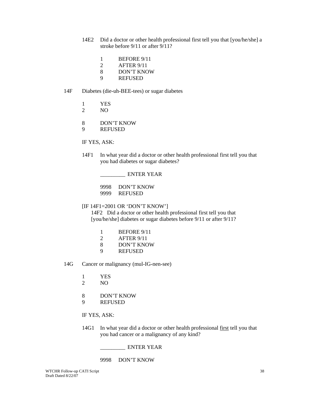- 14E2 Did a doctor or other health professional first tell you that [you/he/she] a stroke before 9/11 or after 9/11?
	- 1 BEFORE 9/11
	- 2 AFTER 9/11
	- 8 DON'T KNOW
	- 9 REFUSED
- 14F Diabetes (die-uh-BEE-tees) or sugar diabetes
	- 1 YES
	- 2 NO
	- 8 DON'T KNOW
	- 9 REFUSED

14F1 In what year did a doctor or other health professional first tell you that you had diabetes or sugar diabetes?

\_\_\_\_\_\_\_\_\_ ENTER YEAR

 9998 DON'T KNOW 9999 REFUSED

#### [IF 14F1=2001 OR 'DON'T KNOW']

 14F2 Did a doctor or other health professional first tell you that [you/he/she] diabetes or sugar diabetes before 9/11 or after 9/11?

- 1 BEFORE 9/11
- 2 AFTER 9/11
- 8 DON'T KNOW
- 9 REFUSED
- 14G Cancer or malignancy (mul-IG-nen-see)
	- 1 YES
	- 2 NO
	- 8 DON'T KNOW
	- 9 REFUSED

# IF YES, ASK:

14G1 In what year did a doctor or other health professional first tell you that you had cancer or a malignancy of any kind?

\_\_\_\_\_\_\_\_\_ ENTER YEAR

9998 DON'T KNOW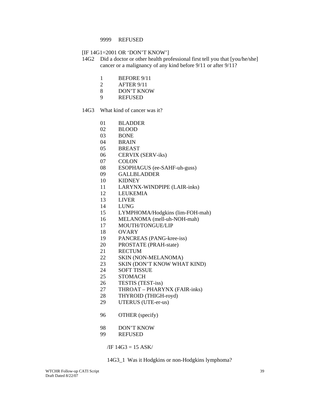#### 9999 REFUSED

#### [IF 14G1=2001 OR 'DON'T KNOW']

- 14G2 Did a doctor or other health professional first tell you that [you/he/she] cancer or a malignancy of any kind before 9/11 or after 9/11?
	- 1 BEFORE 9/11
	- 2 AFTER 9/11
	- 8 DON'T KNOW
	- 9 REFUSED
- 14G3 What kind of cancer was it?
	- 01 BLADDER
	- 02 BLOOD
	- 03 BONE
	- 04 BRAIN
	- 05 BREAST
	- 06 CERVIX (SERV-iks)
	- 07 COLON
	- 08 ESOPHAGUS (ee-SAHF-uh-guss)
	- 09 GALLBLADDER
	- 10 KIDNEY
	- 11 LARYNX-WINDPIPE (LAIR-inks)
	- 12 LEUKEMIA
	- 13 LIVER
	- 14 LUNG
	- 15 LYMPHOMA/Hodgkins (lim-FOH-mah)
	- 16 MELANOMA (mell-uh-NOH-mah)
	- 17 MOUTH/TONGUE/LIP
	- 18 OVARY
	- 19 PANCREAS (PANG-kree-iss)
	- 20 PROSTATE (PRAH-state)
	- 21 RECTUM
	- 22 SKIN (NON-MELANOMA)
	- 23 SKIN (DON'T KNOW WHAT KIND)
	- 24 SOFT TISSUE
	- 25 STOMACH
	- 26 TESTIS (TEST-iss)
	- 27 THROAT PHARYNX (FAIR-inks)
	- 28 THYROID (THIGH-royd)
	- 29 UTERUS (UTE-er-us)
	- 96 OTHER (specify)
	- 98 DON'T KNOW
	- 99 REFUSED

 $\overline{A}$  /IF 14G3 = 15 ASK/

14G3\_1 Was it Hodgkins or non-Hodgkins lymphoma?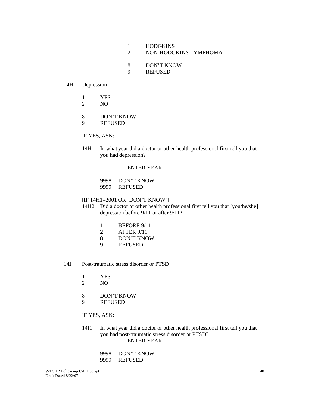- 1 HODGKINS
- 2 NON-HODGKINS LYMPHOMA
- 8 DON'T KNOW
- 9 REFUSED

#### 14H Depression

- 1 YES
- 2 NO
- 8 DON'T KNOW
- 9 REFUSED

IF YES, ASK:

14H1 In what year did a doctor or other health professional first tell you that you had depression?

\_\_\_\_\_\_\_\_\_ ENTER YEAR

9998 DON'T KNOW<br>9999 REFUSED **REFUSED** 

#### [IF 14H1=2001 OR 'DON'T KNOW']

- 14H2 Did a doctor or other health professional first tell you that [you/he/she] depression before 9/11 or after 9/11?
	- 1 BEFORE 9/11
	- 2 AFTER 9/11
	- 8 DON'T KNOW
	- 9 REFUSED
- 14I Post-traumatic stress disorder or PTSD
	- 1 YES
	- 2 NO
	- 8 DON'T KNOW
	- 9 REFUSED

# IF YES, ASK:

14I1 In what year did a doctor or other health professional first tell you that you had post-traumatic stress disorder or PTSD? ENTER YEAR

| 9998 DON'T KNOW |
|-----------------|
| 9999 REFUSED    |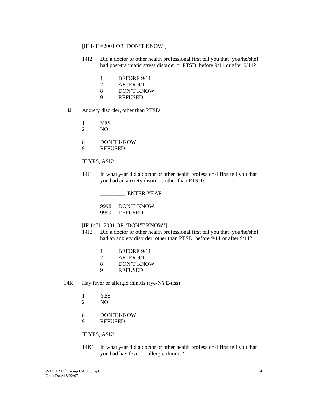### [IF 14I1=2001 OR 'DON'T KNOW']

- 14I2 Did a doctor or other health professional first tell you that [you/he/she] had post-traumatic stress disorder or PTSD, before 9/11 or after 9/11?
	- 1 BEFORE 9/11
	- 2 AFTER 9/11
	- 8 DON'T KNOW
	- 9 REFUSED
- 14J Anxiety disorder, other than PTSD
	- 1 YES
	- 2 NO
	- 8 DON'T KNOW
	- 9 REFUSED

IF YES, ASK:

14J1 In what year did a doctor or other health professional first tell you that you had an anxiety disorder, other than PTSD?

\_\_\_\_\_\_\_\_\_ ENTER YEAR

 9998 DON'T KNOW 9999 REFUSED

- [IF 14J1=2001 OR 'DON'T KNOW']
- 14J2 Did a doctor or other health professional first tell you that [you/he/she] had an anxiety disorder, other than PTSD, before 9/11 or after 9/11?
	- 1 BEFORE 9/11
	- 2 AFTER 9/11
	- 8 DON'T KNOW
	- 9 REFUSED
- 14K Hay fever or allergic rhinitis (rye-NYE-tiss)
	- 1 YES
	- 2 NO
	- 8 DON'T KNOW
	- 9 REFUSED

# IF YES, ASK:

14K1 In what year did a doctor or other health professional first tell you that you had hay fever or allergic rhinitis?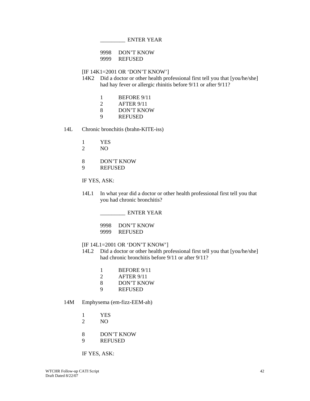\_\_\_\_\_\_\_\_\_ ENTER YEAR

 9998 DON'T KNOW 9999 REFUSED

[IF 14K1=2001 OR 'DON'T KNOW']

- 14K2 Did a doctor or other health professional first tell you that [you/he/she] had hay fever or allergic rhinitis before 9/11 or after 9/11?
	- 1 BEFORE 9/11<br>2 AFTER 9/11
	- 2 AFTER 9/11
	- 8 DON'T KNOW
	- 9 REFUSED
- 14L Chronic bronchitis (brahn-KITE-iss)
	- 1 YES
	- 2 NO
	- 8 DON'T KNOW
	- 9 REFUSED
	- IF YES, ASK:
	- 14L1 In what year did a doctor or other health professional first tell you that you had chronic bronchitis?

\_\_\_\_\_\_\_\_\_ ENTER YEAR

 9998 DON'T KNOW 9999 REFUSED

- [IF 14L1=2001 OR 'DON'T KNOW']
- 14L2 Did a doctor or other health professional first tell you that [you/he/she] had chronic bronchitis before 9/11 or after 9/11?
	- 1 BEFORE 9/11
	- 2 AFTER 9/11
	- 8 DON'T KNOW
	- 9 REFUSED
- 14M Emphysema (em-fizz-EEM-ah)
	- 1 YES
	- 2 NO
	- 8 DON'T KNOW
	- 9 REFUSED

IF YES, ASK: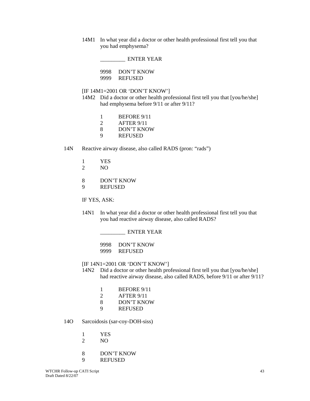14M1 In what year did a doctor or other health professional first tell you that you had emphysema?

\_\_\_\_\_\_\_\_\_ ENTER YEAR

 9998 DON'T KNOW 9999 REFUSED

[IF 14M1=2001 OR 'DON'T KNOW']

- 14M2 Did a doctor or other health professional first tell you that [you/he/she] had emphysema before 9/11 or after 9/11?
	- 1 BEFORE 9/11
	- 2 AFTER 9/11
	- 8 DON'T KNOW
	- 9 REFUSED
- 14N Reactive airway disease, also called RADS (pron: "rads")
	- 1 YES
	- 2 NO
	- 8 DON'T KNOW
	- 9 REFUSED

IF YES, ASK:

- 14N1 In what year did a doctor or other health professional first tell you that you had reactive airway disease, also called RADS?
	- \_\_\_\_\_\_\_\_\_ ENTER YEAR

 9998 DON'T KNOW 9999 REFUSED

- [IF 14N1=2001 OR 'DON'T KNOW']
- 14N2 Did a doctor or other health professional first tell you that [you/he/she] had reactive airway disease, also called RADS, before 9/11 or after 9/11?
	- 1 BEFORE 9/11
	- 2 AFTER 9/11
	- 8 DON'T KNOW
	- 9 REFUSED
- 14O Sarcoidosis (sar-coy-DOH-siss)
	- 1 YES<br>2 NO
	- NO
	- 8 DON'T KNOW
	- 9 REFUSED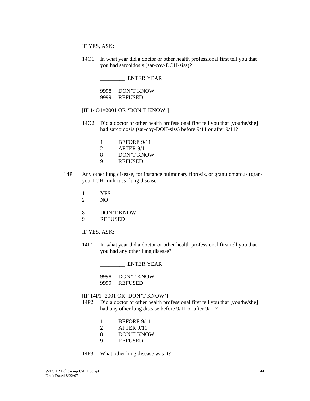14O1 In what year did a doctor or other health professional first tell you that you had sarcoidosis (sar-coy-DOH-siss)?

 \_\_\_\_\_\_\_\_\_ ENTER YEAR 9998 DON'T KNOW 9999 REFUSED

- [IF 14O1=2001 OR 'DON'T KNOW']
- 14O2 Did a doctor or other health professional first tell you that [you/he/she] had sarcoidosis (sar-coy-DOH-siss) before 9/11 or after 9/11?
	- 1 BEFORE 9/11
	- 2 AFTER 9/11
	- 8 DON'T KNOW
	- 9 REFUSED
- 14P Any other lung disease, for instance pulmonary fibrosis, or granulomatous (granyou-LOH-muh-tuss) lung disease
	- 1 YES
	- 2 NO
	- 8 DON'T KNOW
	- 9 REFUSED

IF YES, ASK:

14P1 In what year did a doctor or other health professional first tell you that you had any other lung disease?

\_\_\_\_\_\_\_\_\_ ENTER YEAR

 9998 DON'T KNOW 9999 REFUSED

[IF 14P1=2001 OR 'DON'T KNOW']

- 14P2 Did a doctor or other health professional first tell you that [you/he/she] had any other lung disease before 9/11 or after 9/11?
	- 1 BEFORE 9/11
	- 2 AFTER 9/11
	- 8 DON'T KNOW
	- 9 REFUSED
- 14P3 What other lung disease was it?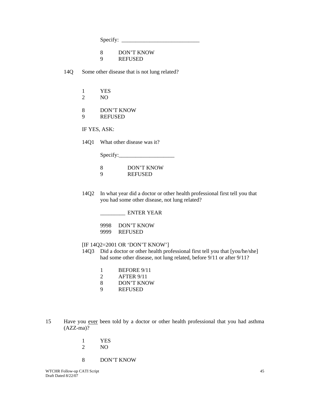Specify: \_\_\_\_\_\_\_\_\_\_\_\_\_\_\_\_\_\_\_\_\_\_\_\_\_\_\_\_

 8 DON'T KNOW 9 REFUSED

14Q Some other disease that is not lung related?

 1 YES 2 NO

 8 DON'T KNOW 9 REFUSED

IF YES, ASK:

14Q1 What other disease was it?

Specify:\_\_\_\_\_\_\_\_\_\_\_\_\_\_\_\_\_\_\_\_

| DON'T KNOW     |
|----------------|
| <b>REFUSED</b> |

14Q2 In what year did a doctor or other health professional first tell you that you had some other disease, not lung related?

\_\_\_\_\_\_\_\_\_ ENTER YEAR

 9998 DON'T KNOW 9999 REFUSED

#### [IF 14Q2=2001 OR 'DON'T KNOW']

- 14Q3 Did a doctor or other health professional first tell you that [you/he/she] had some other disease, not lung related, before 9/11 or after 9/11?
	- 1 BEFORE 9/11
	- 2 AFTER 9/11
	- 8 DON'T KNOW
	- 9 REFUSED
- 15 Have you ever been told by a doctor or other health professional that you had asthma (AZZ-ma)?
	- 1 YES 2 NO
	-
	- 8 DON'T KNOW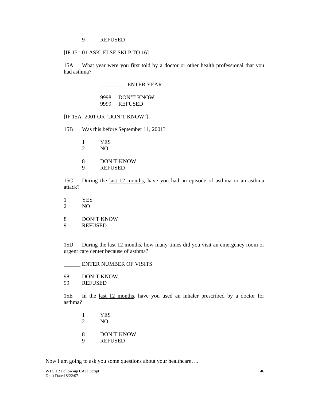#### 9 REFUSED

[IF 15= 01 ASK, ELSE SKI P TO 16]

 15A What year were you first told by a doctor or other health professional that you had asthma?

### \_\_\_\_\_\_\_\_\_ ENTER YEAR

### 9998 DON'T KNOW 9999 REFUSED

[IF 15A=2001 OR 'DON'T KNOW']

15B Was this before September 11, 2001?

- 1 YES
- 2 NO
- 8 DON'T KNOW
- 9 REFUSED

 15C During the last 12 months, have you had an episode of asthma or an asthma attack?

- 1 YES
- 2 NO
- 8 DON'T KNOW
- 9 REFUSED

15D During the <u>last 12 months</u>, how many times did you visit an emergency room or urgent care center because of asthma?

\_\_\_\_\_\_ ENTER NUMBER OF VISITS

- 98 DON'T KNOW
- 99 REFUSED

 15E In the last 12 months, have you used an inhaler prescribed by a doctor for asthma?

- 1 YES
- 2 NO
- 8 DON'T KNOW
- 9 REFUSED

Now I am going to ask you some questions about your healthcare….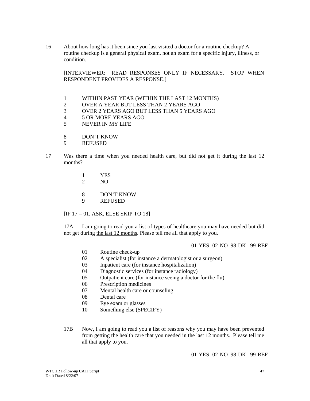16 About how long has it been since you last visited a doctor for a routine checkup? A routine checkup is a general physical exam, not an exam for a specific injury, illness, or condition.

[INTERVIEWER: READ RESPONSES ONLY IF NECESSARY. STOP WHEN RESPONDENT PROVIDES A RESPONSE.]

- 1 WITHIN PAST YEAR (WITHIN THE LAST 12 MONTHS)
- 2 OVER A YEAR BUT LESS THAN 2 YEARS AGO
- 3 OVER 2 YEARS AGO BUT LESS THAN 5 YEARS AGO
- 4 5 OR MORE YEARS AGO
- 5 NEVER IN MY LIFE
- 8 DON'T KNOW
- 9 REFUSED
- 17 Was there a time when you needed health care, but did not get it during the last 12 months?
	- 1 YES<br>2 NO
	- NO
	- 8 DON'T KNOW
	- 9 REFUSED

#### $[IF 17 = 01, ASK, ELSE SKIP TO 18]$

 17A I am going to read you a list of types of healthcare you may have needed but did not get during the last 12 months. Please tell me all that apply to you.

01-YES 02-NO 98-DK 99-REF

- 01 Routine check-up
- 02 A specialist (for instance a dermatologist or a surgeon)
- 03 Inpatient care (for instance hospitalization)
- 04 Diagnostic services (for instance radiology)
- 05 Outpatient care (for instance seeing a doctor for the flu)
- 06 Prescription medicines
- 07 Mental health care or counseling
- 08 Dental care
- 09 Eye exam or glasses
- 10 Something else (SPECIFY)
- 17B Now, I am going to read you a list of reasons why you may have been prevented from getting the health care that you needed in the last 12 months. Please tell me all that apply to you.

01-YES 02-NO 98-DK 99-REF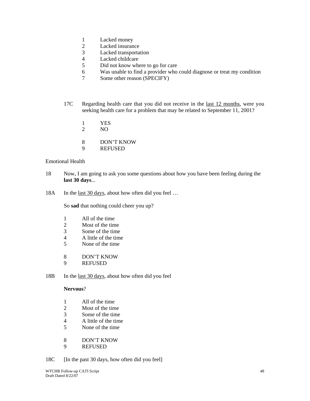- 1 Lacked money
- 2 Lacked insurance
- 3 Lacked transportation
- 4 Lacked childcare
- 5 Did not know where to go for care
- 6 Was unable to find a provider who could diagnose or treat my condition
- 7 Some other reason (SPECIFY)
- 17C Regarding health care that you did not receive in the last 12 months, were you seeking health care for a problem that may be related to September 11, 2001?
	- 1 YES
	- 2 NO
	- 8 DON'T KNOW
	- 9 REFUSED

### Emotional Health

- 18 Now, I am going to ask you some questions about how you have been feeling during the **last 30 days**...
- 18A In the <u>last 30 days</u>, about how often did you feel ...

So **sad** that nothing could cheer you up?

- 1 All of the time
- 2 Most of the time
- 3 Some of the time
- 4 A little of the time
- 5 None of the time
- 8 DON'T KNOW
- 9 REFUSED
- 18B In the <u>last 30 days</u>, about how often did you feel

#### **Nervous**?

- 1 All of the time
- 2 Most of the time
- 3 Some of the time
- 4 A little of the time
- 5 None of the time
- 8 DON'T KNOW
- 9 REFUSED
- 18C [In the past 30 days, how often did you feel]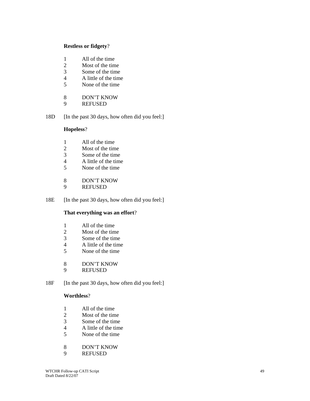### **Restless or fidgety**?

- 1 All of the time
- 2 Most of the time
- 3 Some of the time
- 4 A little of the time
- 5 None of the time
- 8 DON'T KNOW<br>9 REFUSED
- **REFUSED**
- 18D [In the past 30 days, how often did you feel:]

# **Hopeless**?

- 1 All of the time<br>2 Most of the time
- 2 Most of the time<br>3 Some of the time
- 3 Some of the time
- 4 A little of the time
- 5 None of the time
- 8 DON'T KNOW<br>9 REFUSED
- **REFUSED**
- 18E [In the past 30 days, how often did you feel:]

# **That everything was an effort**?

- 1 All of the time
- 2 Most of the time
- 3 Some of the time
- 4 A little of the time<br>5 None of the time
- None of the time
- 8 DON'T KNOW
- 9 REFUSED
- 18F [In the past 30 days, how often did you feel:]

# **Worthless**?

- 1 All of the time
- 2 Most of the time
- 3 Some of the time
- 4 A little of the time<br>5 None of the time
- 5 None of the time
- 8 DON'T KNOW
- 9 REFUSED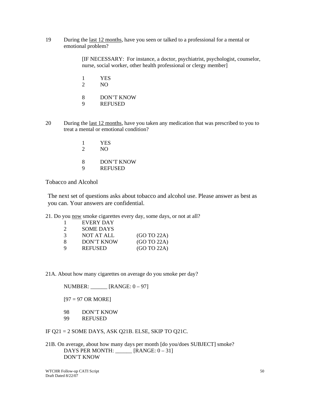19 During the last 12 months, have you seen or talked to a professional for a mental or emotional problem?

> [IF NECESSARY: For instance, a doctor, psychiatrist, psychologist, counselor, nurse, social worker, other health professional or clergy member]

- 1 YES
- 2 NO
- 8 DON'T KNOW
- 9 REFUSED
- 20 During the last 12 months, have you taken any medication that was prescribed to you to treat a mental or emotional condition?
	- 1 YES
	- 2 NO
	- 8 DON'T KNOW
	- 9 REFUSED

Tobacco and Alcohol

The next set of questions asks about tobacco and alcohol use. Please answer as best as you can. Your answers are confidential.

21. Do you now smoke cigarettes every day, some days, or not at all?

|                             | EVERY DAY        |             |
|-----------------------------|------------------|-------------|
| $\mathcal{D}_{\mathcal{L}}$ | <b>SOME DAYS</b> |             |
| 3                           | NOT AT ALL       | (GO TO 22A) |
| 8                           | DON'T KNOW       | (GO TO 22A) |
| 9                           | <b>REFUSED</b>   | (GO TO 22A) |

21A. About how many cigarettes on average do you smoke per day?

NUMBER: \_\_\_\_\_\_ [RANGE: 0 – 97]

 $[97 = 97 \text{ OR MORE}]$ 

- 98 DON'T KNOW
- 99 REFUSED

IF Q21 = 2 SOME DAYS, ASK Q21B. ELSE, SKIP TO Q21C.

21B. On average, about how many days per month [do you/does SUBJECT] smoke? DAYS PER MONTH: \_\_\_\_\_\_ [RANGE: 0 – 31] DON'T KNOW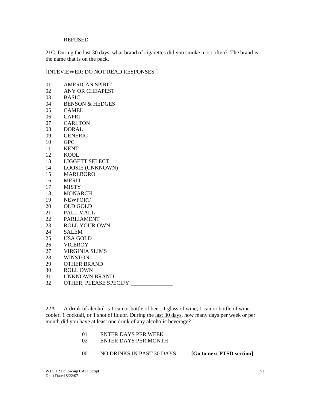#### REFUSED

21C. During the last 30 days, what brand of cigarettes did you smoke most often? The brand is the name that is on the pack.

[INTEVIEWER: DO NOT READ RESPONSES.]

| 01 | <b>AMERICAN SPIRIT</b>     |
|----|----------------------------|
| 02 | <b>ANY OR CHEAPEST</b>     |
| 03 | <b>BASIC</b>               |
| 04 | <b>BENSON &amp; HEDGES</b> |
| 05 | <b>CAMEL</b>               |
| 06 | <b>CAPRI</b>               |
| 07 | <b>CARLTON</b>             |
| 08 | <b>DORAL</b>               |
| 09 | <b>GENERIC</b>             |
| 10 | <b>GPC</b>                 |
| 11 | <b>KENT</b>                |
| 12 | <b>KOOL</b>                |
| 13 | <b>LIGGETT SELECT</b>      |
| 14 | <b>LOOSIE (UNKNOWN)</b>    |
| 15 | <b>MARLBORO</b>            |
| 16 | <b>MERIT</b>               |
| 17 | <b>MISTY</b>               |
| 18 | <b>MONARCH</b>             |
| 19 | <b>NEWPORT</b>             |
| 20 | <b>OLD GOLD</b>            |
| 21 | <b>PALL MALL</b>           |
| 22 | <b>PARLIAMENT</b>          |
| 23 | <b>ROLL YOUR OWN</b>       |
| 24 | <b>SALEM</b>               |
| 25 | <b>USA GOLD</b>            |
| 26 | <b>VICEROY</b>             |
| 27 | <b>VIRGINIA SLIMS</b>      |
| 28 | <b>WINSTON</b>             |
| 29 | <b>OTHER BRAND</b>         |
| 30 | <b>ROLL OWN</b>            |
| 31 | <b>UNKNOWN BRAND</b>       |
| 32 | OTHER, PLEASE SPECIFY:     |
|    |                            |

22A A drink of alcohol is 1 can or bottle of beer, 1 glass of wine, 1 can or bottle of wine cooler, 1 cocktail, or 1 shot of liquor. During the last 30 days, how many days per week or per month did you have at least one drink of any alcoholic beverage?

| <b>ENTER DAYS PER WEEK</b> |  |
|----------------------------|--|
|                            |  |

- 02 ENTER DAYS PER MONTH
	- 00 NO DRINKS IN PAST 30 DAYS **[Go to next PTSD section]**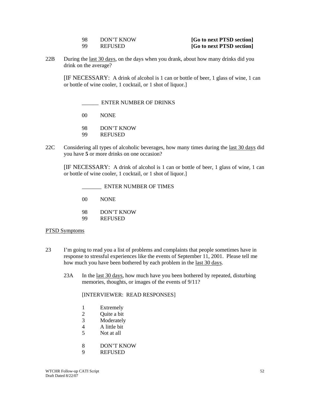| 98 | DON'T KNOW     |
|----|----------------|
| 99 | <b>REFUSED</b> |

#### [Go to next PTSD section] [Go to next PTSD section]

22B During the last 30 days, on the days when you drank, about how many drinks did you drink on the average?

[IF NECESSARY: A drink of alcohol is 1 can or bottle of beer, 1 glass of wine, 1 can or bottle of wine cooler, 1 cocktail, or 1 shot of liquor.]

\_\_\_\_\_\_ ENTER NUMBER OF DRINKS

00 NONE

- 98 DON'T KNOW
- 99 REFUSED
- 22C Considering all types of alcoholic beverages, how many times during the last 30 days did you have **5** or more drinks on one occasion?

[IF NECESSARY: A drink of alcohol is 1 can or bottle of beer, 1 glass of wine, 1 can or bottle of wine cooler, 1 cocktail, or 1 shot of liquor.]

- \_\_\_\_\_\_\_ ENTER NUMBER OF TIMES
- 00 NONE
- 98 DON'T KNOW
- 99 REFUSED

#### PTSD Symptoms

- 23 I'm going to read you a list of problems and complaints that people sometimes have in response to stressful experiences like the events of September 11, 2001. Please tell me how much you have been bothered by each problem in the last 30 days.
	- 23A In the last 30 days, how much have you been bothered by repeated, disturbing memories, thoughts, or images of the events of 9/11?

[INTERVIEWER: READ RESPONSES]

- 1 Extremely
- 2 Quite a bit
- 3 Moderately
- 4 A little bit
- 5 Not at all
- 8 DON'T KNOW
- 9 REFUSED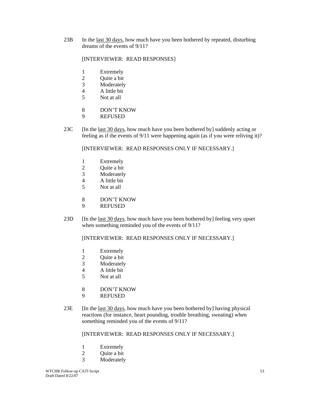23B In the last 30 days, how much have you been bothered by repeated, disturbing dreams of the events of 9/11?

### [INTERVIEWER: READ RESPONSES]

- 1 Extremely
- 2 Quite a bit
- 3 Moderately
- 4 A little bit
- 5 Not at all
- 8 DON'T KNOW
- 9 REFUSED
- 23C [In the last 30 days, how much have you been bothered by] suddenly acting or feeling as if the events of 9/11 were happening again (as if you were reliving it)?

#### [INTERVIEWER: READ RESPONSES ONLY IF NECESSARY.]

- 1 Extremely
- 2 Quite a bit
- 3 Moderately
- 4 A little bit<br>5 Not at all
- Not at all
- 8 DON'T KNOW
- 9 REFUSED
- 23D [In the last 30 days, how much have you been bothered by] feeling very upset when something reminded you of the events of 9/11?

# [INTERVIEWER: READ RESPONSES ONLY IF NECESSARY.]

- 1 Extremely
- 2 Ouite a bit
- 3 Moderately
- 4 A little bit<br>5 Not at all
- Not at all
- 8 DON'T KNOW
- 9 REFUSED
- $23E$  [In the <u>last 30 days</u>, how much have you been bothered by] having physical reactions (for instance, heart pounding, trouble breathing, sweating) when something reminded you of the events of 9/11?

#### [INTERVIEWER: READ RESPONSES ONLY IF NECESSARY.]

- 1 Extremely
- 2 Ouite a bit
- 3 Moderately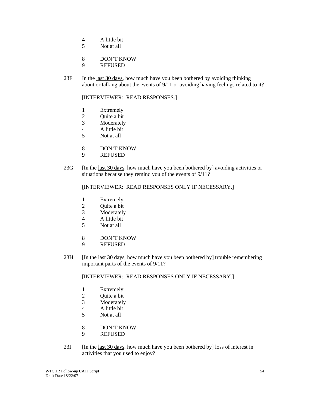- 4 A little bit
- 5 Not at all
- 8 DON'T KNOW
- 9 REFUSED
- 23F In the last 30 days, how much have you been bothered by avoiding thinking about or talking about the events of 9/11 or avoiding having feelings related to it?

[INTERVIEWER: READ RESPONSES.]

- 1 Extremely
- 2 Quite a bit
- 3 Moderately
- 4 A little bit
- 5 Not at all
- 8 DON'T KNOW
- 9 REFUSED
- 23G [In the last 30 days, how much have you been bothered by] avoiding activities or situations because they remind you of the events of 9/11?

[INTERVIEWER: READ RESPONSES ONLY IF NECESSARY.]

- 1 Extremely
- 2 Quite a bit
- 3 Moderately
- 4 A little bit
- 5 Not at all
- 8 DON'T KNOW
- 9 REFUSED
- 23H [In the last 30 days, how much have you been bothered by] trouble remembering important parts of the events of 9/11?

[INTERVIEWER: READ RESPONSES ONLY IF NECESSARY.]

- 1 Extremely
- 2 Quite a bit
- 3 Moderately
- 4 A little bit<br>5 Not at all
- Not at all
- 8 DON'T KNOW
- 9 REFUSED
- 23I [In the last 30 days, how much have you been bothered by] loss of interest in activities that you used to enjoy?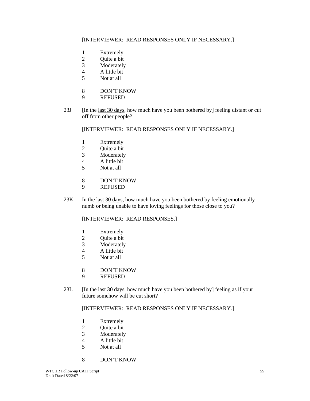## [INTERVIEWER: READ RESPONSES ONLY IF NECESSARY.]

- 1 Extremely<br>2 Ouite a bit
- Quite a bit
- 3 Moderately
- 4 A little bit
- 5 Not at all
- 8 DON'T KNOW
- 9 REFUSED
- 23J [In the last 30 days, how much have you been bothered by] feeling distant or cut off from other people?

[INTERVIEWER: READ RESPONSES ONLY IF NECESSARY.]

- 1 Extremely
- 2 Quite a bit
- 3 Moderately
- 4 A little bit
- 5 Not at all
- 8 DON'T KNOW<br>9 REFUSED
- **REFUSED**
- 23K In the <u>last 30 days</u>, how much have you been bothered by feeling emotionally numb or being unable to have loving feelings for those close to you?

[INTERVIEWER: READ RESPONSES.]

- 1 Extremely
- 2 Quite a bit
- 3 Moderately
- 4 A little bit
- 5 Not at all
- 8 DON'T KNOW
- 9 REFUSED
- 23L [In the <u>last 30 days</u>, how much have you been bothered by] feeling as if your future somehow will be cut short?

#### [INTERVIEWER: READ RESPONSES ONLY IF NECESSARY.]

- 1 Extremely
- 2 Quite a bit
- 3 Moderately
- 4 A little bit
- 5 Not at all
- 8 DON'T KNOW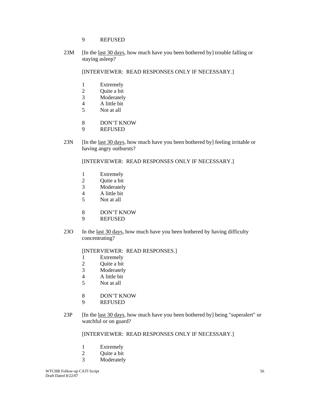## 9 REFUSED

23M [In the <u>last 30 days</u>, how much have you been bothered by] trouble falling or staying asleep?

[INTERVIEWER: READ RESPONSES ONLY IF NECESSARY.]

- 1 Extremely
- 2 Quite a bit
- 3 Moderately
- 4 A little bit
- 5 Not at all
- 8 DON'T KNOW
- 9 REFUSED
- 23N [In the <u>last 30 days</u>, how much have you been bothered by] feeling irritable or having angry outbursts?

[INTERVIEWER: READ RESPONSES ONLY IF NECESSARY.]

- 1 Extremely
- 2 Quite a bit<br>3 Moderately
- **Moderately**
- 4 A little bit
- 5 Not at all
- 8 DON'T KNOW
- 9 REFUSED
- 23O In the <u>last 30 days</u>, how much have you been bothered by having difficulty concentrating?

## [INTERVIEWER: READ RESPONSES.]

- 1 Extremely
- 2 Ouite a bit
- 3 Moderately
- 4 A little bit
- 5 Not at all
- 8 DON'T KNOW
- 9 REFUSED
- 23P [In the last 30 days, how much have you been bothered by] being "superalert" or watchful or on guard?

## [INTERVIEWER: READ RESPONSES ONLY IF NECESSARY.]

- 1 Extremely
- 2 Ouite a bit
- 3 Moderately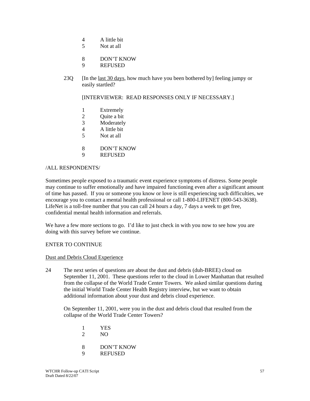- 4 A little bit
- 5 Not at all
- 8 DON'T KNOW
- 9 REFUSED
- 23Q [In the last 30 days, how much have you been bothered by] feeling jumpy or easily startled?

[INTERVIEWER: READ RESPONSES ONLY IF NECESSARY.]

- 1 Extremely
- 2 Quite a bit
- 3 Moderately
- 4 A little bit
- 5 Not at all
- 8 DON'T KNOW
- 9 REFUSED

#### /ALL RESPONDENTS/

Sometimes people exposed to a traumatic event experience symptoms of distress. Some people may continue to suffer emotionally and have impaired functioning even after a significant amount of time has passed. If you or someone you know or love is still experiencing such difficulties, we encourage you to contact a mental health professional or call 1-800-LIFENET (800-543-3638). LifeNet is a toll-free number that you can call 24 hours a day, 7 days a week to get free, confidential mental health information and referrals.

We have a few more sections to go. I'd like to just check in with you now to see how you are doing with this survey before we continue.

#### ENTER TO CONTINUE

#### Dust and Debris Cloud Experience

24 The next series of questions are about the dust and debris (duh-BREE) cloud on September 11, 2001. These questions refer to the cloud in Lower Manhattan that resulted from the collapse of the World Trade Center Towers. We asked similar questions during the initial World Trade Center Health Registry interview, but we want to obtain additional information about your dust and debris cloud experience.

 On September 11, 2001, were you in the dust and debris cloud that resulted from the collapse of the World Trade Center Towers?

- 1 YES<br>2 NO
- $NO$
- 8 DON'T KNOW
- 9 REFUSED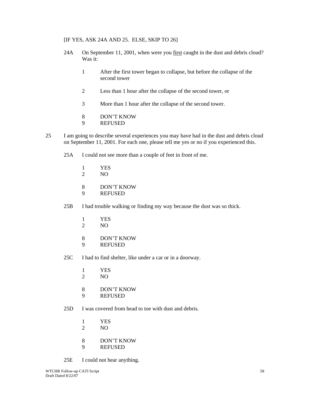#### [IF YES, ASK 24A AND 25. ELSE, SKIP TO 26]

- 24A On September 11, 2001, when were you first caught in the dust and debris cloud? Was it:
	- 1 After the first tower began to collapse, but before the collapse of the second tower
	- 2 Less than 1 hour after the collapse of the second tower, or
	- 3 More than 1 hour after the collapse of the second tower.
	- 8 DON'T KNOW
	- 9 REFUSED
- 25 I am going to describe several experiences you may have had in the dust and debris cloud on September 11, 2001. For each one, please tell me yes or no if you experienced this.
	- 25A I could not see more than a couple of feet in front of me.
		- 1 YES
		- 2 NO
		- 8 DON'T KNOW<br>9 REFUSED
		- **REFUSED**
	- 25B I had trouble walking or finding my way because the dust was so thick.
		- 1 YES
		- 2 NO
		- 8 DON'T KNOW
		- 9 REFUSED
	- 25C I had to find shelter, like under a car or in a doorway.
		- 1 YES
		- 2 NO
		- 8 DON'T KNOW
		- 9 REFUSED
	- 25D I was covered from head to toe with dust and debris.
		- 1 YES
		- 2 NO
		- 8 DON'T KNOW
		- 9 REFUSED
	- 25E I could not hear anything.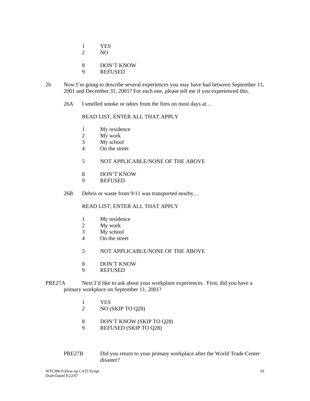- 1 YES
- 2 NO
- 8 DON'T KNOW
- 9 REFUSED
- 26 Now I'm going to describe several experiences you may have had between September 11, 2001 and December 31, 2001? For each one, please tell me if you experienced this.
	- 26A I smelled smoke or odors from the fires on most days at...

### READ LIST, ENTER ALL THAT APPLY

- 1 My residence
- 2 My work
- 3 My school
- 4 On the street
- 5 NOT APPLICABLE/NONE OF THE ABOVE
- 8 DON'T KNOW
- 9 REFUSED
- 26B Debris or waste from  $9/11$  was transported nearby...

## READ LIST, ENTER ALL THAT APPLY

- 1 My residence
- 2 My work
- 3 My school
- 4 On the street
- 5 NOT APPLICABLE/NONE OF THE ABOVE
- 8 DON'T KNOW
- 9 REFUSED
- PRE27A Next I'd like to ask about your workplace experiences. First, did you have a primary workplace on September 11, 2001?
	- 1 YES
	- 2 NO (SKIP TO Q28)
	- 8 DON'T KNOW (SKIP TO Q28)
	- 9 REFUSED (SKIP TO Q28)
	- PRE27B Did you return to your primary workplace after the World Trade Center disaster?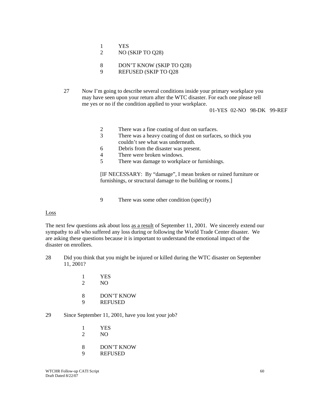- 1 YES
- 2 NO (SKIP TO Q28)
- 8 DON'T KNOW (SKIP TO Q28)
- 9 REFUSED (SKIP TO Q28
- 27 Now I'm going to describe several conditions inside your primary workplace you may have seen upon your return after the WTC disaster. For each one please tell me yes or no if the condition applied to your workplace.

01-YES 02-NO 98-DK 99-REF

- 2 There was a fine coating of dust on surfaces.
- 3 There was a heavy coating of dust on surfaces, so thick you couldn't see what was underneath.
- 6 Debris from the disaster was present.
- 4 There were broken windows.
- 5 There was damage to workplace or furnishings.

[IF NECESSARY: By "damage", I mean broken or ruined furniture or furnishings, or structural damage to the building or rooms.]

9 There was some other condition (specify)

#### Loss

The next few questions ask about loss as a result of September 11, 2001. We sincerely extend our sympathy to all who suffered any loss during or following the World Trade Center disaster. We are asking these questions because it is important to understand the emotional impact of the disaster on enrollees.

- 28 Did you think that you might be injured or killed during the WTC disaster on September 11, 2001?
	- 1 YES 2 NO
	-
	- 8 DON'T KNOW
	- 9 REFUSED

## 29 Since September 11, 2001, have you lost your job?

- 1 YES<br>2 NO
- $N<sub>O</sub>$
- 8 DON'T KNOW
- 9 REFUSED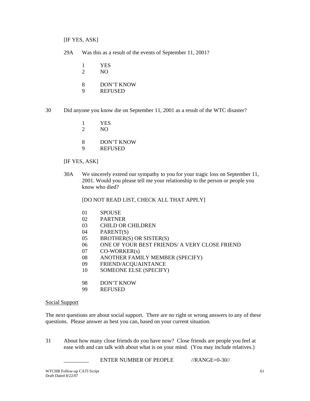[IF YES, ASK]

- 29A Was this as a result of the events of September 11, 2001?
	- 1 YES
	- 2 NO
	- 8 DON'T KNOW
	- 9 REFUSED
- 30 Did anyone you know die on September 11, 2001 as a result of the WTC disaster?
	- 1 YES
	- 2 NO
	- 8 DON'T KNOW
	- 9 REFUSED

## [IF YES, ASK]

30A We sincerely extend our sympathy to you for your tragic loss on September 11, 2001. Would you please tell me your relationship to the person or people you know who died?

[DO NOT READ LIST, CHECK ALL THAT APPLY]

- 01 SPOUSE
- 02 PARTNER
- 03 CHILD OR CHILDREN
- 04 PARENT(S)
- 05 BROTHER(S) OR SISTER(S)
- 06 ONE OF YOUR BEST FRIENDS/ A VERY CLOSE FRIEND
- 07 CO-WORKER(s)
- 08 ANOTHER FAMILY MEMBER (SPECIFY)
- 09 FRIEND/ACQUAINTANCE
- 10 SOMEONE ELSE (SPECIFY)
- 98 DON'T KNOW
- 99 REFUSED

#### Social Support

The next questions are about social support. There are no right or wrong answers to any of these questions. Please answer as best you can, based on your current situation.

31 About how many close friends do you have now? Close friends are people you feel at ease with and can talk with about what is on your mind. (You may include relatives.)

ENTER NUMBER OF PEOPLE //RANGE=0-30//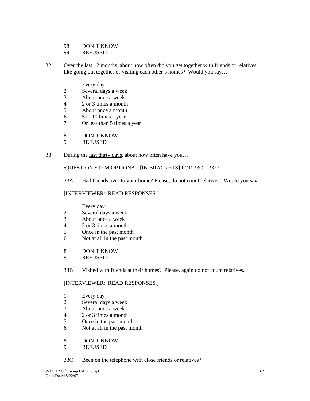98 DON'T KNOW

99 REFUSED

- 32 Over the <u>last 12 months</u>, about how often did you get together with friends or relatives, like going out together or visiting each other's homes? Would you say…
	- 1 Every day<br>2 Several da
	- Several days a week
	- 3 About once a week
	- 4 2 or 3 times a month
	- 5 About once a month
	- 6 5 to 10 times a year
	- 7 Or less than 5 times a year
	- 8 DON'T KNOW<br>9 REFUSED
	- **REFUSED**
- 33 During the <u>last thirty days</u>, about how often have you...

/QUESTION STEM OPTIONAL [IN BRACKETS] FOR 33C – 33E/

33A Had friends over to your home? Please, do not count relatives. Would you say…

## [INTERVIEWER: READ RESPONSES.]

- 1 Every day
- 2 Several days a week
- 3 About once a week
- 4 2 or 3 times a month
- 5 Once in the past month
- 6 Not at all in the past month
- 8 DON'T KNOW
- 9 REFUSED

33B Visited with friends at their homes? Please, again do not count relatives.

## [INTERVIEWER: READ RESPONSES.]

- 1 Every day
- 2 Several days a week
- 3 About once a week
- 4 2 or 3 times a month
- 5 Once in the past month
- 6 Not at all in the past month
- 8 DON'T KNOW
- 9 REFUSED
- 33C Been on the telephone with close friends or relatives?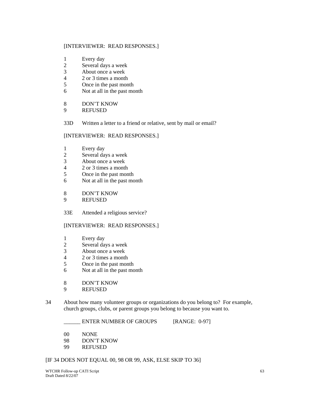## [INTERVIEWER: READ RESPONSES.]

- 1 Every day
- 2 Several days a week
- 3 About once a week
- 4 2 or 3 times a month
- 5 Once in the past month
- 6 Not at all in the past month
- 8 DON'T KNOW
- 9 REFUSED

33D Written a letter to a friend or relative, sent by mail or email?

## [INTERVIEWER: READ RESPONSES.]

- 1 Every day
- 2 Several days a week
- 3 About once a week
- 4 2 or 3 times a month
- 5 Once in the past month
- 6 Not at all in the past month
- 8 DON'T KNOW
- 9 REFUSED
- 33E Attended a religious service?

## [INTERVIEWER: READ RESPONSES.]

- 1 Every day
- 2 Several days a week<br>3 About once a week
- About once a week
- 4 2 or 3 times a month
- 5 Once in the past month
- 6 Not at all in the past month
- 8 DON'T KNOW
- 9 REFUSED
- 34 About how many volunteer groups or organizations do you belong to? For example, church groups, clubs, or parent groups you belong to because you want to.

\_\_\_\_\_\_ ENTER NUMBER OF GROUPS [RANGE: 0-97]

- 00 NONE
- 98 DON'T KNOW
- 99 REFUSED

## [IF 34 DOES NOT EQUAL 00, 98 OR 99, ASK, ELSE SKIP TO 36]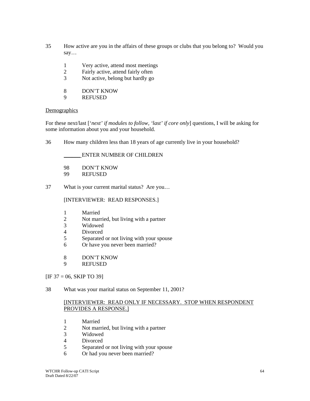- 35 How active are you in the affairs of these groups or clubs that you belong to? Would you say…
	- 1 Very active, attend most meetings
	- 2 Fairly active, attend fairly often
	- 3 Not active, belong but hardly go
	- 8 DON'T KNOW
	- 9 REFUSED

## **Demographics**

For these next/last ['*next' if modules to follow, 'last' if core only*] questions, I will be asking for some information about you and your household.

36 How many children less than 18 years of age currently live in your household?

## \_\_\_\_\_\_ ENTER NUMBER OF CHILDREN

- 98 DON'T KNOW
- 99 REFUSED
- 37 What is your current marital status? Are you…

## [INTERVIEWER: READ RESPONSES.]

- 1 Married
- 2 Not married, but living with a partner
- 3 Widowed
- 4 Divorced
- 5 Separated or not living with your spouse
- 6 Or have you never been married?
- 8 DON'T KNOW
- 9 REFUSED

## $[IF 37 = 06, SKIP TO 39]$

38 What was your marital status on September 11, 2001?

## [INTERVIEWER: READ ONLY IF NECESSARY. STOP WHEN RESPONDENT PROVIDES A RESPONSE.]

- 1 Married
- 2 Not married, but living with a partner<br>3 Widowed
- 3 Widowed
- **Divorced**
- 5 Separated or not living with your spouse
- 6 Or had you never been married?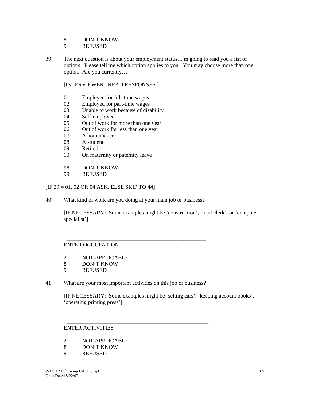## 8 DON'T KNOW

- 9 REFUSED
- 39 The next question is about your employment status. I'm going to read you a list of options. Please tell me which option applies to you. You may choose more than one option. Are you currently…

## [INTERVIEWER: READ RESPONSES.]

- 01 Employed for full-time wages
- 02 Employed for part-time wages
- 03 Unable to work because of disability
- 04 Self-employed
- 05 Out of work for more than one year
- 06 Out of work for less than one year
- 07 A homemaker
- 08 A student
- 09 Retired
- 10 On maternity or paternity leave
- 98 DON'T KNOW
- 99 REFUSED

## $[IF 39 = 01, 02 \text{ OR } 04 \text{ ASK}, ELSE SKIP TO 44]$

40 What kind of work are you doing at your main job or business?

[IF NECESSARY: Some examples might be 'construction', 'mail clerk', or 'computer specialist']

#### 1\_\_\_\_\_\_\_\_\_\_\_\_\_\_\_\_\_\_\_\_\_\_\_\_\_\_\_\_\_\_\_\_\_\_\_\_\_\_\_\_\_\_\_\_\_\_\_\_\_\_ ENTER OCCUPATION

- 2 NOT APPLICABLE
- 8 DON'T KNOW
- 9 REFUSED
- 41 What are your most important activities on this job or business?

[IF NECESSARY: Some examples might be 'selling cars', 'keeping account books', 'operating printing press']

#### 1\_\_\_\_\_\_\_\_\_\_\_\_\_\_\_\_\_\_\_\_\_\_\_\_\_\_\_\_\_\_\_\_\_\_\_\_\_\_\_\_\_\_\_\_\_\_\_\_\_\_\_ ENTER ACTIVITIES

- 2 NOT APPLICABLE
- 8 DON'T KNOW
- 9 REFUSED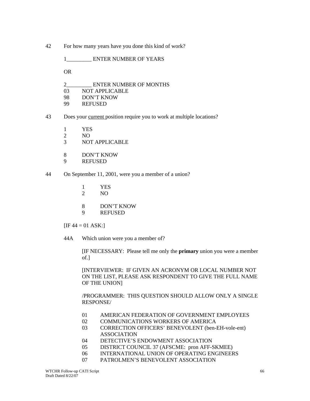42 For how many years have you done this kind of work?

1 ENTER NUMBER OF YEARS

OR

- 2\_\_\_\_\_\_\_\_\_ ENTER NUMBER OF MONTHS
- 03 NOT APPLICABLE
- 98 DON'T KNOW
- 99 REFUSED
- 43 Does your current position require you to work at multiple locations?
	- 1 YES
	- 2 NO
	- 3 NOT APPLICABLE
	- 8 DON'T KNOW
	- 9 REFUSED
- 44 On September 11, 2001, were you a member of a union?
	- 1 YES
	- 2 NO
	- 8 DON'T KNOW
	- 9 REFUSED

 $[IF 44 = 01 ASK.]$ 

44A Which union were you a member of?

 [IF NECESSARY: Please tell me only the **primary** union you were a member of.]

[INTERVIEWER: IF GIVEN AN ACRONYM OR LOCAL NUMBER NOT ON THE LIST, PLEASE ASK RESPONDENT TO GIVE THE FULL NAME OF THE UNION]

/PROGRAMMER: THIS QUESTION SHOULD ALLOW ONLY A SINGLE RESPONSE/

- 01 AMERICAN FEDERATION OF GOVERNMENT EMPLOYEES
- 02 COMMUNICATIONS WORKERS OF AMERICA
- 03 CORRECTION OFFICERS' BENEVOLENT (ben-EH-vole-ent) ASSOCIATION
- 04 DETECTIVE'S ENDOWMENT ASSOCIATION
- 05 DISTRICT COUNCIL 37 (AFSCME: pron AFF-SKMEE)
- 06 INTERNATIONAL UNION OF OPERATING ENGINEERS
- 07 PATROLMEN'S BENEVOLENT ASSOCIATION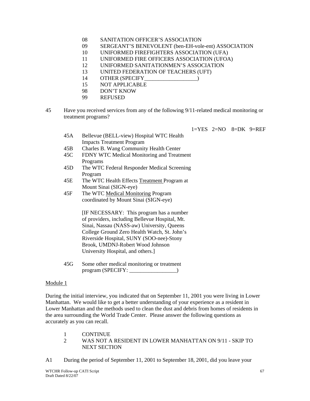- 08 SANITATION OFFICER'S ASSOCIATION
- 09 SERGEANT'S BENEVOLENT (ben-EH-vole-ent) ASSOCIATION
- 10 UNIFORMED FIREFIGHTERS ASSOCIATION (UFA)
- 11 UNIFORMED FIRE OFFICERS ASSOCIATION (UFOA)
- 12 UNIFORMED SANITATIONMEN'S ASSOCIATION
- 13 UNITED FEDERATION OF TEACHERS (UFT)
- 14 OTHER (SPECIFY\_\_\_\_\_\_\_\_\_\_\_\_\_\_\_\_\_)
- 15 NOT APPLICABLE
- 98 DON'T KNOW
- 99 REFUSED
- 45 Have you received services from any of the following 9/11-related medical monitoring or treatment programs?

 $1=YES$   $2=NO$   $8=DK$   $9=REF$ 

- 45A Bellevue (BELL-view) Hospital WTC Health Impacts Treatment Program
- 45B Charles B. Wang Community Health Center
- 45C FDNY WTC Medical Monitoring and Treatment Programs
- 45D The WTC Federal Responder Medical Screening Program
- 45E The WTC Health Effects Treatment Program at Mount Sinai (SIGN-eye)
- 45F The WTC Medical Monitoring Program coordinated by Mount Sinai (SIGN-eye)

 [IF NECESSARY: This program has a number of providers, including Bellevue Hospital, Mt. Sinai, Nassau (NASS-aw) University, Queens College Ground Zero Health Watch, St. John's Riverside Hospital, SUNY (SOO-nee)-Stony Brook, UMDNJ-Robert Wood Johnson University Hospital, and others.]

45G Some other medical monitoring or treatment program (SPECIFY: \_\_\_\_\_\_\_\_\_\_\_\_\_\_\_\_\_\_\_\_)

## Module 1

During the initial interview, you indicated that on September 11, 2001 you were living in Lower Manhattan. We would like to get a better understanding of your experience as a resident in Lower Manhattan and the methods used to clean the dust and debris from homes of residents in the area surrounding the World Trade Center. Please answer the following questions as accurately as you can recall.

- 1 CONTINUE<br>2 WAS NOT A
- 2 WAS NOT A RESIDENT IN LOWER MANHATTAN ON 9/11 SKIP TO NEXT SECTION
- A1 During the period of September 11, 2001 to September 18, 2001, did you leave your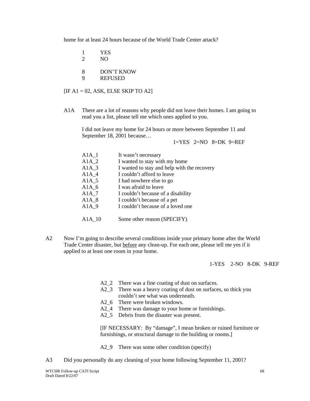home for at least 24 hours because of the World Trade Center attack?

|        | YES<br>NO.                   |
|--------|------------------------------|
| 8<br>Q | DON'T KNOW<br><b>REFUSED</b> |

 $[IF A1 = 02, ASK, ELSE SKIP TO A2]$ 

A1A There are a lot of reasons why people did not leave their homes. I am going to read you a list, please tell me which ones applied to you.

I did not leave my home for 24 hours or more between September 11 and September 18, 2001 because…

 $1=YES$   $2=NO$   $8=DK$   $9=REF$ 

| $A1A_1$ | It wasn't necessary                         |
|---------|---------------------------------------------|
| $A1A_2$ | I wanted to stay with my home               |
| $A1A_3$ | I wanted to stay and help with the recovery |
| $A1A_4$ | I couldn't afford to leave                  |
| $A1A_5$ | I had nowhere else to go                    |
| $A1A_6$ | I was afraid to leave                       |
| $A1A_7$ | I couldn't because of a disability          |
| $A1A_8$ | I couldn't because of a pet                 |
| $A1A_9$ | I couldn't because of a loved one           |
|         |                                             |
|         | Some other reason (SPECIFY)                 |

A2 Now I'm going to describe several conditions inside your primary home after the World Trade Center disaster, but before any clean-up. For each one, please tell me yes if it applied to at least one room in your home.

#### 1-YES 2-NO 8-DK 9-REF

- A2<sup>2</sup> There was a fine coating of dust on surfaces.
- A2\_3 There was a heavy coating of dust on surfaces, so thick you couldn't see what was underneath.
- A2 6 There were broken windows.
- A2\_4 There was damage to your home or furnishings.
- A2\_5 Debris from the disaster was present.

[IF NECESSARY: By "damage", I mean broken or ruined furniture or furnishings, or structural damage to the building or rooms.]

A2\_9 There was some other condition (specify)

A3 Did you personally do any cleaning of your home following September 11, 2001?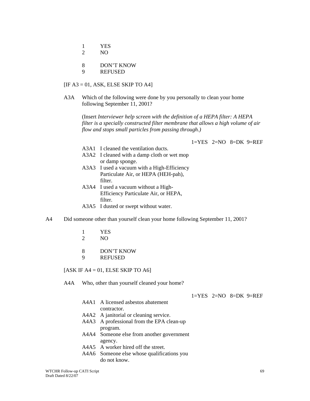- 1 YES
- 2 NO
- 8 DON'T KNOW
- 9 REFUSED

#### $[IF A3 = 01, ASK, ELSE SKIP TO A4]$

A3A Which of the following were done by you personally to clean your home following September 11, 2001?

(Insert *Interviewer help screen with the definition of a HEPA filter: A HEPA filter is a specially constructed filter membrane that allows a high volume of air flow and stops small particles from passing through.)* 

 $1=YES$   $2=NO$   $8=DK$   $9=REF$ 

- A3A1 I cleaned the ventilation ducts.
- A3A2 I cleaned with a damp cloth or wet mop or damp sponge.
- A3A3 I used a vacuum with a High-Efficiency Particulate Air, or HEPA (HEH-pah), filter.
- A3A4 I used a vacuum without a High-Efficiency Particulate Air, or HEPA, filter.
- A3A5 I dusted or swept without water.
- A4 Did someone other than yourself clean your home following September 11, 2001?
	- 1 YES
	- 2 NO
	- 8 DON'T KNOW
	- 9 REFUSED

[ASK IF  $A4 = 01$ , ELSE SKIP TO A6]

A4A Who, other than yourself cleaned your home?

 $1=YES$   $2=NO$   $8=DK$   $9=REF$ 

- A4A1 A licensed asbestos abatement contractor.
- A4A2 A janitorial or cleaning service.
- A4A3 A professional from the EPA clean-up program.
- A4A4 Someone else from another government agency.
- A4A5 A worker hired off the street.
- A4A6 Someone else whose qualifications you do not know.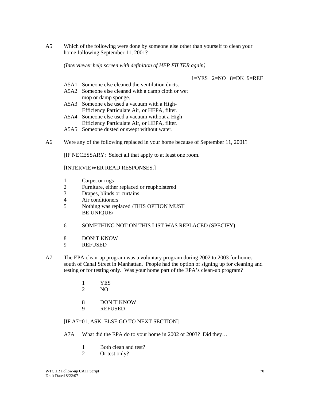A5 Which of the following were done by someone else other than yourself to clean your home following September 11, 2001?

(*Interviewer help screen with definition of HEP FILTER again)* 

1=YES 2=NO 8=DK 9=REF

- A5A1 Someone else cleaned the ventilation ducts.
- A5A2 Someone else cleaned with a damp cloth or wet mop or damp sponge.
- A5A3 Someone else used a vacuum with a High-Efficiency Particulate Air, or HEPA, filter.
- A5A4 Someone else used a vacuum without a High-Efficiency Particulate Air, or HEPA, filter.
- A5A5 Someone dusted or swept without water.
- A6 Were any of the following replaced in your home because of September 11, 2001?

[IF NECESSARY: Select all that apply to at least one room.

[INTERVIEWER READ RESPONSES.]

- 1 Carpet or rugs<br>2 Furniture, eithe
- Furniture, either replaced or reupholstered
- 3 Drapes, blinds or curtains
- 4 Air conditioners
- 5 Nothing was replaced /THIS OPTION MUST BE UNIQUE/
- 6 SOMETHING NOT ON THIS LIST WAS REPLACED (SPECIFY)
- 8 DON'T KNOW
- 9 REFUSED
- A7 The EPA clean-up program was a voluntary program during 2002 to 2003 for homes south of Canal Street in Manhattan. People had the option of signing up for cleaning and testing or for testing only. Was your home part of the EPA's clean-up program?
	- 1 YES
	- 2 NO
	- 8 DON'T KNOW
	- 9 REFUSED
	- [IF A7=01, ASK, ELSE GO TO NEXT SECTION]
	- A7A What did the EPA do to your home in 2002 or 2003? Did they…
		- 1 Both clean and test?
		- 2 Or test only?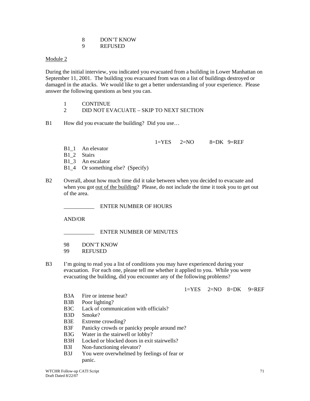8 DON'T KNOW 9 REFUSED

#### Module 2

During the initial interview, you indicated you evacuated from a building in Lower Manhattan on September 11, 2001. The building you evacuated from was on a list of buildings destroyed or damaged in the attacks. We would like to get a better understanding of your experience. Please answer the following questions as best you can.

2 DID NOT EVACUATE – SKIP TO NEXT SECTION

B1 How did you evacuate the building? Did you use...

 $1=YES$   $2=NO$   $8=DK$   $9=REF$ 

B<sub>1</sub> 1 An elevator

B1\_2 Stairs

B1 3 An escalator

B1 4 Or something else? (Specify)

B2 Overall, about how much time did it take between when you decided to evacuate and when you got out of the building? Please, do not include the time it took you to get out of the area.

\_\_\_\_\_\_\_\_\_\_\_ ENTER NUMBER OF HOURS

AND/OR

ENTER NUMBER OF MINUTES

98 DON'T KNOW

99 REFUSED

B3 I'm going to read you a list of conditions you may have experienced during your evacuation. For each one, please tell me whether it applied to you. While you were evacuating the building, did you encounter any of the following problems?

 $1=YES$   $2=NO$   $8=DK$   $9=REF$ 

- B3A Fire or intense heat?
- B3B Poor lighting?
- B3C Lack of communication with officials?
- B3D Smoke?
- B3E Extreme crowding?
- B3F Panicky crowds or panicky people around me?
- B3G Water in the stairwell or lobby?
- B3H Locked or blocked doors in exit stairwells?

B3I Non-functioning elevator?

B3J You were overwhelmed by feelings of fear or panic.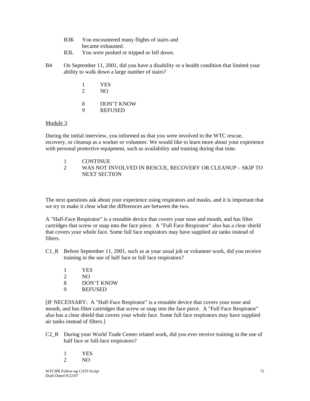- B3K You encountered many flights of stairs and became exhausted.
- B3L You were pushed or tripped or fell down.
- B4 On September 11, 2001, did you have a disability or a health condition that limited your ability to walk down a large number of stairs?
	- 1 YES 2 NO 8 DON'T KNOW 9 REFUSED

## Module 3

During the initial interview, you informed us that you were involved in the WTC rescue, recovery, or cleanup as a worker or volunteer. We would like to learn more about your experience with personal protective equipment, such as availability and training during that time.

1 CONTINUE

2 WAS NOT INVOLVED IN RESCUE, RECOVERY OR CLEANUP – SKIP TO NEXT SECTION

The next questions ask about your experience using respirators and masks, and it is important that we try to make it clear what the differences are between the two.

A "Half-Face Respirator" is a reusable device that covers your nose and mouth, and has filter cartridges that screw or snap into the face piece. A "Full Face Respirator" also has a clear shield that covers your whole face. Some full face respirators may have supplied air tanks instead of **filters** 

- C1 R Before September 11, 2001, such as at your usual job or volunteer work, did you receive training in the use of half face or full face respirators?
	- 1 YES
	- 2 NO
	- 8 DON'T KNOW
	- 9 REFUSED

[IF NECESSARY: A "Half-Face Respirator" is a reusable device that covers your nose and mouth, and has filter cartridges that screw or snap into the face piece. A "Full Face Respirator" also has a clear shield that covers your whole face. Some full face respirators may have supplied air tanks instead of filters.]

C2\_R During your World Trade Center related work, did you ever receive training in the use of half face or full-face respirators?

|    | YES |
|----|-----|
| ') | NO  |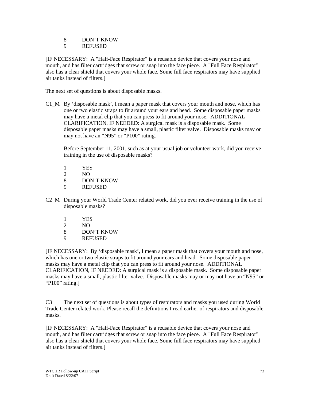8 DON'T KNOW

9 REFUSED

[IF NECESSARY: A "Half-Face Respirator" is a reusable device that covers your nose and mouth, and has filter cartridges that screw or snap into the face piece. A "Full Face Respirator" also has a clear shield that covers your whole face. Some full face respirators may have supplied air tanks instead of filters.]

The next set of questions is about disposable masks.

C1\_M By 'disposable mask', I mean a paper mask that covers your mouth and nose, which has one or two elastic straps to fit around your ears and head. Some disposable paper masks may have a metal clip that you can press to fit around your nose. ADDITIONAL CLARIFICATION, IF NEEDED: A surgical mask is a disposable mask. Some disposable paper masks may have a small, plastic filter valve. Disposable masks may or may not have an "N95" or "P100" rating.

 Before September 11, 2001, such as at your usual job or volunteer work, did you receive training in the use of disposable masks?

- 1 YES
- 2 NO
- 8 DON'T KNOW
- 9 REFUSED
- C2\_M During your World Trade Center related work, did you ever receive training in the use of disposable masks?
	- 1 YES
	- 2 NO
	- 8 DON'T KNOW
	- 9 REFUSED

[IF NECESSARY: By 'disposable mask', I mean a paper mask that covers your mouth and nose, which has one or two elastic straps to fit around your ears and head. Some disposable paper masks may have a metal clip that you can press to fit around your nose. ADDITIONAL CLARIFICATION, IF NEEDED: A surgical mask is a disposable mask. Some disposable paper masks may have a small, plastic filter valve. Disposable masks may or may not have an "N95" or "P100" rating.]

C3 The next set of questions is about types of respirators and masks you used during World Trade Center related work. Please recall the definitions I read earlier of respirators and disposable masks.

[IF NECESSARY: A "Half-Face Respirator" is a reusable device that covers your nose and mouth, and has filter cartridges that screw or snap into the face piece. A "Full Face Respirator" also has a clear shield that covers your whole face. Some full face respirators may have supplied air tanks instead of filters.]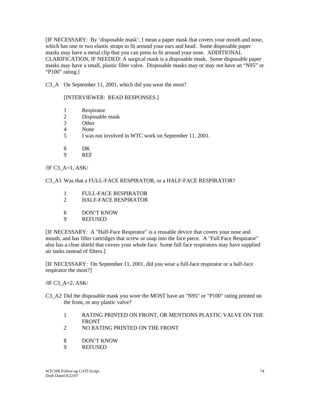[IF NECESSARY: By 'disposable mask', I mean a paper mask that covers your mouth and nose, which has one or two elastic straps to fit around your ears and head. Some disposable paper masks may have a metal clip that you can press to fit around your nose. ADDITIONAL CLARIFICATION, IF NEEDED: A surgical mask is a disposable mask. Some disposable paper masks may have a small, plastic filter valve. Disposable masks may or may not have an "N95" or "P100" rating.]

C3\_A On September 11, 2001, which did you wear the most?

## [INTERVIEWER: READ RESPONSES.]

- 1 Respirator
- 2 Disposable mask
- 3 Other
- 4 None
- 5 I was not involved in WTC work on September 11, 2001.
- 8 DK
- 9 REF

 $\overline{A}$  C3 A=1, ASK/

C3\_A1 Was that a FULL-FACE RESPIRATOR, or a HALF-FACE RESPIRATOR?

- 1 FULL-FACE RESPIRATOR
- 2 HALF-FACE RESPIRATOR
- 8 DON'T KNOW
- 9 REFUSED

[IF NECESSARY: A "Half-Face Respirator" is a reusable device that covers your nose and mouth, and has filter cartridges that screw or snap into the face piece. A "Full Face Respirator" also has a clear shield that covers your whole face. Some full face respirators may have supplied air tanks instead of filters.]

[IF NECESSARY: On September 11, 2001, did you wear a full-face respirator or a half-face respirator the most?]

 $\overline{A}$   $\overline{C}$   $\overline{A}$   $\overline{C}$   $\overline{A}$   $\overline{C}$   $\overline{A}$   $\overline{S}$   $\overline{A}$   $\overline{S}$   $\overline{C}$   $\overline{A}$ 

- C3\_A2 Did the disposable mask you wore the MOST have an "N95" or "P100" rating printed on the front, or any plastic valve?
	- 1 RATING PRINTED ON FRONT, OR MENTIONS PLASTIC VALVE ON THE FRONT
	- 2 NO RATING PRINTED ON THE FRONT
	- 8 DON'T KNOW
	- 9 REFUSED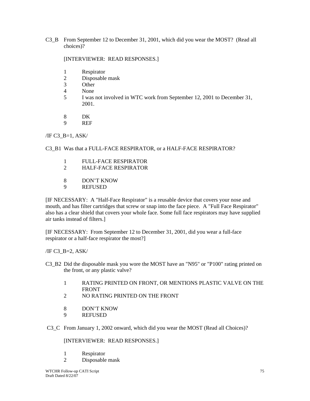C3\_B From September 12 to December 31, 2001, which did you wear the MOST? (Read all choices)?

## [INTERVIEWER: READ RESPONSES.]

- 1 Respirator
- 2 Disposable mask
- 3 Other
- 4 None
- 5 I was not involved in WTC work from September 12, 2001 to December 31, 2001.
- 8 DK
- 9 REF

## $\overline{A}$  /IF C3 B=1, ASK/

C3 B1 Was that a FULL-FACE RESPIRATOR, or a HALF-FACE RESPIRATOR?

- 1 FULL-FACE RESPIRATOR
- 2 HALF-FACE RESPIRATOR
- 8 DON'T KNOW<br>9 REFUSED
- **REFUSED**

[IF NECESSARY: A "Half-Face Respirator" is a reusable device that covers your nose and mouth, and has filter cartridges that screw or snap into the face piece. A "Full Face Respirator" also has a clear shield that covers your whole face. Some full face respirators may have supplied air tanks instead of filters.]

[IF NECESSARY: From September 12 to December 31, 2001, did you wear a full-face respirator or a half-face respirator the most?]

 $/IF C3$  B=2, ASK/

- C3\_B2 Did the disposable mask you wore the MOST have an "N95" or "P100" rating printed on the front, or any plastic valve?
	- 1 RATING PRINTED ON FRONT, OR MENTIONS PLASTIC VALVE ON THE **FRONT**
	- 2 NO RATING PRINTED ON THE FRONT
	- 8 DON'T KNOW
	- 9 REFUSED
- C3\_C From January 1, 2002 onward, which did you wear the MOST (Read all Choices)?

## [INTERVIEWER: READ RESPONSES.]

- 1 Respirator
- 2 Disposable mask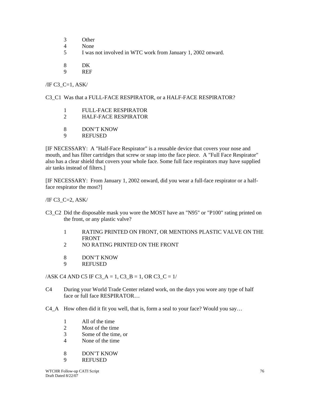- 3 Other
- 4 None
- 5 I was not involved in WTC work from January 1, 2002 onward.
- 8 DK
- 9 REF

 $\overline{A}$  /IF C3\_C=1, ASK/

## C3\_C1 Was that a FULL-FACE RESPIRATOR, or a HALF-FACE RESPIRATOR?

- 1 FULL-FACE RESPIRATOR
- 2 HALF-FACE RESPIRATOR
- 8 DON'T KNOW
- 9 REFUSED

[IF NECESSARY: A "Half-Face Respirator" is a reusable device that covers your nose and mouth, and has filter cartridges that screw or snap into the face piece. A "Full Face Respirator" also has a clear shield that covers your whole face. Some full face respirators may have supplied air tanks instead of filters.]

[IF NECESSARY: From January 1, 2002 onward, did you wear a full-face respirator or a halfface respirator the most?]

/IF C3\_C=2, ASK/

- C3 C2 Did the disposable mask you wore the MOST have an "N95" or "P100" rating printed on the front, or any plastic valve?
	- 1 RATING PRINTED ON FRONT, OR MENTIONS PLASTIC VALVE ON THE FRONT
	- 2 NO RATING PRINTED ON THE FRONT
	- 8 DON'T KNOW
	- 9 REFUSED

 $/ASK$  C4 AND C5 IF C3\_A = 1, C3\_B = 1, OR C3\_C = 1/

- C4 During your World Trade Center related work, on the days you wore any type of half face or full face RESPIRATOR…
- C4\_A How often did it fit you well, that is, form a seal to your face? Would you say…
	- 1 All of the time
	- 2 Most of the time
	- 3 Some of the time, or
	- 4 None of the time
	- 8 DON'T KNOW
	- 9 REFUSED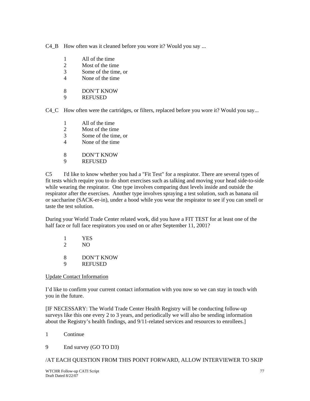C4\_B How often was it cleaned before you wore it? Would you say ...

- 1 All of the time
- 2 Most of the time
- 3 Some of the time, or
- 4 None of the time
- 8 DON'T KNOW
- 9 REFUSED

C4 C How often were the cartridges, or filters, replaced before you wore it? Would you say...

- 1 All of the time
- 2 Most of the time
- 3 Some of the time, or
- 4 None of the time
- 8 DON'T KNOW
- 9 REFUSED

C5 I'd like to know whether you had a "Fit Test" for a respirator. There are several types of fit tests which require you to do short exercises such as talking and moving your head side-to-side while wearing the respirator. One type involves comparing dust levels inside and outside the respirator after the exercises. Another type involves spraying a test solution, such as banana oil or saccharine (SACK-er-in), under a hood while you wear the respirator to see if you can smell or taste the test solution.

During your World Trade Center related work, did you have a FIT TEST for at least one of the half face or full face respirators you used on or after September 11, 2001?

 1 YES 2 NO 8 DON'T KNOW 9 REFUSED

Update Contact Information

I'd like to confirm your current contact information with you now so we can stay in touch with you in the future.

[IF NECESSARY: The World Trade Center Health Registry will be conducting follow-up surveys like this one every 2 to 3 years, and periodically we will also be sending information about the Registry's health findings, and 9/11-related services and resources to enrollees.]

- 1 Continue
- 9 End survey (GO TO D3)

/AT EACH QUESTION FROM THIS POINT FORWARD, ALLOW INTERVIEWER TO SKIP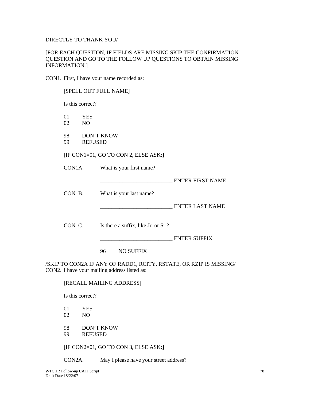## DIRECTLY TO THANK YOU/

## [FOR EACH QUESTION, IF FIELDS ARE MISSING SKIP THE CONFIRMATION QUESTION AND GO TO THE FOLLOW UP QUESTIONS TO OBTAIN MISSING INFORMATION.]

CON1. First, I have your name recorded as:

|          | [SPELL OUT FULL NAME]               |                   |                                              |                                                                    |
|----------|-------------------------------------|-------------------|----------------------------------------------|--------------------------------------------------------------------|
|          | Is this correct?                    |                   |                                              |                                                                    |
| 01<br>02 | <b>YES</b><br>N <sub>O</sub>        |                   |                                              |                                                                    |
| 98<br>99 | <b>DON'T KNOW</b><br><b>REFUSED</b> |                   |                                              |                                                                    |
|          |                                     |                   | [IF CON1=01, GO TO CON 2, ELSE ASK:]         |                                                                    |
| CON1A.   |                                     |                   | What is your first name?                     |                                                                    |
|          |                                     |                   |                                              | <b>ENTER FIRST NAME</b>                                            |
| CON1B.   |                                     |                   | What is your last name?                      |                                                                    |
|          |                                     |                   |                                              | <b>ENTER LAST NAME</b>                                             |
| CON1C.   |                                     |                   | Is there a suffix, like Jr. or Sr.?          |                                                                    |
|          |                                     |                   |                                              | <b>ENTER SUFFIX</b>                                                |
|          |                                     | 96                | <b>NO SUFFIX</b>                             |                                                                    |
|          |                                     |                   | CON2. I have your mailing address listed as: | /SKIP TO CON2A IF ANY OF RADD1, RCITY, RSTATE, OR RZIP IS MISSING/ |
|          |                                     |                   | [RECALL MAILING ADDRESS]                     |                                                                    |
|          | Is this correct?                    |                   |                                              |                                                                    |
| 01<br>02 | <b>YES</b><br>N <sub>O</sub>        |                   |                                              |                                                                    |
| 98<br>99 | <b>REFUSED</b>                      | <b>DON'T KNOW</b> |                                              |                                                                    |

[IF CON2=01, GO TO CON 3, ELSE ASK:]

CON2A. May I please have your street address?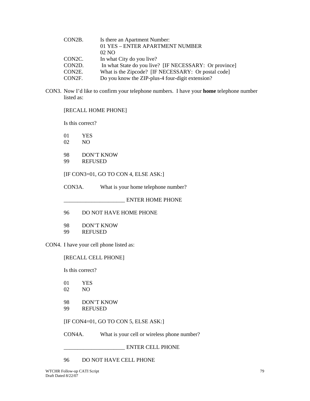| CON2B. | Is there an Apartment Number:                          |
|--------|--------------------------------------------------------|
|        | 01 YES - ENTER APARTMENT NUMBER                        |
|        | $02\text{ NO}$                                         |
| CON2C. | In what City do you live?                              |
| CON2D. | In what State do you live? [IF NECESSARY: Or province] |
| CON2E. | What is the Zipcode? [IF NECESSARY: Or postal code]    |
| CON2F. | Do you know the ZIP-plus-4 four-digit extension?       |
|        |                                                        |

CON3. Now I'd like to confirm your telephone numbers. I have your **home** telephone number listed as:

[RECALL HOME PHONE]

Is this correct?

01 YES

- 02 NO
- 98 DON'T KNOW
- 99 REFUSED

## [IF CON3=01, GO TO CON 4, ELSE ASK:]

CON3A. What is your home telephone number?

\_\_\_\_\_\_\_\_\_\_\_\_\_\_\_\_\_\_\_\_\_\_ ENTER HOME PHONE

96 DO NOT HAVE HOME PHONE

98 DON'T KNOW 99 REFUSED

CON4. I have your cell phone listed as:

[RECALL CELL PHONE]

Is this correct?

| 01 | YES |
|----|-----|
| 02 | NO  |

- 
- 98 DON'T KNOW
- 99 REFUSED

[IF CON4=01, GO TO CON 5, ELSE ASK:]

CON4A. What is your cell or wireless phone number?

\_\_\_\_\_\_\_\_\_\_\_\_\_\_\_\_\_\_\_\_\_\_ ENTER CELL PHONE

96 DO NOT HAVE CELL PHONE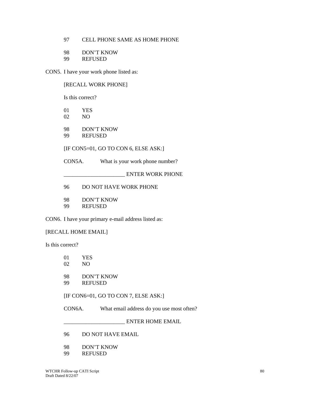## 97 CELL PHONE SAME AS HOME PHONE

- 98 DON'T KNOW<br>99 REFUSED
- **REFUSED**

CON5. I have your work phone listed as:

## [RECALL WORK PHONE]

Is this correct?

- 01 YES
- 02 NO
- 98 DON'T KNOW
- 99 REFUSED

[IF CON5=01, GO TO CON 6, ELSE ASK:]

CON5A. What is your work phone number?

\_\_\_\_\_\_\_\_\_\_\_\_\_\_\_\_\_\_\_\_\_\_ ENTER WORK PHONE

96 DO NOT HAVE WORK PHONE

98 DON'T KNOW

99 REFUSED

CON6. I have your primary e-mail address listed as:

## [RECALL HOME EMAIL]

Is this correct?

| $\Omega$<br>02 | <b>YES</b><br>NO.            |                                           |
|----------------|------------------------------|-------------------------------------------|
| 98<br>99       | DON'T KNOW<br><b>REFUSED</b> |                                           |
|                |                              | $[IF CON6=01, GO TO CON 7, ELSE ASK.]$    |
| CON6A.         |                              | What email address do you use most often? |

 $\_$  ENTER HOME EMAIL

- 96 DO NOT HAVE EMAIL
- 98 DON'T KNOW
- 99 REFUSED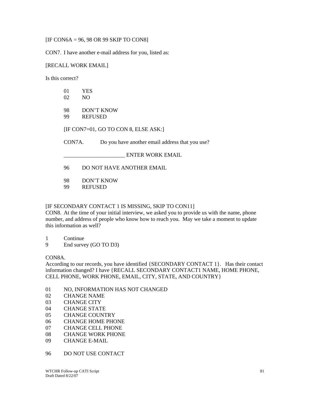[IF CON6A = 96, 98 OR 99 SKIP TO CON8]

CON7. I have another e-mail address for you, listed as:

### [RECALL WORK EMAIL]

Is this correct?

| 01<br>02            | <b>YES</b><br>N <sub>O</sub>                    |
|---------------------|-------------------------------------------------|
| 98<br>99            | DON'T KNOW<br><b>REFUSED</b>                    |
|                     | [IF CON7=01, GO TO CON 8, ELSE ASK:]            |
| CON <sub>7</sub> A. | Do you have another email address that you use? |
|                     | <b>ENTER WORK EMAIL</b>                         |
| 96                  | DO NOT HAVE ANOTHER EMAIL                       |

98 DON'T KNOW

99 REFUSED

## [IF SECONDARY CONTACT 1 IS MISSING, SKIP TO CON11]

CON8. At the time of your initial interview, we asked you to provide us with the name, phone number, and address of people who know how to reach you. May we take a moment to update this information as well?

1 Continue

9 End survey (GO TO D3)

## CON8A.

According to our records, you have identified {SECONDARY CONTACT 1}. Has their contact information changed? I have {RECALL SECONDARY CONTACT1 NAME, HOME PHONE, CELL PHONE, WORK PHONE, EMAIL, CITY, STATE, AND COUNTRY}

- 01 NO, INFORMATION HAS NOT CHANGED
- 02 CHANGE NAME
- 03 CHANGE CITY
- 04 CHANGE STATE
- 05 CHANGE COUNTRY
- 06 CHANGE HOME PHONE
- 07 CHANGE CELL PHONE
- 08 CHANGE WORK PHONE
- 09 CHANGE E-MAIL
- 96 DO NOT USE CONTACT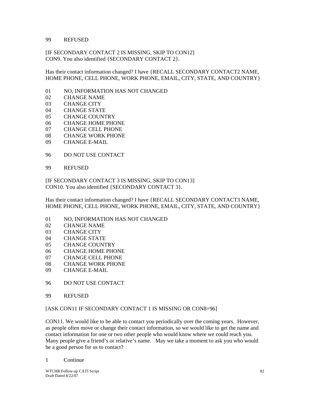#### 99 REFUSED

[IF SECONDARY CONTACT 2 IS MISSING, SKIP TO CON12] CON9. You also identified {SECONDARY CONTACT 2}.

Has their contact information changed? I have {RECALL SECONDARY CONTACT2 NAME, HOME PHONE, CELL PHONE, WORK PHONE, EMAIL, CITY, STATE, AND COUNTRY}

- 01 NO, INFORMATION HAS NOT CHANGED
- 02 CHANGE NAME
- 03 CHANGE CITY
- 04 CHANGE STATE
- 05 CHANGE COUNTRY
- 06 CHANGE HOME PHONE
- 07 CHANGE CELL PHONE
- 08 CHANGE WORK PHONE
- 09 CHANGE E-MAIL
- 96 DO NOT USE CONTACT
- 99 REFUSED

[IF SECONDARY CONTACT 3 IS MISSING, SKIP TO CON13] CON10. You also identified {SECONDARY CONTACT 3}.

Has their contact information changed? I have {RECALL SECONDARY CONTACT3 NAME, HOME PHONE, CELL PHONE, WORK PHONE, EMAIL, CITY, STATE, AND COUNTRY}

- 01 NO, INFORMATION HAS NOT CHANGED
- 02 CHANGE NAME
- 03 CHANGE CITY
- 04 CHANGE STATE
- 05 CHANGE COUNTRY
- 06 CHANGE HOME PHONE
- 07 CHANGE CELL PHONE
- 08 CHANGE WORK PHONE
- 09 CHANGE E-MAIL
- 96 DO NOT USE CONTACT
- 99 REFUSED

#### [ASK CON11 IF SECONDARY CONTACT 1 IS MISSING OR CON8=96]

CON11. We would like to be able to contact you periodically over the coming years. However, as people often move or change their contact information, so we would like to get the name and contact information for one or two other people who would know where we could reach you. Many people give a friend's or relative's name. May we take a moment to ask you who would be a good person for us to contact?

1 Continue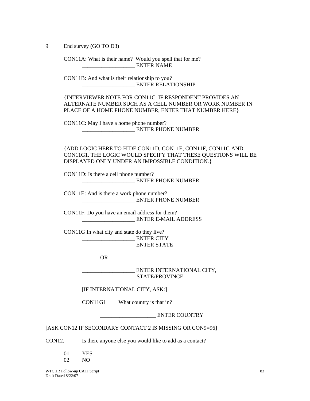9 End survey (GO TO D3)

CON11A: What is their name? Would you spell that for me? ENTER NAME

CON11B: And what is their relationship to you? \_\_\_\_\_\_\_\_\_\_\_\_\_\_\_\_\_\_\_ ENTER RELATIONSHIP

{INTERVIEWER NOTE FOR CON11C: IF RESPONDENT PROVIDES AN ALTERNATE NUMBER SUCH AS A CELL NUMBER OR WORK NUMBER IN PLACE OF A HOME PHONE NUMBER, ENTER THAT NUMBER HERE}

CON11C: May I have a home phone number? \_\_\_\_\_\_\_\_\_\_\_\_\_\_\_\_\_\_\_ ENTER PHONE NUMBER

{ADD LOGIC HERE TO HIDE CON11D, CON11E, CON11F, CON11G AND CON11G1. THE LOGIC WOULD SPECIFY THAT THESE QUESTIONS WILL BE DISPLAYED ONLY UNDER AN IMPOSSIBLE CONDITION.}

CON11D: Is there a cell phone number? \_\_\_\_\_\_\_\_\_\_\_\_\_\_\_\_\_\_\_ ENTER PHONE NUMBER

CON11E: And is there a work phone number? \_\_\_\_\_\_\_\_\_\_\_\_\_\_\_\_\_\_\_ ENTER PHONE NUMBER

CON11F: Do you have an email address for them? \_\_\_\_\_\_\_\_\_\_\_\_\_\_\_\_\_\_\_ ENTER E-MAIL ADDRESS

CON11G In what city and state do they live? \_\_\_\_\_\_\_\_\_\_\_\_\_\_\_\_\_\_\_ ENTER CITY ENTER STATE

OR

**ENTER INTERNATIONAL CITY,** STATE/PROVINCE

[IF INTERNATIONAL CITY, ASK:]

CON11G1 What country is that in?

\_\_\_\_\_\_\_\_\_\_\_\_\_\_\_\_\_\_\_\_ ENTER COUNTRY

[ASK CON12 IF SECONDARY CONTACT 2 IS MISSING OR CON9=96]

CON12. Is there anyone else you would like to add as a contact?

| 01 | YES |
|----|-----|
| 02 | NO. |

WTCHR Follow-up CATI Script Draft Dated 8/22/07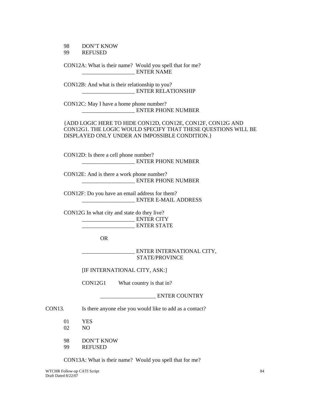#### 98 DON'T KNOW 99 REFUSED

CON12A: What is their name? Would you spell that for me? \_\_\_\_\_\_\_\_\_\_\_\_\_\_\_\_\_\_\_ ENTER NAME

CON12B: And what is their relationship to you? \_\_\_\_\_\_\_\_\_\_\_\_\_\_\_\_\_\_\_ ENTER RELATIONSHIP

CON12C: May I have a home phone number? \_\_\_\_\_\_\_\_\_\_\_\_\_\_\_\_\_\_\_ ENTER PHONE NUMBER

{ADD LOGIC HERE TO HIDE CON12D, CON12E, CON12F, CON12G AND CON12G1. THE LOGIC WOULD SPECIFY THAT THESE QUESTIONS WILL BE DISPLAYED ONLY UNDER AN IMPOSSIBLE CONDITION.}

CON12D: Is there a cell phone number? \_\_\_\_\_\_\_\_\_\_\_\_\_\_\_\_\_\_\_ ENTER PHONE NUMBER

CON12E: And is there a work phone number? \_\_\_\_\_\_\_\_\_\_\_\_\_\_\_\_\_\_\_ ENTER PHONE NUMBER

CON12F: Do you have an email address for them? \_\_\_\_\_\_\_\_\_\_\_\_\_\_\_\_\_\_\_ ENTER E-MAIL ADDRESS

CON12G In what city and state do they live? \_\_\_\_\_\_\_\_\_\_\_\_\_\_\_\_\_\_\_ ENTER CITY \_\_\_\_\_\_\_\_\_\_\_\_\_\_\_\_\_\_\_ ENTER STATE

OR

\_\_\_\_\_\_\_\_\_\_\_\_\_\_\_\_\_\_\_ ENTER INTERNATIONAL CITY, STATE/PROVINCE

[IF INTERNATIONAL CITY, ASK:]

CON12G1 What country is that in?

ENTER COUNTRY

CON13. Is there anyone else you would like to add as a contact?

- 01 YES
- 02 NO
- 98 DON'T KNOW
- 99 REFUSED

CON13A: What is their name? Would you spell that for me?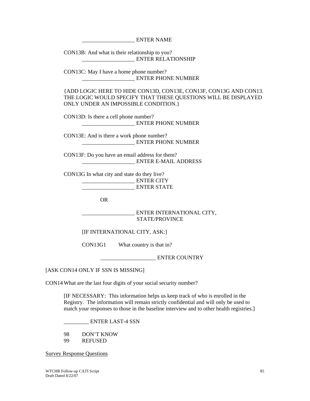\_\_\_\_\_\_\_\_\_\_\_\_\_\_\_\_\_\_\_ ENTER NAME

CON13B: And what is their relationship to you? \_\_\_\_\_\_\_\_\_\_\_\_\_\_\_\_\_\_\_ ENTER RELATIONSHIP

CON13C: May I have a home phone number? \_\_\_\_\_\_\_\_\_\_\_\_\_\_\_\_\_\_\_ ENTER PHONE NUMBER

{ADD LOGIC HERE TO HIDE CON13D, CON13E, CON13F, CON13G AND CON13. THE LOGIC WOULD SPECIFY THAT THESE QUESTIONS WILL BE DISPLAYED ONLY UNDER AN IMPOSSIBLE CONDITION.}

CON13D: Is there a cell phone number? \_\_\_\_\_\_\_\_\_\_\_\_\_\_\_\_\_\_\_ ENTER PHONE NUMBER

CON13E: And is there a work phone number? \_\_\_\_\_\_\_\_\_\_\_\_\_\_\_\_\_\_\_ ENTER PHONE NUMBER

CON13F: Do you have an email address for them? \_\_\_\_\_\_\_\_\_\_\_\_\_\_\_\_\_\_\_ ENTER E-MAIL ADDRESS

CON13G In what city and state do they live? \_\_\_\_\_\_\_\_\_\_\_\_\_\_\_\_\_\_\_ ENTER CITY ENTER STATE

OR

\_\_\_\_\_\_\_\_\_\_\_\_\_\_\_\_\_\_\_ ENTER INTERNATIONAL CITY, STATE/PROVINCE

[IF INTERNATIONAL CITY, ASK:]

CON13G1 What country is that in?

ENTER COUNTRY

[ASK CON14 ONLY IF SSN IS MISSING]

CON14 What are the last four digits of your social security number?

[IF NECESSARY: This information helps us keep track of who is enrolled in the Registry. The information will remain strictly confidential and will only be used to match your responses to those in the baseline interview and to other health registries.]

\_\_\_\_\_\_\_\_\_ ENTER LAST-4 SSN

98 DON'T KNOW 99 REFUSED

Survey Response Questions

WTCHR Follow-up CATI Script Draft Dated 8/22/07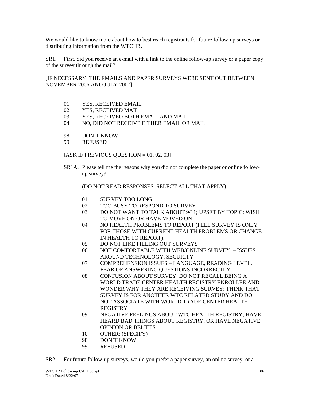We would like to know more about how to best reach registrants for future follow-up surveys or distributing information from the WTCHR.

SR1. First, did you receive an e-mail with a link to the online follow-up survey or a paper copy of the survey through the mail?

[IF NECESSARY: THE EMAILS AND PAPER SURVEYS WERE SENT OUT BETWEEN NOVEMBER 2006 AND JULY 2007]

- 01 YES, RECEIVED EMAIL
- 02 YES, RECEIVED MAIL
- 03 YES, RECEIVED BOTH EMAIL AND MAIL
- 04 NO, DID NOT RECEIVE EITHER EMAIL OR MAIL
- 98 DON'T KNOW
- 99 REFUSED

[ASK IF PREVIOUS QUESTION  $= 01, 02, 03$ ]

SR1A. Please tell me the reasons why you did not complete the paper or online followup survey?

(DO NOT READ RESPONSES. SELECT ALL THAT APPLY)

- 01 SURVEY TOO LONG
- 02 TOO BUSY TO RESPOND TO SURVEY
- 03 DO NOT WANT TO TALK ABOUT 9/11; UPSET BY TOPIC; WISH TO MOVE ON OR HAVE MOVED ON
- 04 NO HEALTH PROBLEMS TO REPORT (FEEL SURVEY IS ONLY FOR THOSE WITH CURRENT HEALTH PROBLEMS OR CHANGE IN HEALTH TO REPORT).
- 05 DO NOT LIKE FILLING OUT SURVEYS
- 06 NOT COMFORTABLE WITH WEB/ONLINE SURVEY ISSUES AROUND TECHNOLOGY, SECURITY
- 07 COMPREHENSION ISSUES LANGUAGE, READING LEVEL, FEAR OF ANSWERING QUESTIONS INCORRECTLY
- 08 CONFUSION ABOUT SURVEY: DO NOT RECALL BEING A WORLD TRADE CENTER HEALTH REGISTRY ENROLLEE AND WONDER WHY THEY ARE RECEIVING SURVEY; THINK THAT SURVEY IS FOR ANOTHER WTC RELATED STUDY AND DO NOT ASSOCIATE WITH WORLD TRADE CENTER HEALTH **REGISTRY**
- 09 NEGATIVE FEELINGS ABOUT WTC HEALTH REGISTRY; HAVE HEARD BAD THINGS ABOUT REGISTRY, OR HAVE NEGATIVE OPINION OR BELIEFS
- 10 OTHER: (SPECIFY)
- 98 DON'T KNOW
- 99 REFUSED
- SR2. For future follow-up surveys, would you prefer a paper survey, an online survey, or a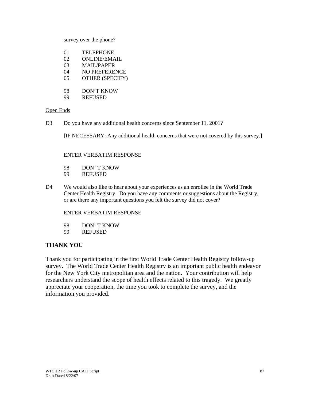survey over the phone?

| 01 | <b>TELEPHONE</b>       |
|----|------------------------|
| 02 | <b>ONLINE/EMAIL</b>    |
| 03 | <b>MAIL/PAPER</b>      |
| 04 | <b>NO PREFERENCE</b>   |
| 05 | <b>OTHER (SPECIFY)</b> |
|    |                        |
| 98 | DON'T KNOW             |
| 99 | <b>REFUSED</b>         |
|    |                        |

## Open Ends

D3 Do you have any additional health concerns since September 11, 2001?

[IF NECESSARY: Any additional health concerns that were not covered by this survey.]

## ENTER VERBATIM RESPONSE

- 98 DON' T KNOW
- 99 REFUSED
- D4 We would also like to hear about your experiences as an enrollee in the World Trade Center Health Registry. Do you have any comments or suggestions about the Registry, or are there any important questions you felt the survey did not cover?

## ENTER VERBATIM RESPONSE

- 98 DON' T KNOW
- 99 REFUSED

# **THANK YOU**

Thank you for participating in the first World Trade Center Health Registry follow-up survey. The World Trade Center Health Registry is an important public health endeavor for the New York City metropolitan area and the nation. Your contribution will help researchers understand the scope of health effects related to this tragedy. We greatly appreciate your cooperation, the time you took to complete the survey, and the information you provided.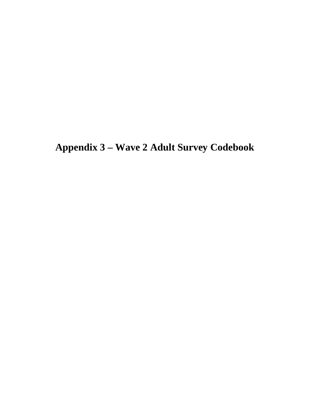**Appendix 3 – Wave 2 Adult Survey Codebook**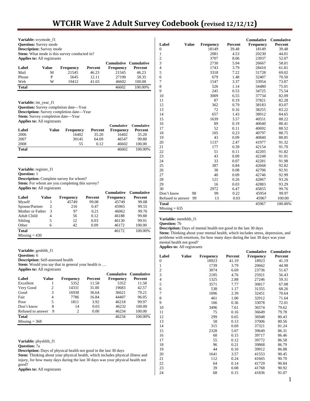| <b>Applies to: All registrants</b>                                                |                |                                                                                                                               |         | Cumulative        | <b>Cumulative</b>          |
|-----------------------------------------------------------------------------------|----------------|-------------------------------------------------------------------------------------------------------------------------------|---------|-------------------|----------------------------|
| Label                                                                             | Value          | <b>Frequency</b>                                                                                                              | Percent | <b>Frequency</b>  | Percent                    |
| Mail                                                                              | М              | 21545                                                                                                                         | 46.23   | 21545             | 46.23                      |
| Phone                                                                             | P              | 5645                                                                                                                          | 12.11   | 27190             | 58.35                      |
| Web                                                                               | W              | 19412                                                                                                                         | 41.65   | 46602             | 100.00                     |
| <b>Total</b>                                                                      |                |                                                                                                                               |         | 46602             | 100.00%                    |
| Variable: int_year_f1                                                             |                | Question: Survey completion date-Year<br><b>Description:</b> Survey completion date—Year<br>Stem: Survey completion date—Year |         |                   |                            |
| <b>Applies to: All registrants</b>                                                |                |                                                                                                                               |         | <b>Cumulative</b> | <b>Cumulative</b>          |
| Label                                                                             | <b>Value</b>   | <b>Frequency</b>                                                                                                              | Percent | Frequency         | Percent                    |
| 2006                                                                              |                | 16402                                                                                                                         | 35.20   | 16402             | 35.20                      |
| 2007                                                                              |                | 30145                                                                                                                         | 64.69   | 46547             | 99.88                      |
| 2008                                                                              |                |                                                                                                                               |         |                   |                            |
|                                                                                   |                | 55                                                                                                                            | 0.12    | 46602             | 100.00                     |
| <b>Total</b>                                                                      |                |                                                                                                                               |         | 46602             | 100.00%                    |
|                                                                                   |                | <b>Description:</b> Complete survey for whom?<br><b>Stem:</b> For whom are you completing this survey?                        |         |                   |                            |
| Variable: register_f1<br><b>Ouestion:</b> 1<br><b>Applies to: All registrants</b> |                |                                                                                                                               |         | <b>Cumulative</b> |                            |
| Label                                                                             | <b>Value</b>   | <b>Frequency</b>                                                                                                              | Percent | Frequency         | Percent                    |
| Myself                                                                            | 1              | 45749                                                                                                                         | 99.08   | 45749             | <b>Cumulative</b><br>99.08 |
| Spouse/Partner                                                                    | $\overline{c}$ | 216                                                                                                                           | 0.47    | 45965             | 99.55                      |
|                                                                                   | 3              | 97                                                                                                                            | 0.21    | 46062             | 99.76                      |
|                                                                                   | $\overline{4}$ | 56                                                                                                                            | 0.12    | 46188             | 99.88                      |
| Mother or Father<br><b>Adult Child</b><br>Sibling                                 | 5              | 12                                                                                                                            | 0.03    | 46130             | 99.91                      |
| Other                                                                             | 6              | 42                                                                                                                            | 0.09    | 46172             | 100.00                     |

|                   |              |                  |         | <b>Cumulative</b> | <b>Cumulative</b> |
|-------------------|--------------|------------------|---------|-------------------|-------------------|
| Label             | <b>Value</b> | <b>Frequency</b> | Percent | Frequency         | Percent           |
| 0                 |              | 18149            | 39.48   | 18149             | 39.48             |
| 1                 |              | 2081             | 4.53    | 20230             | 44.01             |
| $\overline{c}$    |              | 3707             | 8.06    | 23937             | 52.07             |
| 3                 |              | 2730             | 5.94    | 26667             | 58.01             |
| $\overline{4}$    |              | 1743             | 3.79    | 28410             | 61.81             |
| 5                 |              | 3318             | 7.22    | 31728             | 69.02             |
| 6                 |              | 679              | 1.48    | 32407             | 70.50             |
| 7                 |              | 1547             | 3.37    | 33954             | 73.87             |
| 8                 |              | 526              | 1.14    | 34480             | 75.01             |
| 9                 |              | 245              | 0.53    | 34725             | 75.54             |
| 10                |              | 3009             | 6.55    | 37734             | 82.09             |
| 11                |              | 87               | 0.19    | 37821             | 82.28             |
| 12                |              | 362              | 0.79    | 38183             | 83.07             |
| 13                |              | 72               | 0.16    | 38255             | 83.22             |
| 14                |              | 657              | 1.43    | 38912             | 84.65             |
| 15                |              | 1639             | 3.57    | 40551             | 88.22             |
| 16                |              | 89               | 0.19    | 40640             | 88.41             |
| 17                |              | 52               | 0.11    | 40692             | 88.52             |
| 18                |              | 105              | 0.23    | 40797             | 88.75             |
| 19                |              | 43               | 0.09    | 40840             | 88.85             |
| 20                |              | 1137             | 2.47    | 41977             | 91.32             |
| 21                |              | 177              | 0.39    | 42154             | 91.70             |
| 22                |              | 51               | 0.11    | 42205             | 91.82             |
| 23                |              | 43               | 0.09    | 42248             | 91.91             |
| 24                |              | 33               | 0.07    | 42281             | 91.98             |
| 25                |              | 387              | 0.84    | 42668             | 92.82             |
| 26                |              | 38               | 0.08    | 42706             | 92.91             |
| 27                |              | 40               | 0.09    | 42746             | 92.99             |
| 28                |              | 121              | 0.26    | 42867             | 93.26             |
| 29                |              | 16               | 0.03    | 42883             | 93.29             |
| 30                |              | 2972             | 6.47    | 45855             | 99.76             |
| Don't know        | 98           | 99               | 0.22    | 45954             | 99.97             |
| Refused to answer | 99           | 13               | 0.03    | 45967             | 100.00            |
| Total             |              |                  |         | 45967             | 100.00%           |
| $Missing = 635$   |              |                  |         |                   |                   |

**Variable:** menthlth\_f1

**Question:** 7b

**Description:** Days of mental health not good in the last 30 days Stem: Thinking about your mental health, which includes stress, depression, and problems with emotions, for how many days during the last 30 days was your mental health not good?

**Applies to:** All registrants

|                |              |                  |         | <b>Cumulative</b> | <b>Cumulative</b> |
|----------------|--------------|------------------|---------|-------------------|-------------------|
| Label          | <b>Value</b> | <b>Frequency</b> | Percent | <b>Frequency</b>  | Percent           |
| 0              |              | 18923            | 41.19   | 18923             | 41.19             |
| 1              |              | 1739             | 3.79    | 20662             | 44.98             |
| $\overline{c}$ |              | 3074             | 6.69    | 23736             | 51.67             |
| 3              |              | 2185             | 4.76    | 25921             | 56.43             |
| 4              |              | 1325             | 2.88    | 27246             | 59.31             |
| 5              |              | 3571             | 7.77    | 30817             | 67.08             |
| 6              |              | 538              | 1.17    | 31355             | 68.26             |
| 7              |              | 1096             | 2.39    | 32451             | 70.64             |
| 8              |              | 461              | 1.00    | 32912             | 71.64             |
| 9              |              | 166              | 0.36    | 33078             | 72.01             |
| 10             |              | 3496             | 7.61    | 36574             | 79.62             |
| 11             |              | 75               | 0.16    | 36649             | 79.78             |
| 12             |              | 299              | 0.65    | 36948             | 80.43             |
| 13             |              | 58               | 0.13    | 37006             | 80.56             |
| 14             |              | 315              | 0.69    | 37321             | 81.24             |
| 15             |              | 2328             | 5.07    | 39649             | 86.31             |
| 16             |              | 68               | 0.15    | 39717             | 86.46             |
| 17             |              | 55               | 0.12    | 39772             | 86.58             |
| 18             |              | 96               | 0.21    | 39868             | 86.79             |
| 19             |              | 44               | 0.10    | 39912             | 86.88             |
| 20             |              | 1641             | 3.57    | 41553             | 90.45             |
| 21             |              | 112              | 0.24    | 41665             | 90.70             |
| 22             |              | 64               | 0.14    | 41729             | 90.84             |
| 23             |              | 39               | 0.08    | 41768             | 90.92             |
| 24             |              | 68               | 0.15    | 41836             | 91.07             |

**Variable:** genhlth\_f1 **Question:** 6 **Description:** Self-assessed health **Stem:** Would you say that in general your health is ... **Applies to:** All registrants

|                   |       |                  |         | <b>Cumulative Cumulative</b> |         |
|-------------------|-------|------------------|---------|------------------------------|---------|
| Label             | Value | <b>Frequency</b> | Percent | <b>Frequency</b>             | Percent |
| Excellent         |       | 5352             | 11.58   | 5352                         | 11.58   |
| Very Good         | 2     | 14331            | 31.00   | 19683                        | 42.57   |
| Good              | 3     | 16938            | 36.64   | 36621                        | 79.21   |
| Fair              | 4     | 7786             | 16.84   | 44407                        | 96.05   |
| Poor              | 5     | 1811             | 3.92    | 46218                        | 99.97   |
| Don't know        | 8     | 14               | 0.03    | 46232                        | 100.00  |
| Refused to answer | 9     | 2                | 0.00    | 46234                        | 100.00  |
| <b>Total</b>      |       |                  |         | 46234                        | 100.00% |
| $Missing = 368$   |       |                  |         |                              |         |

**Variable:** physhlth\_f1

**Question:** 7a

**Description:** Days of physical health not good in the last 30 days

**Stem:** Thinking about your physical health, which includes physical illness and injury, for how many days during the last 30 days was your physical health not good?

**Applies to:** All registrants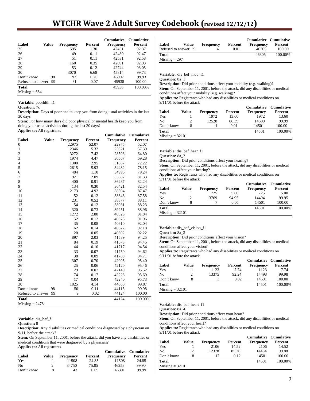# **WTCHR Wave 2 Adult Survey Codebook (revised 12/12/12)**

|                   |    |                  |         | <b>Cumulative</b> | <b>Cumulative</b> |
|-------------------|----|------------------|---------|-------------------|-------------------|
| Label<br>Value    |    | <b>Frequency</b> | Percent | Frequency         | Percent           |
| 25                |    | 595              | 1.30    | 42431             | 92.37             |
| 26                |    | 49               | 0.11    | 42480             | 92.47             |
| 27                |    | 51               | 0.11    | 42531             | 92.58             |
| 28                |    | 160              | 0.35    | 42691             | 92.93             |
| 29                |    | 53               | 0.12    | 42744             | 93.05             |
| 30                |    | 3070             | 6.68    | 45814             | 99.73             |
| Don't know        | 98 | 93               | 0.20    | 45907             | 99.93             |
| Refused to answer | 99 | 31               | 0.07    | 45938             | 100.00            |
| <b>Total</b>      |    |                  |         | 45938             | 100.00%           |
| $Missing = 664$   |    |                  |         |                   |                   |

**Variable:** poorhlth\_f1

#### **Question:** 7c

**Description:** Days of poor health keep you from doing usual activities in the last 30 days

**Stem:** For how many days did poor physical or mental health keep you from doing your usual activities during the last 30 days? **Applies to:** All registrants

|                         |              |                  |         | Cumulative       | Cumulative |
|-------------------------|--------------|------------------|---------|------------------|------------|
| Label                   | <b>Value</b> | <b>Frequency</b> | Percent | <b>Frequency</b> | Percent    |
| $\boldsymbol{0}$        |              | 22975            | 52.07   | 22975            | 52.07      |
| $\mathbf{1}$            |              | 2346             | 5.32    | 25321            | 57.39      |
| $\overline{\mathbf{c}}$ |              | 3272             | 7.42    | 28593            | 64.80      |
| 3                       |              | 1974             | 4.47    | 30567            | 69.28      |
| $\overline{4}$          |              | 1300             | 2.95    | 31867            | 72.22      |
| 5                       |              | 2615             | 5.93    | 34482            | 78.15      |
| 6                       |              | 484              | 1.10    | 34996            | 79.24      |
| 7                       |              | 921              | 2.09    | 35887            | 81.33      |
| 8                       |              | 400              | 0.91    | 36287            | 82.24      |
| 9                       |              | 134              | 0.30    | 36421            | 82.54      |
| 10                      |              | 2173             | 4.92    | 38594            | 87.47      |
| 11                      |              | 52               | 0.12    | 38646            | 87.58      |
| 12                      |              | 231              | 0.52    | 38877            | 88.11      |
| 13                      |              | 54               | 0.12    | 38931            | 88.23      |
| 14                      |              | 320              | 0.73    | 39251            | 88.96      |
| 15                      |              | 1272             | 2.88    | 40523            | 91.84      |
| 16                      |              | 52               | 0.12    | 40575            | 91.96      |
| 17                      |              | 35               | 0.08    | 40610            | 92.04      |
| 18                      |              | 62               | 0.14    | 40672            | 92.18      |
| 19                      |              | 20               | 0.05    | 40692            | 92.22      |
| 20                      |              | 897              | 2.03    | 41589            | 94.25      |
| 21                      |              | 84               | 0.19    | 41673            | 94.45      |
| 22                      |              | 44               | 0.10    | 41717            | 94.54      |
| 23                      |              | 33               | 0.07    | 41750            | 94.62      |
| 24                      |              | 38               | 0.09    | 41788            | 94.71      |
| 25                      |              | 307              | 0.70    | 42095            | 95.40      |
| 26                      |              | 25               | 0.06    | 42120            | 95.46      |
| 27                      |              | 29               | 0.07    | 42149            | 95.52      |
| 28                      |              | 74               | 0.17    | 42223            | 95.69      |
| 29                      |              | 17               | 0.04    | 42240            | 95.73      |
| 30                      |              | 1825             | 4.14    | 44065            | 99.87      |
| Don't know              | 98           | 50               | 0.11    | 44115            | 99.98      |
| Refused to answer       | 99           | 9                | 0.02    | 44124            | 100.00     |
| <b>Total</b>            |              |                  |         | 44124            | 100.00%    |
| $Missing = 2478$        |              |                  |         |                  |            |

**Variable:** dis\_bef\_f1

#### **Question:** 8

**Description:** Any disabilities or medical conditions diagnosed by a physician on 9/11, before the attack?

**Stem:** On September 11, 2001, before the attack, did you have any disabilities or medical conditions that were diagnosed by a physician? **Applies to:** All registrants

|                |       |                  |         | Cumulative Cumulative |         |
|----------------|-------|------------------|---------|-----------------------|---------|
| Label          | Value | <b>Frequency</b> | Percent | Frequency             | Percent |
| Yes            |       | 11508            | 24.85   | 11508                 | 24.85   |
| N <sub>0</sub> | 2     | 34750            | 75.05   | 46258                 | 99.90   |
| Don't know     | 8     | 43               | 0.09    | 46301                 | 99.99   |

|                     |       |                  |         | Cumulative Cumulative |         |
|---------------------|-------|------------------|---------|-----------------------|---------|
| Label               | Value | <b>Frequency</b> | Percent | <b>Frequency</b>      | Percent |
| Refused to answer 9 |       |                  | 0.01    | 46305                 | 100.00  |
| <b>Total</b>        |       |                  |         | 46305                 | 100.00% |
| $Missing = 297$     |       |                  |         |                       |         |

**Variable:** dis\_bef\_mob\_f1

**Question:** 8a\_1

**Description:** Did prior conditions affect your mobility (e.g. walking)? **Stem:** On September 11, 2001, before the attack, did any disabilities or medical conditions affect your mobility (e.g. walking)?

**Applies to:** Registrants who had any disabilities or medical conditions on

|                   |       |                  |         | <b>Cumulative</b> | Cumulative |
|-------------------|-------|------------------|---------|-------------------|------------|
| Label             | Value | <b>Frequency</b> | Percent | <b>Frequency</b>  | Percent    |
| Yes               |       | 1972             | 13.60   | 1972              | 13.60      |
| No                | 2     | 12528            | 86.39   | 14500             | 99.99      |
| Don't know        | 8     |                  | 0.01    | 14501             | 100.00     |
| Total             |       |                  |         | 14501             | 100.00%    |
| $Missing = 32101$ |       |                  |         |                   |            |

**Variable:** dis\_bef\_hear\_f1

**Question:** 8a\_2 **Description:** Did prior conditions affect your hearing?

**Stem:** On September 11, 2001, before the attack, did any disabilities or medical conditions affect your hearing?

**Applies to:** Registrants who had any disabilities or medical conditions on 9/11/01 before the attack

|              |       |           |         | <b>Cumulative</b> | Cumulative |
|--------------|-------|-----------|---------|-------------------|------------|
| Label        | Value | Frequency | Percent | <b>Frequency</b>  | Percent    |
| Yes          |       | 725       | 5.00    | 725               | 5.00       |
| No           |       | 13769     | 94.95   | 14494             | 99.95      |
| Don't know   |       |           | 0.05    | 14501             | 100.00     |
| <b>Total</b> |       |           |         | 14501             | 100.00%    |
|              |       |           |         |                   |            |

 $Missing = 32101$ 

**Variable:** dis\_bef\_vision\_f1

**Question:** 8a\_3

**Description:** Did prior conditions affect your vision?

Stem: On September 11, 2001, before the attack, did any disabilities or medical conditions affect your vision?

**Applies to:** Registrants who had any disabilities or medical conditions on 9/11/01 before the attack

| Label             | Value | <b>Frequency</b> | Percent | <b>Cumulative Cumulative</b><br><b>Frequency</b> | Percent |
|-------------------|-------|------------------|---------|--------------------------------------------------|---------|
| Yes               |       | 1123             | 7.74    | 1123                                             | 7.74    |
| N <sub>0</sub>    | 2     | 13375            | 92.24   | 14498                                            | 99.98   |
| Don't know        | 8     |                  | 0.02    | 14501                                            | 100.00  |
| <b>Total</b>      |       |                  |         | 14501                                            | 100.00% |
| $Missing = 32101$ |       |                  |         |                                                  |         |

**Variable:** dis\_bef\_heart\_f1

**Question:** 8a\_4

**Description:** Did prior conditions affect your heart?

**Stem:** On September 11, 2001, before the attack, did any disabilities or medical conditions affect your heart?

**Applies to:** Registrants who had any disabilities or medical conditions on 9/11/01 before the attack

|                   |       |                  |         | <b>Cumulative Cumulative</b> |         |
|-------------------|-------|------------------|---------|------------------------------|---------|
| Label             | Value | <b>Frequency</b> | Percent | <b>Frequency</b>             | Percent |
| Yes               |       | 2106             | 14.52   | 2106                         | 14.52   |
| No                |       | 12378            | 85.36   | 14484                        | 99.88   |
| Don't know        |       | 17               | 0.12    | 14501                        | 100.00  |
| Total             |       |                  |         | 14501                        | 100.00% |
| $Missing = 32101$ |       |                  |         |                              |         |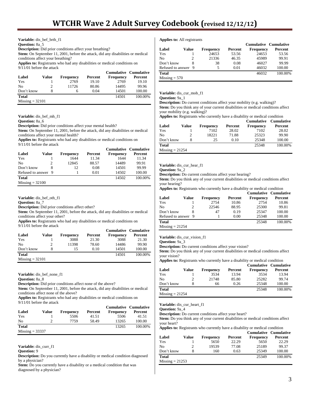#### **Variable:** dis\_bef\_brth\_f1

**Question:** 8a\_5

**Description:** Did prior conditions affect your breathing?

**Stem:** On September 11, 2001, before the attack, did any disabilities or medical conditions affect your breathing?

**Applies to:** Registrants who had any disabilities or medical conditions on 9/11/01 before the attack

| $2.1$ 1.0 1.0 0.0 1.0 1.0 0.000 0.000 0.000 0.000 0.000 0.000 0.000 0.000 0.000 0.000 0.000 0.000 0.000 0.000 0.000 0.000 0.000 0.000 0.000 0.000 0.000 0.000 0.000 0.000 0.000 0.000 0.000 0.000 0.000 0.000 0.000 0.000 0.0 |       |                  |         |                              |         |  |  |  |
|-------------------------------------------------------------------------------------------------------------------------------------------------------------------------------------------------------------------------------|-------|------------------|---------|------------------------------|---------|--|--|--|
|                                                                                                                                                                                                                               |       |                  |         | <b>Cumulative Cumulative</b> |         |  |  |  |
| Label                                                                                                                                                                                                                         | Value | <b>Frequency</b> | Percent | <b>Frequency</b>             | Percent |  |  |  |
| Yes                                                                                                                                                                                                                           |       | 2769             | 19.10   | 2769                         | 19.10   |  |  |  |
| N <sub>0</sub>                                                                                                                                                                                                                |       | 11726            | 80.86   | 14495                        | 99.96   |  |  |  |
| Don't know                                                                                                                                                                                                                    | 8     | 6                | 0.04    | 14501                        | 100.00  |  |  |  |
| <b>Total</b>                                                                                                                                                                                                                  |       |                  |         | 14501                        | 100.00% |  |  |  |
| $Missing = 32101$                                                                                                                                                                                                             |       |                  |         |                              |         |  |  |  |

Variable: dis bef mh f1

**Question:** 8a\_6

**Description:** Did prior conditions affect your mental health?

Stem: On September 11, 2001, before the attack, did any disabilities or medical conditions affect your mental health?

**Applies to:** Registrants who had any disabilities or medical conditions on 9/11/01 before the attack

| Label               | Value | <b>Frequency</b> | Percent | <b>Cumulative Cumulative</b><br><b>Frequency</b> | Percent |
|---------------------|-------|------------------|---------|--------------------------------------------------|---------|
| Yes                 |       | 1644             | 11.34   | 1644                                             | 11.34   |
| N <sub>0</sub>      |       | 12845            | 88.57   | 14489                                            | 99.91   |
| Don't know          | 8     | 12               | 0.08    | 14501                                            | 99.99   |
| Refused to answer 9 |       |                  | 0.01    | 14502                                            | 100.00  |
| <b>Total</b>        |       |                  |         | 14502                                            | 100.00% |
| $Missing = 32100$   |       |                  |         |                                                  |         |

**Variable:** dis\_bef\_oth\_f1

**Question:** 8a\_7

**Description:** Did prior conditions affect other?

**Stem:** On September 11, 2001, before the attack, did any disabilities or medical conditions affect your other?

**Applies to:** Registrants who had any disabilities or medical conditions on 9/11/01 before the attack

|                   |       |                  |         | <b>Cumulative Cumulative</b> |         |
|-------------------|-------|------------------|---------|------------------------------|---------|
| Label             | Value | <b>Frequency</b> | Percent | <b>Frequency</b>             | Percent |
| Yes               |       | 3088             | 21.30   | 3088                         | 21.30   |
| N <sub>0</sub>    |       | 11398            | 78.60   | 14486                        | 99.90   |
| Don't know        | 8     | 15               | 0.10    | 14501                        | 100.00  |
| <b>Total</b>      |       |                  |         | 14501                        | 100.00% |
| $Missing = 32101$ |       |                  |         |                              |         |

**Variable:** dis\_bef\_none\_f1

**Question:** 8a\_8

**Description:** Did prior conditions affect none of the above?

**Stem:** On September 11, 2001, before the attack, did any disabilities or medical conditions affect none of the above?

**Applies to:** Registrants who had any disabilities or medical conditions on 9/11/01 before the attack

| Label             | Value | <b>Frequency</b> | Percent | Frequency | <b>Cumulative Cumulative</b><br>Percent |
|-------------------|-------|------------------|---------|-----------|-----------------------------------------|
| Yes               |       | 5506             | 41.51   | 5506      | 41.51                                   |
| N <sub>0</sub>    |       | 7759             | 58.49   | 13265     | 100.00                                  |
| <b>Total</b>      |       |                  |         | 13265     | 100.00%                                 |
| $Missing = 33337$ |       |                  |         |           |                                         |

# **Variable:** dis\_curr\_f1

#### **Question:** 9

**Description:** Do you currently have a disability or medical condition diagnosed by a physician?

Stem: Do you currently have a disability or a medical condition that was diagnosed by a physician?

#### **Applies to:** All registrants

|                     |       |                  |         | <b>Cumulative Cumulative</b> |         |
|---------------------|-------|------------------|---------|------------------------------|---------|
| Label               | Value | <b>Frequency</b> | Percent | <b>Frequency</b>             | Percent |
| Yes                 |       | 24653            | 53.56   | 24653                        | 53.56   |
| No                  | っ     | 21336            | 46.35   | 45989                        | 99.91   |
| Don't know          | 8     | 38               | 0.08    | 46027                        | 99.99   |
| Refused to answer 9 |       | 5                | 0.01    | 46032                        | 100.00  |
| <b>Total</b>        |       |                  |         | 46032                        | 100.00% |
| $Missing = 570$     |       |                  |         |                              |         |

**Variable:** dis\_cur\_mob\_f1

**Question:** 9a\_1

**Description:** Do current conditions affect your mobility (e.g. walking)? **Stem:** Do you think any of your current disabilities or medical conditions affect your mobility (e.g. walking)?

**Applies to:** Registrants who currently have a disability or medical condition **Cumulative Cumulative**

| Label             | Value | Frequency | Percent | Сишинануе<br>Frequency | Сишинануе<br>Percent |
|-------------------|-------|-----------|---------|------------------------|----------------------|
| Yes               |       | 7102      | 28.02   | 7102                   | 28.02                |
| No                |       | 18221     | 71.88   | 25323                  | 99.90                |
| Don't know        | 8     | 25        | 0.10    | 25348                  | 100.00               |
| <b>Total</b>      |       |           |         | 25348                  | 100.00%              |
| $Missing = 21254$ |       |           |         |                        |                      |

#### **Variable:** dis\_cur\_hear\_f1

**Question:** 9a\_2

**Description:** Do current conditions affect your hearing?

**Stem:** Do you think any of your current disabilities or medical conditions affect your hearing?

**Applies to:** Registrants who currently have a disability or medical condition

|                     |       |                  |         | <b>Cumulative Cumulative</b> |         |
|---------------------|-------|------------------|---------|------------------------------|---------|
| Label               | Value | <b>Frequency</b> | Percent | <b>Frequency</b>             | Percent |
| Yes                 |       | 2754             | 10.86   | 2754                         | 10.86   |
| No                  |       | 22546            | 88.95   | 25300                        | 99.81   |
| Don't know          |       | 47               | 0.19    | 25347                        | 100.00  |
| Refused to answer 9 |       |                  | 0.00    | 25348                        | 100.00  |
| <b>Total</b>        |       |                  |         | 25348                        | 100.00% |
| $Missing = 21254$   |       |                  |         |                              |         |

#### **Variable:** dis\_cur\_vision\_f1

**Question:** 9a\_3

**Description:** Do current conditions affect your vision?

**Stem:** Do you think any of your current disabilities or medical conditions affect your vision?

**Applies to:** Registrants who currently have a disability or medical condition

|                   |       |                  |         | <b>Cumulative Cumulative</b> |         |
|-------------------|-------|------------------|---------|------------------------------|---------|
| Label             | Value | <b>Frequency</b> | Percent | <b>Frequency</b>             | Percent |
| Yes               |       | 3534             | 13.94   | 3534                         | 13.94   |
| No                |       | 21748            | 85.80   | 25282                        | 99.74   |
| Don't know        | 8     | 66               | 0.26    | 25348                        | 100.00  |
| <b>Total</b>      |       |                  |         | 25348                        | 100.00% |
| $Missing = 21254$ |       |                  |         |                              |         |

**Variable:** dis\_cur\_heart\_f1

**Question:** 9a\_4

**Description:** Do current conditions affect your heart?

**Stem:** Do you think any of your current disabilities or medical conditions affect your heart?

**Applies to:** Registrants who currently have a disability or medical condition

|                   |       |                  |         |                  | <b>Cumulative Cumulative</b> |
|-------------------|-------|------------------|---------|------------------|------------------------------|
| Label             | Value | <b>Frequency</b> | Percent | <b>Frequency</b> | Percent                      |
| Yes               |       | 5650             | 22.29   | 5650             | 22.29                        |
| No                |       | 19539            | 77.08   | 25189            | 99.37                        |
| Don't know        | 8     | 160              | 0.63    | 25349            | 100.00                       |
| <b>Total</b>      |       |                  |         | 25349            | 100.00%                      |
| $Missing = 21253$ |       |                  |         |                  |                              |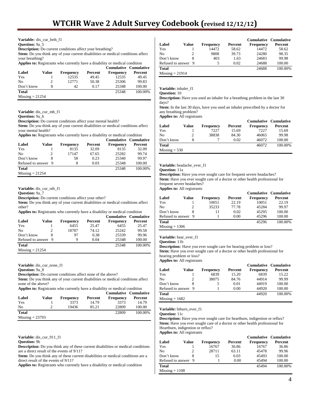**Variable:** dis\_cur\_brth\_f1

**Question: 9a\_5** 

**Description:** Do current conditions affect your breathing?

**Stem:** Do you think any of your current disabilities or medical conditions affect your breathing?

**Applies to:** Registrants who currently have a disability or medical condition

|                   |       |                  |         | Cumulative Cumulative |         |
|-------------------|-------|------------------|---------|-----------------------|---------|
| Label             | Value | <b>Frequency</b> | Percent | <b>Frequency</b>      | Percent |
| Yes               |       | 12535            | 49.45   | 12535                 | 49.45   |
| N <sub>0</sub>    |       | 12771            | 50.38   | 25306                 | 99.83   |
| Don't know        | 8     | 42               | 0.17    | 25348                 | 100.00  |
| <b>Total</b>      |       |                  |         | 25348                 | 100.00% |
| $Missing = 21254$ |       |                  |         |                       |         |

**Variable:** dis\_cur\_mh\_f1

**Question:** 9a\_6

**Description:** Do current conditions affect your mental health?

**Stem:** Do you think any of your current disabilities or medical conditions affect your mental health?

**Applies to:** Registrants who currently have a disability or medical condition

| Label               | Value | <b>Frequency</b> | Percent | <b>Cumulative Cumulative</b><br><b>Frequency</b> | Percent |
|---------------------|-------|------------------|---------|--------------------------------------------------|---------|
| Yes                 |       | 8135             | 32.09   | 8135                                             | 32.09   |
| No                  |       | 17147            | 67.65   | 25282                                            | 99.74   |
| Don't know          |       | 58               | 0.23    | 25340                                            | 99.97   |
| Refused to answer 9 |       | 8                | 0.03    | 25348                                            | 100.00  |
| <b>Total</b>        |       |                  |         | 25348                                            | 100.00% |
| $Missing = 21254$   |       |                  |         |                                                  |         |

**Variable:** dis\_cur\_oth\_f1

**Question:** 9a\_7

**Description:** Do current conditions affect your other?

**Stem:** Do you think any of your current disabilities or medical conditions affect other?

**Applies to:** Registrants who currently have a disability or medical condition

|                     |       |                  |         | <b>Cumulative Cumulative</b> |         |
|---------------------|-------|------------------|---------|------------------------------|---------|
| Label               | Value | <b>Frequency</b> | Percent | <b>Frequency</b>             | Percent |
| Yes                 |       | 6455             | 25.47   | 6455                         | 25.47   |
| N <sub>0</sub>      |       | 18787            | 74.12   | 25242                        | 99.58   |
| Don't know          | 8     | 97               | 0.38    | 25339                        | 99.96   |
| Refused to answer 9 |       | 9                | 0.04    | 25348                        | 100.00  |
| <b>Total</b>        |       |                  |         | 25348                        | 100.00% |
| $Missing = 21254$   |       |                  |         |                              |         |

**Variable:** dis\_cur\_none\_f1

**Question:** 9a\_8

**Description:** Do current conditions affect none of the above?

**Stem:** Do you think any of your current disabilities or medical conditions affect none of the above?

**Applies to:** Registrants who currently have a disability or medical condition

|                   |       |                  |         | <b>Cumulative Cumulative</b> |         |
|-------------------|-------|------------------|---------|------------------------------|---------|
| Label             | Value | <b>Frequency</b> | Percent | <b>Frequency</b>             | Percent |
| Yes               |       | 3373             | 14.79   | 3373                         | 14.79   |
| No                |       | 19436            | 85.21   | 22809                        | 100.00  |
| <b>Total</b>      |       |                  |         | 22809                        | 100.00% |
| $Missing = 23793$ |       |                  |         |                              |         |

**Variable:** dis\_cur\_911\_f1

**Question:** 9b

**Description:** Do you think any of these current disabilities or medical conditions are a direct result of the events of 9/11?

**Stem:** Do you think any of these current disabilities or medical conditions are a direct result of the events of 9/11?

**Applies to:** Registrants who currently have a disability or medical condition

|                     |       |           |         | Cumulative Cumulative |         |
|---------------------|-------|-----------|---------|-----------------------|---------|
| Label               | Value | Frequency | Percent | <b>Frequency</b>      | Percent |
| Yes                 |       | 14472     | 58.62   | 14472                 | 58.62   |
| No                  |       | 9808      | 39.73   | 24280                 | 98.35   |
| Don't know          | 8     | 403       | 1.63    | 24683                 | 99.98   |
| Refused to answer 9 |       | 5         | 0.02    | 24688                 | 100.00  |
| <b>Total</b>        |       |           |         | 24688                 | 100.00% |
| $Missing = 21914$   |       |           |         |                       |         |

**Variable:** inhaler\_f1

**Question:** 10

**Description:** Have you used an inhaler for a breathing problem in the last 30 days?

**Stem:** In the last 30 days, have you used an inhaler prescribed by a doctor for any breathing problem?

**Applies to:** All registrants

|                 |       |                  |         | <b>Cumulative Cumulative</b> |         |
|-----------------|-------|------------------|---------|------------------------------|---------|
| Label           | Value | <b>Frequency</b> | Percent | <b>Frequency</b>             | Percent |
| Yes             |       | 7227             | 15.69   | 7227                         | 15.69   |
| No              |       | 38838            | 84.30   | 46065                        | 99.98   |
| Don't know      | 8     |                  | 0.02    | 46072                        | 100.00  |
| <b>Total</b>    |       |                  |         | 46072                        | 100.00% |
| $Missing = 530$ |       |                  |         |                              |         |

#### **Variable:** headache\_ever\_f1

**Question:** 11a

**Description:** Have you ever sought care for frequent severe headaches? **Stem:** Have you ever sought care of a doctor or other health professional for frequent severe headaches? **Applies to:** All registrants

| --                  |       |                  |         | Cumulative Cumulative |         |
|---------------------|-------|------------------|---------|-----------------------|---------|
| Label               | Value | <b>Frequency</b> | Percent | <b>Frequency</b>      | Percent |
| Yes                 |       | 10051            | 22.19   | 10051                 | 22.19   |
| No                  |       | 35233            | 77.78   | 45284                 | 99.97   |
| Don't know          |       | 11               | 0.02    | 45295                 | 100.00  |
| Refused to answer 9 |       |                  | 0.00    | 45296                 | 100.00  |
| Total               |       |                  |         | 45296                 | 100.00% |
|                     |       |                  |         |                       |         |

 $Missing = 1306$ 

**Variable:** hear\_ever\_f1

**Question:** 11b

**Description:** Have you ever sought care for hearing problem or loss? **Stem:** Have you ever sought care of a doctor or other health professional for hearing problem or loss?

**Applies to:** All registrants

|                     |       |                  |         | <b>Cumulative Cumulative</b> |         |
|---------------------|-------|------------------|---------|------------------------------|---------|
| Label               | Value | <b>Frequency</b> | Percent | <b>Frequency</b>             | Percent |
| Yes                 |       | 6839             | 15.20   | 6839                         | 15.22   |
| N <sub>0</sub>      |       | 38075            | 84.76   | 44914                        | 99.99   |
| Don't know          |       |                  | 0.01    | 44919                        | 100.00  |
| Refused to answer 9 |       |                  | 0.00    | 44920                        | 100.00  |
| <b>Total</b>        |       |                  |         | 44920                        | 100.00% |
| $Missing = 1682$    |       |                  |         |                              |         |

**Variable:** htburn\_ever\_f1

**Question:** 11c

**Description:** Have you ever sought care for heartburn, indigestion or reflux? **Stem:** Have you ever sought care of a doctor or other health professional for Heartburn, indigestion or reflux? **Applies to:** All registrants

|                     |       |           |         | <b>Cumulative Cumulative</b> |         |
|---------------------|-------|-----------|---------|------------------------------|---------|
| Label               | Value | Frequency | Percent | <b>Frequency</b>             | Percent |
| Yes                 |       | 16767     | 36.86   | 16767                        | 36.86   |
| N <sub>0</sub>      | 2     | 28711     | 63.11   | 45478                        | 99.96   |
| Don't know          |       | 15        | 0.03    | 45493                        | 100.00  |
| Refused to answer 9 |       |           | 0.00    | 45494                        | 100.00  |
| <b>Total</b>        |       |           |         | 45494                        | 100.00% |
| $Missing = 1108$    |       |           |         |                              |         |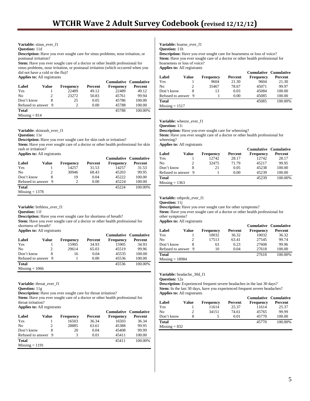# **Variable:** sinus\_ever\_f1

**Question:** 11d

**Description:** Have you ever sought care for sinus problems, nose irritation, or postnasal irritation?

**Stem:** Have you ever sought care of a doctor or other health professional for sinus problems, nose irritation, or postnasal irritation (which occurred when you did not have a cold or the flu)?

**Applies to:** All registrants

|                     |       |                  |         | <b>Cumulative Cumulative</b> |         |
|---------------------|-------|------------------|---------|------------------------------|---------|
| Label               | Value | <b>Frequency</b> | Percent | <b>Frequency</b>             | Percent |
| Yes                 |       | 22489            | 49.12   | 22489                        | 49.12   |
| N <sub>0</sub>      |       | 23272            | 50.83   | 45761                        | 99.94   |
| Don't know          |       | 25               | 0.05    | 45786                        | 100.00  |
| Refused to answer 9 |       | $\mathcal{P}$    | 0.00    | 45788                        | 100.00  |
| <b>Total</b>        |       |                  |         | 45788                        | 100.00% |
| $Missing = 814$     |       |                  |         |                              |         |

**Variable:** skinrash\_ever\_f1

#### **Question:** 11e

**Description:** Have you ever sought care for skin rash or irritation?

**Stem:** Have you ever sought care of a doctor or other health professional for skin rash or irritation?

**Applies to:** All registrants

|                     |       |           |         | <b>Cumulative Cumulative</b> |         |
|---------------------|-------|-----------|---------|------------------------------|---------|
| Label               | Value | Frequency | Percent | <b>Frequency</b>             | Percent |
| Yes                 |       | 14257     | 31.53   | 14257                        | 31.53   |
| N <sub>0</sub>      | 2     | 30946     | 68.43   | 45203                        | 99.95   |
| Don't know          |       | 19        | 0.04    | 45222                        | 100.00  |
| Refused to answer 9 |       | 2         | 0.00    | 45224                        | 100.00  |
| <b>Total</b>        |       |           |         | 45224                        | 100.00% |
| $Missing = 1378$    |       |           |         |                              |         |

**Variable:** brthless\_ever\_f1

**Question:** 11f

**Description:** Have you ever sought care for shortness of breath?

**Stem:** Have you ever sought care of a doctor or other health professional for shortness of breath?

**Applies to:** All registrants

|                     |       |                  |         |           | <b>Cumulative Cumulative</b> |
|---------------------|-------|------------------|---------|-----------|------------------------------|
| Label               | Value | <b>Frequency</b> | Percent | Frequency | Percent                      |
| Yes                 |       | 15905            | 34.93   | 15905     | 34.93                        |
| N <sub>0</sub>      |       | 29614            | 65.03   | 45519     | 99.96                        |
| Don't know          | 8     | 16               | 0.04    | 45535     | 100.00                       |
| Refused to answer 9 |       |                  | 0.00    | 45536     | 100.00                       |
| <b>Total</b>        |       |                  |         | 45536     | 100.00%                      |
| $Missing = 1066$    |       |                  |         |           |                              |

**Variable:** throat\_ever\_f1

**Question:** 11g

**Description:** Have you ever sought care for throat irritation?

**Stem:** Have you ever sought care of a doctor or other health professional for throat irritation?

**Applies to:** All registrants

| . .<br>Label        | Value | <b>Frequency</b> | Percent | Frequency | <b>Cumulative Cumulative</b><br>Percent |
|---------------------|-------|------------------|---------|-----------|-----------------------------------------|
| Yes                 |       | 16503            | 36.34   | 16503     | 36.34                                   |
| N <sub>0</sub>      | 2     | 28885            | 63.61   | 45388     | 99.95                                   |
| Don't know          | 8     | 20               | 0.04    | 45408     | 99.99                                   |
| Refused to answer 9 |       |                  | 0.01    | 45411     | 100.00                                  |
| <b>Total</b>        |       |                  |         | 45411     | 100.00%                                 |
| $Missing = 1191$    |       |                  |         |           |                                         |

**Variable:** hoarse\_ever\_f1

**Question:** 11h

**Description:** Have you ever sought care for hoarseness or loss of voice? **Stem:** Have you ever sought care of a doctor or other health professional for hoarseness or loss of voice? **Applies to:** All registrants

|                     |       |                  |         | <b>Cumulative Cumulative</b> |         |
|---------------------|-------|------------------|---------|------------------------------|---------|
| Label               | Value | <b>Frequency</b> | Percent | <b>Frequency</b>             | Percent |
| Yes                 |       | 9604             | 21.30   | 9604                         | 21.30   |
| No                  |       | 35467            | 78.67   | 45071                        | 99.97   |
| Don't know          |       | 13               | 0.03    | 45084                        | 100.00  |
| Refused to answer 9 |       |                  | 0.00    | 45085                        | 100.00  |
| <b>Total</b>        |       |                  |         | 45085                        | 100.00% |
| $Missing = 1517$    |       |                  |         |                              |         |

### **Variable:** wheeze\_ever\_f1

**Question:** 11i

**Description:** Have you ever sought care for wheezing?

**Stem:** Have you ever sought care of a doctor or other health professional for wheezing?

**Applies to:** All registrants

|                     |                |                  |         | <b>Cumulative Cumulative</b> |         |
|---------------------|----------------|------------------|---------|------------------------------|---------|
| Label               | Value          | <b>Frequency</b> | Percent | <b>Frequency</b>             | Percent |
| Yes                 |                | 12742            | 28.17   | 12742                        | 28.17   |
| N <sub>0</sub>      | $\mathfrak{D}$ | 32475            | 71.79   | 45217                        | 99.95   |
| Don't know          |                | 21               | 0.05    | 45238                        | 100.00  |
| Refused to answer 9 |                |                  | 0.00    | 45239                        | 100.00  |
| <b>Total</b>        |                |                  |         | 45239                        | 100.00% |
| $Missing = 1363$    |                |                  |         |                              |         |
|                     |                |                  |         |                              |         |

# **Variable:** othprob\_ever\_f1

**Question:** 11j

**Description:** Have you ever sought care for other symptoms?

Stem: Have you ever sought care of a doctor or other health professional for other symptoms?

**Applies to:** All registrants

|                     |       |                  |         | Cumulative Cumulative |         |
|---------------------|-------|------------------|---------|-----------------------|---------|
| Label               | Value | <b>Frequency</b> | Percent | <b>Frequency</b>      | Percent |
| Yes                 |       | 10032            | 36.32   | 10032                 | 36.32   |
| No                  | 2     | 17513            | 63.41   | 27545                 | 99.74   |
| Don't know          | 8     | 63               | 0.23    | 27608                 | 99.96   |
| Refused to answer 9 |       | 10               | 0.04    | 27618                 | 100.00  |
| Total               |       |                  |         | 27618                 | 100.00% |
| $Missing = 18984$   |       |                  |         |                       |         |

**Variable:** headache\_30d\_f1

**Question:** 12a

**Description:** Experienced frequent severe headaches in the last 30 days? Stem: In the last 30 days, have you experienced frequent severe headaches? **Applies to:** All registrants

|                 |       |                  |         | <b>Cumulative Cumulative</b> |         |
|-----------------|-------|------------------|---------|------------------------------|---------|
| Label           | Value | <b>Frequency</b> | Percent | <b>Frequency</b>             | Percent |
| Yes             |       | 11614            | 25.37   | 11614                        | 25.37   |
| No              | 2     | 34151            | 74.61   | 45765                        | 99.99   |
| Don't know      | 8     |                  | 0.01    | 45770                        | 100.00  |
| <b>Total</b>    |       |                  |         | 45770                        | 100.00% |
| $Missing = 832$ |       |                  |         |                              |         |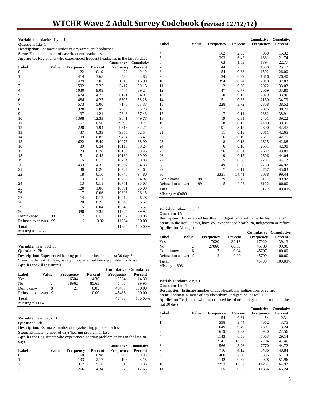# **WTCHR Wave 2 Adult Survey Codebook (revised 12/12/12)**

| <b>Variable:</b> headache_days_f1                                                                                        |              |                  |         |                        |         |  |  |  |  |  |
|--------------------------------------------------------------------------------------------------------------------------|--------------|------------------|---------|------------------------|---------|--|--|--|--|--|
| Question: 12a_1                                                                                                          |              |                  |         |                        |         |  |  |  |  |  |
| <b>Description:</b> Estimate number of days/frequent headaches                                                           |              |                  |         |                        |         |  |  |  |  |  |
| Stem: Estimate number of days/frequent headaches                                                                         |              |                  |         |                        |         |  |  |  |  |  |
| Applies to: Registrants who experienced frequent headaches in the last 30 days<br><b>Cumulative</b><br><b>Cumulative</b> |              |                  |         |                        |         |  |  |  |  |  |
| Label                                                                                                                    | <b>Value</b> | <b>Frequency</b> | Percent |                        | Percent |  |  |  |  |  |
| $\boldsymbol{0}$                                                                                                         |              | 22               | 0.19    | <b>Frequency</b><br>22 | 0.19    |  |  |  |  |  |
| $\mathbf{1}$                                                                                                             |              | 414              | 3.65    | 436                    | 3.85    |  |  |  |  |  |
| $\mathbf{2}$                                                                                                             |              | 1479             | 13.05   | 1915                   | 16.90   |  |  |  |  |  |
| 3                                                                                                                        |              | 1502             | 13.25   | 3417                   | 30.15   |  |  |  |  |  |
| $\overline{4}$                                                                                                           |              | 1030             | 9.09    | 4447                   | 39.24   |  |  |  |  |  |
| 5                                                                                                                        |              | 1674             | 14.77   | 6121                   | 54.01   |  |  |  |  |  |
| 6                                                                                                                        |              | 484              | 4.27    | 6605                   | 58.28   |  |  |  |  |  |
| 7                                                                                                                        |              | 573              | 5.06    | 7178                   | 63.33   |  |  |  |  |  |
| 8                                                                                                                        |              | 328              | 2.89    | 7506                   | 66.23   |  |  |  |  |  |
| 9                                                                                                                        |              | 137              | 1.21    | 7643                   | 67.43   |  |  |  |  |  |
| 10                                                                                                                       |              | 1398             | 12.33   | 9041                   | 79.77   |  |  |  |  |  |
| 11                                                                                                                       |              | 57               | 0.50    | 9098                   | 80.27   |  |  |  |  |  |
| 12                                                                                                                       |              | 220              | 1.94    | 9318                   | 82.21   |  |  |  |  |  |
| 13                                                                                                                       |              | 37               | 0.33    | 9355                   | 82.54   |  |  |  |  |  |
| 14                                                                                                                       |              | 99               | 0.87    | 9454                   | 83.41   |  |  |  |  |  |
| 15                                                                                                                       |              | 622              | 5.49    | 10076                  | 88.90   |  |  |  |  |  |
| 16                                                                                                                       |              | 39               | 0.34    | 10115                  | 89.24   |  |  |  |  |  |
| 17                                                                                                                       |              | 23               | 0.20    | 10138                  | 89.45   |  |  |  |  |  |
| 18                                                                                                                       |              | 51               | 0.45    | 10189                  | 89.90   |  |  |  |  |  |
| 19                                                                                                                       |              | 15               | 0.13    | 10204                  | 90.03   |  |  |  |  |  |
| 20                                                                                                                       |              | 493              | 4.35    | 10697                  | 94.38   |  |  |  |  |  |
| 21                                                                                                                       |              | 30               | 0.26    | 10727                  | 94.64   |  |  |  |  |  |
| 22                                                                                                                       |              | 18               | 0.16    | 10745                  | 94.80   |  |  |  |  |  |
| 23                                                                                                                       |              | 13               | 0.11    | 10758                  | 94.92   |  |  |  |  |  |
| 24                                                                                                                       |              | 13               | 0.11    | 10771                  | 95.03   |  |  |  |  |  |
| 25                                                                                                                       |              | 120              | 1.06    | 10891                  | 96.09   |  |  |  |  |  |
| 26                                                                                                                       |              | 7                | 0.06    | 10898                  | 96.15   |  |  |  |  |  |
| 27                                                                                                                       |              | 14               | 0.12    | 10912                  | 96.28   |  |  |  |  |  |
| 28                                                                                                                       |              | 28               | 0.25    | 10940                  | 96.52   |  |  |  |  |  |
| 29                                                                                                                       |              | 5                | 0.04    | 10945                  | 96.57   |  |  |  |  |  |
| 30                                                                                                                       |              | 380              | 3.35    | 11325                  | 99.92   |  |  |  |  |  |
| Don't know                                                                                                               | 98           | 7                | 0.06    | 11332                  | 99.98   |  |  |  |  |  |
| Refused to answer                                                                                                        | 99           | $\overline{2}$   | 0.02    | 11334                  | 100.00  |  |  |  |  |  |
| <b>Total</b>                                                                                                             |              |                  |         | 11334                  | 100.00% |  |  |  |  |  |
| $Missing = 35268$                                                                                                        |              |                  |         |                        |         |  |  |  |  |  |

**Variable:** hear\_30d\_f1

**Variable:** headache\_days\_f1

**Question:** 12b

**Description:** Experienced hearing problem or loss in the last 30 days? Stem: In the last 30 days, have you experienced hearing problem or loss? **Applies to:** All registrants

|                     |       |                  |         | <b>Cumulative Cumulative</b> |         |
|---------------------|-------|------------------|---------|------------------------------|---------|
| Label               | Value | <b>Frequency</b> | Percent | <b>Frequency</b>             | Percent |
| Yes                 |       | 6504             | 14.30   | 6504                         | 14.30   |
| No                  | 2     | 38962            | 85.65   | 45466                        | 99.95   |
| Don't know          |       | 21               | 0.05    | 45487                        | 100.00  |
| Refused to answer 9 |       |                  | 0.00    | 45488                        | 100.00  |
| Total               |       |                  |         | 45488                        | 100.00% |
| $Missing = 1114$    |       |                  |         |                              |         |

**Variable:** hear\_days\_f1

**Question:** 12b\_1

**Description:** Estimate number of days/hearing problem or loss

Stem: Estimate number of days/hearing problem or loss

Applies to: Registrants who experienced hearing problem or loss in the last 30 days

|               |       |                  |         | Cumulative Cumulative |         |
|---------------|-------|------------------|---------|-----------------------|---------|
| Label         | Value | <b>Frequency</b> | Percent | Frequency             | Percent |
| $\theta$      |       | 60               | 0.98    | 60                    | 0.98    |
|               |       | 133              | 2.17    | 193                   | 3.15    |
| $\mathcal{D}$ |       | 317              | 5.18    | 510                   | 8.33    |
| $\mathbf{c}$  |       | 266              | 4.34    | 776                   | 12.68   |

| Label             | <b>Value</b> | <b>Frequency</b> | Percent | Cumulative<br><b>Frequency</b> | Cumulative<br>Percent |
|-------------------|--------------|------------------|---------|--------------------------------|-----------------------|
|                   |              |                  |         |                                |                       |
| 4                 |              | 162              | 2.65    | 938                            | 15.32                 |
| 5                 |              | 393              | 6.42    | 1331                           | 21.74                 |
| 6                 |              | 63               | 1.03    | 1394                           | 22.77                 |
| 7                 |              | 144              | 2.35    | 1538                           | 25.12                 |
| 8                 |              | 54               | 0.88    | 1592                           | 26.00                 |
| 9                 |              | 24               | 0.39    | 1616                           | 26.40                 |
| 10                |              | 394              | 6.44    | 2010                           | 32.83                 |
| 11                |              | 12               | 0.20    | 2022                           | 33.03                 |
| 12                |              | 47               | 0.77    | 2069                           | 33.80                 |
| 13                |              | 10               | 0.16    | 2079                           | 33.96                 |
| 14                |              | 51               | 0.83    | 2130                           | 34.79                 |
| 15                |              | 228              | 3.72    | 2358                           | 38.52                 |
| 16                |              | 17               | 0.28    | 2375                           | 38.79                 |
| 17                |              | 7                | 0.11    | 2382                           | 38.91                 |
| 18                |              | 19               | 0.31    | 2401                           | 39.22                 |
| 19                |              | 8                | 0.13    | 2409                           | 39.35                 |
| 20                |              | 191              | 3.12    | 2600                           | 42.47                 |
| 21                |              | 11               | 0.18    | 2611                           | 42.65                 |
| 22                |              | 6                | 0.10    | 2617                           | 42.75                 |
| 23                |              | 8                | 0.13    | 2625                           | 42.88                 |
| 24                |              | 6                | 0.10    | 2631                           | 42.98                 |
| 25                |              | 56               | 0.91    | 2687                           | 43.89                 |
| 26                |              | 9                | 0.15    | 2696                           | 44.04                 |
| 27                |              | 5                | 0.08    | 2701                           | 44.12                 |
| 28                |              | 49               | 0.80    | 2750                           | 44.92                 |
| 29                |              | 7                | 0.11    | 2757                           | 45.03                 |
| 30                |              | 3331             | 54.41   | 6088                           | 99.44                 |
| Don't know        | 98           | 29               | 0.47    | 6117                           | 99.92                 |
| Refused to answer | 99           | 5                | 0.08    | 6122                           | 100.00                |
| <b>Total</b>      |              |                  |         | 6122                           | 100.00%               |
| $Missing = 40480$ |              |                  |         |                                |                       |

**Variable:** htburn\_30d\_f1

**Question:** 12c

**Description:** Experienced heartburn, indigestion or reflux in the last 30 days? **Stem:** In the last 30 days, have you experienced heartburn, indigestion or reflux? **Applies to:** All registrants

|                     |       |                  |         | <b>Cumulative Cumulative</b> |         |
|---------------------|-------|------------------|---------|------------------------------|---------|
| Label               | Value | <b>Frequency</b> | Percent | <b>Frequency</b>             | Percent |
| Yes                 |       | 17920            | 39.13   | 17920                        | 39.13   |
| No                  |       | 27860            | 60.83   | 45780                        | 99.96   |
| Don't know          |       | 17               | 0.04    | 45797                        | 100.00  |
| Refused to answer 9 |       |                  | 0.00    | 45799                        | 100.00  |
| Total               |       |                  |         | 45799                        | 100.00% |
| $Missing = 803$     |       |                  |         |                              |         |

**Variable:** htburn\_days\_f1

**Question:** 12c\_1

**Description:** Estimate number of days/heartburn, indigestion, or reflux Stem: Estimate number of days/heartburn, indigestion, or reflux **Applies to:** Registrants who experienced heartburn, indigestion, or reflux in the last 30 days

|                |       |                  |         | <b>Cumulative</b> | <b>Cumulative</b> |
|----------------|-------|------------------|---------|-------------------|-------------------|
| Label          | Value | <b>Frequency</b> | Percent | <b>Frequency</b>  | Percent           |
| $\Omega$       |       | 54               | 0.31    | 54                | 0.31              |
|                |       | 598              | 3.44    | 652               | 3.75              |
| $\overline{c}$ |       | 1649             | 9.49    | 2301              | 13.24             |
| 3              |       | 1619             | 9.32    | 3920              | 22.56             |
| $\overline{4}$ |       | 1143             | 6.58    | 5063              | 29.14             |
| 5              |       | 2141             | 12.32   | 7204              | 41.46             |
| 6              |       | 566              | 3.26    | 7770              | 44.72             |
|                |       | 716              | 4.12    | 8486              | 48.84             |
| 8              |       | 400              | 2.30    | 8886              | 51.14             |
| 9              |       | 142              | 0.82    | 9028              | 51.96             |
| 10             |       | 2253             | 12.97   | 11281             | 64.92             |
| 11             |       | 55               | 0.32    | 11336             | 65.24             |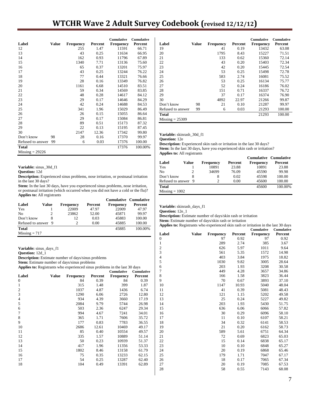# **WTCHR Wave 2 Adult Survey Codebook (revised 12/12/12)**

|                   |       |                  |         | <b>Cumulative</b> | <b>Cumulative</b> |
|-------------------|-------|------------------|---------|-------------------|-------------------|
| Label             | Value | <b>Frequency</b> | Percent | <b>Frequency</b>  | Percent           |
| 12                |       | 255              | 1.47    | 11591             | 66.71             |
| 13                |       | 43               | 0.25    | 11634             | 66.95             |
| 14                |       | 162              | 0.93    | 11796             | 67.89             |
| 15                |       | 1340             | 7.71    | 13136             | 75.60             |
| 16                |       | 65               | 0.37    | 13201             | 75.97             |
| 17                |       | 43               | 0.25    | 13244             | 76.22             |
| 18                |       | 77               | 0.44    | 13321             | 76.66             |
| 19                |       | 28               | 0.16    | 13349             | 76.82             |
| 20                |       | 1161             | 6.68    | 14510             | 83.51             |
| 21                |       | 59               | 0.34    | 14569             | 83.85             |
| 22                |       | 48               | 0.28    | 14617             | 84.12             |
| 23                |       | 29               | 0.17    | 14646             | 84.29             |
| 24                |       | 42               | 0.24    | 14688             | 84.53             |
| 25                |       | 341              | 1.96    | 15029             | 86.49             |
| 26                |       | 26               | 0.15    | 15055             | 86.64             |
| 27                |       | 29               | 0.17    | 15084             | 86.81             |
| 28                |       | 89               | 0.51    | 15173             | 87.32             |
| 29                |       | 22               | 0.13    | 15195             | 87.45             |
| 30                |       | 2147             | 12.36   | 17342             | 99.80             |
| Don't know        | 98    | 28               | 0.16    | 17370             | 99.97             |
| Refused to answer | 99    | 6                | 0.03    | 17376             | 100.00            |
| <b>Total</b>      |       |                  |         | 17376             | 100.00%           |
| $Missing = 29226$ |       |                  |         |                   |                   |

**Variable:** sinus\_30d\_f1

**Question:** 12d

**Description:** Experienced sinus problems, nose irritation, or postnasal irritation in the last 30 days?

**Stem:** In the last 30 days, have you experienced sinus problems, nose irritation, or postnasal irritation (which occurred when you did not have a cold or the flu)? **Applies to:** All registrants

|                     |       |                  |         | <b>Cumulative Cumulative</b> |         |
|---------------------|-------|------------------|---------|------------------------------|---------|
| Label               | Value | <b>Frequency</b> | Percent | <b>Frequency</b>             | Percent |
| Yes                 |       | 22009            | 47.97   | 22009                        | 47.97   |
| N <sub>0</sub>      |       | 23862            | 52.00   | 45871                        | 99.97   |
| Don't know          |       | 12               | 0.03    | 45883                        | 100.00  |
| Refused to answer 9 |       |                  | 0.00    | 45885                        | 100.00  |
| Total               |       |                  |         | 45885                        | 100.00% |
| $Missing = 717$     |       |                  |         |                              |         |

**Variable:** sinus\_days\_f1

**Question:** 12d\_1

**Description:** Estimate number of days/sinus problems

**Stem:** Estimate number of days/sinus problems

**Applies to:** Registrants who experienced sinus problems in the last 30 days

| . .                     |              |                  |         | <b>Cumulative</b> | <b>Cumulative</b> |  |
|-------------------------|--------------|------------------|---------|-------------------|-------------------|--|
| Label                   | <b>Value</b> | <b>Frequency</b> | Percent | <b>Frequency</b>  | Percent           |  |
| $\mathbf{0}$            |              | 84               | 0.39    | 84                | 0.39              |  |
| 1                       |              | 315              | 1.48    | 399               | 1.87              |  |
| $\overline{\mathbf{c}}$ |              | 1037             | 4.87    | 1436              | 6.74              |  |
| 3                       |              | 1290             | 6.06    | 2726              | 12.80             |  |
| 4                       |              | 934              | 4.39    | 3660              | 17.19             |  |
| 5                       |              | 2084             | 9.79    | 5744              | 26.98             |  |
| 6                       |              | 503              | 2.36    | 6247              | 29.34             |  |
| 7                       |              | 994              | 4.67    | 7241              | 34.01             |  |
| 8                       |              | 365              | 1.71    | 7606              | 35.72             |  |
| 9                       |              | 177              | 0.83    | 7783              | 36.55             |  |
| 10                      |              | 2686             | 12.61   | 10469             | 49.17             |  |
| 11                      |              | 85               | 0.40    | 10554             | 49.57             |  |
| 12                      |              | 335              | 1.57    | 10889             | 51.14             |  |
| 13                      |              | 50               | 0.23    | 10939             | 51.37             |  |
| 14                      |              | 417              | 1.96    | 11356             | 53.33             |  |
| 15                      |              | 1802             | 8.46    | 13158             | 61.79             |  |
| 16                      |              | 75               | 0.35    | 13233             | 62.15             |  |
| 17                      |              | 54               | 0.25    | 13287             | 62.40             |  |
| 18                      |              | 104              | 0.49    | 13391             | 62.89             |  |

|                   |              |                  |         | <b>Cumulative</b> | <b>Cumulative</b> |
|-------------------|--------------|------------------|---------|-------------------|-------------------|
| Label             | <b>Value</b> | <b>Frequency</b> | Percent | <b>Frequency</b>  | Percent           |
| 19                |              | 41               | 0.19    | 13432             | 63.08             |
| 20                |              | 1795             | 8.43    | 15227             | 71.51             |
| 21                |              | 133              | 0.62    | 15360             | 72.14             |
| 22                |              | 43               | 0.20    | 15403             | 72.34             |
| 23                |              | 42               | 0.20    | 15445             | 72.54             |
| 24                |              | 53               | 0.25    | 15498             | 72.78             |
| 25                |              | 583              | 2.74    | 16081             | 75.52             |
| 26                |              | 53               | 0.25    | 16134             | 75.77             |
| 27                |              | 52               | 0.24    | 16186             | 76.02             |
| 28                |              | 151              | 0.71    | 16337             | 76.72             |
| 29                |              | 37               | 0.17    | 16374             | 76.90             |
| 30                |              | 4892             | 22.97   | 21266             | 99.87             |
| Don't know        | 98           | 21               | 0.10    | 21287             | 99.97             |
| Refused to answer | 99           | 6                | 0.03    | 21293             | 100.00            |
| <b>Total</b>      |              |                  |         | 21293             | 100.00            |
| $Missing = 25309$ |              |                  |         |                   |                   |
|                   |              |                  |         |                   |                   |

**Variable:** skinrash\_30d\_f1

**Question:** 12e

**Description:** Experienced skin rash or irritation in the last 30 days? Stem: In the last 30 days, have you experienced skin rash or irritation? **Applies to:** All registrants

|                     |       |                  |         | <b>Cumulative Cumulative</b> |         |
|---------------------|-------|------------------|---------|------------------------------|---------|
| Label               | Value | <b>Frequency</b> | Percent | <b>Frequency</b>             | Percent |
| Yes                 |       | 10891            | 23.88   | 10891                        | 23.88   |
| N <sub>0</sub>      |       | 34699            | 76.09   | 45590                        | 99.98   |
| Don't know          |       | 8                | 0.02    | 45598                        | 100.00  |
| Refused to answer 9 |       |                  | 0.00    | 45600                        | 100.00  |
| <b>Total</b>        |       |                  |         | 45600                        | 100.00% |
| $Missing = 1002$    |       |                  |         |                              |         |

**Variable:** skinrash\_days\_f1

**Question:** 12e\_1

**Description:** Estimate number of days/skin rash or irritation

**Stem:** Estimate number of days/skin rash or irritation

**Applies to:** Registrants who experienced skin rash or irritation in the last 30 days

|       |           |         | Cumulative       | Cumulative |
|-------|-----------|---------|------------------|------------|
| Value | Frequency | Percent | <b>Frequency</b> | Percent    |
|       | 97        | 0.92    | 97               | 0.92       |
|       | 289       | 2.74    | 385              | 3.67       |
|       | 626       | 5.97    | 1011             | 9.64       |
|       | 561       | 5.35    | 1572             | 14.98      |
|       | 403       | 3.84    | 1975             | 18.82      |
|       | 1030      | 9.82    | 3005             | 28.64      |
|       | 203       | 1.93    | 3208             | 30.58      |
|       | 449       | 4.28    | 3657             | 34.86      |
|       | 166       | 1.58    | 3823             | 36.44      |
|       | 70        | 0.67    | 3893             | 37.10      |
|       | 1147      | 10.93   | 5040             | 48.04      |
|       | 41        | 0.39    | 5081             | 48.43      |
|       | 121       | 1.15    | 5202             | 49.58      |
|       | 25        | 0.24    | 5227             | 49.82      |
|       | 203       | 1.93    | 5430             | 51.75      |
|       | 636       | 6.06    | 6066             | 57.82      |
|       | 30        | 0.29    | 6096             | 58.10      |
|       | 11        | 0.10    | 6107             | 58.21      |
|       | 34        | 0.32    | 6141             | 58.53      |
|       | 21        | 0.20    | 6162             | 58.73      |
|       | 589       | 5.61    | 6751             | 64.34      |
|       | 72        | 0.69    | 6823             | 65.03      |
|       | 15        | 0.14    | 6838             | 65.17      |
|       | 10        | 0.10    | 6848             | 65.27      |
|       |           | 0.19    | 6868             | 65.46      |
|       | 179       | 1.71    | 7047             | 67.17      |
|       | 18        | 0.17    | 7065             | 67.34      |
|       | 20        | 0.19    | 7085             | 67.53      |
|       | 58        | 0.55    | 7143             | 68.08      |
|       |           | 20      |                  |            |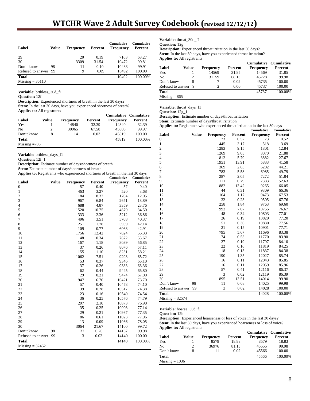| Label                | Value | <b>Frequency</b> | Percent | <b>Cumulative</b><br><b>Frequency</b> | <b>Cumulative</b><br>Percent |
|----------------------|-------|------------------|---------|---------------------------------------|------------------------------|
| 29                   |       | 20               | 0.19    | 7163                                  | 68.27                        |
| 30                   |       | 3309             | 31.54   | 10472                                 | 99.81                        |
| Don't know           | 98    | 11               | 0.10    | 10483                                 | 99.91                        |
| Refused to answer 99 |       | 9                | 0.09    | 10492                                 | 100.00                       |
| <b>Total</b>         |       |                  |         | 10492                                 | 100.00%                      |
| $Missing = 36110$    |       |                  |         |                                       |                              |

**Variable:** brthless\_30d\_f1

**Question:** 12f

**Description:** Experienced shortness of breath in the last 30 days? **Stem:** In the last 30 days, have you experienced shortness of breath? **Applies to:** All registrants

|                |       |                  |         | Cumulative Cumulative |         |
|----------------|-------|------------------|---------|-----------------------|---------|
| Label          | Value | <b>Frequency</b> | Percent | <b>Frequency</b>      | Percent |
| Yes            |       | 14840            | 32.39   | 14840                 | 32.39   |
| No             |       | 30965            | 67.58   | 45805                 | 99.97   |
| Don't know     |       | 14               | 0.03    | 45819                 | 100.00  |
| <b>Total</b>   |       |                  |         | 45819                 | 100.00% |
| Missing $=783$ |       |                  |         |                       |         |

**Variable:** brthless\_days\_f1

**Question:** 12f\_1

**Description:** Estimate number of days/shortness of breath **Stem:** Estimate number of days/shortness of breath

**Applies to:** Registrants who experienced shortness of breath in the last 30 days<br>Cumulative Cumulative **Cumulative Cumulative**

| Label               | <b>Value</b> |                        |                 | сишшануе               | сишшануе<br>Percent |
|---------------------|--------------|------------------------|-----------------|------------------------|---------------------|
| $\overline{0}$      |              | <b>Frequency</b><br>57 | Percent<br>0.40 | <b>Frequency</b><br>57 | 0.40                |
|                     |              | 463                    | 3.27            | 520                    | 3.68                |
| 1                   |              |                        |                 |                        |                     |
| $\overline{c}$<br>3 |              | 1184                   | 8.37            | 1704                   | 12.05               |
|                     |              | 967                    | 6.84            | 2671                   | 18.89               |
| $\overline{4}$      |              | 688                    | 4.87            | 3359                   | 23.76               |
| 5                   |              | 1520                   | 10.75           | 4879                   | 34.50               |
| 6                   |              | 333                    | 2.36            | 5212                   | 36.86               |
| 7                   |              | 496                    | 3.51            | 5708                   | 40.37               |
| 8                   |              | 251                    | 1.78            | 5959                   | 42.14               |
| 9                   |              | 109                    | 0.77            | 6068                   | 42.91               |
| 10                  |              | 1756                   | 12.42           | 7824                   | 55.33               |
| 11                  |              | 48                     | 0.34            | 7872                   | 55.67               |
| 12                  |              | 167                    | 1.18            | 8039                   | 56.85               |
| 13                  |              | 37                     | 0.26            | 8076                   | 57.11               |
| 14                  |              | 155                    | 1.10            | 8231                   | 58.21               |
| 15                  |              | 1062                   | 7.51            | 9293                   | 65.72               |
| 16                  |              | 53                     | 0.37            | 9346                   | 66.10               |
| 17                  |              | 37                     | 0.26            | 9383                   | 66.36               |
| 18                  |              | 62                     | 0.44            | 9445                   | 66.80               |
| 19                  |              | 29                     | 0.21            | 9474                   | 67.00               |
| 20                  |              | 947                    | 6.70            | 10421                  | 73.70               |
| 21                  |              | 57                     | 0.40            | 10478                  | 74.10               |
| 22                  |              | 39                     | 0.28            | 10517                  | 74.38               |
| 23                  |              | 23                     | 0.16            | 10540                  | 74.54               |
| 24                  |              | 36                     | 0.25            | 10576                  | 74.79               |
| 25                  |              | 297                    | 2.10            | 10873                  | 76.90               |
| 26                  |              | 35                     | 0.25            | 10908                  | 77.14               |
| 27                  |              | 29                     | 0.21            | 10937                  | 77.35               |
| 28                  |              | 86                     | 0.61            | 11023                  | 77.96               |
| 29                  |              | 13                     | 0.09            | 11036                  | 78.05               |
| 30                  |              | 3064                   | 21.67           | 14100                  | 99.72               |
| Don't know          | 98           | 37                     | 0.26            | 14137                  | 99.98               |
| Refused to answer   | 99           | 3                      | 0.02            | 14140                  | 100.00              |
| <b>Total</b>        |              |                        |                 | 14140                  | 100.00%             |
| $Missing = 32462$   |              |                        |                 |                        |                     |

**Variable:** throat\_30d\_f1

**Question:** 12g **Description:** Experienced throat irritation in the last 30 days? Stem: In the last 30 days, have you experienced throat irritation?

| <b>Applies to:</b> All registrants |       |                  |         |                  |                                  |  |  |
|------------------------------------|-------|------------------|---------|------------------|----------------------------------|--|--|
| Label                              | Value | <b>Frequency</b> | Percent | <b>Frequency</b> | Cumulative Cumulative<br>Percent |  |  |
| Yes                                |       | 14569            | 31.85   | 14569            | 31.85                            |  |  |
| N <sub>0</sub>                     |       | 31159            | 68.13   | 45728            | 99.98                            |  |  |
| Don't know                         | 8     | 7                | 0.02    | 45735            | 100.00                           |  |  |
| Refused to answer                  | 9     | 2                | 0.00    | 45737            | 100.00                           |  |  |
| Total                              |       |                  |         | 45737            | 100.00%                          |  |  |
| $Missing = 865$                    |       |                  |         |                  |                                  |  |  |

**Variable:** throat\_days\_f1

**Question:** 12g\_1

**Description:** Estimate number of days/throat irritation

**Stem:** Estimate number of days/throat irritation

**Applies to:** Registrants who experienced throat irritation in the last 30 days

|                          |              |                  |         | Cumulative | Cumulative |
|--------------------------|--------------|------------------|---------|------------|------------|
| Label                    | <b>Value</b> | <b>Frequency</b> | Percent | Frequency  | Percent    |
| 0                        |              | 73               | 0.52    | 73         | 0.52       |
| $\mathbf{1}$             |              | 445              | 3.17    | 518        | 3.69       |
| $\overline{c}$           |              | 1283             | 9.15    | 1801       | 12.84      |
| 3                        |              | 1269             | 9.05    | 3070       | 21.88      |
| $\overline{\mathcal{L}}$ |              | 812              | 5.79    | 3882       | 27.67      |
| 5                        |              | 1951             | 13.91   | 5833       | 41.58      |
| 6                        |              | 369              | 2.63    | 6202       | 44.21      |
| 7                        |              | 783              | 5.58    | 6985       | 49.79      |
| 8                        |              | 287              | 2.05    | 7272       | 51.84      |
| 9                        |              | 111              | 0.79    | 7383       | 52.63      |
| 10                       |              | 1882             | 13.42   | 9265       | 66.05      |
| 11                       |              | 44               | 0.31    | 9309       | 66.36      |
| 12                       |              | 164              | 1.17    | 9473       | 67.53      |
| 13                       |              | 32               | 0.23    | 9505       | 67.76      |
| 14                       |              | 258              | 1.84    | 9763       | 69.60      |
| 15                       |              | 992              | 7.07    | 10755      | 76.67      |
| 16                       |              | 48               | 0.34    | 10803      | 77.01      |
| 17                       |              | 26               | 0.19    | 10829      | 77.20      |
| 18                       |              | 51               | 0.36    | 10880      | 77.56      |
| 19                       |              | 21               | 0.15    | 10901      | 77.71      |
| 20                       |              | 795              | 5.67    | 11696      | 83.38      |
| 21                       |              | 74               | 0.53    | 11770      | 83.90      |
| 22                       |              | 27               | 0.19    | 11797      | 84.10      |
| 23                       |              | 22               | 0.16    | 11819      | 84.25      |
| 24                       |              | 18               | 0.13    | 11837      | 84.38      |
| 25                       |              | 190              | 1.35    | 12027      | 85.74      |
| 26                       |              | 16               | 0.11    | 12043      | 85.85      |
| 27                       |              | 16               | 0.11    | 12059      | 85.96      |
| 28                       |              | 57               | 0.41    | 12116      | 86.37      |
| 29                       |              | 3                | 0.02    | 12119      | 86.39      |
| 30                       |              | 1895             | 13.51   | 14014      | 99.90      |
| Don't know               | 98           | 11               | 0.08    | 14025      | 99.98      |
| Refused to answer        | 99           | 3                | 0.02    | 14028      | 100.00     |
| <b>Total</b>             |              |                  |         | 14028      | 100.00%    |
| $Missing = 32574$        |              |                  |         |            |            |

**Variable:** hoarse\_30d\_f1

**Question:** 12h

**Description:** Experienced hoarseness or loss of voice in the last 30 days? Stem: In the last 30 days, have you experienced hoarseness or loss of voice? **Applies to:** All registrants

|                  |       |                  |         | <b>Cumulative Cumulative</b> |         |
|------------------|-------|------------------|---------|------------------------------|---------|
| Label            | Value | <b>Frequency</b> | Percent | <b>Frequency</b>             | Percent |
| Yes              |       | 8579             | 18.83   | 8579                         | 18.83   |
| No               |       | 36976            | 81.15   | 45555                        | 99.98   |
| Don't know       | 8     | 11               | 0.02    | 45566                        | 100.00  |
| <b>Total</b>     |       |                  |         | 45566                        | 100.00% |
| $Missing = 1036$ |       |                  |         |                              |         |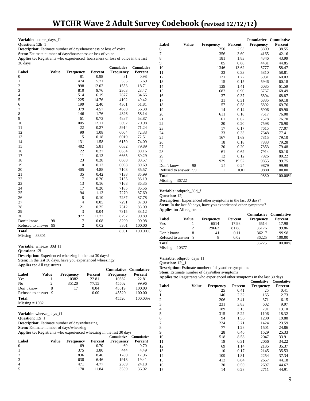**Variable:** hoarse\_days\_f1 **Question:** 12h\_1 **Description:** Estimate number of days/hoarseness or loss of voice Stem: Estimate number of days/hoarseness or loss of voice **Applies to:** Registrants who experienced hoarseness or loss of voice in the last 30 days **Cumulative Cumulative Label Value Frequency Percent Frequency Percent**  0 81 0.98 81 0.98 1 474 5.71 555 6.69 2 998 12.02 1553 18.71 3 810 9.76 2363 28.47 4 514 6.19 2877 34.66 5 1225 14.76 4102 49.42 6 199 2.40 4301 51.81 7 379 4.57 4680 56.38 8 146 1.76 4826 58.14 9 61 0.73 4887 58.87 10 1005 12.11 5892 70.98 11 22 0.27 5914 71.24 12 90 1.08 6004 72.33 13 15 0.18 6019 72.51 14 131 1.58 6150 74.09 15 482 5.81 6632 79.89 16 22 0.27 6654 80.16 17 11 0.13 6665 80.29 18 23 0.28 6688 80.57 19 10 0.12 6698 80.69 20 405 4.88 7103 85.57 21 35 0.42 7138 85.99 22 17 0.20 7155 86.19 23 13 0.16 7168 86.35 24 17 0.20 7185 86.56

| Total             |    |                |             | 8301 | 100.00% |  |
|-------------------|----|----------------|-------------|------|---------|--|
| Refused to answer | 99 | $\overline{2}$ | 0.02        | 8301 | 100.00  |  |
| Don't know        | 98 | 7              | 0.08        | 8299 | 99.98   |  |
| 30                |    | 977            | 11.77       | 8292 | 99.89   |  |
| 29                |    | 3              | 0.04        | 7315 | 88.12   |  |
| 28                |    | 21             | 0.25        | 7312 | 88.09   |  |
| 27                |    | $\overline{4}$ | 0.05        | 7291 | 87.83   |  |
| 26                |    | 8              | 0.10        | 7287 | 87.78   |  |
| 25                |    | 94             | 1.13        | 7279 | 87.69   |  |
| 24                |    | 17             | 0.20        | 7185 | 86.56   |  |
| 23                |    | 13             | 0.16        | 7168 | 86.35   |  |
| 22                |    | 17             | 0.20        | 7155 | 86.19   |  |
| 21                |    | 35             | 0.42        | 7138 | 85.99   |  |
| 20                |    | 405            | 4.88        | 7103 | 85.57   |  |
| 19                |    | 10             | 0.12        | 6698 | 80.69   |  |
| 18                |    | 23             | 0.28        | 6688 | 80.57   |  |
| $\mathbf{1}$      |    | $\overline{1}$ | <u>v.ij</u> | uuu  | 00.47   |  |

Missing = 38301

**Variable:** wheeze\_30d\_f1 **Question:** 12i **Description:** Experienced wheezing in the last 30 days? **Stem:** In the last 30 days, have you experienced wheezing? **Applies to:** All registrants

|                     |       |           |         | <b>Cumulative Cumulative</b> |         |
|---------------------|-------|-----------|---------|------------------------------|---------|
| Label               | Value | Frequency | Percent | Frequency                    | Percent |
| Yes                 |       | 10382     | 22.81   | 10382                        | 22.81   |
| No                  |       | 35120     | 77.15   | 45502                        | 99.96   |
| Don't know          |       | 17        | 0.04    | 45519                        | 100.00  |
| Refused to answer 9 |       |           | 0.00    | 45520                        | 100.00  |
| <b>Total</b>        |       |           |         | 45520                        | 100.00% |
| $Missing = 1082$    |       |           |         |                              |         |

**Question:** 12i\_1

**Description:** Estimate number of days/wheezing

**Stem:** Estimate number of days/wheezing

**Applies to:** Registrants who experienced wheezing in the last 30 days

|                |       |                  |         | <b>Cumulative</b> | <b>Cumulative</b> |
|----------------|-------|------------------|---------|-------------------|-------------------|
| Label          | Value | <b>Frequency</b> | Percent | <b>Frequency</b>  | Percent           |
| $\theta$       |       | 69               | 0.70    | 69                | 0.70              |
| -1             |       | 375              | 3.80    | 444               | 4.49              |
| 2              |       | 836              | 8.46    | 1280              | 12.96             |
| 3              |       | 638              | 6.46    | 1918              | 19.41             |
| $\overline{4}$ |       | 471              | 4.77    | 2389              | 24.18             |
| 5              |       | 1170             | 11.84   | 3559              | 36.02             |

|                       |    |           |         | <b>Cumulative Cumulative</b> |         |
|-----------------------|----|-----------|---------|------------------------------|---------|
| Label<br><b>Value</b> |    | Frequency | Percent | Frequency                    | Percent |
| 6                     |    | 250       | 2.53    | 3809                         | 38.55   |
| 7                     |    | 356       | 3.60    | 4165                         | 42.16   |
| 8                     |    | 181       | 1.83    | 4346                         | 43.99   |
| 9                     |    | 85        | 0.86    | 4431                         | 44.85   |
| 10                    |    | 1346      | 13.62   | 5777                         | 58.47   |
| 11                    |    | 33        | 0.33    | 5810                         | 58.81   |
| 12                    |    | 121       | 1.22    | 5931                         | 60.03   |
| 13                    |    | 15        | 0.15    | 5946                         | 60.18   |
| 14                    |    | 139       | 1.41    | 6085                         | 61.59   |
| 15                    |    | 682       | 6.90    | 6767                         | 68.49   |
| 16                    |    | 37        | 0.37    | 6804                         | 68.87   |
| 17                    |    | 31        | 0.31    | 6835                         | 69.18   |
| 18                    |    | 57        | 0.58    | 6892                         | 69.76   |
| 19                    |    | 14        | 0.14    | 6906                         | 69.90   |
| 20                    |    | 611       | 6.18    | 7517                         | 76.08   |
| 21                    |    | 61        | 0.62    | 7578                         | 76.70   |
| 22                    |    | 20        | 0.20    | 7598                         | 76.90   |
| 23                    |    | 17        | 0.17    | 7615                         | 77.07   |
| 24                    |    | 33        | 0.33    | 7648                         | 77.41   |
| 25                    |    | 167       | 1.69    | 7815                         | 79.10   |
| 26                    |    | 18        | 0.18    | 7833                         | 79.28   |
| 27                    |    | 20        | 0.20    | 7853                         | 79.48   |
| 28                    |    | 61        | 0.62    | 7914                         | 80.10   |
| 29                    |    | 12        | 0.12    | 7926                         | 80.22   |
| 30                    |    | 1929      | 19.52   | 9855                         | 99.75   |
| Don't know            | 98 | 24        | 0.24    | 9879                         | 99.99   |
| Refused to answer     | 99 | 1         | 0.01    | 9880                         | 100.00  |
| <b>Total</b>          |    |           |         | 9880                         | 100.00% |
| $Missing = 36722$     |    |           |         |                              |         |

**Variable:** othprob\_30d\_f1

**Question:** 12j

**Description:** Experienced other symptoms in the last 30 days? Stem: In the last 30 days, have you experienced other symptoms? **Applies to:** All registrants

|                     |       |           |         | <b>Cumulative Cumulative</b> |         |
|---------------------|-------|-----------|---------|------------------------------|---------|
| Label               | Value | Frequency | Percent | <b>Frequency</b>             | Percent |
| Yes                 |       | 6514      | 17.98   | 6514                         | 17.98   |
| N <sub>0</sub>      |       | 29662     | 81.88   | 36176                        | 99.86   |
| Don't know          |       | 41        | 0.11    | 36217                        | 99.98   |
| Refused to answer 9 |       | 8         | 0.02    | 36225                        | 100.00  |
| <b>Total</b>        |       |           |         | 36225                        | 100.00% |
| $Missing = 10377$   |       |           |         |                              |         |

**Variable:** othprob\_days\_f1

**Question:** 12j\_1

**Description:** Estimate number of days/other symptoms

**Stem:** Estimate number of days/other symptoms

**Applies to:** Registrants who experienced other symptoms in the last 30 days **Cumulative Cumulative**

|                |              |                  |         | <b>Նաուսուս</b> , ա | <b>Cumunan</b> |
|----------------|--------------|------------------|---------|---------------------|----------------|
| Label          | <b>Value</b> | <b>Frequency</b> | Percent | <b>Frequency</b>    | Percent        |
| 0              |              | 25               | 0.41    | 25                  | 0.41           |
| 1              |              | 140              | 2.32    | 165                 | 2.73           |
| $\overline{c}$ |              | 206              | 3.41    | 371                 | 6.15           |
| 3              |              | 231              | 3.83    | 602                 | 9.97           |
| 4              |              | 189              | 3.13    | 791                 | 13.10          |
| 5              |              | 315              | 5.22    | 1106                | 18.32          |
| 6              |              | 94               | 1.56    | 1200                | 19.88          |
| 7              |              | 224              | 3.71    | 1424                | 23.59          |
| 8              |              | 77               | 1.28    | 1501                | 24.86          |
| 9              |              | 28               | 0.46    | 1529                | 25.33          |
| 10             |              | 518              | 8.58    | 2047                | 33.91          |
| 11             |              | 19               | 0.31    | 2066                | 34.22          |
| 12             |              | 69               | 1.14    | 2135                | 35.37          |
| 13             |              | 10               | 0.17    | 2145                | 35.53          |
| 14             |              | 109              | 1.81    | 2254                | 37.34          |
| 15             |              | 413              | 6.84    | 2667                | 44.18          |
| 16             |              | 30               | 0.50    | 2697                | 44.67          |
| 17             |              | 14               | 0.23    | 2711                | 44.91          |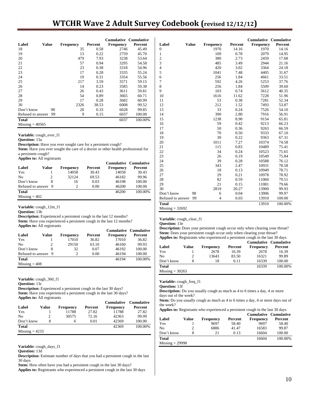# **WTCHR Wave 2 Adult Survey Codebook (revised 12/12/12)**

|                   |              |           |         | <b>Cumulative Cumulative</b> |         |
|-------------------|--------------|-----------|---------|------------------------------|---------|
| Label             | <b>Value</b> | Frequency | Percent | <b>Frequency</b>             | Percent |
| 18                |              | 35        | 0.58    | 2746                         | 45.49   |
| 19                |              | 13        | 0.22    | 2759                         | 45.70   |
| 20                |              | 479       | 7.93    | 3238                         | 53.64   |
| 21                |              | 57        | 0.94    | 3295                         | 54.58   |
| 22                |              | 23        | 0.38    | 3318                         | 54.96   |
| 23                |              | 17        | 0.28    | 3335                         | 55.24   |
| 24                |              | 19        | 0.31    | 3354                         | 55.56   |
| 25                |              | 217       | 3.59    | 3571                         | 59.15   |
| 26                |              | 14        | 0.23    | 3585                         | 59.38   |
| 27                |              | 26        | 0.43    | 3611                         | 59.81   |
| 28                |              | 54        | 0.89    | 3665                         | 60.71   |
| 29                |              | 17        | 0.28    | 3682                         | 60.99   |
| 30                |              | 2326      | 38.53   | 6008                         | 99.52   |
| Don't know        | 98           | 20        | 0.33    | 6028                         | 99.85   |
| Refused to answer | 99           | 9         | 0.15    | 6037                         | 100.00  |
| <b>Total</b>      |              |           |         | 6037                         | 100.00% |
| $Missing = 40565$ |              |           |         |                              |         |

**Variable:** cough\_ever\_f1

**Question:** 13a

**Description:** Have you ever sought care for a persistent cough?

**Stem:** Have you ever sought the care of a doctor or other health professional for a persistent cough?

**Applies to:** All registrants

|                     |                             |                  |         | <b>Cumulative Cumulative</b> |         |
|---------------------|-----------------------------|------------------|---------|------------------------------|---------|
| Label               | Value                       | <b>Frequency</b> | Percent | <b>Frequency</b>             | Percent |
| Yes                 |                             | 14058            | 30.43   | 14058                        | 30.43   |
| N <sub>0</sub>      | $\mathcal{D}_{\mathcal{L}}$ | 32124            | 69.53   | 46182                        | 99.96   |
| Don't know          |                             | 16               | 0.03    | 46198                        | 100.00  |
| Refused to answer 9 |                             |                  | 0.00    | 46200                        | 100.00  |
| <b>Total</b>        |                             |                  |         | 46200                        | 100.00% |
| $Missing = 402$     |                             |                  |         |                              |         |
|                     |                             |                  |         |                              |         |

**Variable:** cough\_12m\_f1

**Question:** 13b

**Description:** Experienced a persistent cough in the last 12 months? **Stem:** Have you experienced a persistent cough in the last 12 months?

|  |  |  | <b>Applies to:</b> All registrants |
|--|--|--|------------------------------------|
|--|--|--|------------------------------------|

|                     |       |                  |         | <b>Cumulative Cumulative</b> |         |
|---------------------|-------|------------------|---------|------------------------------|---------|
| Label               | Value | <b>Frequency</b> | Percent | Frequency                    | Percent |
| Yes                 |       | 17010            | 36.82   | 17010                        | 36.82   |
| N <sub>0</sub>      |       | 29150            | 63.10   | 46160                        | 99.93   |
| Don't know          |       | 32               | 0.07    | 46192                        | 100.00  |
| Refused to answer 9 |       |                  | 0.00    | 46194                        | 100.00  |
| <b>Total</b>        |       |                  |         | 46194                        | 100.00% |
| $Missing = 408$     |       |                  |         |                              |         |

**Variable:** cough\_30d\_f1

**Question:** 13c

**Description:** Experienced a persistent cough in the last 30 days? Stem: Have you experienced a persistent cough in the last 30 days? **Applies to:** All registrants

|                  |       |                  |         | <b>Cumulative</b> | <b>Cumulative</b> |
|------------------|-------|------------------|---------|-------------------|-------------------|
| Label            | Value | <b>Frequency</b> | Percent | <b>Frequency</b>  | Percent           |
| Yes              |       | 11788            | 27.82   | 11788             | 27.82             |
| N <sub>0</sub>   | 2     | 30575            | 72.16   | 42363             | 99.99             |
| Don't know       | 8     | 6                | 0.01    | 42369             | 100.00            |
| <b>Total</b>     |       |                  |         | 42369             | 100.00%           |
| $Missing = 4233$ |       |                  |         |                   |                   |

**Variable:** cough\_days\_f1

**Question:** 13d

**Description:** Estimate number of days that you had a persistent cough in the last 30 days

**Stem:** How often have you had a persistent cough in the last 30 days? **Applies to:** Registrants who experienced a persistent cough in the last 30 days

|                         |              |                  |         | <b>Cumulative Cumulative</b> |         |
|-------------------------|--------------|------------------|---------|------------------------------|---------|
| Label                   | <b>Value</b> | <b>Frequency</b> | Percent | Frequency                    | Percent |
| $\boldsymbol{0}$        |              | 1970             | 14.16   | 1970                         | 14.16   |
| 1                       |              | 109              | 0.78    | 2079                         | 14.95   |
| $\overline{\mathbf{c}}$ |              | 380              | 2.73    | 2459                         | 17.68   |
| 3                       |              | 485              | 3.49    | 2944                         | 21.16   |
| $\overline{4}$          |              | 420              | 3.02    | 3364                         | 24.18   |
| 5                       |              | 1041             | 7.48    | 4405                         | 31.67   |
| 6                       |              | 256              | 1.84    | 4661                         | 33.51   |
| 7                       |              | 592              | 4.26    | 5253                         | 37.76   |
| 8                       |              | 256              | 1.84    | 5509                         | 39.60   |
| 9                       |              | 103              | 0.74    | 5612                         | 40.35   |
| 10                      |              | 1616             | 11.62   | 7228                         | 51.96   |
| 11                      |              | 53               | 0.38    | 7281                         | 52.34   |
| 12                      |              | 212              | 1.52    | 7493                         | 53.87   |
| 13                      |              | 33               | 0.24    | 7526                         | 54.10   |
| 14                      |              | 390              | 2.80    | 7916                         | 56.91   |
| 15                      |              | 1238             | 8.90    | 9154                         | 65.81   |
| 16                      |              | 59               | 0.42    | 9213                         | 66.23   |
| 17                      |              | 50               | 0.36    | 9263                         | 66.59   |
| 18                      |              | 70               | 0.50    | 9333                         | 67.10   |
| 19                      |              | 30               | 0.22    | 9363                         | 67.31   |
| 20                      |              | 1011             | 7.27    | 10374                        | 74.58   |
| 21                      |              | 115              | 0.83    | 10489                        | 75.41   |
| 22                      |              | 34               | 0.24    | 10523                        | 75.65   |
| 23                      |              | 26               | 0.19    | 10549                        | 75.84   |
| 24                      |              | 39               | 0.28    | 10588                        | 76.12   |
| 25                      |              | 343              | 2.47    | 10931                        | 78.58   |
| 26                      |              | 18               | 0.13    | 10949                        | 78.71   |
| 27                      |              | 29               | 0.21    | 10978                        | 78.92   |
| 28                      |              | 82               | 0.59    | 11060                        | 79.51   |
| 29                      |              | 21               | 0.15    | 11081                        | 79.66   |
| 30                      |              | 2819             | 20.27   | 13900                        | 99.93   |
| Don't know              | 98           | 6                | 0.04    | 13906                        | 99.97   |
| Refused to answer       | 99           | $\overline{4}$   | 0.03    | 13910                        | 100.00  |
| <b>Total</b>            |              |                  |         | 13910                        | 100.00% |
| $Missing = 32692$       |              |                  |         |                              |         |

**Variable:** cough\_clear\_f1

**Question:** 13e

**Description:** Does your persistent cough occur only when clearing your throat? Stem: Does your persistent cough occur only when clearing your throat? **Applies to:** Registrants who experienced a persistent cough in the last 30 days

|                   | <b>Tribition</b> to regionante who experienced a persistent cough in the rase 50 days |                  |         |                              |         |  |  |
|-------------------|---------------------------------------------------------------------------------------|------------------|---------|------------------------------|---------|--|--|
|                   |                                                                                       |                  |         | <b>Cumulative Cumulative</b> |         |  |  |
| Label             | Value                                                                                 | <b>Frequency</b> | Percent | <b>Frequency</b>             | Percent |  |  |
| Yes               |                                                                                       | 2678             | 16.39   | 2678                         | 16.39   |  |  |
| No                |                                                                                       | 13643            | 83.50   | 16321                        | 99.89   |  |  |
| Don't know        | 8                                                                                     | 18               | 0.11    | 16339                        | 100.00  |  |  |
| <b>Total</b>      |                                                                                       |                  |         | 16339                        | 100.00% |  |  |
| $Missing = 30263$ |                                                                                       |                  |         |                              |         |  |  |

**Variable:** cough\_freq\_f1

**Question:** 13f

**Description:** Do you usually cough as much as 4 to 6 times a day, 4 or more days out of the week?

**Stem:** Do you usually cough as much as 4 to 6 times a day, 4 or more days out of the week?

**Applies to:** Registrants who experienced a persistent cough in the last 30 days

|                   |       |                  |         | Cumulative Cumulative |         |
|-------------------|-------|------------------|---------|-----------------------|---------|
| Label             | Value | <b>Frequency</b> | Percent | <b>Frequency</b>      | Percent |
| Yes               |       | 9697             | 58.40   | 9697                  | 58.40   |
| No                |       | 6886             | 41.47   | 16583                 | 99.87   |
| Don't know        | 8     | 21               | 0.13    | 16604                 | 100.00  |
| <b>Total</b>      |       |                  |         | 16604                 | 100.00% |
| $Missing = 29998$ |       |                  |         |                       |         |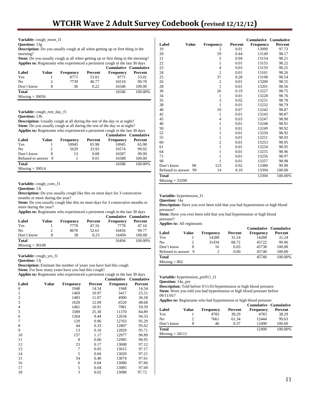| Variable: cough_morn_f1 |  |  |  |
|-------------------------|--|--|--|
|-------------------------|--|--|--|

# **Question:** 13g

**Description:** Do you usually cough at all when getting up or first thing in the morning?

**Stem:** Do you usually cough at all when getting up or first thing in the morning? **Applies to:** Registrants who experienced a persistent cough in the last 30 days

|                   |       |                  |         | Cumulative Cumulative |         |
|-------------------|-------|------------------|---------|-----------------------|---------|
| Label             | Value | <b>Frequency</b> | Percent | <b>Frequency</b>      | Percent |
| Yes               |       | 8771             | 53.01   | 8771                  | 53.01   |
| N <sub>0</sub>    |       | 7739             | 46.77   | 16510                 | 99.78   |
| Don't know        |       | 36               | 0.22    | 16546                 | 100.00  |
| <b>Total</b>      |       |                  |         | 16546                 | 100.00% |
| $Missing = 30056$ |       |                  |         |                       |         |

**Variable:** cough\_rest\_day\_f1

#### **Question:** 13h

**Description:** Usually cough at all during the rest of the day or at night? **Stem:** Do you usually cough at all during the rest of the day or at night? **Applies to:** Registrants who experienced a persistent cough in the last 30 days

|                     |       |           |         |                  | Cumulative Cumulative |
|---------------------|-------|-----------|---------|------------------|-----------------------|
| Label               | Value | Frequency | Percent | <b>Frequency</b> | Percent               |
| Yes                 |       | 10945     | 65.98   | 10945            | 65.98                 |
| No                  |       | 5629      | 33.93   | 16574            | 99.92                 |
| Don't know          |       | 13        | 0.08    | 16587            | 99.99                 |
| Refused to answer 9 |       |           | 0.01    | 16588            | 100.00                |
| <b>Total</b>        |       |           |         | 16588            | 100.00%               |
| $Missing = 30014$   |       |           |         |                  |                       |

# **Variable:** cough\_cons\_f1

**Question:** 13i

**Description:** Do you usually cough like this on most days for 3 consecutive months or more during the year?

**Stem:** Do you usually cough like this on most days for 3 consecutive months or more during the year?

**Applies to:** Registrants who experienced a persistent cough in the last 30 days

|                   |       |                  |         | Cumulative Cumulative |         |
|-------------------|-------|------------------|---------|-----------------------|---------|
| Label             | Value | <b>Frequency</b> | Percent | <b>Frequency</b>      | Percent |
| Yes               |       | 7778             | 47.16   | 7778                  | 47.16   |
| N <sub>0</sub>    |       | 8678             | 52.61   | 16456                 | 99.77   |
| Don't know        |       | 38               | 0.23    | 16494                 | 100.00  |
| <b>Total</b>      |       |                  |         | 16494                 | 100.00% |
| $Missing = 30108$ |       |                  |         |                       |         |

**Variable:** cough\_yrs\_f1

**Question:** 13j

**Description:** Estimate the number of years you have had this cough

Stem: For how many years have you had this cough?

**Applies to:** Registrants who experienced a persistent cough in the last 30 days

|                |       |                  |         | Cumulative       | <b>Cumulative</b> |
|----------------|-------|------------------|---------|------------------|-------------------|
| Label          | Value | <b>Frequency</b> | Percent | <b>Frequency</b> | Percent           |
| 0              |       | 1948             | 14.54   | 1948             | 14.54             |
| 1              |       | 1469             | 10.97   | 3417             | 25.51             |
| $\mathfrak{2}$ |       | 1483             | 11.07   | 4900             | 36.58             |
| 3              |       | 1620             | 12.09   | 6520             | 48.68             |
| 4              |       | 1461             | 10.91   | 7981             | 59.59             |
| 5              |       | 3389             | 25.30   | 11370            | 84.89             |
| 6              |       | 1264             | 9.44    | 12634            | 94.33             |
| 7              |       | 129              | 0.96    | 12763            | 95.29             |
| 8              |       | 44               | 0.33    | 12807            | 95.62             |
| 9              |       | 13               | 0.10    | 12820            | 95.71             |
| 10             |       | 157              | 1.17    | 12977            | 96.89             |
| 11             |       | 8                | 0.06    | 12985            | 96.95             |
| 12             |       | 23               | 0.17    | 13008            | 97.12             |
| 13             |       | 7                | 0.05    | 13015            | 97.17             |
| 14             |       | 5                | 0.04    | 13020            | 97.21             |
| 15             |       | 54               | 0.40    | 13074            | 97.61             |
| 16             |       | 6                | 0.04    | 13080            | 97.66             |
| 17             |       | 5                | 0.04    | 13085            | 97.69             |
| 18             |       | 3                | 0.02    | 13088            | 97.72             |

|                   |              |                |         | Cumulative       | <b>Cumulative</b> |
|-------------------|--------------|----------------|---------|------------------|-------------------|
| Label             | <b>Value</b> | Frequency      | Percent | <b>Frequency</b> | Percent           |
| 19                |              | 2              | 0.01    | 13090            | 97.73             |
| 20                |              | 59             | 0.44    | 13149            | 98.17             |
| 21                |              | 5              | 0.04    | 13154            | 98.21             |
| 22                |              | $\mathbf{1}$   | 0.01    | 13155            | 98.22             |
| 23                |              | 4              | 0.03    | 13159            | 98.25             |
| 24                |              | $\overline{c}$ | 0.01    | 13161            | 98.26             |
| 25                |              | 37             | 0.28    | 13198            | 98.54             |
| 26                |              | $\mathbf{2}$   | 0.01    | 13200            | 98.55             |
| 28                |              | $\mathbf{1}$   | 0.01    | 13201            | 98.56             |
| 30                |              | 26             | 0.19    | 13227            | 98.75             |
| 34                |              | 1              | 0.01    | 13228            | 98.76             |
| 35                |              | 3              | 0.02    | 13231            | 98.78             |
| 38                |              | $\mathbf{1}$   | 0.01    | 13232            | 98.79             |
| 40                |              | 10             | 0.07    | 13242            | 98.87             |
| 42                |              | $\mathbf{1}$   | 0.01    | 13243            | 98.87             |
| 45                |              | 4              | 0.03    | 13247            | 98.90             |
| 46                |              | $\mathbf{1}$   | 0.01    | 13248            | 98.91             |
| 50                |              | $\mathbf{1}$   | 0.01    | 13249            | 98.92             |
| 52                |              | $\mathbf{1}$   | 0.01    | 13250            | 98.92             |
| 55                |              | $\mathbf{1}$   | 0.01    | 13251            | 98.93             |
| 60                |              | $\overline{c}$ | 0.01    | 13253            | 98.95             |
| 61                |              | $\mathbf{1}$   | 0.01    | 13254            | 98.95             |
| 64                |              | $\mathbf{1}$   | 0.01    | 13255            | 98.96             |
| 71                |              | $\mathbf{1}$   | 0.01    | 13256            | 98.97             |
| 90                |              | 1              | 0.01    | 13257            | 98.98             |
| Don't know        | 98           | 123            | 0.92    | 13380            | 99.90             |
| Refused to answer | 99           | 14             | 0.10    | 13394            | 100.00            |
| <b>Total</b>      |              |                |         | 13394            | 100.00%           |
| $Missing = 33208$ |              |                |         |                  |                   |

**Variable:** hypertension\_f1

**Question:** 14a

**Description:** Have you ever been told that you had hypertension or high blood pressure?

Stem: Have you ever been told that you had hypertension or high blood pressure?

**Applies to:** All registrants

|                     |       |                  |         | <b>Cumulative Cumulative</b> |         |
|---------------------|-------|------------------|---------|------------------------------|---------|
| Label               | Value | <b>Frequency</b> | Percent | <b>Frequency</b>             | Percent |
| Yes                 |       | 14288            | 31.24   | 14288                        | 31.24   |
| No                  |       | 31434            | 68.72   | 45722                        | 99.96   |
| Don't know          |       | 16               | 0.03    | 45738                        | 100.00  |
| Refused to answer 9 |       |                  | 0.00    | 45740                        | 100.00  |
| <b>Total</b>        |       |                  |         | 45740                        | 100.00% |
| $Missing = 862$     |       |                  |         |                              |         |

**Variable:** hypertension\_pre911\_f1

**Question:** 14a\_pre

Description: Told before 9/11/01/hypertension or high blood pressure **Stem:** Were you told you had hypertension or high blood pressure before 09/11/01?

**Applies to:** Registrants who had hypertension or high blood pressure

|                   |       |                  |         | Cumulative Cumulative |         |
|-------------------|-------|------------------|---------|-----------------------|---------|
| Label             | Value | <b>Frequency</b> | Percent | <b>Frequency</b>      | Percent |
| Yes               |       | 4783             | 38.29   | 4783                  | 38.29   |
| No                |       | 7661             | 61.34   | 12444                 | 99.63   |
| Don't know        | 8     | 46               | 0.37    | 12490                 | 100.00  |
| <b>Total</b>      |       |                  |         | 12490                 | 100.00% |
| $Missing = 34112$ |       |                  |         |                       |         |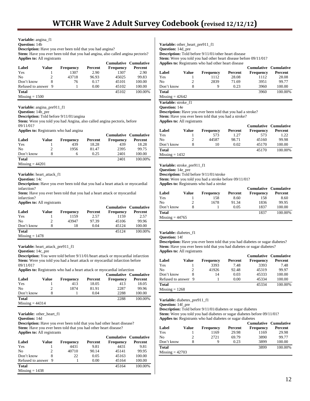# **Variable:** angina\_f1

**Question:** 14b

**Description:** Have you ever been told that you had angina?

**Stem:** Have you ever been told that you had angina, also called angina pectoris? **Applies to:** All registrants

|                     |       |           |         | <b>Cumulative Cumulative</b> |         |
|---------------------|-------|-----------|---------|------------------------------|---------|
| Label               | Value | Frequency | Percent | <b>Frequency</b>             | Percent |
| Yes                 |       | 1307      | 2.90    | 1307                         | 2.90    |
| No                  | 2     | 43718     | 96.93   | 45025                        | 99.83   |
| Don't know          |       | 76        | 0.17    | 45101                        | 100.00  |
| Refused to answer 9 |       |           | 0.00    | 45102                        | 100.00  |
| <b>Total</b>        |       |           |         | 45102                        | 100.00% |
| $Missing = 1500$    |       |           |         |                              |         |

**Variable:** angina\_pre911\_f1

**Question:** 14b\_pre

**Description:** Told before 9/11/01/angina **Stem:** Were you told you had Angina, also called angina pectoris, before 09/11/01?

**Applies to:** Registrants who had angina

|                   |       |                  |         | <b>Cumulative Cumulative</b> |         |
|-------------------|-------|------------------|---------|------------------------------|---------|
| Label             | Value | <b>Frequency</b> | Percent | Frequency                    | Percent |
| Yes               |       | 439              | 18.28   | 439                          | 18.28   |
| No                |       | 1956             | 81.47   | 2395                         | 99.75   |
| Don't know        |       | 6                | 0.25    | 2401                         | 100.00  |
| <b>Total</b>      |       |                  |         | 2401                         | 100.00% |
| $Missing = 44201$ |       |                  |         |                              |         |

#### **Variable:** heart\_attack\_f1

**Question:** 14c

**Description:** Have you ever been told that you had a heart attack or myocardial infarction?

**Stem:** Have you ever been told that you had a heart attack or myocardial infarction?

**Applies to:** All registrants

|                  |       |                  |         | <b>Cumulative Cumulative</b> |         |
|------------------|-------|------------------|---------|------------------------------|---------|
| Label            | Value | <b>Frequency</b> | Percent | Frequency                    | Percent |
| Yes              |       | 1159             | 2.57    | 1159                         | 2.57    |
| N <sub>0</sub>   |       | 43947            | 97.39   | 45106                        | 99.96   |
| Don't know       |       | 18               | 0.04    | 45124                        | 100.00  |
| <b>Total</b>     |       |                  |         | 45124                        | 100.00% |
| $Missing = 1478$ |       |                  |         |                              |         |

**Variable:** heart\_attack\_pre911\_f1

**Question:** 14c\_pre

**Description:** You were told before 9/11/01/heart attack or myocardial infarction **Stem:** Were you told you had a heart attack or myocardial infarction before 09/11/01?

**Applies to:** Registrants who had a heart attack or myocardial infarction

|                   |       |                  |         | <b>Cumulative Cumulative</b> |         |
|-------------------|-------|------------------|---------|------------------------------|---------|
| Label             | Value | <b>Frequency</b> | Percent | Frequency                    | Percent |
| Yes               |       | 413              | 18.05   | 413                          | 18.05   |
| N <sub>0</sub>    |       | 1874             | 81.91   | 2287                         | 99.96   |
| Don't know        |       |                  | 0.04    | 2288                         | 100.00  |
| <b>Total</b>      |       |                  |         | 2288                         | 100.00% |
| $Missing = 44314$ |       |                  |         |                              |         |

**Variable:** other\_heart\_f1

**Question:** 14d

**Description:** Have you ever been told that you had other heart disease? Stem: Have you ever been told that you had other heart disease? **Applies to:** All registrants

|                     |       |                  |         | <b>Cumulative Cumulative</b> |         |
|---------------------|-------|------------------|---------|------------------------------|---------|
| Label               | Value | <b>Frequency</b> | Percent | <b>Frequency</b>             | Percent |
| Yes                 |       | 4431             | 9.81    | 4431                         | 9.81    |
| N <sub>0</sub>      | 2     | 40710            | 90.14   | 45141                        | 99.95   |
| Don't know          |       | 22               | 0.05    | 45163                        | 100.00  |
| Refused to answer 9 |       |                  | 0.00    | 45164                        | 100.00  |
| <b>Total</b>        |       |                  |         | 45164                        | 100.00% |
| $Missing = 1438$    |       |                  |         |                              |         |

**Variable:** other\_heart\_pre911\_f1 **Question:** 14d\_pre

**Description:** Told before 9/11/01/other heart disease

**Stem:** Were you told you had other heart disease before 09/11/01? **Applies to:** Registrants who had other heart disease

|              |       |                  |         | <b>Cumulative Cumulative</b> |         |
|--------------|-------|------------------|---------|------------------------------|---------|
| Label        | Value | <b>Frequency</b> | Percent | <b>Frequency</b>             | Percent |
| Yes          |       | 1112             | 28.08   | 1112                         | 28.08   |
| No           |       | 2839             | 71.69   | 3951                         | 99.77   |
| Don't know   |       | Q                | 0.23    | 3960                         | 100.00  |
| <b>Total</b> |       |                  |         | 3960                         | 100.00% |

 $Missing = 42642$ 

**Variable:** stroke\_f1

**Question:** 14e

**Description:** Have you ever been told that you had a stroke? Stem: Have you ever been told that you had a stroke?

**Applies to:** All registrants

|                  |       |           |         | Cumulative Cumulative |         |
|------------------|-------|-----------|---------|-----------------------|---------|
| Label            | Value | Frequency | Percent | Frequency             | Percent |
| Yes              |       | 573       | 1.27    | 573                   | 1.22    |
| No               |       | 44587     | 98.71   | 45160                 | 99.98   |
| Don't know       |       | 10        | 0.02    | 45170                 | 100.00  |
| <b>Total</b>     |       |           |         | 45170                 | 100.00% |
| $Missing = 1432$ |       |           |         |                       |         |

**Variable:** stroke\_pre911\_f1

**Question:** 14e\_pre

**Description:** Told before 9/11/01/stroke **Stem:** Were you told you had a stroke before 09/11/01?

**Applies to:** Registrants who had a stroke

|                   |       |                  |         |                  | <b>Cumulative Cumulative</b> |
|-------------------|-------|------------------|---------|------------------|------------------------------|
| Label             | Value | <b>Frequency</b> | Percent | <b>Frequency</b> | Percent                      |
| Yes               |       | 158              | 8.60    | 158              | 8.60                         |
| No                |       | 1678             | 91.34   | 1836             | 99.95                        |
| Don't know        |       |                  | 0.05    | 1837             | 100.00                       |
| <b>Total</b>      |       |                  |         | 1837             | 100.00%                      |
| Missing $= 44765$ |       |                  |         |                  |                              |

#### **Variable:** diabetes\_f1

**Question:** 14f

**Description:** Have you ever been told that you had diabetes or sugar diabetes? Stem: Have you ever been told that you had diabetes or sugar diabetes? **Applies to:** All registrants

|                     |       |                  |         | <b>Cumulative Cumulative</b> |         |
|---------------------|-------|------------------|---------|------------------------------|---------|
| Label               | Value | <b>Frequency</b> | Percent | Frequency                    | Percent |
| Yes                 |       | 3393             | 7.48    | 3393                         | 7.48    |
| No                  |       | 41926            | 92.48   | 45319                        | 99.97   |
| Don't know          |       | 14               | 0.03    | 45333                        | 100.00  |
| Refused to answer 9 |       |                  | 0.00    | 45334                        | 100.00  |
| <b>Total</b>        |       |                  |         | 45334                        | 100.00% |
| $Missing = 1268$    |       |                  |         |                              |         |

**Variable:** diabetes\_pre911\_f1

**Question:** 14f\_pre

**Description:** Told before 9/11/01/diabetes or sugar diabetes **Stem:** Were you told you had diabetes or sugar diabetes before 09/11/01? **Applies to:** Registrants who had diabetes or sugar diabetes

|                   |       |                  |         | <b>Cumulative Cumulative</b> |         |
|-------------------|-------|------------------|---------|------------------------------|---------|
| Label             | Value | <b>Frequency</b> | Percent | <b>Frequency</b>             | Percent |
| Yes               |       | 1169             | 29.98   | 1169                         | 29.98   |
| N <sub>0</sub>    |       | 2721             | 69.79   | 3890                         | 99.77   |
| Don't know        | 8     | Q                | 0.23    | 3899                         | 100.00  |
| <b>Total</b>      |       |                  |         | 3899                         | 100.00% |
| $Missing = 42703$ |       |                  |         |                              |         |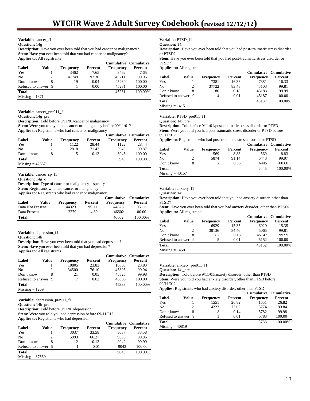# **Variable:** cancer\_f1

**Question:** 14g

**Description:** Have you ever been told that you had cancer or malignancy? **Stem:** Have you ever been told that you had cancer or malignancy? **Applies to:** All registrants

|                     |       |           |         | <b>Cumulative Cumulative</b> |         |
|---------------------|-------|-----------|---------|------------------------------|---------|
| Label               | Value | Frequency | Percent | <b>Frequency</b>             | Percent |
| Yes                 |       | 3462      | 7.65    | 3462                         | 7.65    |
| No                  | 2     | 41749     | 92.30   | 45211                        | 99.96   |
| Don't know          |       | 19        | 0.04    | 45230                        | 100.00  |
| Refused to answer 9 |       |           | 0.00    | 45231                        | 100.00  |
| Total               |       |           |         | 45231                        | 100.00% |
| $Missing = 1371$    |       |           |         |                              |         |

**Variable:** cancer\_pre911\_f1

**Question:** 14g\_pre

**Description:** Told before 9/11/01/cancer or malignancy **Stem:** Were you told you had cancer or malignancy before 09/11/01?

**Applies to:** Registrants who had cancer or malignancy

|                   |       |                  |         |                  | <b>Cumulative Cumulative</b> |
|-------------------|-------|------------------|---------|------------------|------------------------------|
| Label             | Value | <b>Frequency</b> | Percent | <b>Frequency</b> | Percent                      |
| Yes               |       | 1122             | 28.44   | 1122             | 28.44                        |
| No                |       | 2818             | 71.43   | 3940             | 99.87                        |
| Don't know        |       |                  | 0.13    | 3945             | 100.00                       |
| <b>Total</b>      |       |                  |         | 3945             | 100.00%                      |
| $Missing = 42657$ |       |                  |         |                  |                              |

**Variable:** cancer\_sp\_f1

**Question:** 14g\_o

**Description:** Type of cancer or malignancy – specify

**Stem:** Registrants who had cancer or malignancy

**Applies to:** Registrants who had cancer or malignancy

| Label            | Value | <b>Frequency</b> | Percent | Frequency | Cumulative Cumulative<br>Percent |
|------------------|-------|------------------|---------|-----------|----------------------------------|
| Data Not Present |       | 44323            | 95.11   | 44323     | 95.11                            |
| Data Present     |       | 2279             | 4.89    | 46602     | 100.00                           |
| Total            |       |                  |         | 46602     | 100.00%                          |

**Variable:** depression\_f1

**Question:** 14h

**Description:** Have you ever been told that you had depression? **Stem:** Have you ever been told that you had depression? **Applies to:** All registrants

|                     |       |                  |         |                  | <b>Cumulative Cumulative</b> |
|---------------------|-------|------------------|---------|------------------|------------------------------|
| Label               | Value | <b>Frequency</b> | Percent | <b>Frequency</b> | Percent                      |
| Yes                 |       | 10805            | 23.83   | 10805            | 23.83                        |
| No                  |       | 34500            | 76.10   | 45305            | 99.94                        |
| Don't know          |       | 21               | 0.05    | 45326            | 99.98                        |
| Refused to answer 9 |       |                  | 0.02    | 45333            | 100.00                       |
| Total               |       |                  |         | 45333            | 100.00%                      |
| $Missing = 1269$    |       |                  |         |                  |                              |

**Variable:** depression\_pre911\_f1

**Question:** 14h\_pre

**Description:** Told before 9/11/01/depression

**Stem:** Were you told you had depression before 09/11/01?

**Applies to:** Registrants who had depression

|                     |       |                  |         | <b>Cumulative Cumulative</b> |         |
|---------------------|-------|------------------|---------|------------------------------|---------|
| Label               | Value | <b>Frequency</b> | Percent | <b>Frequency</b>             | Percent |
| Yes                 |       | 3037             | 33.58   | 3037                         | 33.58   |
| No                  |       | 5993             | 66.27   | 9030                         | 99.86   |
| Don't know          |       | 12               | 0.13    | 9042                         | 99.99   |
| Refused to answer 9 |       |                  | 0.01    | 9043                         | 100.00  |
| <b>Total</b>        |       |                  |         | 9043                         | 100.00% |
| $Missing = 37559$   |       |                  |         |                              |         |

**Variable:** PTSD\_f1 **Question:** 14i

**Description:** Have you ever been told that you had post-traumatic stress disorder or PTSD?

**Stem:** Have you ever been told that you had post-traumatic stress disorder or PTSD?

**Applies to:** All registrants

|                     |       |                  |         | <b>Cumulative Cumulative</b> |         |
|---------------------|-------|------------------|---------|------------------------------|---------|
| Label               | Value | <b>Frequency</b> | Percent | <b>Frequency</b>             | Percent |
| Yes                 |       | 7381             | 16.33   | 7381                         | 16.33   |
| No                  |       | 37722            | 83.48   | 45103                        | 99.81   |
| Don't know          | 8     | 80               | 0.18    | 45183                        | 99.99   |
| Refused to answer 9 |       | 4                | 0.01    | 45187                        | 100.00  |
| Total               |       |                  |         | 45187                        | 100.00% |
| $Missing = 1415$    |       |                  |         |                              |         |

# **Variable:** PTSD\_pre911\_f1

**Question:** 14i\_pre

**Description:** Told before 9/11/01/post-traumatic stress disorder or PTSD **Stem:** Were you told you had post-traumatic stress disorder or PTSD before 09/11/01?

**Applies to**: Registrants who had post-traumatic stress disorder or PTSD

|                   |       |                  |         |                  | Cumulative Cumulative |
|-------------------|-------|------------------|---------|------------------|-----------------------|
| Label             | Value | <b>Frequency</b> | Percent | <b>Frequency</b> | Percent               |
| Yes               |       | 569              | 8.83    | 569              | 8.83                  |
| N <sub>0</sub>    |       | 5874             | 91.14   | 6443             | 99.97                 |
| Don't know        |       |                  | 0.03    | 6445             | 100.00                |
| <b>Total</b>      |       |                  |         | 6445             | 100.00%               |
| $Missing = 40157$ |       |                  |         |                  |                       |

#### **Variable:** anxiety\_f1

**Question:** 14j

**Description:** Have you ever been told that you had anxiety disorder, other than PTSD?

**Stem:** Have you ever been told that you had anxiety disorder, other than PTSD? **Applies to:** All registrants

|                     |       |                  |         | <b>Cumulative Cumulative</b> |         |
|---------------------|-------|------------------|---------|------------------------------|---------|
| Label               | Value | <b>Frequency</b> | Percent | Frequency                    | Percent |
| Yes                 |       | 6929             | 15.35   | 6929                         | 15.35   |
| N <sub>0</sub>      |       | 38136            | 84.46   | 45065                        | 99.81   |
| Don't know          |       | 82               | 0.18    | 45147                        | 99.99   |
| Refused to answer 9 |       | 5                | 0.01    | 45152                        | 100.00  |
| <b>Total</b>        |       |                  |         | 45152                        | 100.00% |
| $Missing = 1450$    |       |                  |         |                              |         |

### **Variable:** anxiety\_pre911\_f1

**Question:** 14j\_pre

**Description:** Told before 9/11/01/anxiety disorder, other than PTSD **Stem:** Were you told you had anxiety disorder, other than PTSD before 09/11/01?

**Applies:** Registrants who had anxiety disorder, other than PTSD

|                     |       |                  |         | <b>Cumulative Cumulative</b> |         |
|---------------------|-------|------------------|---------|------------------------------|---------|
| Label               | Value | <b>Frequency</b> | Percent | <b>Frequency</b>             | Percent |
| Yes                 |       | 1551             | 26.82   | 1551                         | 26.82   |
| No                  | 2     | 4223             | 73.02   | 5774                         | 99.84   |
| Don't know          |       | 8                | 0.14    | 5782                         | 99.98   |
| Refused to answer 9 |       |                  | 0.01    | 5783                         | 100.00  |
| <b>Total</b>        |       |                  |         | 5783                         | 100.00% |
| $Missing = 40819$   |       |                  |         |                              |         |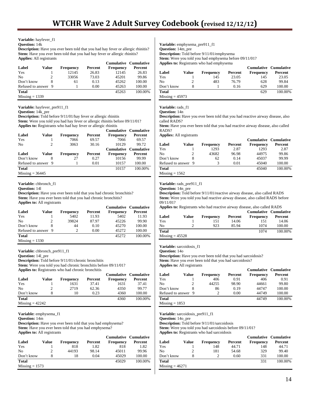# **Variable:** hayfever\_f1

# **Question:** 14k

**Description:** Have you ever been told that you had hay fever or allergic rhinitis? **Stem:** Have you ever been told that you had hay fever or allergic rhinitis? **Applies:** All registrants

|                     |       |                  |         | <b>Cumulative Cumulative</b> |         |
|---------------------|-------|------------------|---------|------------------------------|---------|
| Label               | Value | <b>Frequency</b> | Percent | <b>Frequency</b>             | Percent |
| Yes                 |       | 12145            | 26.83   | 12145                        | 26.83   |
| No.                 | 2     | 33056            | 73.03   | 45201                        | 99.86   |
| Don't know          | 8     | 61               | 0.13    | 45262                        | 100.00  |
| Refused to answer 9 |       |                  | 0.00    | 45263                        | 100.00  |
| <b>Total</b>        |       |                  |         | 45263                        | 100.00% |
| $Missing = 1339$    |       |                  |         |                              |         |

**Variable:** hayfever\_pre911\_f1

**Question:** 14k\_pre

**Description:** Told before 9/11/01/hay fever or allergic rhinitis

**Stem:** Were you told you had hay fever or allergic rhinitis before 09/11/01? **Applies to:** Registrants who had hay fever or allergic rhinitis

| Label             | Value | <b>Frequency</b> | Percent | <b>Cumulative Cumulative</b><br><b>Frequency</b> | Percent |
|-------------------|-------|------------------|---------|--------------------------------------------------|---------|
| Yes               |       | 7066             | 69.57   | 7066                                             | 69.57   |
| No                |       | 3063             | 30.16   | 10129                                            | 99.72   |
|                   |       |                  |         | Cumulative Cumulative                            |         |
|                   |       |                  |         |                                                  |         |
| Label             | Value | <b>Frequency</b> | Percent | <b>Frequency</b>                                 | Percent |
| Don't know        | 8     | 27               | 0.27    | 10156                                            | 99.99   |
| Refused to answer | 9     |                  | 0.01    | 10157                                            | 100.00  |
| <b>Total</b>      |       |                  |         | 10157                                            | 100.00% |

# **Variable:** chbronch\_f1

**Question:** 14l

**Description:** Have you ever been told that you had chronic bronchitis? Stem: Have you ever been told that you had chronic bronchitis? **Applies to:** All registrants

|                     |       |                  |         | <b>Cumulative Cumulative</b> |         |
|---------------------|-------|------------------|---------|------------------------------|---------|
| Label               | Value | <b>Frequency</b> | Percent | Frequency                    | Percent |
| Yes                 |       | 5402             | 11.93   | 5402                         | 11.93   |
| No                  |       | 39824            | 87.97   | 45226                        | 99.90   |
| Don't know          |       | 44               | 0.10    | 45270                        | 100.00  |
| Refused to answer 9 |       |                  | 0.00    | 45272                        | 100.00  |
| <b>Total</b>        |       |                  |         | 45272                        | 100.00% |
| $Missing = 1330$    |       |                  |         |                              |         |

**Variable:** chbronch\_pre911\_f1

**Question:** 14l\_pre

**Description:** Told before 9/11/01/chronic bronchitis

**Stem:** Were you told you had chronic bronchitis before 09/11/01?

**Applies to:** Registrants who had chronic bronchitis

|                   |       |                  |         | <b>Cumulative Cumulative</b> |         |
|-------------------|-------|------------------|---------|------------------------------|---------|
| Label             | Value | <b>Frequency</b> | Percent | <b>Frequency</b>             | Percent |
| Yes               |       | 1631             | 37.41   | 1631                         | 37.41   |
| No                |       | 2719             | 62.36   | 4350                         | 99.77   |
| Don't know        |       | 10               | 0.23    | 4360                         | 100.00  |
| <b>Total</b>      |       |                  |         | 4360                         | 100.00% |
| $Missing = 42242$ |       |                  |         |                              |         |

**Variable:** emphysema\_f1

**Question:** 14m

**Description:** Have you ever been told that you had emphysema? Stem: Have you ever been told that you had emphysema? **Applies to:** All registrants

|                  |       |                  |         | <b>Cumulative Cumulative</b> |         |
|------------------|-------|------------------|---------|------------------------------|---------|
| Label            | Value | <b>Frequency</b> | Percent | <b>Frequency</b>             | Percent |
| Yes              |       | 818              | 1.82    | 818                          | 1.82    |
| No               |       | 44193            | 98.14   | 45011                        | 99.96   |
| Don't know       | 8     | 18               | 0.04    | 45029                        | 100.00  |
| <b>Total</b>     |       |                  |         | 45029                        | 100.00% |
| $Missing = 1573$ |       |                  |         |                              |         |

**Variable:** emphysema\_pre911\_f1 **Question:** 14m\_pre **Description:** Told before 9/11/01/emphysema **Stem:** Were you told you had emphysema before 09/11/01? **Applies to:** Registrants who had emphysema

|                   |       |                  |         |                  | <b>Cumulative Cumulative</b> |
|-------------------|-------|------------------|---------|------------------|------------------------------|
| Label             | Value | <b>Frequency</b> | Percent | <b>Frequency</b> | Percent                      |
| Yes               |       | 145              | 23.05   | 145              | 23.05                        |
| No                |       | 483              | 76.79   | 628              | 99.84                        |
| Don't know        |       |                  | 0.16    | 629              | 100.00                       |
| <b>Total</b>      |       |                  |         | 629              | 100.00%                      |
| $Missing = 45973$ |       |                  |         |                  |                              |

#### **Variable:** rads\_f1

**Question:** 14n

**Description:** Have you ever been told that you had reactive airway disease, also called RADS?

Stem: Have you ever been told that you had reactive airway disease, also called RADS?

**Applies:** All registrants

|                     |       |                  |         | <b>Cumulative Cumulative</b> |         |
|---------------------|-------|------------------|---------|------------------------------|---------|
| Label               | Value | <b>Frequency</b> | Percent | <b>Frequency</b>             | Percent |
| Yes                 |       | 1293             | 2.87    | 1293                         | 2.87    |
| N <sub>0</sub>      |       | 43682            | 96.98   | 44975                        | 99.86   |
| Don't know          |       | 62               | 0.14    | 45037                        | 99.99   |
| Refused to answer 9 |       |                  | 0.01    | 45040                        | 100.00  |
| <b>Total</b>        |       |                  |         | 45040                        | 100.00% |
| $Missing = 1562$    |       |                  |         |                              |         |

# **Variable:** rads\_pre911\_f1

**Question:** 14n\_pre

**Description:** Told before 9/11/01/reactive airway disease, also called RADS **Stem:** Were you told you had reactive airway disease, also called RADS before 09/11/01?

**Applies to:** Registrants who had reactive airway disease, also called RADS

| Label             | Value | <b>Frequency</b> | Percent | <b>Cumulative Cumulative</b><br><b>Frequency</b> | Percent |
|-------------------|-------|------------------|---------|--------------------------------------------------|---------|
| Yes               |       | 151              | 14.06   | 151                                              | 14.06   |
| No                |       | 923              | 85.94   | 1074                                             | 100.00  |
| <b>Total</b>      |       |                  |         | 1074                                             | 100.00% |
| $Missing = 45528$ |       |                  |         |                                                  |         |

**Variable:** sarcoidosis\_f1

**Question:** 14o

**Description:** Have you ever been told that you had sarcoidosis? **Stem:** Have you ever been told that you had sarcoidosis? **Applies to:** All registrants

|                     |       |                  |         |                  | <b>Cumulative Cumulative</b> |
|---------------------|-------|------------------|---------|------------------|------------------------------|
| Label               | Value | <b>Frequency</b> | Percent | <b>Frequency</b> | Percent                      |
| Yes                 |       | 406              | 0.91    | 406              | 0.91                         |
| No                  |       | 44255            | 98.90   | 44661            | 99.80                        |
| Don't know          |       | 86               | 0.19    | 44747            | 100.00                       |
| Refused to answer 9 |       |                  | 0.00    | 44749            | 100.00                       |
| <b>Total</b>        |       |                  |         | 44749            | 100.00%                      |
| $Missing = 1853$    |       |                  |         |                  |                              |

**Variable:** sarcoidosis\_pre911\_f1

**Question:** 14o\_pre

**Description:** Told before 9/11/01/sarcoidosis

**Stem:** Were you told you had sarcoidosis before 09/11/01?

**Applies to:** Registrants who had sarcoidosis

| Label             | Value | <b>Frequency</b> | Percent | Cumulative Cumulative<br><b>Frequency</b> | Percent |
|-------------------|-------|------------------|---------|-------------------------------------------|---------|
| Yes               |       | 148              | 44.71   | 148                                       | 44.71   |
| No                |       | 181              | 54.68   | 329                                       | 99.40   |
| Don't know        |       |                  | 0.60    | 331                                       | 100.00  |
| Total             |       |                  |         | 331                                       | 100.00% |
| $Missing = 46271$ |       |                  |         |                                           |         |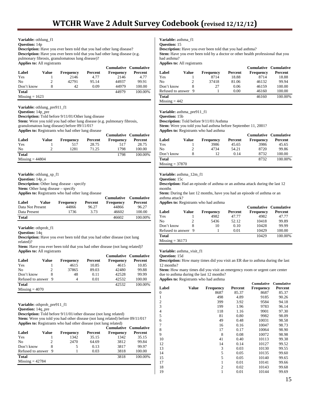**Variable:** othlung\_f1

**Question:** 14p

**Description:** Have you ever been told that you had other lung disease? **Description:** Have you ever been told that you had other lung disease (e.g. pulmonary fibrosis, granulomatous lung disease)? **Applies to:** All registrants

|                  |       |                  |         |                  | Cumulative Cumulative |
|------------------|-------|------------------|---------|------------------|-----------------------|
| Label            | Value | <b>Frequency</b> | Percent | <b>Frequency</b> | Percent               |
| Yes              |       | 2146             | 4.77    | 2146             | 4.77                  |
| N <sub>0</sub>   |       | 42791            | 95.14   | 44937            | 99.91                 |
| Don't know       | 8     | 42               | 0.09    | 44979            | 100.00                |
| <b>Total</b>     |       |                  |         | 44979            | 100.00%               |
| $Missine = 1623$ |       |                  |         |                  |                       |

**Variable:** othlung\_pre911\_f1

**Question:** 14p\_pre

**Description:** Told before 9/11/01/Other lung disease

**Stem:** Were you told you had other lung disease (e.g. pulmonary fibrosis,

granulomatous lung disease) before 09/11/01? **Applies to:** Registrants who had other lung disease

| Label             | Value | <b>Frequency</b> | Percent | <b>Cumulative Cumulative</b><br><b>Frequency</b> | Percent |
|-------------------|-------|------------------|---------|--------------------------------------------------|---------|
| Yes               |       | 517              | 28.75   | 517                                              | 28.75   |
| No                |       | 1281             | 71.25   | 1798                                             | 100.00  |
| <b>Total</b>      |       |                  |         | 1798                                             | 100.00% |
| $Missing = 44804$ |       |                  |         |                                                  |         |

| <b>Variable:</b> othlung sp f1                            |           |
|-----------------------------------------------------------|-----------|
| <b>Question:</b> $14p$ o                                  |           |
| <b>Description:</b> Other lung disease - specify          |           |
| <b>Stem:</b> Other lung disease – specify                 |           |
| <b>Applies to:</b> Registrants who had other lung disease |           |
|                                                           | Cumulativ |

| Label            | Value | <b>Frequency</b> | Percent | Cumulative<br><b>Frequency</b> | <b>Cumulative</b><br>Percent |
|------------------|-------|------------------|---------|--------------------------------|------------------------------|
| Data Not Present |       | 44866            | 96.27   | 44866                          | 96.27                        |
| Data Present     |       | 1736             | 3.73    | 46602                          | 100.00                       |
| <b>Total</b>     |       |                  |         | 46602                          | 100.00%                      |

**Variable:** othprob\_f1

**Question:** 14q

**Description:** Have you ever been told that you had other disease (not lung related)?

Stem: Have you ever been told that you had other disease (not lung related)? **Applies to:** All registrants

|                     |       |                  |         | <b>Cumulative Cumulative</b> |         |
|---------------------|-------|------------------|---------|------------------------------|---------|
| Label               | Value | <b>Frequency</b> | Percent | <b>Frequency</b>             | Percent |
| Yes                 |       | 4615             | 10.85   | 4615                         | 10.85   |
| N <sub>0</sub>      |       | 37865            | 89.03   | 42480                        | 99.88   |
| Don't know          |       | 48               | 0.11    | 42528                        | 99.99   |
| Refused to answer 9 |       | 4                | 0.01    | 42532                        | 100.00  |
| <b>Total</b>        |       |                  |         | 42532                        | 100.00% |
| $Missing = 4070$    |       |                  |         |                              |         |

**Variable:** othprob\_pre911\_f1

**Question:** 14q\_pre

**Description:** Told before 9/11/01/other disease (not lung related)

**Stem:** Were you told you had other disease (not lung related) before 09/11/01? **Applies to:** Registrants who had other disease (not lung related)

|                     |       |                  |         | <b>Cumulative Cumulative</b> |         |
|---------------------|-------|------------------|---------|------------------------------|---------|
| Label               | Value | <b>Frequency</b> | Percent | <b>Frequency</b>             | Percent |
| Yes                 |       | 1342             | 35.15   | 1342                         | 35.15   |
| N <sub>0</sub>      | 2     | 2470             | 64.69   | 3812                         | 99.84   |
| Don't know          |       | 5                | 0.13    | 3817                         | 99.97   |
| Refused to answer 9 |       |                  | 0.03    | 3818                         | 100.00  |
| <b>Total</b>        |       |                  |         | 3818                         | 100.00% |
| $Missing = 42784$   |       |                  |         |                              |         |

**Variable:** asthma\_f1

**Question:** 15

**Description:** Have you ever been told that you had asthma? **Stem:** Have you ever been told by a doctor or other health professional that you had asthma?

**Applies to:** All registrants

|                     |       |                  |         | <b>Cumulative Cumulative</b> |         |
|---------------------|-------|------------------|---------|------------------------------|---------|
| Label               | Value | <b>Frequency</b> | Percent | <b>Frequency</b>             | Percent |
| Yes                 |       | 8714             | 18.88   | 8714                         | 18.88   |
| No                  |       | 37418            | 81.06   | 46132                        | 99.94   |
| Don't know          | 8     | 27               | 0.06    | 46159                        | 100.00  |
| Refused to answer 9 |       |                  | 0.00    | 46160                        | 100.00  |
| <b>Total</b>        |       |                  |         | 46160                        | 100.00% |
| $Missing = 442$     |       |                  |         |                              |         |

**Variable:** asthma\_pre911\_f1

**Question:** 15b

**Description:** Told before 9/11/01/Asthma

**Stem:** Were you told you had asthma before September 11, 2001? **Applies to:** Registrants who had asthma

|                   |       |                  |         | Cumulative Cumulative |         |
|-------------------|-------|------------------|---------|-----------------------|---------|
| Label             | Value | <b>Frequency</b> | Percent | <b>Frequency</b>      | Percent |
| Yes               |       | 3986             | 45.65   | 3986                  | 45.65   |
| No                |       | 4734             | 54.21   | 8720                  | 99.86   |
| Don't know        | 8     | 12               | 0.14    | 8732                  | 100.00  |
| <b>Total</b>      |       |                  |         | 8732                  | 100.00% |
| $Missing = 37870$ |       |                  |         |                       |         |

**Variable:** asthma\_12m\_f1

**Question:** 15c

**Description:** Had an episode of asthma or an asthma attack during the last 12 months

Stem: During the last 12 months, have you had an episode of asthma or an asthma attack?

**Applies to:** Registrants who had asthma

|                     |       |                  |         | <b>Cumulative Cumulative</b> |         |
|---------------------|-------|------------------|---------|------------------------------|---------|
| Label               | Value | <b>Frequency</b> | Percent | <b>Frequency</b>             | Percent |
| Yes                 |       | 4982             | 47.77   | 4982                         | 47.77   |
| No                  |       | 5436             | 52.12   | 10418                        | 99.89   |
| Don't know          |       | 10               | 0.10    | 10428                        | 99.99   |
| Refused to answer 9 |       |                  | 0.01    | 10429                        | 100.00  |
| <b>Total</b>        |       |                  |         | 10429                        | 100.00% |
| $Missing = 36173$   |       |                  |         |                              |         |

**Variable:** asthma\_visit\_f1

**Question:** 15d

**Description:** How many times did you visit an ER due to asthma during the last 12 months?

Stem: How many times did you visit an emergency room or urgent care center due to asthma during the last 12 months?

**Applies to:** Registrants who had asthma

| Label        | Value | <b>Frequency</b> | Percent | <b>Frequency</b> | Percent |
|--------------|-------|------------------|---------|------------------|---------|
| $\mathbf{0}$ |       | 8687             | 85.37   | 8687             | 85.37   |
| 1            |       | 498              | 4.89    | 9185             | 90.26   |
| 2            |       | 399              | 3.92    | 9584             | 94.18   |
| 3            |       | 199              | 1.96    | 9783             | 96.14   |
| 4            |       | 118              | 1.16    | 9901             | 97.30   |
| 5            |       | 81               | 0.80    | 9982             | 98.09   |
| 6            |       | 49               | 0.48    | 10031            | 98.58   |
| 7            |       | 16               | 0.16    | 10047            | 98.73   |
| 8            |       | 17               | 0.17    | 10064            | 98.90   |
| 9            |       | 8                | 0.08    | 10072            | 98.98   |
| 10           |       | 41               | 0.40    | 10113            | 99.38   |
| 12           |       | 14               | 0.14    | 10127            | 99.52   |
| 13           |       | 3                | 0.03    | 10130            | 99.55   |
| 14           |       | 5                | 0.05    | 10135            | 99.60   |
| 15           |       | 5                | 0.05    | 10140            | 99.65   |
| 17           |       | 1                | 0.01    | 10141            | 99.66   |
| 18           |       | $\overline{2}$   | 0.02    | 10143            | 99.68   |
| 19           |       |                  | 0.01    | 10144            | 99.69   |
|              |       |                  |         |                  |         |

**Cumulative Cumulative**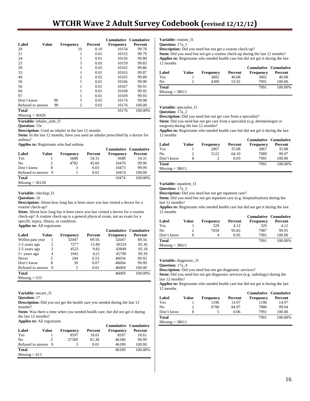# **WTCHR Wave 2 Adult Survey Codebook (revised 12/12/12)**

|                   |              |                      |         | <b>Cumulative Cumulative</b> |         |
|-------------------|--------------|----------------------|---------|------------------------------|---------|
| Label             | <b>Value</b> | <b>Frequency</b>     | Percent | <b>Frequency</b>             | Percent |
| 20                |              | 10                   | 0.10    | 10154                        | 99.78   |
| 21                |              | 1                    | 0.01    | 10155                        | 99.79   |
| 24                |              | 1                    | 0.01    | 10156                        | 99.80   |
| 25                |              | 3                    | 0.03    | 10159                        | 99.83   |
| 30                |              | 3                    | 0.03    | 10162                        | 99.86   |
| 33                |              | 1                    | 0.01    | 10163                        | 99.87   |
| 40                |              | 2                    | 0.02    | 10165                        | 99.89   |
| 50                |              | 1                    | 0.01    | 10166                        | 99.90   |
| 56                |              | 1                    | 0.01    | 10167                        | 99.91   |
| 60                |              | 1                    | 0.01    | 10168                        | 99.92   |
| 97                |              |                      | 0.01    | 10169                        | 99.93   |
| Don't know        |              | 5<br>98              | 0.05    | 10174                        | 99.98   |
| Refused to answer |              | $\overline{c}$<br>99 | 0.02    | 10176                        | 100.00  |
| <b>Total</b>      |              |                      |         | 10176                        | 100.00% |
| $Missing = 36426$ |              |                      |         |                              |         |

**Variable:** inhaler\_asth\_f1

#### **Question:** 15e

**Description:** Used an inhaler in the last 12 months

**Stem:** In the last 12 months, have you used an inhaler prescribed by a doctor for asthma?

**Applies to:** Registrants who had asthma

|                     |       |                  |         |                  | <b>Cumulative Cumulative</b> |
|---------------------|-------|------------------|---------|------------------|------------------------------|
| Label               | Value | <b>Frequency</b> | Percent | <b>Frequency</b> | Percent                      |
| Yes                 |       | 5688             | 54.31   | 5688             | 54.31                        |
| No                  |       | 4782             | 45.66   | 10470            | 99.96                        |
| Don't know          |       | 3                | 0.03    | 10473            | 99.99                        |
| Refused to answer 9 |       |                  | 0.01    | 10474            | 100.00                       |
| <b>Total</b>        |       |                  |         | 10474            | 100.00%                      |
| $Missing = 36128$   |       |                  |         |                  |                              |

#### **Variable:** checkup\_f1

**Question:** 16

**Description:** About how long has it been since you last visited a doctor for a routine check-up?

**Stem:** About how long has it been since you last visited a doctor for a routine check-up? A routine check-up is a general physical exam, not an exam for a specific injury, illness, or condition.

**Applies to:** All registrants

|                   |       |           |         |           | <b>Cumulative Cumulative</b> |
|-------------------|-------|-----------|---------|-----------|------------------------------|
| Label             | Value | Frequency | Percent | Frequency | Percent                      |
| Within past year  |       | 32047     | 69.56   | 32047     | 69.56                        |
| 1-2 years ago     | 2     | 7277      | 15.80   | 39324     | 85.36                        |
| 2-5 years ago     | 3     | 4525      | 9.82    | 43849     | 95.18                        |
| 5+ years ago      | 4     | 1941      | 4.21    | 45790     | 99.39                        |
| Never             | 5     | 244       | 0.53    | 46034     | 99.92                        |
| Don't know        | 8     | 30        | 0.07    | 46064     | 99.99                        |
| Refused to answer | 9     | 5         | 0.01    | 46069     | 100.00                       |
| Total             |       |           |         | 46069     | 100.00%                      |
| $Missing = 533$   |       |           |         |           |                              |

**Variable:** nocare\_f1

**Question:** 17

**Description:** Did you not get the health care you needed during the last 12 months?

**Stem:** Was there a time when you needed health care, but did not get it during the last 12 months? **Applies to:** All registrants

| Label               | Value | <b>Frequency</b> | Percent | <b>Frequency</b> | Cumulative Cumulative<br>Percent |
|---------------------|-------|------------------|---------|------------------|----------------------------------|
| Yes                 |       | 8597             | 18.61   | 8597             | 18.61                            |
| No                  |       | 37589            | 81.38   | 46186            | 99.99                            |
| Refused to answer 9 |       |                  | 0.01    | 46189            | 100.00                           |
| <b>Total</b>        |       |                  |         | 46189            | 100.00%                          |
| $Missing = 413$     |       |                  |         |                  |                                  |

**Variable:** routine\_f1 **Question:** 17a\_1

**Description:** Did you need but not get a routine check-up?

Stem: Did you need but not get a routine check-up during the last 12 months? **Applies to:** Registrants who needed health care but did not get it during the last 12 months

|                   |       |                  |         | <b>Cumulative Cumulative</b> |         |
|-------------------|-------|------------------|---------|------------------------------|---------|
| Label             | Value | <b>Frequency</b> | Percent | <b>Frequency</b>             | Percent |
| Yes               |       | 3682             | 46.08   | 3682                         | 46.08   |
| N <sub>0</sub>    |       | 4309             | 53.92   | 7991                         | 100.00  |
| <b>Total</b>      |       |                  |         | 7991                         | 100.00% |
| $Missing = 38611$ |       |                  |         |                              |         |

**Variable:** specialist\_f1

#### **Question:** 17a\_2

**Description:** Did you need but not get care from a specialist?

**Stem:** Did you need but not get care from a specialist (e.g. dermatologist or surgeon) during the last 12 months?

**Applies to:** Registrants who needed health care but did not get it during the last 12 months

|                   |       |                  |         | <b>Cumulative Cumulative</b> |         |
|-------------------|-------|------------------|---------|------------------------------|---------|
| Label             | Value | <b>Frequency</b> | Percent | <b>Frequency</b>             | Percent |
| Yes               |       | 2867             | 35.88   | 2867                         | 35.88   |
| No                | 2     | 5122             | 64.10   | 7989                         | 99.97   |
| Don't know        | 8     |                  | 0.03    | 7991                         | 100.00  |
| Total             |       |                  |         | 7991                         | 100.00% |
| $Missing = 38611$ |       |                  |         |                              |         |

# **Variable:** inpatient\_f1

**Question:** 17a\_3

**Description:** Did you need but not get inpatient care?

**Stem:** Did you need but not get inpatient care (e.g. hospitalization) during the last 12 months?

**Applies to:** Registrants who needed health care but did not get it during the last 12 months

|                   |       |           |         | <b>Cumulative Cumulative</b> |         |
|-------------------|-------|-----------|---------|------------------------------|---------|
| Label             | Value | Frequency | Percent | <b>Frequency</b>             | Percent |
| Yes               |       | 329       | 4.12    | 329                          | 4.12    |
| N <sub>0</sub>    |       | 7658      | 95.83   | 7987                         | 99.95   |
| Don't know        |       | Δ         | 0.05    | 7991                         | 100.00  |
| <b>Total</b>      |       |           |         | 7991                         | 100.00% |
| $Missing = 38611$ |       |           |         |                              |         |

**Variable:** diagnostic\_f1

**Question:** 17a\_4

**Description:** Did you need but not get diagnostic services?

**Stem:** Did you need but not get diagnostic services (e.g. radiology) during the last 12 months?

**Applies to:** Registrants who needed health care but did not get it during the last 12 months

| Label             | Value | <b>Frequency</b> | Percent | <b>Frequency</b> | <b>Cumulative Cumulative</b><br>Percent |
|-------------------|-------|------------------|---------|------------------|-----------------------------------------|
| Yes               |       | 1196             | 14.97   | 1196             | 14.97                                   |
| No                |       | 6790             | 84.97   | 7986             | 99.94                                   |
| Don't know        | 8     |                  | 0.06    | 7991             | 100.00                                  |
| <b>Total</b>      |       |                  |         | 7991             | 100.00%                                 |
| $Missing = 38611$ |       |                  |         |                  |                                         |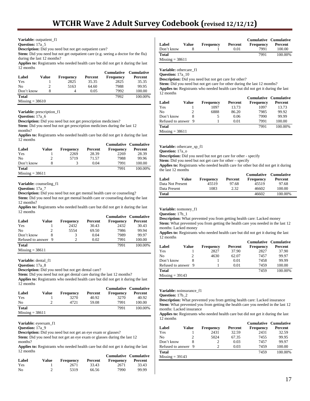### **Variable:** outpatient\_f1

**Question:** 17a<sup>5</sup>

**Description:** Did you need but not get outpatient care?

**Stem:** Did you need but not get outpatient care (e.g. seeing a doctor for the flu) during the last 12 months?

**Applies to:** Registrants who needed health care but did not get it during the last 12 months

|                   |       |           |         | <b>Cumulative</b> | Cumulative |
|-------------------|-------|-----------|---------|-------------------|------------|
| Label             | Value | Frequency | Percent | Frequency         | Percent    |
| Yes               |       | 2825      | 35.35   | 2825              | 35.35      |
| N <sub>0</sub>    |       | 5163      | 64.60   | 7988              | 99.95      |
| Don't know        | 8     | 4         | 0.05    | 7992              | 100.00     |
| <b>Total</b>      |       |           |         | 7992              | 100.00%    |
| $Missing = 38610$ |       |           |         |                   |            |

**Variable:** prescription\_f1

**Question:** 17a\_6

**Description:** Did you need but not get prescription medicines?

Stem: Did you need but not get prescription medicines during the last 12 months?

**Applies to:** Registrants who needed health care but did not get it during the last 12 months

|                   |       |                  |         | <b>Cumulative Cumulative</b> |         |
|-------------------|-------|------------------|---------|------------------------------|---------|
| Label             | Value | <b>Frequency</b> | Percent | Frequency                    | Percent |
| Yes               |       | 2269             | 28.39   | 2269                         | 28.39   |
| No                |       | 5719             | 71.57   | 7988                         | 99.96   |
| Don't know        |       |                  | 0.04    | 7991                         | 100.00  |
| <b>Total</b>      |       |                  |         | 7991                         | 100.00% |
| $Missing = 38611$ |       |                  |         |                              |         |

**Variable:** counseling\_f1

**Question:** 17a\_7

**Description:** Did you need but not get mental health care or counseling? **Stem:** Did you need but not get mental health care or counseling during the last

12 months?

**Applies to:** Registrants who needed health care but did not get it during the last 12 months

|                     |       |                  |         |                  | <b>Cumulative Cumulative</b> |
|---------------------|-------|------------------|---------|------------------|------------------------------|
| Label               | Value | <b>Frequency</b> | Percent | <b>Frequency</b> | Percent                      |
| Yes                 |       | 2432             | 30.43   | 2432             | 30.43                        |
| N <sub>0</sub>      |       | 5554             | 69.50   | 7986             | 99.94                        |
| Don't know          | 8     | 3                | 0.04    | 7989             | 99.97                        |
| Refused to answer 9 |       | $\mathfrak{D}$   | 0.02    | 7991             | 100.00                       |
| <b>Total</b>        |       |                  |         | 7991             | 100.00%                      |
| $Missing = 38611$   |       |                  |         |                  |                              |

**Variable:** dental\_f1

**Question:** 17a\_8

**Description:** Did you need but not get dental care?

**Stem:** Did you need but not get dental care during the last 12 months?

**Applies to:** Registrants who needed health care but did not get it during the last 12 months

|                   |       |                  |         | <b>Cumulative Cumulative</b> |         |
|-------------------|-------|------------------|---------|------------------------------|---------|
| Label             | Value | <b>Frequency</b> | Percent | <b>Frequency</b>             | Percent |
| Yes               |       | 3270             | 40.92   | 3270                         | 40.92   |
| N <sub>0</sub>    | ∍     | 4721             | 59.08   | 7991                         | 100.00  |
| <b>Total</b>      |       |                  |         | 7991                         | 100.00% |
| $Missing = 38611$ |       |                  |         |                              |         |

**Variable:** eyeexam\_f1

**Question:** 17a\_9

**Description:** Did you need but not get an eye exam or glasses?

**Stem:** Did you need but not get an eye exam or glasses during the last 12 months?

**Applies to:** Registrants who needed health care but did not get it during the last 12 months

|       |       |           |         | <b>Cumulative Cumulative</b> |         |
|-------|-------|-----------|---------|------------------------------|---------|
| Label | Value | Frequency | Percent | Frequency                    | Percent |
| Yes   |       | 2671      | 33.43   | 2671                         | 33.43   |
| No    |       | 5319      | 66.56   | 7990                         | 99.99   |

|                   |       |                  |         |                  | <b>Cumulative Cumulative</b> |
|-------------------|-------|------------------|---------|------------------|------------------------------|
| Label             | Value | <b>Frequency</b> | Percent | <b>Frequency</b> | Percent                      |
| Don't know        |       |                  | 0.01    | 7991             | 100.00                       |
| <b>Total</b>      |       |                  |         | 7991             | 100.00%                      |
| $Missing = 38611$ |       |                  |         |                  |                              |

**Variable:** othercare\_f1

**Question:** 17a\_10

**Description:** Did you need but not get care for other?

Stem: Did you need but not get care for other during the last 12 months? **Applies to:** Registrants who needed health care but did not get it during the last

| 12 months           |       |                  |         |                  |                              |
|---------------------|-------|------------------|---------|------------------|------------------------------|
|                     |       |                  |         |                  | <b>Cumulative Cumulative</b> |
| Label               | Value | <b>Frequency</b> | Percent | <b>Frequency</b> | Percent                      |
| Yes                 |       | 1097             | 13.73   | 1097             | 13.73                        |
| No                  |       | 6888             | 86.20   | 7985             | 99.92                        |
| Don't know          |       | $\mathcal{L}$    | 0.06    | 7990             | 99.99                        |
| Refused to answer 9 |       |                  | 0.01    | 7991             | 100.00                       |

**Total** 7991 100.00%  $Missing = 38611$ 

**Variable:** othercare\_sp\_f1

**Question:** 17a\_o

**Description:** Did you need but not get care for other - specify **Stem:** Did you need but not get care for other – specify

**Applies to:** Registrants who needed health care for other but did not get it during the last 12 months

| Label            | Value | <b>Frequency</b> | Percent | Cumulative Cumulative<br><b>Frequency</b> | Percent |
|------------------|-------|------------------|---------|-------------------------------------------|---------|
| Data Not Present |       | 45519            | 97.68   | 45519                                     | 97.68   |
| Data Present     |       | 1083             | 2.32    | 46602                                     | 100.00  |
| <b>Total</b>     |       |                  |         | 46602                                     | 100.00% |

**Variable:** nomoney\_f1

**Question:** 17b\_1

**Description:** What prevented you from getting health care: Lacked money **Stem:** What prevented you from getting the health care you needed in the last 12 months: Lacked money

**Applies to:** Registrants who needed health care but did not get it during the last 12 months

|                     |       |           |         | <b>Cumulative Cumulative</b> |         |
|---------------------|-------|-----------|---------|------------------------------|---------|
| Label               | Value | Frequency | Percent | <b>Frequency</b>             | Percent |
| Yes                 |       | 2827      | 37.90   | 2827                         | 37.90   |
| No                  |       | 4630      | 62.07   | 7457                         | 99.97   |
| Don't know          |       |           | 0.01    | 7458                         | 99.99   |
| Refused to answer 9 |       |           | 0.01    | 7459                         | 100.00  |
| <b>Total</b>        |       |           |         | 7459                         | 100.00% |
| $Missing = 39143$   |       |           |         |                              |         |

**Variable:** noinsurance\_f1

**Question:** 17b\_2

**Description:** What prevented you from getting health care: Lacked insurance **Stem:** What prevented you from getting the health care you needed in the last 12 months: Lacked insurance

**Applies to:** Registrants who needed health care but did not get it during the last 12 months

|                     |       |                             |         | <b>Cumulative Cumulative</b> |         |
|---------------------|-------|-----------------------------|---------|------------------------------|---------|
| Label               | Value | <b>Frequency</b>            | Percent | Frequency                    | Percent |
| Yes                 |       | 2431                        | 32.59   | 2431                         | 32.59   |
| No                  |       | 5024                        | 67.35   | 7455                         | 99.95   |
| Don't know          |       | $\mathcal{D}_{\mathcal{L}}$ | 0.03    | 7457                         | 99.97   |
| Refused to answer 9 |       |                             | 0.03    | 7459                         | 100.00  |
| <b>Total</b>        |       |                             |         | 7459                         | 100.00% |
| $Missing = 39143$   |       |                             |         |                              |         |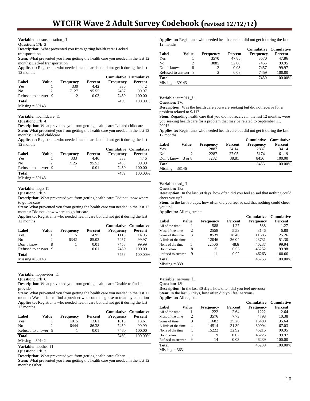**Variable:** notransportation\_f1

# **Question:** 17b\_3

**Description:** What prevented you from getting health care: Lacked

transportation

**Stem:** What prevented you from getting the health care you needed in the last 12 months: Lacked transportation

**Applies to:** Registrants who needed health care but did not get it during the last 12 months

|                     |       |                  |         | <b>Cumulative Cumulative</b> |         |
|---------------------|-------|------------------|---------|------------------------------|---------|
| Label               | Value | <b>Frequency</b> | Percent | <b>Frequency</b>             | Percent |
| Yes                 |       | 330              | 4.42    | 330                          | 4.42    |
| N <sub>0</sub>      |       | 7127             | 95.55   | 7457                         | 99.97   |
| Refused to answer 9 |       |                  | 0.03    | 7459                         | 100.00  |
| <b>Total</b>        |       |                  |         | 7459                         | 100.00% |
| $Missine = 39143$   |       |                  |         |                              |         |

**Variable:** nochildcare\_f1

**Question:** 17b\_4

**Description:** What prevented you from getting health care: Lacked childcare **Stem:** What prevented you from getting the health care you needed in the last 12 months: Lacked childcare

**Applies to:** Registrants who needed health care but did not get it during the last 12 months

|                     |       |                  |         | <b>Cumulative Cumulative</b> |         |
|---------------------|-------|------------------|---------|------------------------------|---------|
| Label               | Value | <b>Frequency</b> | Percent | <b>Frequency</b>             | Percent |
| Yes                 |       | 333              | 4.46    | 333                          | 4.46    |
| No                  |       | 7125             | 95.52   | 7458                         | 99.99   |
| Refused to answer 9 |       |                  | 0.01    | 7459                         | 100.00  |
| <b>Total</b>        |       |                  |         | 7459                         | 100.00% |
| Missing $=$ 39143   |       |                  |         |                              |         |

**Variable:** nogo\_f1

#### **Question:** 17b\_5

**Description:** What prevented you from getting health care: Did not know where to go for care

**Stem:** What prevented you from getting the health care you needed in the last 12 months: Did not know where to go for care

**Applies to:** Registrants who needed health care but did not get it during the last 12 months

|                     |       |           |         | <b>Cumulative Cumulative</b> |         |
|---------------------|-------|-----------|---------|------------------------------|---------|
| Label               | Value | Frequency | Percent | <b>Frequency</b>             | Percent |
| Yes                 |       | 1115      | 14.95   | 1115                         | 14.95   |
| N <sub>0</sub>      |       | 6342      | 85.02   | 7457                         | 99.97   |
| Don't know          |       |           | 0.01    | 7458                         | 99.99   |
| Refused to answer 9 |       |           | 0.01    | 7459                         | 100.00  |
| <b>Total</b>        |       |           |         | 7459                         | 100.00% |
| $Missing = 39143$   |       |           |         |                              |         |

**Variable:** noprovider\_f1

**Question:** 17b\_6

**Description:** What prevented you from getting health care: Unable to find a provider

**Stem:** What prevented you from getting the health care you needed in the last 12 months: Was unable to find a provider who could diagnose or treat my condition **Applies to:** Registrants who needed health care but did not get it during the last 12 months

|                     |               |                  |         | <b>Cumulative Cumulative</b> |         |
|---------------------|---------------|------------------|---------|------------------------------|---------|
| Label               | Value         | <b>Frequency</b> | Percent | <b>Frequency</b>             | Percent |
| Yes                 |               | 1015             | 13.61   | 1015                         | 13.61   |
| N <sub>0</sub>      | $\mathcal{D}$ | 6444             | 86.38   | 7459                         | 99.99   |
| Refused to answer 9 |               |                  | 0.01    | 7460                         | 100.00  |
| <b>Total</b>        |               |                  |         | 7460                         | 100.00% |
| $Missing = 39142$   |               |                  |         |                              |         |

**Variable:** noother\_f1

**Question:** 17b\_7

**Description:** What prevented you from getting health care: Other

**Stem:** What prevented you from getting the health care you needed in the last 12 months: Other

**Applies to:** Registrants who needed health care but did not get it during the last 12 months

|                     |       |                  |         | <b>Cumulative Cumulative</b> |         |
|---------------------|-------|------------------|---------|------------------------------|---------|
| Label               | Value | <b>Frequency</b> | Percent | Frequency                    | Percent |
| Yes                 |       | 3570             | 47.86   | 3570                         | 47.86   |
| No                  |       | 3885             | 52.08   | 7455                         | 99.95   |
| Don't know          |       | 2                | 0.03    | 7457                         | 99.97   |
| Refused to answer 9 |       |                  | 0.03    | 7459                         | 100.00  |
| <b>Total</b>        |       |                  |         | 7459                         | 100.00% |
| $Missing = 39143$   |       |                  |         |                              |         |

Variable: care911\_f1

**Question:** 17c

**Description:** Was the health care you were seeking but did not receive for a problem related to 9/11?

**Stem:** Regarding health care that you did not receive in the last 12 months, were you seeking health care for a problem that may be related to September 11, 2001?

**Applies to:** Registrants who needed health care but did not get it during the last 12 months

|                   |        |                  |         | <b>Cumulative</b> | Cumulative |
|-------------------|--------|------------------|---------|-------------------|------------|
| Label             | Value  | <b>Frequency</b> | Percent | <b>Frequency</b>  | Percent    |
| Yes               |        | 2887             | 34.14   | 2887              | 34.14      |
| No                | 2.     | 2287             | 27.05   | 5174              | 61.19      |
| Don't know        | 3 or 8 | 3282             | 38.81   | 8456              | 100.00     |
| Total             |        |                  |         | 8456              | 100.00%    |
| $Missing = 38146$ |        |                  |         |                   |            |

# **Variable:** sad\_f1

**Question:** 18a

**Description:** In the last 30 days, how often did you feel so sad that nothing could cheer you up?

**Stem:** In the last 30 days, how often did you feel so sad that nothing could cheer you up?

**Applies to:** All registrants

|                      |       |           |         | <b>Cumulative</b> | <b>Cumulative</b> |
|----------------------|-------|-----------|---------|-------------------|-------------------|
| Label                | Value | Frequency | Percent | Frequency         | Percent           |
| All of the time      |       | 588       | 1.27    | 588               | 1.27              |
| Most of the time.    | 2     | 2558      | 5.53    | 3146              | 6.80              |
| Some of the time     | 3     | 8539      | 18.46   | 11685             | 25.26             |
| A little of the time | 4     | 12046     | 26.04   | 23731             | 51.30             |
| None of the time     | 5     | 22506     | 48.6    | 46237             | 99.94             |
| Don't know           | 8     | 15        | 0.03    | 46252             | 99.98             |
| Refused to answer    | 9     | 11        | 0.02    | 46263             | 100.00            |
| Total                |       |           |         | 46263             | 100.00%           |
| $Missing = 339$      |       |           |         |                   |                   |

**Variable:** nervous\_f1

**Question:** 18b

**Description:** In the last 30 days, how often did you feel nervous? Stem: In the last 30 days, how often did you feel nervous? **Applies to:** All registrants

|                      |       |                  |         | <b>Cumulative</b> | <b>Cumulative</b> |
|----------------------|-------|------------------|---------|-------------------|-------------------|
| Label                | Value | <b>Frequency</b> | Percent | Frequency         | Percent           |
| All of the time      |       | 1222             | 2.64    | 1222              | 2.64              |
| Most of the time     | 2     | 3576             | 7.73    | 4798              | 10.38             |
| Some of time         | 3     | 11682            | 25.26   | 16480             | 35.64             |
| A little of the time | 4     | 14514            | 31.39   | 30994             | 67.03             |
| None of the time     | 5     | 15222            | 32.92   | 46216             | 99.95             |
| Don't know           | 8     | 9                | 0.02    | 46225             | 99.97             |
| Refused to answer    | 9     | 14               | 0.03    | 46239             | 100.00            |
| Total                |       |                  |         | 46239             | 100.00%           |
| $Missing = 363$      |       |                  |         |                   |                   |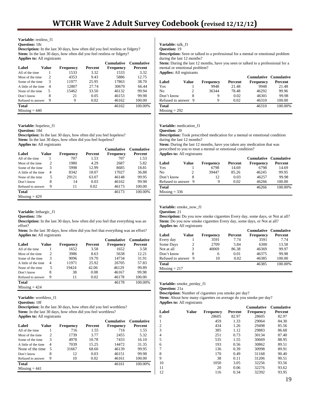# **Variable:** restless\_f1

# **Question:** 18c

**Description:** In the last 30 days, how often did you feel restless or fidgety? **Stem:** In the last 30 days, how often did you feel restless or fidgety? **Applies to:** All registrants

|                      |       |           |         | <b>Cumulative</b> | <b>Cumulative</b> |
|----------------------|-------|-----------|---------|-------------------|-------------------|
| Label                | Value | Frequency | Percent | Frequency         | Percent           |
| All of the time      |       | 1533      | 3.32    | 1533              | 3.32              |
| Most of the time.    | 2     | 4353      | 9.43    | 5886              | 12.75             |
| Some of the time     | 3     | 11977     | 25.95   | 17863             | 38.70             |
| A little of the time | 4     | 12807     | 27.74   | 30670             | 66.44             |
| None of the time     | 5     | 15462     | 33.50   | 46132             | 99.94             |
| Don't know           | 8     | 21        | 0.05    | 46153             | 99.98             |
| Refused to answer    | 9     | 9         | 0.02    | 46162             | 100.00            |
| Total                |       |           |         | 46162             | 100.00%           |
| $Missing = 440$      |       |           |         |                   |                   |

**Variable:** hopeless\_f1

**Question:** 18d

**Description:** In the last 30 days, how often did you feel hopeless? Stem: In the last 30 days, how often did you feel hopeless? **Applies to:** All registrants

|                      |       |           |         | <b>Cumulative</b> | <b>Cumulative</b> |
|----------------------|-------|-----------|---------|-------------------|-------------------|
| Label                | Value | Frequency | Percent | Frequency         | Percent           |
| All of the time      |       | 707       | 1.53    | 707               | 1.53              |
| Most of the time.    | 2     | 1980      | 4.29    | 2687              | 5.82              |
| Some of the time     | 3     | 5998      | 12.99   | 8685              | 18.81             |
| A little of the time | 4     | 8342      | 18.07   | 17027             | 36.88             |
| None of the time     | 5     | 29121     | 63.07   | 46148             | 99.95             |
| Don't know           | 8     | 14        | 0.03    | 46162             | 99.98             |
| Refused to answer    | 9     | 11        | 0.02    | 46173             | 100.00            |
| Total                |       |           |         | 46173             | 100.00%           |
| $Missing = 429$      |       |           |         |                   |                   |

# Variable: lethargic\_f1

**Question:** 18e

**Description:** In the last 30 days, how often did you feel that everything was an effort? **Stem:** In the last 30 days, how often did you feel that everything was an effort?

| <b>Applies to:</b> All registrants |       |                  |         |                   |                   |  |  |  |
|------------------------------------|-------|------------------|---------|-------------------|-------------------|--|--|--|
|                                    |       |                  |         | <b>Cumulative</b> | <b>Cumulative</b> |  |  |  |
| Label                              | Value | <b>Frequency</b> | Percent | Frequency         | Percent           |  |  |  |
| All of the time                    |       | 1652             | 3.58    | 1652              | 3.58              |  |  |  |
| Most of the time                   | 2     | 3986             | 8.63    | 5638              | 12.21             |  |  |  |
| Some of the time                   | 3     | 9096             | 19.70   | 14734             | 31.91             |  |  |  |
| A little of the time               | 4     | 11971            | 25.92   | 26705             | 57.83             |  |  |  |
| None of the time                   | 5     | 19424            | 42.06   | 46129             | 99.89             |  |  |  |
| Don't know                         | 8     | 38               | 0.08    | 46167             | 99.98             |  |  |  |
| Refused to answer                  | 9     | 11               | 0.02    | 46178             | 100.00            |  |  |  |
| <b>Total</b>                       |       |                  |         | 46178             | 100.00%           |  |  |  |
| $Missing = 424$                    |       |                  |         |                   |                   |  |  |  |

**Variable:** worthless\_f1

**Description:** In the last 30 days, how often did you feel worthless? Stem: In the last 30 days, how often did you feel worthless? **Applies to:** All registrants

|                      |       |           |         | Cumulative       | <b>Cumulative</b> |
|----------------------|-------|-----------|---------|------------------|-------------------|
| Label                | Value | Frequency | Percent | <b>Frequency</b> | Percent           |
| All of the time      |       | 716       | 1.55    | 716              | 1.55              |
| Most of the time     | 2     | 1739      | 3.77    | 2455             | 5.32              |
| Some of the time     | 3     | 4978      | 10.78   | 7433             | 16.10             |
| A little of the time | 4     | 7039      | 15.25   | 14472            | 31.35             |
| None of the time.    | 5     | 31667     | 68.60   | 46139            | 99.95             |
| Don't know           | 8     | 12        | 0.03    | 46151            | 99.98             |
| Refused to answer    | 9     | 10        | 0.02    | 46161            | 100.00            |
| Total                |       |           |         | 46161            | 100.00%           |
| $Missing = 441$      |       |           |         |                  |                   |

**Variable:** talk\_f1

**Question:** 19

**Description:** Seen or talked to a professional for a mental or emotional problem during the last 12 months?

**Stem:** During the last 12 months, have you seen or talked to a professional for a mental or emotional problem? **Applies:** All registrants

| дррцез. ди гедманиз |       |                  |         |                  |                                         |  |  |  |
|---------------------|-------|------------------|---------|------------------|-----------------------------------------|--|--|--|
| Label               | Value | <b>Frequency</b> | Percent | <b>Frequency</b> | <b>Cumulative Cumulative</b><br>Percent |  |  |  |
| Yes                 |       | 9948             | 21.48   | 9948             | 21.48                                   |  |  |  |
| No                  |       | 36344            | 78.48   | 46292            | 99.96                                   |  |  |  |
| Don't know          | 8     | 9                | 0.02    | 46301            | 99.98                                   |  |  |  |
| Refused to answer 9 |       | Q                | 0.02    | 46310            | 100.00                                  |  |  |  |
| <b>Total</b>        |       |                  |         | 46310            | 100.00%                                 |  |  |  |

 $Missing = 292$ 

**Variable:** medication\_f1

**Question:** 20 **Description:** Took prescribed medication for a mental or emotional condition

during the last 12 months? **Stem:** During the last 12 months, have you taken any medication that was prescribed to you to treat a mental or emotional condition? **Applies to:** All registrants

|                     |       |           |         | Cumulative Cumulative |         |
|---------------------|-------|-----------|---------|-----------------------|---------|
| Label               | Value | Frequency | Percent | Frequency             | Percent |
| Yes                 |       | 6798      | 14.69   | 6798                  | 14.69   |
| No                  |       | 39447     | 85.26   | 46245                 | 99.95   |
| Don't know          | 8     | 12        | 0.03    | 46257                 | 99.98   |
| Refused to answer 9 |       | 9         | 0.02    | 46266                 | 100.00  |
| <b>Total</b>        |       |           |         | 46266                 | 100.00% |
| $Missing = 336$     |       |           |         |                       |         |

**Variable:** smoke\_now\_f1

**Question:** 21

**Description:** Do you now smoke cigarettes Every day, some days, or Not at all? Stem: Do you now smoke cigarettes Every day, some days, or Not at all? **Applies to:** All registrants

|                     |       |                  |                | <b>Cumulative Cumulative</b> |         |
|---------------------|-------|------------------|----------------|------------------------------|---------|
| Label               | Value | <b>Frequency</b> | <b>Percent</b> | <b>Frequency</b>             | Percent |
| Every day           |       | 3591             | 7.74           | 3591                         | 7.74    |
| Some Days           | 2     | 2709             | 5.84           | 6300                         | 13.58   |
| Not at all          | 3     | 40069            | 86.38          | 46369                        | 99.97   |
| Don't know          | 8     | 6                | 0.01           | 46375                        | 99.98   |
| Refused to answer 9 |       | 10               | 0.02           | 46385                        | 100.00  |
| <b>Total</b>        |       |                  |                | 46385                        | 100.00% |
| $Missing = 217$     |       |                  |                |                              |         |

**Variable:** smoke\_perday\_f1

**Question:** 21a

**Description:** Number of cigarettes you smoke per day? Stem: About how many cigarettes on average do you smoke per day? **Applies to:** All registrants

|       |       |                  |         | <b>Cumulative</b> | <b>Cumulative</b> |
|-------|-------|------------------|---------|-------------------|-------------------|
| Label | Value | <b>Frequency</b> | Percent | <b>Frequency</b>  | Percent           |
| 0     |       | 28605            | 82.97   | 28605             | 82.97             |
| 1     |       | 459              | 1.33    | 29064             | 84.30             |
| 2     |       | 434              | 1.26    | 29498             | 85.56             |
| 3     |       | 385              | 1.12    | 29883             | 86.68             |
| 4     |       | 251              | 0.73    | 30134             | 87.40             |
| 5     |       | 535              | 1.55    | 30669             | 88.95             |
| 6     |       | 193              | 0.56    | 30862             | 89.51             |
| 7     |       | 136              | 0.39    | 30998             | 89.91             |
| 8     |       | 170              | 0.49    | 31168             | 90.40             |
| 9     |       | 38               | 0.11    | 31206             | 90.51             |
| 10    |       | 1050             | 3.05    | 32256             | 93.56             |
| 11    |       | 20               | 0.06    | 32276             | 93.62             |
| 12    |       | 116              | 0.34    | 32392             | 93.95             |
|       |       |                  |         |                   |                   |

**Question:** 18f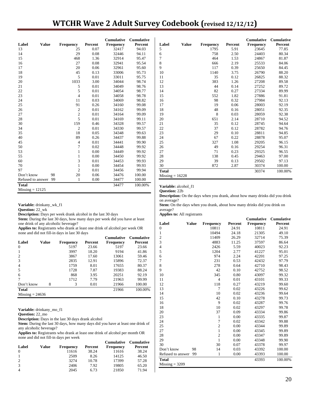# **WTCHR Wave 2 Adult Survey Codebook (revised 12/12/12)**

|                       |    |                  |         | <b>Cumulative</b> | Cumulative |
|-----------------------|----|------------------|---------|-------------------|------------|
| Label<br><b>Value</b> |    | <b>Frequency</b> | Percent | Frequency         | Percent    |
| 13                    |    | 25               | 0.07    | 32417             | 94.03      |
| 14                    |    | 29               | 0.08    | 32446             | 94.11      |
| 15                    |    | 468              | 1.36    | 32914             | 95.47      |
| 16                    |    | 27               | 0.08    | 32941             | 95.54      |
| 17                    |    | 20               | 0.06    | 32961             | 95.60      |
| 18                    |    | 45               | 0.13    | 33006             | 95.73      |
| 19                    |    | 5                | 0.01    | 33011             | 95.75      |
| 20                    |    | 1033             | 3.00    | 34044             | 98.74      |
| 21                    |    | 5                | 0.01    | 34049             | 98.76      |
| 22                    |    | 5                | 0.01    | 34054             | 98.77      |
| 23                    |    | $\overline{4}$   | 0.01    | 34058             | 98.78      |
| 24                    |    | 11               | 0.03    | 34069             | 98.82      |
| 25                    |    | 91               | 0.26    | 34160             | 99.08      |
| 26                    |    | $\overline{c}$   | 0.01    | 34162             | 99.09      |
| 27                    |    | $\overline{c}$   | 0.01    | 34164             | 99.09      |
| $28\,$                |    | 5                | 0.01    | 34169             | 99.11      |
| 30                    |    | 159              | 0.46    | 34328             | 99.57      |
| 34                    |    | $\overline{2}$   | 0.01    | 34330             | 99.57      |
| 35                    |    | 18               | 0.05    | 34348             | 99.63      |
| 40                    |    | 89               | 0.26    | 34437             | 99.88      |
| 45                    |    | $\overline{4}$   | 0.01    | 34441             | 99.90      |
| 50                    |    | $\overline{7}$   | 0.02    | 34448             | 99.92      |
| 53                    |    | $\mathbf{1}$     | 0.00    | 34449             | 99.92      |
| 55                    |    | $\mathbf{1}$     | 0.00    | 34450             | 99.92      |
| 60                    |    | 3                | 0.01    | 34453             | 99.93      |
| 70                    |    | $\mathbf{1}$     | 0.00    | 34454             | 99.93      |
| 97                    |    | $\overline{c}$   | 0.01    | 34456             | 99.94      |
| Don't know            | 98 | 20               | 0.06    | 34476             | 100.00     |
| Refused to answer     | 99 | $\mathbf{1}$     | 0.00    | 34477             | 100.00     |
| <b>Total</b>          |    |                  |         | 34477             | 100.00%    |
| $Missing = 12125$     |    |                  |         |                   |            |

**Variable:** drinkany\_wk\_f1

**Question:** 22\_wk

**Description:** Days per week drank alcohol in the last 30 days

Stem: During the last 30 days, how many days per week did you have at least one drink of any alcoholic beverage?

**Applies to:** Registrants who drank at least one drink of alcohol per week OR none and did not fill-in days in last 30 days

|                   |       |                  |                | <b>Cumulative</b> | <b>Cumulative</b> |
|-------------------|-------|------------------|----------------|-------------------|-------------------|
| Label             | Value | <b>Frequency</b> | <b>Percent</b> | <b>Frequency</b>  | Percent           |
| $\theta$          |       | 5197             | 23.66          | 5197              | 23.66             |
| 1                 |       | 3997             | 18.20          | 9194              | 41.86             |
| 2                 |       | 3867             | 17.60          | 13061             | 59.46             |
| 3                 |       | 2835             | 12.91          | 15896             | 72.37             |
| $\overline{4}$    |       | 1759             | 8.01           | 17655             | 80.37             |
| 5                 |       | 1728             | 7.87           | 19383             | 88.24             |
| 6                 |       | 868              | 3.95           | 20251             | 92.19             |
| 7                 |       | 1712             | 7.79           | 21963             | 99.99             |
| Don't know        | 8     | 3                | 0.01           | 21966             | 100.00            |
| <b>Total</b>      |       |                  |                | 21966             | 100.00%           |
| $Missing = 24636$ |       |                  |                |                   |                   |

**Variable:** drinkany\_mo\_f1

**Question:** 22\_mo

**Description:** Days in the last 30 days drank alcohol

**Stem:** During the last 30 days, how many days did you have at least one drink of any alcoholic beverage?

**Applies to:** Registrants who drank at least one drink of alcohol per month OR none and did not fill-in days per week

|                |       |                  |         | <b>Cumulative</b> | Cumulative |
|----------------|-------|------------------|---------|-------------------|------------|
| Label          | Value | <b>Frequency</b> | Percent | <b>Frequency</b>  | Percent    |
| $\Omega$       |       | 11616            | 38.24   | 11616             | 38.24      |
| 1              |       | 2509             | 8.26    | 14125             | 46.50      |
| 2              |       | 3274             | 10.78   | 17399             | 57.28      |
| 3              |       | 2406             | 7.92    | 19805             | 65.20      |
| $\overline{4}$ |       | 2045             | 6.73    | 21850             | 71.94      |

| Label             | <b>Value</b> | <b>Frequency</b> | Percent | <b>Cumulative</b><br><b>Frequency</b> | <b>Cumulative</b><br>Percent |
|-------------------|--------------|------------------|---------|---------------------------------------|------------------------------|
| 5                 |              | 1795             | 5.91    | 23645                                 | 77.85                        |
| 6                 |              | 758              | 2.50    | 24403                                 | 80.34                        |
| 7                 |              | 464              | 1.53    | 24867                                 | 81.87                        |
| 8                 |              | 666              | 2.19    | 25533                                 | 84.06                        |
| 9                 |              | 117              | 0.39    | 25650                                 | 84.45                        |
| 10                |              | 1140             | 3.75    | 26790                                 | 88.20                        |
| 11                |              | 35               | 0.12    | 26825                                 | 88.32                        |
| 12                |              | 383              | 1.26    | 27208                                 | 89.58                        |
| 13                |              | 44               | 0.14    | 27252                                 | 89.72                        |
| 14                |              | 82               | 0.27    | 27334                                 | 89.99                        |
| 15                |              | 552              | 1.82    | 27886                                 | 91.81                        |
| 16                |              | 98               | 0.32    | 27984                                 | 92.13                        |
| 17                |              | 19               | 0.06    | 28003                                 | 92.19                        |
| 18                |              | 48               | 0.16    | 28051                                 | 92.35                        |
| 19                |              | 8                | 0.03    | 28059                                 | 92.38                        |
| 20                |              | 651              | 2.14    | 28710                                 | 94.52                        |
| 21                |              | 35               | 0.12    | 28745                                 | 94.64                        |
| 22                |              | 37               | 0.12    | 28782                                 | 94.76                        |
| 23                |              | 29               | 0.10    | 28811                                 | 94.85                        |
| 24                |              | 67               | 0.22    | 28878                                 | 95.07                        |
| 25                |              | 327              | 1.08    | 29205                                 | 96.15                        |
| 26                |              | 49               | 0.16    | 29254                                 | 96.31                        |
| 27                |              | 71               | 0.23    | 29325                                 | 96.55                        |
| 28                |              | 138              | 0.45    | 29463                                 | 97.00                        |
| 29                |              | 39               | 0.13    | 29502                                 | 97.13                        |
| 30                |              | 872              | 2.87    | 30374                                 | 100.00                       |
| <b>Total</b>      |              |                  |         | 30374                                 | 100.00%                      |
| $Missing = 16228$ |              |                  |         |                                       |                              |

**Variable:** alcohol\_f1

**Question:** 22b

**Description:** On the days when you drank, about how many drinks did you drink on average?

Stem: On the days when you drank, about how many drinks did you drink on average?

| Label                            | <b>Value</b> |                  |         |           |         |
|----------------------------------|--------------|------------------|---------|-----------|---------|
|                                  |              | <b>Frequency</b> | Percent | Frequency | Percent |
| $\boldsymbol{0}$                 |              | 10811            | 24.91   | 10811     | 24.91   |
| $\mathbf{1}$                     |              | 10494            | 24.18   | 21305     | 49.10   |
| $\overline{\mathbf{c}}$          |              | 11409            | 26.29   | 32714     | 75.39   |
| 3                                |              | 4883             | 11.25   | 37597     | 86.64   |
| $\overline{4}$                   |              | 2426             | 5.59    | 40023     | 92.23   |
| 5                                |              | 1204             | 2.77    | 41227     | 95.01   |
| 6                                |              | 974              | 2.24    | 42201     | 97.25   |
| 7                                |              | 231              | 0.53    | 42432     | 97.79   |
| 8                                |              | 278              | 0.64    | 42710     | 98.43   |
| 9                                |              | 42               | 0.10    | 42752     | 98.52   |
| 10                               |              | 345              | 0.80    | 43097     | 99.32   |
| 11                               |              | $\overline{4}$   | 0.01    | 43101     | 99.33   |
| 12                               |              | 118              | 0.27    | 43219     | 99.60   |
| 13                               |              | 7                | 0.02    | 43226     | 99.62   |
| 14                               |              | 10               | 0.02    | 43236     | 99.64   |
| 15                               |              | 42               | 0.10    | 43278     | 99.73   |
| 16                               |              | 9                | 0.02    | 43287     | 99.76   |
| 18                               |              | 10               | 0.02    | 43297     | 99.78   |
| 20                               |              | 37               | 0.09    | 43334     | 99.86   |
| 23                               |              | $\mathbf{1}$     | 0.00    | 43335     | 99.87   |
| 24                               |              | $\overline{7}$   | 0.02    | 43342     | 99.88   |
| 25                               |              | $\overline{c}$   | 0.00    | 43344     | 99.89   |
| 27                               |              | $\mathbf{1}$     | 0.00    | 43345     | 99.89   |
| 28                               |              | $\overline{c}$   | 0.00    | 43347     | 99.89   |
| 29                               |              | $\mathbf{1}$     | 0.00    | 43348     | 99.90   |
| 30                               |              | 30               | 0.07    | 43378     | 99.97   |
| Don't know                       | 98           | 14               | 0.03    | 43392     | 100.00  |
| Refused to answer                | 99           | $\mathbf{1}$     | 0.00    | 43393     | 100.00  |
| <b>Total</b><br>$Missing = 3209$ |              |                  |         | 43393     | 100.00% |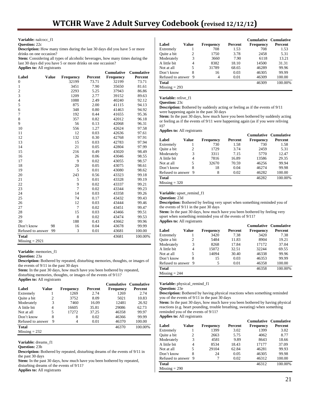**Variable:** nalcocc\_f1

# **Question:** 22c

**Description:** How many times during the last 30 days did you have 5 or more drinks on one occasion?

**Stem:** Considering all types of alcoholic beverages, how many times during the last 30 days did you have 5 or more drinks on one occasion? **Applies to:** All registrants

|                   |              |           |         | Cumulative       | <b>Cumulative</b> |
|-------------------|--------------|-----------|---------|------------------|-------------------|
| Label             | <b>Value</b> | Frequency | Percent | <b>Frequency</b> | Percent           |
| $\boldsymbol{0}$  |              | 32199     | 73.71   | 32199            | 73.71             |
| $\,1$             |              | 3451      | 7.90    | 35650            | 81.61             |
| $\overline{c}$    |              | 2293      | 5.25    | 37943            | 86.86             |
| 3                 |              | 1209      | 2.77    | 39152            | 89.63             |
| $\overline{4}$    |              | 1088      | 2.49    | 40240            | 92.12             |
| 5                 |              | 875       | 2.00    | 41115            | 94.13             |
| 6                 |              | 348       | 0.80    | 41463            | 94.92             |
| 7                 |              | 192       | 0.44    | 41655            | 95.36             |
| 8                 |              | 357       | 0.82    | 42012            | 96.18             |
| 9                 |              | 56        | 0.13    | 42068            | 96.31             |
| 10                |              | 556       | 1.27    | 42624            | 97.58             |
| 11                |              | 12        | 0.03    | 42636            | 97.61             |
| 12                |              | 132       | 0.30    | 42768            | 97.91             |
| 13                |              | 15        | 0.03    | 42783            | 97.94             |
| 14                |              | 21        | 0.05    | 42804            | 97.99             |
| 15                |              | 216       | 0.49    | 43020            | 98.49             |
| 16                |              | 26        | 0.06    | 43046            | 98.55             |
| 17                |              | 9         | 0.02    | 43055            | 98.57             |
| 18                |              | 20        | 0.05    | 43075            | 98.61             |
| 19                |              | 5         | 0.01    | 43080            | 98.62             |
| 20                |              | 243       | 0.56    | 43323            | 99.18             |
| 21                |              | 5         | 0.01    | 43328            | 99.19             |
| 22                |              | 9         | 0.02    | 43337            | 99.21             |
| 23                |              | 7         | 0.02    | 43344            | 99.23             |
| 24                |              | 14        | 0.03    | 43358            | 99.26             |
| 25                |              | 74        | 0.17    | 43432            | 99.43             |
| 26                |              | 12        | 0.03    | 43444            | 99.46             |
| 27                |              | 7         | 0.02    | 43451            | 99.47             |
| 28                |              | 15        | 0.03    | 43466            | 99.51             |
| 29                |              | 8         | 0.02    | 43474            | 99.53             |
| 30                |              | 188       | 0.43    | 43662            | 99.96             |
| Don't know        | 98           | 16        | 0.04    | 43678            | 99.99             |
| Refused to answer | 99           | 3         | 0.01    | 43681            | 100.00            |
| <b>Total</b>      |              |           |         | 43681            | 100.00%           |
| $Missing = 2921$  |              |           |         |                  |                   |

**Variable:** memories\_f1

**Question:** 23a

**Description:** Bothered by repeated, disturbing memories, thoughts, or images of the events of 9/11 in the past 30 days

Stem: In the past 30 days, how much have you been bothered by repeated, disturbing memories, thoughts, or images of the events of 9/11?

**Applies to:** All registrants

|                   |       |           |         | <b>Cumulative Cumulative</b> |         |
|-------------------|-------|-----------|---------|------------------------------|---------|
| Label             | Value | Frequency | Percent | <b>Frequency</b>             | Percent |
| Extremely         |       | 1269      | 2.74    | 1269                         | 2.74    |
| Ouite a bit       | 2     | 3752      | 8.09    | 5021                         | 10.83   |
| Moderately        | 3     | 7460      | 16.09   | 12481                        | 26.92   |
| A little bit      | 4     | 16605     | 35.81   | 29086                        | 62.73   |
| Not at all        | 5     | 17272     | 37.25   | 46358                        | 99.97   |
| Don't know        | 8     | 8         | 0.02    | 46366                        | 99.99   |
| Refused to answer | 9     | 4         | 0.01    | 46370                        | 100.00  |
| <b>Total</b>      |       |           |         | 46370                        | 100.00% |
| $Missing = 232$   |       |           |         |                              |         |

**Variable:** dreams\_f1

**Question:** 23b

**Description:** Bothered by repeated, disturbing dreams of the events of  $9/11$  in the past 30 days

Stem: In the past 30 days, how much have you been bothered by repeated, disturbing dreams of the events of 9/11?

**Applies to:** All registrants

| Label             | Value | <b>Frequency</b> | <b>Percent</b> |           | <b>Cumulative Cumulative</b><br>Percent |
|-------------------|-------|------------------|----------------|-----------|-----------------------------------------|
|                   |       |                  |                | Frequency |                                         |
| Extremely         |       | 708              | 1.53           | 708       | 1.53                                    |
| Quite a bit       | 2     | 1750             | 3.78           | 2458      | 5.31                                    |
| Moderately        | 3     | 3660             | 7.90           | 6118      | 13.21                                   |
| A little bit      | 4     | 8382             | 18.10          | 14500     | 31.31                                   |
| Not at all        | 5     | 31789            | 68.65          | 46289     | 99.96                                   |
| Don't know        | 8     | 16               | 0.03           | 46305     | 99.99                                   |
| Refused to answer | 9     | 4                | 0.01           | 46309     | 100.00                                  |
| <b>Total</b>      |       |                  |                | 46309     | 100.00%                                 |
| $Missing = 293$   |       |                  |                |           |                                         |

#### **Variable:** relive\_f1

**Question:** 23c

**Description:** Bothered by suddenly acting or feeling as if the events of  $9/11$ were happening again in the past 30 days

**Stem:** In the past 30 days, how much have you been bothered by suddenly acting or feeling as if the events of 9/11 were happening again (as if you were reliving it)?

**Applies to:** All registrants

|                     |       |                  |         | <b>Cumulative Cumulative</b> |         |
|---------------------|-------|------------------|---------|------------------------------|---------|
| Label               | Value | <b>Frequency</b> | Percent | <b>Frequency</b>             | Percent |
| Extremely           |       | 730              | 1.58    | 730                          | 1.58    |
| Ouite a bit         | 2     | 1729             | 3.74    | 2459                         | 5.31    |
| Moderately          | 3     | 3311             | 7.15    | 5770                         | 12.47   |
| A little bit        | 4     | 7816             | 16.89   | 13586                        | 29.35   |
| Not at all          | 5     | 32670            | 70.59   | 46256                        | 99.94   |
| Don't know          | 8     | 18               | 0.04    | 46274                        | 99.98   |
| Refused to answer 9 |       | 8                | 0.02    | 46282                        | 100.00  |
| <b>Total</b>        |       |                  |         | 46282                        | 100.00% |
| $Missing = 320$     |       |                  |         |                              |         |

**Variable:** upset\_remind\_f1

**Description:** Bothered by feeling very upset when something reminded you of the events of 9/11 in the past 30 days

Stem: In the past 30 days, how much have you been bothered by feeling very upset when something reminded you of the events of 9/11? **Applies to:** All registrants

|                   |       |           |                | <b>Cumulative Cumulative</b> |         |
|-------------------|-------|-----------|----------------|------------------------------|---------|
| Label             | Value | Frequency | <b>Percent</b> | Frequency                    | Percent |
| Extremely         |       | 3420      | 7.38           | 3420                         | 7.38    |
| Quite a bit       | 2     | 5484      | 11.83          | 8904                         | 19.21   |
| Moderately        | 3     | 8268      | 17.84          | 17172                        | 37.04   |
| A little bit      | 4     | 15072     | 32.51          | 32244                        | 69.55   |
| Not at all        | 5     | 14094     | 30.40          | 46338                        | 99.96   |
| Don't know        | 8     | 15        | 0.03           | 46353                        | 99.99   |
| Refused to answer | 9     | 5         | 0.01           | 46358                        | 100.00  |
| <b>Total</b>      |       |           |                | 46358                        | 100.00% |
| $Missing = 244$   |       |           |                |                              |         |

**Variable:** physical\_remind\_f1

**Question:** 23e

**Description:** Bothered by having physical reactions when something reminded you of the events of 9/11 in the past 30 days

**Stem:** In the past 30 days, how much have you been bothered by having physical reactions (e.g. heart pounding, trouble breathing, sweating) when something reminded you of the events of 9/11?

|                   |       |           |                |           | <b>Cumulative Cumulative</b> |
|-------------------|-------|-----------|----------------|-----------|------------------------------|
| Label             | Value | Frequency | <b>Percent</b> | Frequency | Percent                      |
| Extremely         |       | 1399      | 3.02           | 1399      | 3.02                         |
| Quite a bit       | 2     | 2663      | 5.75           | 4062      | 8.77                         |
| Moderately        | 3     | 4581      | 9.89           | 8643      | 18.66                        |
| A little bit      | 4     | 8534      | 18.43          | 17177     | 37.09                        |
| Not at all        | 5     | 29104     | 62.84          | 46281     | 99.93                        |
| Don't know        | 8     | 24        | 0.05           | 46305     | 99.98                        |
| Refused to answer | 9     |           | 0.02           | 46312     | 100.00                       |
| Total             |       |           |                | 46312     | 100.00%                      |
| $Missing = 290$   |       |           |                |           |                              |

**Question:** 23d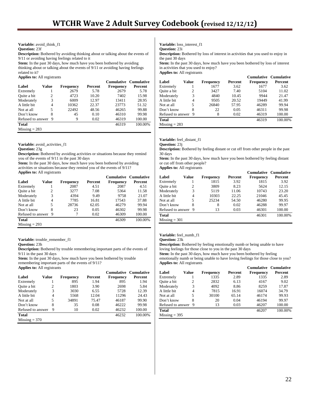# **Variable:** avoid\_think\_f1

**Question:** 23f

**Description:** Bothered by avoiding thinking about or talking about the events of 9/11 or avoiding having feelings related to it

**Stem:** In the past 30 days, how much have you been bothered by avoiding

thinking about or talking about the events of 9/11 or avoiding having feelings related to it?

**Applies to:** All registrants

|                   |       |           |         |                  | <b>Cumulative Cumulative</b> |
|-------------------|-------|-----------|---------|------------------|------------------------------|
| Label             | Value | Frequency | Percent | <b>Frequency</b> | Percent                      |
| Extremely         |       | 2679      | 5.78    | 2679             | 5.78                         |
| Quite a bit       | 2     | 4723      | 10.20   | 7402             | 15.98                        |
| Moderately        | 3     | 6009      | 12.97   | 13411            | 28.95                        |
| A little bit      | 4     | 10362     | 22.37   | 23773            | 51.32                        |
| Not at all        | 5     | 22492     | 48.56   | 46265            | 99.88                        |
| Don't know        | 8     | 45        | 0.10    | 46310            | 99.98                        |
| Refused to answer | 9     | 9         | 0.02    | 46319            | 100.00                       |
| Total             |       |           |         | 46319            | 100.00%                      |
| $Missing = 283$   |       |           |         |                  |                              |

**Variable:** avoid\_activities\_f1

**Question:** 23g

**Description:** Bothered by avoiding activities or situations because they remind you of the events of 9/11 in the past 30 days

**Stem:** In the past 30 days, how much have you been bothered by avoiding activities or situations because they remind you of the events of 9/11? **Applies to:** All registrants

|                   |       |           |         |                  | <b>Cumulative Cumulative</b> |
|-------------------|-------|-----------|---------|------------------|------------------------------|
| Label             | Value | Frequency | Percent | <b>Frequency</b> | Percent                      |
| Extremely         |       | 2087      | 4.51    | 2087             | 4.51                         |
| Ouite a bit       | 2     | 3277      | 7.08    | 5364             | 11.58                        |
| Moderately        | 3     | 4394      | 9.49    | 9758             | 21.07                        |
| A little bit      | 4     | 7785      | 16.81   | 17543            | 37.88                        |
| Not at all        | 5     | 28736     | 62.05   | 46279            | 99.94                        |
| Don't know        | 8     | 23        | 0.05    | 46302            | 99.98                        |
| Refused to answer | 9     |           | 0.02    | 46309            | 100.00                       |
| <b>Total</b>      |       |           |         | 46309            | 100.00%                      |
| $M: -1 - 202$     |       |           |         |                  |                              |

 $Missing = 293$ 

### **Variable:** trouble\_remember\_f1

#### **Question:** 23h

**Description:** Bothered by trouble remembering important parts of the events of 9/11 in the past 30 days

Stem: In the past 30 days, how much have you been bothered by trouble remembering important parts of the events of 9/11?

**Applies to:** All registrants

|                   |       |           |         |                  | <b>Cumulative Cumulative</b> |
|-------------------|-------|-----------|---------|------------------|------------------------------|
| Label             | Value | Frequency | Percent | <b>Frequency</b> | Percent                      |
| Extremely         |       | 895       | 1.94    | 895              | 1.94                         |
| Quite a bit       | 2     | 1803      | 3.90    | 2698             | 5.84                         |
| Moderately        | 3     | 3030      | 6.55    | 5728             | 12.39                        |
| A little bit      | 4     | 5568      | 12.04   | 11296            | 24.43                        |
| Not at all        | 5     | 34891     | 75.47   | 46187            | 99.90                        |
| Don't know        | 8     | 35        | 0.08    | 46222            | 99.98                        |
| Refused to answer | 9     | 10        | 0.02    | 46232            | 100.00                       |
| <b>Total</b>      |       |           |         | 46232            | 100.00%                      |
| $Missing = 370$   |       |           |         |                  |                              |

**Variable:** loss\_interest\_f1

**Question:** 23i

**Description:** Bothered by loss of interest in activities that you used to enjoy in the past 30 days

**Stem:** In the past 30 days, how much have you been bothered by loss of interest in activities that you used to enjoy? **Applies to:** All registrants

|                   |       |           |         | <b>Cumulative Cumulative</b> |         |
|-------------------|-------|-----------|---------|------------------------------|---------|
| Label             | Value | Frequency | Percent | <b>Frequency</b>             | Percent |
| Extremely         |       | 1677      | 3.62    | 1677                         | 3.62    |
| Quite a bit       | 2     | 3427      | 7.40    | 5104                         | 11.02   |
| Moderately        | 3     | 4840      | 10.45   | 9944                         | 21.47   |
| A little bit      | 4     | 9505      | 20.52   | 19449                        | 41.99   |
| Not at all        | 5     | 26840     | 57.95   | 46289                        | 99.94   |
| Don't know        | 8     | 22        | 0.05    | 46311                        | 99.98   |
| Refused to answer | 9     | 8         | 0.02    | 46319                        | 100.00  |
| <b>Total</b>      |       |           |         | 46319                        | 100.00% |
| $Missing = 283$   |       |           |         |                              |         |

**Variable:** feel\_distant\_f1

**Question:** 23j

**Description:** Bothered by feeling distant or cut off from other people in the past 30 days

**Stem:** In the past 30 days, how much have you been bothered by feeling distant or cut off from other people?

**Applies to:** All registrants

|                   |       |           |         | <b>Cumulative Cumulative</b> |         |
|-------------------|-------|-----------|---------|------------------------------|---------|
| Label             | Value | Frequency | Percent | Frequency                    | Percent |
| Extremely         |       | 1815      | 3.92    | 1815                         | 3.92    |
| Quite a bit       | 2     | 3809      | 8.23    | 5624                         | 12.15   |
| Moderately        | 3     | 5119      | 11.06   | 10743                        | 23.20   |
| A little bit      | 4     | 10303     | 22.25   | 21046                        | 45.45   |
| Not at all        | 5     | 25234     | 54.50   | 46280                        | 99.95   |
| Don't know        | 8     | 8         | 0.02    | 46288                        | 99.97   |
| Refused to answer | 9     | 13        | 0.03    | 46301                        | 100.00  |
| <b>Total</b>      |       |           |         | 46301                        | 100.00% |
| $Missing = 301$   |       |           |         |                              |         |

**Variable:** feel\_numb\_f1

**Question:** 23k **Description:** Bothered by feeling emotionally numb or being unable to have

loving feelings for those close to you in the past 30 days

**Stem:** In the past 30 days, how much have you been bothered by feeling emotionally numb or being unable to have loving feelings for those close to you? **Applies to:** All registrants

|                   |       |                  |                |           | Cumulative Cumulative |
|-------------------|-------|------------------|----------------|-----------|-----------------------|
| Label             | Value | <b>Frequency</b> | <b>Percent</b> | Frequency | Percent               |
| Extremely         |       | 1335             | 2.89           | 1335      | 2.89                  |
| Quite a bit       | 2     | 2832             | 6.13           | 4167      | 9.02                  |
| Moderately        | 3     | 4092             | 8.86           | 8259      | 17.87                 |
| A little bit      | 4     | 7815             | 16.91          | 16074     | 34.79                 |
| Not at all        | 5     | 30100            | 65.14          | 46174     | 99.93                 |
| Don't know        | 8     | 20               | 0.04           | 46194     | 99.97                 |
| Refused to answer | - 9   | 13               | 0.03           | 46207     | 100.00                |
| Total             |       |                  |                | 46207     | 100.00%               |
| $Missing = 395$   |       |                  |                |           |                       |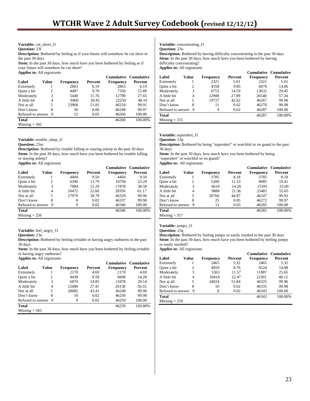**Variable:** cut\_short\_f1

**Question:** 23l

**Description:** Bothered by feeling as if your future will somehow be cut short in the past 30 days

Stem: In the past 30 days, how much have you been bothered by feeling as if your future will somehow be cut short?

**Applies to:** All registrants

|                     |       |                  |                | <b>Cumulative Cumulative</b> |         |
|---------------------|-------|------------------|----------------|------------------------------|---------|
| Label               | Value | <b>Frequency</b> | <b>Percent</b> | Frequency                    | Percent |
| Extremely           |       | 2863             | 6.19           | 2863                         | 6.19    |
| Quite a bit         | 2     | 4487             | 9.70           | 7350                         | 15.89   |
| Moderately          | 3     | 5440             | 11.76          | 12790                        | 27.65   |
| A little bit        | 4     | 9460             | 20.45          | 22250                        | 48.10   |
| Not at all          | 5     | 23968            | 51.81          | 46218                        | 99.91   |
| Don't know          | 8     | 30               | 0.06           | 46248                        | 99.97   |
| Refused to answer 9 |       | 12               | 0.03           | 46260                        | 100.00  |
| <b>Total</b>        |       |                  |                | 46260                        | 100.00% |
| $Missing = 342$     |       |                  |                |                              |         |

**Variable:** trouble\_sleep\_f1

**Question:** 23m

**Description:** Bothered by trouble falling or staying asleep in the past 30 days **Stem:** In the past 30 days, how much have you been bothered by trouble falling or staying asleep?

**Applies to:** All registrants

|                   |       |                  |                | <b>Cumulative Cumulative</b> |         |
|-------------------|-------|------------------|----------------|------------------------------|---------|
| Label             | Value | <b>Frequency</b> | <b>Percent</b> | Frequency                    | Percent |
| Extremely         |       | 4404             | 9.50           | 4404                         | 9.50    |
| Quite a bit       | 2     | 6390             | 13.79          | 10794                        | 23.29   |
| Moderately        | 3     | 7084             | 15.29          | 17878                        | 38.58   |
| A little bit      | 4     | 10472            | 22.60          | 28350                        | 61.17   |
| Not at all        | 5     | 17979            | 38.79          | 46329                        | 99.96   |
| Don't know        | 8     | 8                | 0.02           | 46337                        | 99.98   |
| Refused to answer | 9     | 9                | 0.02           | 46346                        | 100.00  |
| Total             |       |                  |                | 46346                        | 100.00% |
| $Missing = 256$   |       |                  |                |                              |         |

**Variable:** feel\_angry\_f1

**Question:** 23n

**Description:** Bothered by feeling irritable or having angry outbursts in the past 30 days

**Stem:** In the past 30 days, how much have you been bothered by feeling irritable or having angry outbursts? **Applies to:** All registrants

|                   |       |                  |         | <b>Cumulative Cumulative</b> |         |
|-------------------|-------|------------------|---------|------------------------------|---------|
| Label             | Value | <b>Frequency</b> | Percent | Frequency                    | Percent |
| Extremely         |       | 2170             | 4.69    | 2170                         | 4.69    |
| Quite a bit       | 2     | 4438             | 9.59    | 6608                         | 14.28   |
| Moderately        | 3     | 6870             | 14.85   | 13478                        | 29.14   |
| A little bit      | 4     | 12680            | 27.41   | 26158                        | 56.55   |
| Not at all        | 5     | 20082            | 43.41   | 46240                        | 99.96   |
| Don't know        | 8     | 10               | 0.02    | 46250                        | 99.98   |
| Refused to answer | 9     | 9                | 0.02    | 46259                        | 100.00  |
| <b>Total</b>      |       |                  |         | 46259                        | 100.00% |
| $Missing = 343$   |       |                  |         |                              |         |

**Variable:** concentrating\_f1

**Question:** 23o

**Description:** Bothered by having difficulty concentrating in the past 30 days **Stem:** In the past 30 days, how much have you been bothered by having difficulty concentrating? **Applies to:** All registrants

|                   |       |           |         | <b>Cumulative Cumulative</b> |         |
|-------------------|-------|-----------|---------|------------------------------|---------|
| Label             | Value | Frequency | Percent | <b>Frequency</b>             | Percent |
| Extremely         |       | 2321      | 5.01    | 2321                         | 5.01    |
| Quite a bit       | 2     | 4558      | 9.85    | 6879                         | 14.86   |
| Moderately        | 3     | 6753      | 14.59   | 13632                        | 29.45   |
| A little bit      | 4     | 12908     | 27.89   | 26540                        | 57.34   |
| Not at all        | 5     | 19727     | 42.62   | 46267                        | 99.96   |
| Don't know        | 8     | 11        | 0.02    | 46278                        | 99.98   |
| Refused to answer | 9     | 9         | 0.02    | 46287                        | 100.00  |
| Total             |       |           |         | 46287                        | 100.00% |
| $Missing = 315$   |       |           |         |                              |         |

**Variable:** superalert\_f1

**Question:** 23p

**Description:** Bothered by being "superalert" or watchful or on guard in the past 30 days

**Stem:** In the past 30 days, how much have you been bothered by being "superalert" or watchful or on guard?

**Applies to:** All registrants

|                   |       |           |         | <b>Cumulative Cumulative</b> |         |
|-------------------|-------|-----------|---------|------------------------------|---------|
| Label             | Value | Frequency | Percent | Frequency                    | Percent |
| Extremely         |       | 3785      | 8.18    | 3785                         | 8.18    |
| Quite a bit       | 2     | 5200      | 11.23   | 8985                         | 19.41   |
| Moderately        | 3     | 6610      | 14.28   | 15595                        | 33.69   |
| A little bit      | 4     | 9886      | 21.36   | 25481                        | 55.05   |
| Not at all        | 5     | 20766     | 44.87   | 46247                        | 99.92   |
| Don't know        | 8     | 25        | 0.05    | 46272                        | 99.97   |
| Refused to answer | 9     | 13        | 0.03    | 46285                        | 100.00  |
| <b>Total</b>      |       |           |         | 46285                        | 100.00% |
| $Missing = 317$   |       |           |         |                              |         |

**Variable:** jumpy\_f1

**Question:** 23q

**Description:** Bothered by feeling jumpy or easily startled in the past 30 days **Stem:** In the past 30 days, how much have you been bothered by feeling jumpy or easily startled? **Applies to:** All registrants

**Cumulative Cumulative<br>Percent Frequency Percent Label Value Frequency Percent Frequency Percent** Extremely 1 2465 5.32 2465 5.32<br>
Ouite a bit 2 4059 8.76 6524 14.08 Quite a bit Moderately 3 5363 11.57 11887 25.65 A little bit  $\begin{array}{cccc} 4 & 10414 & 22.47 & 22301 & 48.12 \\ \text{Not at all} & 5 & 24024 & 51.84 & 46325 & 99.96 \end{array}$ Not at all  $\begin{array}{cccc} 5 & 24024 & 51.84 & 46325 & 99.96 \\ 24024 & 10 & 0.02 & 46335 & 99.98 \end{array}$ Don't know  $8 \t 10$ Refused to answer 9 8 0.02 46343 100.00 **Total** 46343 100.00%

 $Missing = 259$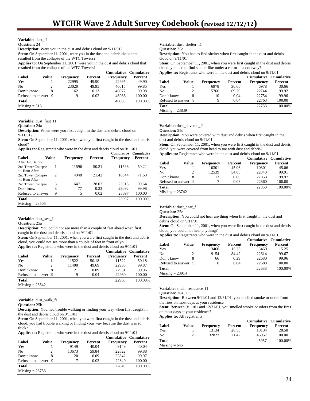**Variable:** dust\_f1

**Question:** 24

**Description:** Were you in the dust and debris cloud on  $9/11/01$ ? Stem: On September 11, 2001, were you in the dust and debris cloud that resulted from the collapse of the WTC Towers?

**Applies to:** On September 11, 2001, were you in the dust and debris cloud that resulted from the collapse of the WTC Towers?

|                     |       |                  |         |                  | <b>Cumulative Cumulative</b> |
|---------------------|-------|------------------|---------|------------------|------------------------------|
| Label               | Value | <b>Frequency</b> | Percent | <b>Frequency</b> | Percent                      |
| Yes                 |       | 22995            | 49.90   | 22995            | 49.90                        |
| No                  |       | 23020            | 49.95   | 46015            | 99.85                        |
| Don't know          |       | 62               | 0.13    | 46077            | 99.98                        |
| Refused to answer 9 |       | 9                | 0.02    | 46086            | 100.00                       |
| <b>Total</b>        |       |                  |         | 46086            | 100.00%                      |
| $Missing = 516$     |       |                  |         |                  |                              |

**Variable:** dust\_first\_f1

**Question:** 24a

**Description:** When were you first caught in the dust and debris cloud on 9/11/01?

**Stem:** On September 11, 2001, when were you first caught in the dust and debris cloud?

**Applies to:** Registrants who were in the dust and debris cloud on 9/11/01

| Label                                  | Value          | Frequency | Percent | <b>Cumulative</b><br><b>Frequency</b> | <b>Cumulative</b><br>Percent |
|----------------------------------------|----------------|-----------|---------|---------------------------------------|------------------------------|
| After 1st, Before                      |                |           |         |                                       |                              |
| 2nd Tower Collapse<br>$<$ 1 Hour After | 1              | 11596     | 50.21   | 11596                                 | 50.21                        |
| 2nd Tower Collapse<br>$>1$ Hour After  | $\mathfrak{D}$ | 4948      | 21.42   | 16544                                 | 71.63                        |
| 2nd Tower Collapse                     | 3              | 6471      | 28.02   | 23015                                 | 99.64                        |
| Don't know                             | 8              | 77        | 0.33    | 23092                                 | 99.98                        |
| Refused to answer                      | 9              | 5         | 0.02    | 23097                                 | 100.00                       |
| <b>Total</b>                           |                |           |         | 23097                                 | 100.00%                      |
| $Missing = 23505$                      |                |           |         |                                       |                              |

**Variable:** dust\_see\_f1

**Question:** 25a

**Description:** You could not see more than a couple of feet ahead when first caught in the dust and debris cloud on 9/11/01

**Stem:** On September 11, 2001, when you were first caught in the dust and debris cloud, you could not see more than a couple of feet in front of you?

**Applies to:** Registrants who were in the dust and debris cloud on 9/11/01

|                     |       |                  |         | <b>Cumulative Cumulative</b> |         |
|---------------------|-------|------------------|---------|------------------------------|---------|
| Label               | Value | <b>Frequency</b> | Percent | <b>Frequency</b>             | Percent |
| Yes                 |       | 11522            | 50.18   | 11522                        | 50.18   |
| No                  |       | 11408            | 49.69   | 22930                        | 99.87   |
| Don't know          |       | 21               | 0.09    | 22951                        | 99.96   |
| Refused to answer 9 |       | 9                | 0.04    | 22960                        | 100.00  |
| <b>Total</b>        |       |                  |         | 22960                        | 100.00% |
| $Missing = 23642$   |       |                  |         |                              |         |

**Variable:** dust\_walk\_f1

**Question:** 25b

**Description:** You had trouble walking or finding your way when first caught in the dust and debris cloud on 9/11/01

**Stem:** On September 11, 2001, when you were first caught in the dust and debris cloud, you had trouble walking or finding your way because the dust was so thick?

**Applies to:** Registrants who were in the dust and debris cloud on 9/11/01

|                     |       |           |         | <b>Cumulative Cumulative</b> |         |
|---------------------|-------|-----------|---------|------------------------------|---------|
| Label               | Value | Frequency | Percent | <b>Frequency</b>             | Percent |
| Yes                 |       | 9149      | 40.04   | 9149                         | 40.04   |
| N <sub>0</sub>      |       | 13673     | 59.84   | 22822                        | 99.88   |
| Don't know          |       | 20        | 0.09    | 22842                        | 99.97   |
| Refused to answer 9 |       |           | 0.03    | 22849                        | 100.00  |
| <b>Total</b>        |       |           |         | 22849                        | 100.00% |
| $Missing = 23753$   |       |           |         |                              |         |

**Variable:** dust\_shelter\_f1

**Question:** 25c

**Description:** You had to find shelter when first caught in the dust and debris cloud on 9/11/01

**Stem:** On September 11, 2001, when you were first caught in the dust and debris cloud, you had to find shelter like under a car or in a doorway?

**Applies to:** Registrants who were in the dust and debris cloud on 9/11/01

|                     |       |                  |         | <b>Cumulative Cumulative</b> |         |
|---------------------|-------|------------------|---------|------------------------------|---------|
| Label               | Value | <b>Frequency</b> | Percent | <b>Frequency</b>             | Percent |
| Yes                 |       | 6978             | 30.66   | 6978                         | 30.66   |
| No                  |       | 15766            | 69.26   | 22744                        | 99.92   |
| Don't know          | 8     | 10               | 0.04    | 22754                        | 99.96   |
| Refused to answer 9 |       | 9                | 0.04    | 22763                        | 100.00  |
| <b>Total</b>        |       |                  |         | 22763                        | 100.00% |
| $Missing = 23839$   |       |                  |         |                              |         |

Variable: dust\_covered\_f1

**Question:** 25d

**Description:** You were covered with dust and debris when first caught in the dust and debris cloud on 9/11/01

**Stem:** On September 11, 2001, when you were first caught in the dust and debris cloud, you were covered from head to toe with dust and debris?

**Applies to:** Registrants who were in the dust and debris cloud on 9/11/01

|                     |       |                  |         | <b>Cumulative Cumulative</b> |         |
|---------------------|-------|------------------|---------|------------------------------|---------|
| Label               | Value | <b>Frequency</b> | Percent | <b>Frequency</b>             | Percent |
| Yes                 |       | 10301            | 45.06   | 10301                        | 45.06   |
| N <sub>0</sub>      | 2     | 12539            | 54.85   | 22840                        | 99.91   |
| Don't know          | 8     | 13               | 0.06    | 22853                        | 99.97   |
| Refused to answer 9 |       |                  | 0.03    | 22860                        | 100.00  |
| Total               |       |                  |         | 22860                        | 100.00% |
| $Missing = 23742$   |       |                  |         |                              |         |

Variable: dust\_hear\_f1

**Question:** 25e

**Description:** You could not hear anything when first caught in the dust and debris cloud on 9/11/01

Stem: On September 11, 2001, when you were first caught in the dust and debris cloud, you could not hear anything?

**Applies to:** Registrants who were in the dust and debris cloud on 9/11/01

|                     |       |                  |         | <b>Cumulative Cumulative</b> |         |
|---------------------|-------|------------------|---------|------------------------------|---------|
| Label               | Value | <b>Frequency</b> | Percent | <b>Frequency</b>             | Percent |
| Yes                 |       | 3460             | 15.25   | 3460                         | 15.25   |
| No                  |       | 19154            | 84.42   | 22614                        | 99.67   |
| Don't know          | 8     | 66               | 0.29    | 22680                        | 99.96   |
| Refused to answer 9 |       | 8                | 0.04    | 22688                        | 100.00  |
| <b>Total</b>        |       |                  |         | 22688                        | 100.00% |
| $Missing = 23914$   |       |                  |         |                              |         |

**Variable:** smell\_residence\_f1

**Question:** 26a\_1

**Description:** Between 9/11/01 and 12/31/01, you smelled smoke or odors from the fires on most days at your residence

**Stem:** Between 9/11/01 and 12/31/01, you smelled smoke or odors from the fires on most days at your residence?

| Label           | Value | <b>Frequency</b> | Percent | <b>Frequency</b> | <b>Cumulative Cumulative</b><br>Percent |
|-----------------|-------|------------------|---------|------------------|-----------------------------------------|
| Yes             |       | 13134            | 28.58   | 13134            | 28.58                                   |
| No              | 2     | 32823            | 71.42   | 45957            | 100.00                                  |
| <b>Total</b>    |       |                  |         | 45957            | 100.00%                                 |
| $Missing = 645$ |       |                  |         |                  |                                         |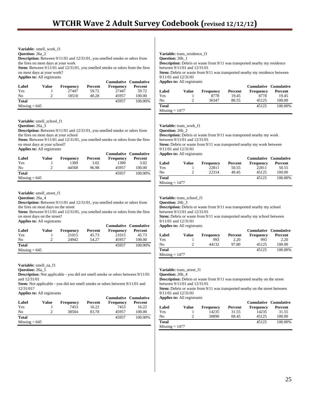**Variable:** smell\_work\_f1 **Question:** 26a\_2 **Description:** Between 9/11/01 and 12/31/01, you smelled smoke or odors from the fires on most days at your work **Stem:** Between 9/11/01 and 12/31/01, you smelled smoke or odors from the fires on most days at your work? **Applies to:** All registrants

|                 |       |                  |         | <b>Cumulative Cumulative</b> |         |
|-----------------|-------|------------------|---------|------------------------------|---------|
| Label           | Value | <b>Frequency</b> | Percent | <b>Frequency</b>             | Percent |
| Yes             |       | 27447            | 59.72   | 27447                        | 59.72   |
| N <sub>0</sub>  | ာ     | 18510            | 40.28   | 45957                        | 100.00  |
| <b>Total</b>    |       |                  |         | 45957                        | 100.00% |
| $Missing = 645$ |       |                  |         |                              |         |

**Variable:** smell\_school\_f1

#### **Question:** 26a\_3

**Description:** Between 9/11/01 and 12/31/01, you smelled smoke or odors from the fires on most days at your school

**Stem:** Between 9/11/01 and 12/31/01, you smelled smoke or odors from the fires on most days at your school?

**Applies to:** All registrants

|                 |       |                  |         | <b>Cumulative Cumulative</b> |         |
|-----------------|-------|------------------|---------|------------------------------|---------|
| Label           | Value | <b>Frequency</b> | Percent | <b>Frequency</b>             | Percent |
| Yes             |       | 1389             | 3.02    | 1389                         | 3.02    |
| No.             |       | 44568            | 96.98   | 45957                        | 100.00  |
| <b>Total</b>    |       |                  |         | 45957                        | 100.00% |
| $Missing = 645$ |       |                  |         |                              |         |

#### **Variable:** smell\_street\_f1

**Question:** 26a\_4

**Description:** Between 9/11/01 and 12/31/01, you smelled smoke or odors from the fires on most days on the street

**Stem:** Between 9/11/01 and 12/31/01, you smelled smoke or odors from the fires on most days on the street?

**Applies to:** All registrants

|                 |       |                  |         | Cumulative Cumulative |         |
|-----------------|-------|------------------|---------|-----------------------|---------|
| Label           | Value | <b>Frequency</b> | Percent | <b>Frequency</b>      | Percent |
| Yes             |       | 21015            | 45.73   | 21015                 | 45.73   |
| No              |       | 24942            | 54.27   | 45957                 | 100.00  |
| <b>Total</b>    |       |                  |         | 45957                 | 100.00% |
| $Missing = 645$ |       |                  |         |                       |         |

**Variable:** smell\_na\_f1

**Question:** 26a\_5

**Description:** Not applicable - you did not smell smoke or odors between 9/11/01 and 12/31/01

**Stem:** Not applicable - you did not smell smoke or odors between 9/11/01 and 12/31/01?

**Applies to:** All registrants

| Label           | Value | <b>Frequency</b> | Percent | <b>Cumulative Cumulative</b><br><b>Frequency</b> | Percent |
|-----------------|-------|------------------|---------|--------------------------------------------------|---------|
| Yes             |       | 7453             | 16.22   | 7453                                             | 16.22   |
| No              |       | 38504            | 83.78   | 45957                                            | 100.00  |
| <b>Total</b>    |       |                  |         | 45957                                            | 100.00% |
| $Missing = 645$ |       |                  |         |                                                  |         |

**Variable:** trans\_residence\_f1

**Question:** 26b\_1

**Description:** Debris or waste from 9/11 was transported nearby my residence between 9/11/01 and 12/31/01

**Stem:** Debris or waste from 9/11 was transported nearby my residence between 9/11/01 and 12/31/01

**Applies to:** All registrants

| Label            | Value | <b>Frequency</b> | Percent | <b>Cumulative Cumulative</b><br><b>Frequency</b> | Percent |
|------------------|-------|------------------|---------|--------------------------------------------------|---------|
| Yes              |       | 8778             | 19.45   | 8778                                             | 19.45   |
| No               |       | 36347            | 80.55   | 45125                                            | 100.00  |
| <b>Total</b>     |       |                  |         | 45125                                            | 100.00% |
| $Missing = 1477$ |       |                  |         |                                                  |         |

**Variable:** trans\_work\_f1

**Question:** 26b\_2

**Description:** Debris or waste from 9/11 was transported nearby my work between 9/11/01 and 12/31/01

**Stem:** Debris or waste from 9/11 was transported nearby my work between 9/11/01 and 12/31/01

**Applies to:** All registrants

| Label            | Value         | <b>Frequency</b> | Percent | <b>Cumulative Cumulative</b><br><b>Frequency</b> | Percent |
|------------------|---------------|------------------|---------|--------------------------------------------------|---------|
| Yes              |               | 22811            | 50.55   | 22811                                            | 50.55   |
| No               | $\mathcal{D}$ | 22314            | 49.45   | 45125                                            | 100.00  |
| Total            |               |                  |         | 45125                                            | 100.00% |
| $Missing = 1477$ |               |                  |         |                                                  |         |

**Variable:** trans\_school\_f1

**Question:** 26b\_3

**Description:** Debris or waste from 9/11 was transported nearby my school between 9/11/01 and 12/31/01

**Stem:** Debris or waste from 9/11 was transported nearby my school between 9/11/01 and 12/31/01

**Applies to:** All registrants

|                  |       |                  |         | <b>Cumulative Cumulative</b> |         |
|------------------|-------|------------------|---------|------------------------------|---------|
| Label            | Value | <b>Frequency</b> | Percent | <b>Frequency</b>             | Percent |
| Yes              |       | 993              | 2.20    | 993                          | 2.20    |
| No               |       | 44132            | 97.80   | 45125                        | 100.00  |
| Total            |       |                  |         | 45125                        | 100.00% |
| $Missing = 1477$ |       |                  |         |                              |         |

**Variable:** trans\_street\_f1

**Question:** 26b\_4

**Description:** Debris or waste from 9/11 was transported nearby on the street between 9/11/01 and 12/31/01

Stem: Debris or waste from 9/11 was transported nearby on the street between 9/11/01 and 12/31/01

| Label            | Value | <b>Frequency</b> | Percent | <b>Frequency</b> | <b>Cumulative Cumulative</b><br>Percent |
|------------------|-------|------------------|---------|------------------|-----------------------------------------|
|                  |       |                  |         |                  |                                         |
| Yes              |       | 14235            | 31.55   | 14235            | 31.55                                   |
| No               |       | 30890            | 68.45   | 45125            | 100.00                                  |
| Total            |       |                  |         | 45125            | 100.00%                                 |
| $Missing = 1477$ |       |                  |         |                  |                                         |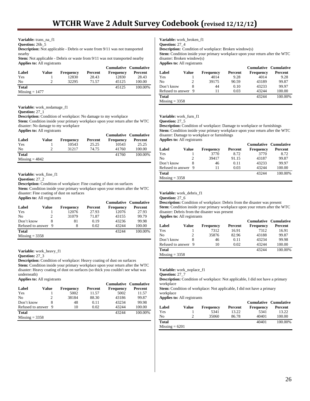**Variable:** trans\_na\_f1

**Question:** 26b\_5

**Description:** Not applicable - Debris or waste from 9/11 was not transported nearby

**Stem:** Not applicable - Debris or waste from 9/11 was not transported nearby **Applies to:** All registrants

|                  |       |                  |         | <b>Cumulative Cumulative</b> |         |
|------------------|-------|------------------|---------|------------------------------|---------|
| Label            | Value | <b>Frequency</b> | Percent | Frequency                    | Percent |
| Yes              |       | 12830            | 28.43   | 12830                        | 28.43   |
| N <sub>0</sub>   |       | 32295            | 71.57   | 45125                        | 100.00  |
| <b>Total</b>     |       |                  |         | 45125                        | 100.00% |
| $Missing = 1477$ |       |                  |         |                              |         |

#### **Variable:** work\_nodamage\_f1

**Question:** 27\_1

**Description:** Condition of workplace: No damage to my workplace **Stem:** Condition inside your primary workplace upon your return after the WTC disaster: No damage to my workplace **Applies to:** All registrants

 **Cumulative Cumulative Label Value Frequency Percent Frequency Percent**<br>
Yes 1 10543 25.25 10543 25.25 Yes 1 10543 25.25 10543 25.25 No 2 31217 74.75 41760 100.00 **Total** 41760 100.00%  $Missing = 4842$ 

**Variable:** work\_fine\_f1

**Question:** 27\_2

**Description:** Condition of workplace: Fine coating of dust on surfaces **Stem:** Condition inside your primary workplace upon your return after the WTC disaster: Fine coating of dust on surfaces **Applies to:** All registrants

|                     |       |                  |         |                  | <b>Cumulative Cumulative</b> |
|---------------------|-------|------------------|---------|------------------|------------------------------|
| Label               | Value | <b>Frequency</b> | Percent | <b>Frequency</b> | Percent                      |
| Yes                 |       | 12076            | 27.93   | 12076            | 27.93                        |
| N <sub>0</sub>      |       | 31079            | 71.87   | 43155            | 99.79                        |
| Don't know          |       | 81               | 0.19    | 43236            | 99.98                        |
| Refused to answer 9 |       |                  | 0.02    | 43244            | 100.00                       |
| <b>Total</b>        |       |                  |         | 43244            | 100.00%                      |
| $Missing = 3358$    |       |                  |         |                  |                              |

**Variable:** work\_heavy\_f1

**Question:** 27\_3

**Description:** Condition of workplace: Heavy coating of dust on surfaces **Stem:** Condition inside your primary workplace upon your return after the WTC disaster: Heavy coating of dust on surfaces (so thick you couldn't see what was underneath)

**Applies to:** All registrants

|                     |       |                  |         | <b>Cumulative Cumulative</b> |         |
|---------------------|-------|------------------|---------|------------------------------|---------|
| Label               | Value | <b>Frequency</b> | Percent | <b>Frequency</b>             | Percent |
| Yes                 |       | 5002             | 11.57   | 5002                         | 11.57   |
| No                  | 2     | 38184            | 88.30   | 43186                        | 99.87   |
| Don't know          |       | 48               | 0.11    | 43234                        | 99.98   |
| Refused to answer 9 |       | 10               | 0.02    | 43244                        | 100.00  |
| <b>Total</b>        |       |                  |         | 43244                        | 100.00% |
| $Missing = 3358$    |       |                  |         |                              |         |

**Variable:** work\_broken\_f1

**Question:** 27\_4

**Description:** Condition of workplace: Broken window(s)

**Stem:** Condition inside your primary workplace upon your return after the WTC disaster: Broken window(s)

**Applies to:** All registrants

|                     |       |                  |         |                  | Cumulative Cumulative |
|---------------------|-------|------------------|---------|------------------|-----------------------|
| Label               | Value | <b>Frequency</b> | Percent | <b>Frequency</b> | Percent               |
| Yes                 |       | 4014             | 9.28    | 4014             | 9.28                  |
| No                  |       | 39175            | 90.59   | 43189            | 99.87                 |
| Don't know          | 8     | 44               | 0.10    | 43233            | 99.97                 |
| Refused to answer 9 |       | 11               | 0.03    | 43244            | 100.00                |
| Total               |       |                  |         | 43244            | 100.00%               |
| $Missing = 3358$    |       |                  |         |                  |                       |

# **Variable:** work\_furn\_f1

**Question:** 27\_5

**Description:** Condition of workplace: Damage to workplace or furnishings **Stem:** Condition inside your primary workplace upon your return after the WTC disaster: Damage to workplace or furnishings **Applies to:** All registrants

|                     |       |                  |         | Cumulative Cumulative |         |
|---------------------|-------|------------------|---------|-----------------------|---------|
| Label               | Value | <b>Frequency</b> | Percent | Frequency             | Percent |
| Yes                 |       | 3770             | 8.72    | 3770                  | 8.72    |
| No                  |       | 39417            | 91.15   | 43187                 | 99.87   |
| Don't know          |       | 46               | 0.11    | 43233                 | 99.97   |
| Refused to answer 9 |       | 11               | 0.03    | 43244                 | 100.00  |
| <b>Total</b>        |       |                  |         | 43244                 | 100.00% |
| $Missing = 3358$    |       |                  |         |                       |         |

**Variable:** work\_debris\_f1

```
Question: 27_6
```
**Description:** Condition of workplace: Debris from the disaster was present **Stem:** Condition inside your primary workplace upon your return after the WTC disaster: Debris from the disaster was present **Applies to:** All registrants

|                     |       |                  |         | <b>Cumulative Cumulative</b> |         |
|---------------------|-------|------------------|---------|------------------------------|---------|
| Label               | Value | <b>Frequency</b> | Percent | <b>Frequency</b>             | Percent |
| Yes                 |       | 7312             | 16.91   | 7312                         | 16.91   |
| N <sub>0</sub>      |       | 35876            | 82.96   | 43188                        | 99.87   |
| Don't know          |       | 46               | 0.11    | 43234                        | 99.98   |
| Refused to answer 9 |       | 10               | 0.02    | 43244                        | 100.00  |
| <b>Total</b>        |       |                  |         | 43244                        | 100.00% |
| $Missing = 3358$    |       |                  |         |                              |         |

**Variable:** work\_noplace\_f1

**Question:** 27\_7

**Description:** Condition of workplace: Not applicable, I did not have a primary workplace

Stem: Condition of workplace: Not applicable, I did not have a primary workplace

|                  |       |                  |         | <b>Cumulative Cumulative</b> |         |
|------------------|-------|------------------|---------|------------------------------|---------|
| Label            | Value | <b>Frequency</b> | Percent | Frequency                    | Percent |
| Yes              |       | 5341             | 13.22   | 5341                         | 13.22   |
| No               |       | 35060            | 86.78   | 40401                        | 100.00  |
| <b>Total</b>     |       |                  |         | 40401                        | 100.00% |
| $Missing = 6201$ |       |                  |         |                              |         |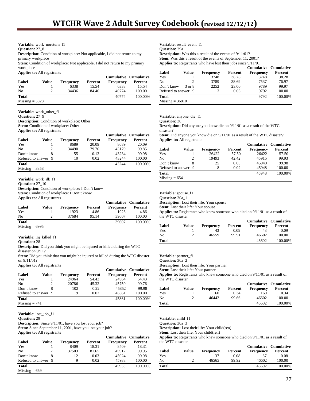**Variable:** work\_noreturn\_f1

**Question:** 27\_8

**Description:** Condition of workplace: Not applicable, I did not return to my primary workplace

**Stem:** Condition of workplace: Not applicable, I did not return to my primary workplace

**Applies to:** All registrants

| Label            | Value | <b>Frequency</b> | Percent | <b>Cumulative Cumulative</b><br>Frequency | Percent |
|------------------|-------|------------------|---------|-------------------------------------------|---------|
| Yes              |       | 6338             | 15.54   | 6338                                      | 15.54   |
| No               |       | 34436            | 84.46   | 40774                                     | 100.00  |
| <b>Total</b>     |       |                  |         | 40774                                     | 100.00% |
| $Missing = 5828$ |       |                  |         |                                           |         |

**Variable:** work\_other\_f1 **Question:** 27\_9

**Description:** Condition of workplace: Other Stem: Condition of workplace: Other **Applies to:** All registrants

|                     |       |           |         | <b>Cumulative Cumulative</b> |         |
|---------------------|-------|-----------|---------|------------------------------|---------|
| Label               | Value | Frequency | Percent | Frequency                    | Percent |
| Yes                 |       | 8689      | 20.09   | 8689                         | 20.09   |
| No                  |       | 34490     | 79.76   | 43179                        | 99.85   |
| Don't know          |       | 55        | 0.13    | 43234                        | 99.98   |
| Refused to answer 9 |       | 10        | 0.02    | 43244                        | 100.00  |
| <b>Total</b>        |       |           |         | 43244                        | 100.00% |
| $Missing = 3358$    |       |           |         |                              |         |

**Variable:** work\_dk\_f1

**Question:** 27\_10 **Description:** Condition of workplace: I Don't know **Stem:** Condition of workplace: I Don't know

**Applies to:** All registrants

|                  |       |                  |         | <b>Cumulative Cumulative</b> |         |
|------------------|-------|------------------|---------|------------------------------|---------|
| Label            | Value | <b>Frequency</b> | Percent | <b>Frequency</b>             | Percent |
| Yes              |       | 1923             | 4.86    | 1923                         | 4.86    |
| N <sub>0</sub>   |       | 37684            | 95.14   | 39607                        | 100.00  |
| <b>Total</b>     |       |                  |         | 39607                        | 100.00% |
| $Missing = 6995$ |       |                  |         |                              |         |

**Variable:** inj\_killed\_f1

#### **Question:** 28

**Description:** Did you think you might be injured or killed during the WTC disaster on 9/11?

**Stem:** Did you think that you might be injured or killed during the WTC disaster on 9/11/01?

**Applies to:** All registrants

|                     |       |                  |         |                  | <b>Cumulative Cumulative</b> |
|---------------------|-------|------------------|---------|------------------|------------------------------|
| Label               | Value | <b>Frequency</b> | Percent | <b>Frequency</b> | Percent                      |
| Yes                 |       | 24964            | 54.43   | 24964            | 54.43                        |
| N <sub>0</sub>      | 2     | 20786            | 45.32   | 45750            | 99.76                        |
| Don't know          |       | 102              | 0.22    | 45852            | 99.98                        |
| Refused to answer 9 |       | 9                | 0.02    | 45861            | 100.00                       |
| <b>Total</b>        |       |                  |         | 45861            | 100.00%                      |
| $Missing = 741$     |       |                  |         |                  |                              |

**Variable:** lost\_job\_f1

**Question:** 29

**Description:** Since 9/11/01, have you lost your job? **Stem:** Since September 11, 2001, have you lost your job? **Applies to:** All registrants

|                     |       |                  |         | <b>Cumulative Cumulative</b> |         |
|---------------------|-------|------------------|---------|------------------------------|---------|
| Label               | Value | <b>Frequency</b> | Percent | <b>Frequency</b>             | Percent |
| Yes                 |       | 8409             | 18.31   | 8409                         | 18.31   |
| N <sub>0</sub>      |       | 37503            | 81.65   | 45912                        | 99.95   |
| Don't know          |       | 12               | 0.03    | 45924                        | 99.98   |
| Refused to answer 9 |       | 9                | 0.02    | 45933                        | 100.00  |
| <b>Total</b>        |       |                  |         | 45933                        | 100.00% |
| $Missing = 669$     |       |                  |         |                              |         |

**Variable:** result\_event\_f1

**Question:** 29a

**Description:** Was this a result of the events of 9/11/01? **Stem:** Was this a result of the events of September 11, 2001? **Applies to:** Registrants who have lost their jobs since 9/11/01

|                     |        |                  |         | <b>Cumulative Cumulative</b> |         |
|---------------------|--------|------------------|---------|------------------------------|---------|
| Label               | Value  | <b>Frequency</b> | Percent | <b>Frequency</b>             | Percent |
| Yes                 |        | 3748             | 38.28   | 3748                         | 38.28   |
| N <sub>0</sub>      |        | 3789             | 38.69   | 7537                         | 76.97   |
| Don't know          | 3 or 8 | 2252             | 23.00   | 9789                         | 99.97   |
| Refused to answer 9 |        | 3                | 0.03    | 9792                         | 100.00  |
| <b>Total</b>        |        |                  |         | 9792                         | 100.00% |
| $Missing = 36810$   |        |                  |         |                              |         |

**Variable:** anyone\_die\_f1

**Question:** 30

**Description:** Did anyone you know die on 9/11/01 as a result of the WTC disaster?

**Stem:** Did anyone you know die on  $9/11/01$  as a result of the WTC disaster? **Applies to:** All registrants

|                     |       |                  |         | <b>Cumulative Cumulative</b> |         |
|---------------------|-------|------------------|---------|------------------------------|---------|
| Label               | Value | <b>Frequency</b> | Percent | <b>Frequency</b>             | Percent |
| Yes                 |       | 26422            | 57.50   | 26422                        | 57.50   |
| No                  | 2     | 19493            | 42.42   | 45915                        | 99.93   |
| Don't know          | 8     | 25               | 0.05    | 45940                        | 99.98   |
| Refused to answer 9 |       | 8                | 0.02    | 45948                        | 100.00  |
| <b>Total</b>        |       |                  |         | 45948                        | 100.00% |
| $Missing = 654$     |       |                  |         |                              |         |

**Variable:** spouse\_f1

**Question:** 30a\_1

**Description:** Lost their life: Your spouse **Stem:** Lost their life: Your spouse

**Applies to:** Registrants who knew someone who died on 9/11/01 as a result of the WTC disaster

|              |       |                  |         | <b>Cumulative Cumulative</b> |         |
|--------------|-------|------------------|---------|------------------------------|---------|
| Label        | Value | <b>Frequency</b> | Percent | <b>Frequency</b>             | Percent |
| Yes          |       | 43               | 0.09    | 43                           | 0.09    |
| No           |       | 46559            | 99.91   | 46602                        | 100.00  |
| <b>Total</b> |       |                  |         | 46602                        | 100.00% |

Variable: partner\_f1

**Question:** 30a\_2

**Description:** Lost their life: Your partner

**Stem:** Lost their life: Your partner

**Applies to:** Registrants who knew someone who died on 9/11/01 as a result of the WTC disaster

|              |       |                  |         | <b>Cumulative Cumulative</b> |         |
|--------------|-------|------------------|---------|------------------------------|---------|
| Label        | Value | <b>Frequency</b> | Percent | Frequency                    | Percent |
| Yes          |       | 160              | 0.34    | 160                          | 0.34    |
| No           |       | 46442            | 99.66   | 46602                        | 100.00  |
| <b>Total</b> |       |                  |         | 46602                        | 100.00% |

**Variable:** child\_f1

**Question:** 30a\_3

**Description:** Lost their life: Your child(ren)

**Stem:** Lost their life: Your child(ren)

**Applies to:** Registrants who knew someone who died on 9/11/01 as a result of the WTC disaster

|              |       |                  |         | <b>Cumulative Cumulative</b> |         |
|--------------|-------|------------------|---------|------------------------------|---------|
| Label        | Value | <b>Frequency</b> | Percent | Frequency                    | Percent |
| Yes          |       | 37               | 0.08    | 37                           | 0.08    |
| No           |       | 46565            | 99.92   | 46602                        | 100.00  |
| <b>Total</b> |       |                  |         | 46602                        | 100.00% |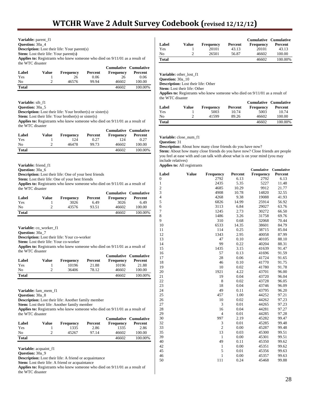|                                                | <b>Variable:</b> parent f1                   |                                                                                      |                              |                                                                                  |
|------------------------------------------------|----------------------------------------------|--------------------------------------------------------------------------------------|------------------------------|----------------------------------------------------------------------------------|
| <b>Ouestion: 30a 4</b>                         |                                              |                                                                                      |                              |                                                                                  |
|                                                |                                              | <b>Description:</b> Lost their life: Your parent(s)                                  |                              |                                                                                  |
|                                                | <b>Stem:</b> Lost their life: Your parent(s) |                                                                                      |                              |                                                                                  |
|                                                |                                              | <b>Applies to:</b> Registrants who knew someone who died on $9/11/01$ as a result of |                              |                                                                                  |
| the WTC disaster                               |                                              |                                                                                      |                              |                                                                                  |
|                                                |                                              |                                                                                      | <b>Cumulative Cumulative</b> |                                                                                  |
| $\mathbf{L}$ and $\mathbf{L}$ and $\mathbf{L}$ |                                              | $\mathbf{V}$ and $\mathbf{V}$ are the set of $\mathbf{V}$                            |                              | $\Gamma_{\text{max}}$ = $\Gamma_{\text{max}}$ = $\Gamma_{\text{max}}$ = $\Gamma$ |

| Label | Value | <b>Frequency</b> | Percent | Frequency | Percent |
|-------|-------|------------------|---------|-----------|---------|
| Yes   |       | 26               | 0.06    | 26        | 0.06    |
| No    |       | 46576            | 99.94   | 46602     | 100.00  |
| Total |       |                  |         | 46602     | 100.00% |

# **Variable:** sib\_f1

**Question:** 30a 5

**Description:** Lost their life: Your brother(s) or sister(s)

**Stem:** Lost their life: Your brother(s) or sister(s)

**Applies to:** Registrants who knew someone who died on 9/11/01 as a result of the WTC disaster

|              |       |                  |         |                  | <b>Cumulative Cumulative</b> |
|--------------|-------|------------------|---------|------------------|------------------------------|
| Label        | Value | <b>Frequency</b> | Percent | <b>Frequency</b> | Percent                      |
| Yes          |       | 124              | 0.27    | 124              | 0.27                         |
| No           |       | 46478            | 99.73   | 46602            | 100.00                       |
| <b>Total</b> |       |                  |         | 46602            | 100.00%                      |

**Variable:** friend\_f1

**Question:** 30a\_6

**Description:** Lost their life: One of your best friends

Stem: Lost their life: One of your best friends

**Applies to:** Registrants who knew someone who died on 9/11/01 as a result of the WTC disaster

|              |       |           |         |           | <b>Cumulative Cumulative</b> |
|--------------|-------|-----------|---------|-----------|------------------------------|
| Label        | Value | Frequency | Percent | Frequency | Percent                      |
| Yes          |       | 3026      | 6.49    | 3026      | 6.49                         |
| No           |       | 43576     | 93.51   | 46602     | 100.00                       |
| <b>Total</b> |       |           |         | 46602     | 100.00%                      |

**Variable:** co\_worker\_f1

**Question:** 30a\_7

**Description:** Lost their life: Your co-worker

**Stem:** Lost their life: Your co-worker

**Applies to:** Registrants who knew someone who died on 9/11/01 as a result of the WTC disaster

|       |       |                  |         |                  | <b>Cumulative Cumulative</b> |
|-------|-------|------------------|---------|------------------|------------------------------|
| Label | Value | <b>Frequency</b> | Percent | <b>Frequency</b> | Percent                      |
| Yes   |       | 10196            | 21.88   | 10196            | 21.88                        |
| No    |       | 36406            | 78.12   | 46602            | 100.00                       |
| Total |       |                  |         | 46602            | 100.00%                      |

**Variable:** fam\_mem\_f1

**Question:** 30a\_8

**Description:** Lost their life: Another family member

**Stem:** Lost their life: Another family member

**Applies to:** Registrants who knew someone who died on 9/11/01 as a result of the WTC disaster

| Label        | Value |                   | Percent | <b>Cumulative Cumulative</b> | Percent |
|--------------|-------|-------------------|---------|------------------------------|---------|
| Yes          |       | Frequency<br>1335 | 2.86    | Frequency<br>1335            | 2.86    |
| No           |       | 45267             | 97.14   | 46602                        | 100.00  |
| <b>Total</b> |       |                   |         | 46602                        | 100.00% |

**Variable:** acquaint\_f1

**Question:** 30a\_9

**Description:** Lost their life: A friend or acquaintance

Stem: Lost their life: A friend or acquaintance

**Applies to:** Registrants who knew someone who died on 9/11/01 as a result of the WTC disaster

| Label        | Value | Frequency | Percent | <b>Cumulative Cumulative</b><br><b>Frequency</b> | Percent |
|--------------|-------|-----------|---------|--------------------------------------------------|---------|
| Yes          |       | 20101     | 43.13   | 20101                                            | 43.13   |
| No           |       | 26501     | 56.87   | 46602                                            | 100.00  |
| <b>Total</b> |       |           |         | 46602                                            | 100.00% |

**Variable:** other\_lost\_f1

**Question:** 30a\_10 **Description:** Lost their life: Other

**Stem:** Lost their life: Other

**Applies to:** Registrants who knew someone who died on 9/11/01 as a result of the WTC disaster

|              |       |                  |         |           | <b>Cumulative Cumulative</b> |
|--------------|-------|------------------|---------|-----------|------------------------------|
| Label        | Value | <b>Frequency</b> | Percent | Frequency | Percent                      |
| Yes          |       | 5003             | 10.74   | 5003      | 10.74                        |
| Nο           |       | 41599            | 89.26   | 46602     | 100.00                       |
| <b>Total</b> |       |                  |         | 46602     | 100.00%                      |

**Variable:** close\_num\_f1

**Question:** 31

**Description:** About how many close friends do you have now?

**Stem:** About how many close friends do you have now? Close friends are people you feel at ease with and can talk with about what is on your mind (you may include relatives)

|                |              |                |         | Cumulative | Cumulative |
|----------------|--------------|----------------|---------|------------|------------|
| Label          | <b>Value</b> | Frequency      | Percent | Frequency  | Percent    |
| 0              |              | 2792           | 6.13    | 2792       | 6.13       |
| 1              |              | 2435           | 5.35    | 5227       | 11.48      |
| $\overline{c}$ |              | 4685           | 10.29   | 9912       | 21.77      |
| 3              |              | 4908           | 10.78   | 14820      | 32.55      |
| 4              |              | 4268           | 9.38    | 19088      | 41.93      |
| 5              |              | 6826           | 14.99   | 25914      | 56.92      |
| 6              |              | 3113           | 6.84    | 29027      | 63.76      |
| 7              |              | 1245           | 2.73    | 30272      | 66.50      |
| 8              |              | 1486           | 3.26    | 31758      | 69.76      |
| 9              |              | 310            | 0.68    | 32068      | 70.44      |
| 10             |              | 6533           | 14.35   | 38601      | 84.79      |
| 11             |              | 114            | 0.25    | 38715      | 85.04      |
| 12             |              | 1343           | 2.95    | 40058      | 87.99      |
| 13             |              | 47             | 0.10    | 40105      | 88.10      |
| 14             |              | 99             | 0.22    | 40204      | 88.31      |
| 15             |              | 1435           | 3.15    | 41639      | 91.47      |
| 16             |              | 57             | 0.13    | 41696      | 91.59      |
| 17             |              | 28             | 0.06    | 41724      | 91.65      |
| 18             |              | 46             | 0.10    | 41770      | 91.75      |
| 19             |              | 10             | 0.02    | 41780      | 91.78      |
| 20             |              | 1921           | 4.22    | 43701      | 96.00      |
| 21             |              | 19             | 0.04    | 43720      | 96.04      |
| 22             |              | 8              | 0.02    | 43728      | 96.05      |
| 23             |              | 18             | 0.04    | 43746      | 96.09      |
| 24             |              | 49             | 0.11    | 43795      | 96.20      |
| 25             |              | 457            | 1.00    | 44252      | 97.21      |
| 26             |              | 10             | 0.02    | 44262      | 97.23      |
| 27             |              | 3              | 0.01    | 44265      | 97.23      |
| 28             |              | 16             | 0.04    | 44281      | 97.27      |
| 29             |              | $\overline{4}$ | 0.01    | 44285      | 97.28      |
| 30             |              | 997            | 2.19    | 45282      | 99.47      |
| 32             |              | 3              | 0.01    | 45285      | 99.48      |
| 33             |              | $\overline{2}$ | 0.00    | 45287      | 99.48      |
| 35             |              | 13             | 0.03    | 45300      | 99.51      |
| 39             |              | $\mathbf{1}$   | 0.00    | 45301      | 99.51      |
| 40             |              | 49             | 0.11    | 45350      | 99.62      |
| 42             |              | $\mathbf{1}$   | 0.00    | 45351      | 99.62      |
| 45             |              | 5              | 0.01    | 45356      | 99.63      |
| 46             |              | $\mathbf{1}$   | 0.00    | 45357      | 99.63      |
| 50             |              | 111            | 0.24    | 45468      | 99.88      |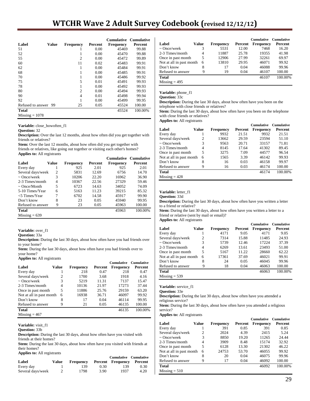# **WTCHR Wave 2 Adult Survey Codebook (revised 12/12/12)**

|                   |              |                  |         | <b>Cumulative</b> | <b>Cumulative</b> |
|-------------------|--------------|------------------|---------|-------------------|-------------------|
| Label             | <b>Value</b> | <b>Frequency</b> | Percent | <b>Frequency</b>  | Percent           |
| 51                |              |                  | 0.00    | 45469             | 99.88             |
| 52                |              | 1                | 0.00    | 45470             | 99.88             |
| 55                |              | $\overline{c}$   | 0.00    | 45472             | 99.89             |
| 60                |              | 11               | 0.02    | 45483             | 99.91             |
| 62                |              | 1                | 0.00    | 45484             | 99.91             |
| 68                |              |                  | 0.00    | 45485             | 99.91             |
| 70                |              | 1                | 0.00    | 45486             | 99.92             |
| 75                |              | 5                | 0.01    | 45491             | 99.93             |
| 78                |              | 1                | 0.00    | 45492             | 99.93             |
| 80                |              | $\overline{c}$   | 0.00    | 45494             | 99.93             |
| 90                |              | 4                | 0.01    | 45498             | 99.94             |
| 92                |              |                  | 0.00    | 45499             | 99.95             |
| Refused to answer | 99           | 25               | 0.05    | 45524             | 100.00            |
| <b>Total</b>      |              |                  |         | 45524             | 100.00%           |
| $Missing = 1078$  |              |                  |         |                   |                   |

**Variable:** close\_howoften\_f1

**Question:** 32

**Description:** Over the last 12 months, about how often did you get together with friends or relatives?

**Stem:** Over the last 12 months, about how often did you get together with friends or relatives, like going out together or visiting each other's homes? **Applies to:** All registrants

|                   |       |                  |         |           | <b>Cumulative Cumulative</b> |
|-------------------|-------|------------------|---------|-----------|------------------------------|
| Label             | Value | <b>Frequency</b> | Percent | Frequency | Percent                      |
| Every day         |       | 925              | 2.01    | 925       | 2.01                         |
| Several days/week | 2     | 5831             | 12.69   | 6756      | 14.70                        |
| $\sim$ Once/week  | 3     | 10206            | 22.20   | 16962     | 36.90                        |
| 2-3 Times/month   | 4     | 10367            | 22.56   | 27329     | 59.46                        |
| $\sim$ Once/Month | 5     | 6723             | 14.63   | 34052     | 74.09                        |
| 5-10 Times/Year   | 6     | 5163             | 11.23   | 39215     | 85.32                        |
| $<$ 5 Times/Year  | 7     | 6702             | 14.58   | 45917     | 99.90                        |
| Don't know        | 8     | 23               | 0.05    | 45940     | 99.95                        |
| Refused to answer | 9     | 23               | 0.05    | 45963     | 100.00                       |
| <b>Total</b>      |       |                  |         | 45963     | 100.00%                      |
| $Missing = 639$   |       |                  |         |           |                              |

#### Variable: over f1

**Question:** 33a

**Description:** During the last 30 days, about how often have you had friends over to your home?

**Stem:** During the last 30 days, about how often have you had friends over to your home?

#### **Applies to:** All registrants

|                          |       |                  |         | <b>Cumulative</b> | <b>Cumulative</b> |
|--------------------------|-------|------------------|---------|-------------------|-------------------|
| Label                    | Value | <b>Frequency</b> | Percent | Frequency         | Percent           |
| Every day                |       | 218              | 0.47    | 218               | 0.47              |
| Several days/week        | 2     | 1700             | 3.68    | 1918              | 4.16              |
| $\sim$ Once/week         | 3     | 5219             | 11.31   | 7137              | 15.47             |
| 2-3 Times/month          | 4     | 10136            | 21.97   | 17273             | 37.44             |
| Once in past month       | 5     | 11886            | 25.76   | 29159             | 63.20             |
| Not at all in past month | 6     | 16938            | 36.71   | 46097             | 99.92             |
| Don't know               | 8     | 17               | 0.04    | 46114             | 99.95             |
| Refused to answer        | 9     | 21               | 0.05    | 46135             | 100.00            |
| <b>Total</b>             |       |                  |         | 46135             | 100.00%           |
| $Missing = 467$          |       |                  |         |                   |                   |

**Variable:** visit\_f1

**Question:** 33b

**Description:** During the last 30 days, about how often have you visited with friends at their homes?

**Stem:** During the last 30 days, about how often have you visited with friends at their homes?

|  |  |  | <b>Applies to:</b> All registrants |
|--|--|--|------------------------------------|
|--|--|--|------------------------------------|

|                   |       |           |      | <b>Cumulative Cumulative</b> |      |
|-------------------|-------|-----------|------|------------------------------|------|
| Label             | Value | Frequency |      | Percent Frequency Percent    |      |
| Every day         |       | 139       | 0.30 | 139.                         | 0.30 |
| Several days/week |       | 1798      | 3.90 | 1937                         | 4.20 |

|                          |       |                  |         | <b>Cumulative</b> | Cumulative |
|--------------------------|-------|------------------|---------|-------------------|------------|
| Label                    | Value | <b>Frequency</b> | Percent | <b>Frequency</b>  | Percent    |
| $\sim$ Once/week         | 3     | 5531             | 12.00   | 7468              | 16.20      |
| 2-3 Times/month          | 4     | 11887            | 25.78   | 19355             | 41.98      |
| Once in past month       | 5     | 12906            | 27.99   | 32261             | 69.97      |
| Not at all in past month | 6     | 13810            | 29.95   | 46071             | 99.92      |
| Don't know               | 8     | 17               | 0.04    | 46088             | 99.96      |
| Refused to answer        | 9     | 19               | 0.04    | 46107             | 100.00     |
| <b>Total</b>             |       |                  |         | 46107             | 100.00%    |
| $Missing = 495$          |       |                  |         |                   |            |

**Variable:** phone\_f1

**Question:** 33c

**Description:** During the last 30 days, about how often have you been on the telephone with close friends or relatives?

**Stem:** During the last 30 days, about how often have you been on the telephone with close friends or relatives?

**Applies to:** All registrants

|                          |       |                  |         | <b>Cumulative</b> | <b>Cumulative</b> |
|--------------------------|-------|------------------|---------|-------------------|-------------------|
| Label                    | Value | <b>Frequency</b> | Percent | Frequency         | Percent           |
| Every day                |       | 9932             | 21.51   | 9932              | 21.51             |
| Several days/week        | 2     | 13662            | 29.59   | 23594             | 51.10             |
| $\sim$ Once/week         | 3     | 9563             | 20.71   | 33157             | 71.81             |
| 2-3 Times/month          | 4     | 8145             | 17.64   | 41302             | 89.45             |
| Once in past month       | 5     | 3275             | 7.09    | 44577             | 96.54             |
| Not at all in past month | 6     | 1565             | 3.39    | 46142             | 99.93             |
| Don't know               | 8     | 16               | 0.03    | 46158             | 99.97             |
| Refused to answer        | 9     | 16               | 0.03    | 46174             | 100.00            |
| Total                    |       |                  |         | 46174             | 100.00%           |
| $Missing = 428$          |       |                  |         |                   |                   |

**Variable:** letter\_f1

**Question:** 33d

**Description:** During the last 30 days, about how often have you written a letter to a friend or relative?

**Stem:** During the last 30 days, about how often have you written a letter to a friend or relative (sent by mail or email)?

**Applies to:** All registrants

|                          |              |           |         | <b>Cumulative</b> | <b>Cumulative</b> |
|--------------------------|--------------|-----------|---------|-------------------|-------------------|
| Label                    | <b>Value</b> | Frequency | Percent | Frequency         | Percent           |
| Every day                |              | 4171      | 9.05    | 4171              | 9.05              |
| Several days/week        | 2            | 7314      | 15.88   | 11485             | 24.93             |
| $\sim$ Once/week         | 3            | 5739      | 12.46   | 17224             | 37.39             |
| 2-3 Times/month          | 4            | 6269      | 13.61   | 23493             | 51.00             |
| Once in past month       | 5            | 5167      | 11.22   | 28660             | 62.22             |
| Not at all in past month | 6            | 17361     | 37.69   | 46021             | 99.91             |
| Don't know               | 8            | 24        | 0.05    | 46045             | 99.96             |
| Refused to answer        | 9            | 18        | 0.04    | 46063             | 100.00            |
| Total                    |              |           |         | 46063             | 100.00%           |
| $Missing = 539$          |              |           |         |                   |                   |

**Variable:** service\_f1

**Question:** 33e

**Description:** During the last 30 days, about how often have you attended a religious service?

**Stem:** During the last 30 days, about how often have you attended a religious service?

|                          |       |                  |         | <b>Cumulative</b> | <b>Cumulative</b> |
|--------------------------|-------|------------------|---------|-------------------|-------------------|
| Label                    | Value | <b>Frequency</b> | Percent | <b>Frequency</b>  | Percent           |
| Every day                |       | 391              | 0.85    | 391               | 0.85              |
| Several days/week        | 2     | 2024             | 4.39    | 2415              | 5.24              |
| $\sim$ Once/week         | 3     | 8850             | 19.20   | 11265             | 24.44             |
| 2-3 Times/month          | 4     | 3909             | 8.48    | 15174             | 32.92             |
| Once in past month       | 5     | 6128             | 13.30   | 21302             | 46.22             |
| Not at all in past month | 6     | 24753            | 53.70   | 46055             | 99.92             |
| Don't know               | 8     | 20               | 0.04    | 46075             | 99.96             |
| Refused to answer        | 9     | 17               | 0.04    | 46092             | 100.00            |
| Total                    |       |                  |         | 46092             | 100.00%           |
| $Missing = 510$          |       |                  |         |                   |                   |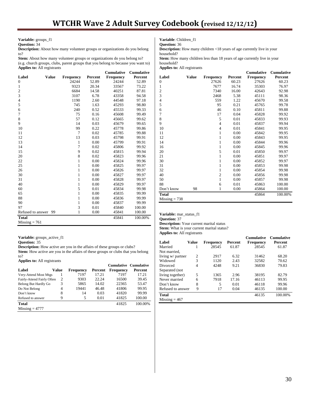**Variable:** groups\_f1

**Question:** 34

**Description:** About how many volunteer groups or organizations do you belong to?

Stem: About how many volunteer groups or organizations do you belong to? (e.g. church groups, clubs, parent groups that you belong to because you want to) **Applies to:** All registrants

|                   |              |                  |         | <b>Cumulative</b> | <b>Cumulative</b> |
|-------------------|--------------|------------------|---------|-------------------|-------------------|
| Label             | <b>Value</b> | <b>Frequency</b> | Percent | <b>Frequency</b>  | Percent           |
| $\boldsymbol{0}$  |              | 24244            | 52.89   | 24244             | 52.89             |
| 1                 |              | 9323             | 20.34   | 33567             | 73.22             |
| $\overline{c}$    |              | 6684             | 14.58   | 40251             | 87.81             |
| 3                 |              | 3107             | 6.78    | 43358             | 94.58             |
| $\overline{4}$    |              | 1190             | 2.60    | 44548             | 97.18             |
| 5                 |              | 745              | 1.63    | 45293             | 98.80             |
| 6                 |              | 240              | 0.52    | 45533             | 99.33             |
| 7                 |              | 75               | 0.16    | 45608             | 99.49             |
| $\,$ 8 $\,$       |              | 57               | 0.12    | 45665             | 99.62             |
| 9                 |              | 14               | 0.03    | 45679             | 99.65             |
| 10                |              | 99               | 0.22    | 45778             | 99.86             |
| 11                |              | 7                | 0.02    | 45785             | 99.88             |
| 12                |              | 13               | 0.03    | 45798             | 99.91             |
| 13                |              | $\mathbf{1}$     | 0.00    | 45799             | 99.91             |
| 14                |              | 7                | 0.02    | 45806             | 99.92             |
| 15                |              | 9                | 0.02    | 45815             | 99.94             |
| 20                |              | 8                | 0.02    | 45823             | 99.96             |
| 22                |              | $\mathbf{1}$     | 0.00    | 45824             | 99.96             |
| 25                |              | $\mathbf{1}$     | 0.00    | 45825             | 99.97             |
| 26                |              | $\mathbf{1}$     | 0.00    | 45826             | 99.97             |
| 30                |              | $\mathbf{1}$     | 0.00    | 45827             | 99.97             |
| 31                |              | $\mathbf{1}$     | 0.00    | 45828             | 99.97             |
| 40                |              | $\mathbf{1}$     | 0.00    | 45829             | 99.97             |
| 60                |              | 5                | 0.01    | 45834             | 99.98             |
| 65                |              | $\mathbf{1}$     | 0.00    | 45835             | 99.99             |
| 88                |              | $\mathbf{1}$     | 0.00    | 45836             | 99.99             |
| 90                |              | $\mathbf{1}$     | 0.00    | 45837             | 99.99             |
| 97                |              | 3                | 0.01    | 45840             | 100.00            |
| Refused to answer | 99           | $\mathbf{1}$     | 0.00    | 45841             | 100.00            |
| <b>Total</b>      |              |                  |         | 45841             | 100.00%           |
| $Missing = 761$   |              |                  |         |                   |                   |

**Variable:** groups\_active\_f1

**Question:** 35

**Description:** How active are you in the affairs of these groups or clubs?

**Stem:** How active are you in the affairs of these groups or clubs that you belong to? **Applies to:** All registrants

|                            |       |           |         | <b>Cumulative Cumulative</b> |         |
|----------------------------|-------|-----------|---------|------------------------------|---------|
| Label                      | Value | Frequency | Percent | <b>Frequency</b>             | Percent |
| Very-Attend Most Mtgs      |       | 7197      | 17.21   | 7197                         | 17.21   |
| Fairly-Attend Fairly Often | 2     | 9303      | 22.24   | 16500                        | 39.45   |
| Belong But Hardly Go       | 3     | 5865      | 14.02   | 22365                        | 53.47   |
| Do Not Belong              | 4     | 19441     | 46.48   | 41806                        | 99.95   |
| Don't know                 | 8     | 14        | 0.03    | 41820                        | 99.99   |
| Refused to answer          | 9     | 5         | 0.01    | 41825                        | 100.00  |
| Total                      |       |           |         | 41825                        | 100.00% |
| $Missing = 4777$           |       |           |         |                              |         |

**Variable**: Children\_f1

**Question:** 36

**Description:** How many children <18 years of age currently live in your household?

Stem: How many children less than 18 years of age currently live in your household?

**Applies to:** All registrants

|                 |              |                  |         | <b>Cumulative</b> | Cumulative |
|-----------------|--------------|------------------|---------|-------------------|------------|
| Label           | <b>Value</b> | <b>Frequency</b> | Percent | Frequency         | Percent    |
| $\overline{0}$  |              | 27626            | 60.23   | 27626             | 60.23      |
| 1               |              | 7677             | 16.74   | 35303             | 76.97      |
| $\mathbf{2}$    |              | 7340             | 16.00   | 42643             | 92.98      |
| 3               |              | 2468             | 5.38    | 45111             | 98.36      |
| $\overline{4}$  |              | 559              | 1.22    | 45670             | 99.58      |
| 5               |              | 95               | 0.21    | 45765             | 99.78      |
| 6               |              | 46               | 0.10    | 45811             | 99.88      |
| 7               |              | 17               | 0.04    | 45828             | 99.92      |
| 8               |              | 5                | 0.01    | 45833             | 99.93      |
| 9               |              | 4                | 0.01    | 45837             | 99.94      |
| 10              |              | $\overline{4}$   | 0.01    | 45841             | 99.95      |
| 11              |              | $\mathbf{1}$     | 0.00    | 45842             | 99.95      |
| 12              |              | $\mathbf{1}$     | 0.00    | 45843             | 99.95      |
| 14              |              | $\mathbf{1}$     | 0.00    | 45844             | 99.96      |
| 16              |              | 1                | 0.00    | 45845             | 99.96      |
| 20              |              | 5                | 0.01    | 45850             | 99.97      |
| 21              |              | $\mathbf{1}$     | 0.00    | 45851             | 99.97      |
| 30              |              | $\mathbf{1}$     | 0.00    | 45852             | 99.97      |
| 31              |              | $\mathbf{1}$     | 0.00    | 45853             | 99.98      |
| 32              |              | $\mathbf{1}$     | 0.00    | 45854             | 99.98      |
| 40              |              | $\overline{c}$   | 0.00    | 45856             | 99.98      |
| 50              |              | $\mathbf{1}$     | 0.00    | 45857             | 99.98      |
| 88              |              | 6                | 0.01    | 45863             | 100.00     |
| Don't know      | 98           | 1                | 0.00    | 45864             | 100.00     |
| <b>Total</b>    |              |                  |         | 45864             | 100.00%    |
| $Missing = 738$ |              |                  |         |                   |            |

**Variable:** mar\_status\_f1 **Question:** 37 **Description:** Your current marital status Stem: What is your current marital status? **Applies to:** All registrants

|                   |       |                  |         | <b>Cumulative</b> | <b>Cumulative</b> |
|-------------------|-------|------------------|---------|-------------------|-------------------|
| Label             | Value | <b>Frequency</b> | Percent | Frequency         | Percent           |
| Married           | 1     | 28545            | 61.87   | 28545             | 61.87             |
| Not married.      |       |                  |         |                   |                   |
| living w/ partner | 2     | 2917             | 6.32    | 31462             | 68.20             |
| Widowed           | 3     | 1120             | 2.43    | 32582             | 70.62             |
| Divorced          | 4     | 4248             | 9.21    | 36830             | 79.83             |
| Separated (not    |       |                  |         |                   |                   |
| living together)  | 5     | 1365             | 2.96    | 38195             | 82.79             |
| Never married     | 6     | 7918             | 17.16   | 46113             | 99.95             |
| Don't know        | 8     | 5                | 0.01    | 46118             | 99.96             |
| Refused to answer | 9     | 17               | 0.04    | 46135             | 100.00            |
| Total             |       |                  |         | 46135             | 100.00%           |
| $Missing = 467$   |       |                  |         |                   |                   |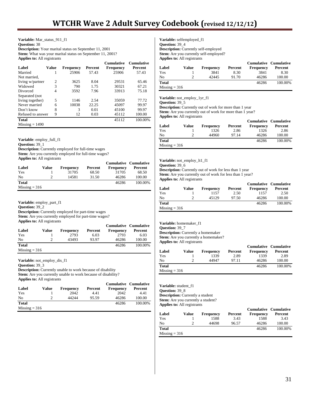**Variable:** Mar\_status\_911\_f1 **Question:** 38 **Description:** Your marital status on September 11, 2001 **Stem:** What was your marital status on September 11, 2001? **Applies to:** All registrants

|                   |                |                  |         | <b>Cumulative</b> | <b>Cumulative</b> |
|-------------------|----------------|------------------|---------|-------------------|-------------------|
| Label             | Value          | <b>Frequency</b> | Percent | Frequency         | Percent           |
| Married           |                | 25906            | 57.43   | 25906             | 57.43             |
| Not married.      |                |                  |         |                   |                   |
| living w/partner  | $\overline{c}$ | 3625             | 8.04    | 29531             | 65.46             |
| Widowed           | 3              | 790              | 1.75    | 30321             | 67.21             |
| Divorced          | 4              | 3592             | 7.96    | 33913             | 75.18             |
| Separated (not    |                |                  |         |                   |                   |
| living together)  | 5              | 1146             | 2.54    | 35059             | 77.72             |
| Never married     | 6              | 10038            | 22.25   | 45097             | 99.97             |
| Don't know        | 8              | 3                | 0.01    | 45100             | 99.97             |
| Refused to answer | 9              | 12               | 0.03    | 45112             | 100.00            |
| <b>Total</b>      |                |                  |         | 45112             | 100.00%           |
| $Missing = 1490$  |                |                  |         |                   |                   |

**Variable**: employ\_full\_f1

**Question:** 39\_1

**Description:** Currently employed for full-time wages

Stem: Are you currently employed for full-time wages?

**Applies to:** All registrants

|                 |       |                  |         | <b>Cumulative Cumulative</b> |         |
|-----------------|-------|------------------|---------|------------------------------|---------|
| Label           | Value | <b>Frequency</b> | Percent | <b>Frequency</b>             | Percent |
| Yes             |       | 31705            | 68.50   | 31705                        | 68.50   |
| No              |       | 14581            | 31.50   | 46286                        | 100.00  |
| <b>Total</b>    |       |                  |         | 46286                        | 100.00% |
| $Missing = 316$ |       |                  |         |                              |         |

**Variable:** employ\_part\_f1

**Question:** 39\_2

**Description:** Currently employed for part-time wages

Stem: Are you currently employed for part-time wages?

**Applies to:** All registrants

|                 |       |                  |         | <b>Cumulative Cumulative</b> |         |
|-----------------|-------|------------------|---------|------------------------------|---------|
| Label           | Value | <b>Frequency</b> | Percent | <b>Frequency</b>             | Percent |
| Yes             |       | 2793             | 6.03    | 2793                         | 6.03    |
| N <sub>0</sub>  |       | 43493            | 93.97   | 46286                        | 100.00  |
| <b>Total</b>    |       |                  |         | 46286                        | 100.00% |
| $Missing = 316$ |       |                  |         |                              |         |

**Variable:** not\_employ\_dis\_f1

**Question:** 39\_3

**Description:** Currently unable to work because of disability

**Stem:** Are you currently unable to work because of disability?

| <b>Applies to:</b> All registrants |       |                  |         |                  |                              |  |  |  |  |
|------------------------------------|-------|------------------|---------|------------------|------------------------------|--|--|--|--|
|                                    |       |                  |         |                  | <b>Cumulative Cumulative</b> |  |  |  |  |
| Label                              | Value | <b>Frequency</b> | Percent | <b>Frequency</b> | Percent                      |  |  |  |  |
| Yes                                |       | 2042             | 4.41    | 2042             | 4.41                         |  |  |  |  |
| N <sub>0</sub>                     |       | 44244            | 95.59   | 46286            | 100.00                       |  |  |  |  |
| <b>Total</b>                       |       |                  |         | 46286            | 100.00%                      |  |  |  |  |
| $Missing = 316$                    |       |                  |         |                  |                              |  |  |  |  |

**Variable:** selfemployed\_f1 **Question:** 39\_4 **Description:** Currently self-employed **Stem:** Are you currently self-employed? **Applies to:** All registrants

| Label           | Value | <b>Frequency</b> | Percent | <b>Cumulative Cumulative</b><br><b>Frequency</b> | Percent |
|-----------------|-------|------------------|---------|--------------------------------------------------|---------|
| Yes             |       | 3841             | 8.30    | 3841                                             | 8.30    |
| N <sub>0</sub>  |       | 42445            | 91.70   | 46286                                            | 100.00  |
| <b>Total</b>    |       |                  |         | 46286                                            | 100.00% |
| $Missing = 316$ |       |                  |         |                                                  |         |

**Variable:** not\_employ\_1yr\_f1

**Question:** 39\_5

**Description:** Currently out of work for more than 1 year **Stem:** Are you currently out of work for more than 1 year? **Applies to:** All registrants

| Label           | Value | <b>Frequency</b> | Percent | <b>Frequency</b> | <b>Cumulative Cumulative</b><br>Percent |
|-----------------|-------|------------------|---------|------------------|-----------------------------------------|
| Yes             |       | 1326             | 2.86    | 1326             | 2.86                                    |
| No              |       | 44960            | 97.14   | 46286            | 100.00                                  |
| <b>Total</b>    |       |                  |         | 46286            | 100.00%                                 |
| $Missing = 316$ |       |                  |         |                  |                                         |

**Variable:** not\_employ\_lt1\_f1

**Question:** 39\_6 **Description:** Currently out of work for less than 1 year

Stem: Are you currently out of work for less than 1 year? **Applies to:** All registrants

| Label           | Value | <b>Frequency</b> | Percent | <b>Cumulative Cumulative</b><br><b>Frequency</b> | Percent |
|-----------------|-------|------------------|---------|--------------------------------------------------|---------|
| Yes             |       | 1157             | 2.50    | 1157                                             | 2.50    |
| No              |       | 45129            | 97.50   | 46286                                            | 100.00  |
| <b>Total</b>    |       |                  |         | 46286                                            | 100.00% |
| $Missing = 316$ |       |                  |         |                                                  |         |

**Variable:** homemaker\_f1 **Question:** 39\_7 **Description:** Currently a homemaker

Stem: Are you currently a homemaker? **Applies to:** All registrants

|                 |       |                  |         | <b>Cumulative Cumulative</b> |         |
|-----------------|-------|------------------|---------|------------------------------|---------|
| Label           | Value | <b>Frequency</b> | Percent | <b>Frequency</b>             | Percent |
| Yes             |       | 1339             | 2.89    | 1339                         | 2.89    |
| N <sub>0</sub>  | ∍     | 44947            | 97.11   | 46286                        | 100.00  |
| <b>Total</b>    |       |                  |         | 46286                        | 100.00% |
| $Missing = 316$ |       |                  |         |                              |         |

**Variable:** student\_f1 **Question:** 39\_8 **Description:** Currently a student **Stem:** Are you currently a student? **Applies to:** All registrants

|                 |       |                  |         | <b>Cumulative Cumulative</b> |         |
|-----------------|-------|------------------|---------|------------------------------|---------|
| Label           | Value | <b>Frequency</b> | Percent | <b>Frequency</b>             | Percent |
| Yes             |       | 1588             | 3.43    | 1588                         | 3.43    |
| No              |       | 44698            | 96.57   | 46286                        | 100.00  |
| Total           |       |                  |         | 46286                        | 100.00% |
| $Missing = 316$ |       |                  |         |                              |         |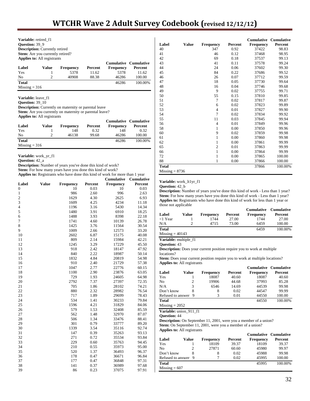| Variable: retired f1                    |                |                  |                |           |                       |  |  |  |  |  |
|-----------------------------------------|----------------|------------------|----------------|-----------|-----------------------|--|--|--|--|--|
| <b>Question: 39 9</b>                   |                |                  |                |           |                       |  |  |  |  |  |
| <b>Description:</b> Currently retired   |                |                  |                |           |                       |  |  |  |  |  |
| <b>Stem:</b> Are you currently retired? |                |                  |                |           |                       |  |  |  |  |  |
| <b>Applies to:</b> All registrants      |                |                  |                |           |                       |  |  |  |  |  |
|                                         |                |                  |                |           | Cumulative Cumulative |  |  |  |  |  |
| Label                                   | Value          | <b>Frequency</b> | <b>Percent</b> | Frequency | Percent               |  |  |  |  |  |
| Yes                                     |                | 5378             | 11.62          | 5378      | 11.62                 |  |  |  |  |  |
| No                                      | $\overline{c}$ | 40908            | 88.38          | 46286     | 100.00                |  |  |  |  |  |
| <b>Total</b>                            |                |                  |                | 46286     | 100.00%               |  |  |  |  |  |
|                                         |                |                  |                |           |                       |  |  |  |  |  |

Variable: leave f1

**Question:** 39\_10

**Description:** Currently on maternity or parental leave Stem: Are you currently on maternity or parental leave?

**Applies to:** All registrants

| Label           | Value | <b>Frequency</b> | Percent | <b>Cumulative Cumulative</b><br><b>Frequency</b> | Percent |
|-----------------|-------|------------------|---------|--------------------------------------------------|---------|
| Yes             |       | 148              | 0.32    | 148                                              | 0.32    |
| No              |       | 46138            | 99.68   | 46286                                            | 100.00  |
| Total           |       |                  |         | 46286                                            | 100.00% |
| $Missing = 316$ |       |                  |         |                                                  |         |

**Variable:** work\_yr\_f1

**Question:** 42\_a

**Description:** Number of years you've done this kind of work?

Stem: For how many years have you done this kind of work?

**Applies to:** Registrants who have done this kind of work for more than 1 year

|                |              |                  |         | <b>Cumulative</b> | Cumulative |
|----------------|--------------|------------------|---------|-------------------|------------|
| Label          | <b>Value</b> | <b>Frequency</b> | Percent | <b>Frequency</b>  | Percent    |
| 0              |              | 10               | 0.03    | 10                | 0.03       |
| $\mathbf{1}$   |              | 986              | 2.60    | 996               | 2.63       |
| $\overline{c}$ |              | 1629             | 4.30    | 2625              | 6.93       |
| 3              |              | 1609             | 4.25    | 4234              | 11.18      |
| $\overline{4}$ |              | 1196             | 3.16    | 5430              | 14.34      |
| 5              |              | 1480             | 3.91    | 6910              | 18.25      |
| 6              |              | 1488             | 3.93    | 8398              | 22.18      |
| 7              |              | 1741             | 4.60    | 10139             | 26.78      |
| 8              |              | 1425             | 3.76    | 11564             | 30.54      |
| 9              |              | 1009             | 2.66    | 12573             | 33.20      |
| 10             |              | 2602             | 6.87    | 15175             | 40.08      |
| 11             |              | 809              | 2.14    | 15984             | 42.21      |
| 12             |              | 1245             | 3.29    | 17229             | 45.50      |
| 13             |              | 918              | 2.42    | 18147             | 47.92      |
| 14             |              | 840              | 2.22    | 18987             | 50.14      |
| 15             |              | 1832             | 4.84    | 20819             | 54.98      |
| 16             |              | 910              | 2.40    | 21729             | 57.38      |
| 17             |              | 1047             | 2.77    | 22776             | 60.15      |
| 18             |              | 1100             | 2.90    | 23876             | 63.05      |
| 19             |              | 729              | 1.93    | 24605             | 64.98      |
| 20             |              | 2792             | 7.37    | 27397             | 72.35      |
| 21             |              | 705              | 1.86    | 28102             | 74.21      |
| 22             |              | 880              | 2.32    | 28982             | 76.54      |
| 23             |              | 717              | 1.89    | 29699             | 78.43      |
| 24             |              | 534              | 1.41    | 30233             | 79.84      |
| 25             |              | 1596             | 4.21    | 31829             | 84.06      |
| 26             |              | 579              | 1.53    | 32408             | 85.59      |
| 27             |              | 562              | 1.48    | 32970             | 87.07      |
| 28             |              | 506              | 1.34    | 33476             | 88.41      |
| 29             |              | 301              | 0.79    | 33777             | 89.20      |
| 30             |              | 1339             | 3.54    | 35116             | 92.74      |
| 31             |              | 147              | 0.39    | 35263             | 93.13      |
| 32             |              | 271              | 0.72    | 35534             | 93.84      |
| 33             |              | 229              | 0.60    | 35763             | 94.45      |
| 34             |              | 210              | 0.55    | 35973             | 95.00      |
| 35             |              | 520              | 1.37    | 36493             | 96.37      |
| 36             |              | 178              | 0.47    | 36671             | 96.84      |
| 37             |              | 177              | 0.47    | 36848             | 97.31      |
| 38             |              | 141              | 0.37    | 36989             | 97.68      |
| 39             |              | 86               | 0.23    | 37075             | 97.91      |

|                  |              |                  |         | <b>Cumulative</b> | <b>Cumulative</b> |
|------------------|--------------|------------------|---------|-------------------|-------------------|
| Label            | <b>Value</b> | <b>Frequency</b> | Percent | <b>Frequency</b>  | Percent           |
| 40               |              | 347              | 0.92    | 37422             | 98.83             |
| 41               |              | 46               | 0.12    | 37468             | 98.95             |
| 42               |              | 69               | 0.18    | 37537             | 99.13             |
| 43               |              | 41               | 0.11    | 37578             | 99.24             |
| 44               |              | 24               | 0.06    | 37602             | 99.30             |
| 45               |              | 84               | 0.22    | 37686             | 99.52             |
| 46               |              | 26               | 0.07    | 37712             | 99.59             |
| 47               |              | 18               | 0.05    | 37730             | 99.64             |
| 48               |              | 16               | 0.04    | 37746             | 99.68             |
| 49               |              | 9                | 0.02    | 37755             | 99.71             |
| 50               |              | 55               | 0.15    | 37810             | 99.85             |
| 51               |              | 7                | 0.02    | 37817             | 99.87             |
| 52               |              | 6                | 0.02    | 37823             | 99.89             |
| 53               |              | $\overline{4}$   | 0.01    | 37827             | 99.90             |
| 54               |              | $\overline{7}$   | 0.02    | 37834             | 99.92             |
| 55               |              | 11               | 0.03    | 37845             | 99.94             |
| 56               |              | $\overline{4}$   | 0.01    | 37849             | 99.96             |
| 58               |              | $\mathbf{1}$     | 0.00    | 37850             | 99.96             |
| 60               |              | 9                | 0.02    | 37859             | 99.98             |
| 61               |              | $\mathbf{1}$     | 0.00    | 37860             | 99.98             |
| 62               |              | $\mathbf{1}$     | 0.00    | 37861             | 99.99             |
| 65               |              | $\overline{c}$   | 0.01    | 37863             | 99.99             |
| 66               |              | $\mathbf{1}$     | 0.00    | 37864             | 99.99             |
| 72               |              | $\mathbf{1}$     | 0.00    | 37865             | 100.00            |
| 88               |              | 1                | 0.00    | 37866             | 100.00            |
| <b>Total</b>     |              |                  |         | 37866             | 100.00%           |
| $Missing = 8736$ |              |                  |         |                   |                   |

#### **Variable:** work\_lt1yr\_f1

**Question:** 42\_b

**Description:** Number of years you've done this kind of work - Less than 1 year? **Stem:** For how many years have you done this kind of work - Less than 1 year? **Applies to:** Registrants who have done this kind of work for less than 1 year or those not applicable

| Label             | Value | <b>Frequency</b> | Percent | <b>Cumulative Cumulative</b><br><b>Frequency</b> | Percent |
|-------------------|-------|------------------|---------|--------------------------------------------------|---------|
| <1 Year           |       | 1744             | 27.00   | 1744                                             | 27.00   |
| N/A               |       | 4715             | 73.00   | 6459                                             | 100.00  |
| Total             |       |                  |         | 6459                                             | 100.00% |
| $Missing = 40143$ |       |                  |         |                                                  |         |

**Variable:** multiple\_f1

**Question:** 43

**Description:** Does your current position require you to work at multiple locations?

Stem: Does your current position require you to work at multiple locations? **Applies to:** All registrants

|                   |       |                  |         | Cumulative Cumulative |         |
|-------------------|-------|------------------|---------|-----------------------|---------|
| Label             | Value | <b>Frequency</b> | Percent | <b>Frequency</b>      | Percent |
| Yes               |       | 18087            | 40.60   | 18087                 | 40.60   |
| No.               |       | 19906            | 44.68   | 37993                 | 85.28   |
| N/A               | 3     | 6546             | 14.69   | 44539                 | 99.98   |
| Don't know        | 8     | 8                | 0.02    | 44547                 | 99.99   |
| Refused to answer | -9    |                  | 0.01    | 44550                 | 100.00  |
| Total             |       |                  |         | 44550                 | 100.00% |

 $Missing = 2052$ 

**Variable:** union\_911\_f1

**Question:** 44

**Description:** On September 11, 2001, were you a member of a union? Stem: On September 11, 2001, were you a member of a union? **Applies to:** All registrants

|                     |       |           |         | <b>Cumulative Cumulative</b> |         |
|---------------------|-------|-----------|---------|------------------------------|---------|
| Label               | Value | Frequency | Percent | <b>Frequency</b>             | Percent |
| Yes                 |       | 18109     | 39.37   | 18109                        | 39.37   |
| No                  |       | 27871     | 60.60   | 45980                        | 99.97   |
| Don't know          |       | 8         | 0.02    | 45988                        | 99.98   |
| Refused to answer 9 |       |           | 0.02    | 45995                        | 100.00  |
| <b>Total</b>        |       |           |         | 45995                        | 100.00% |
| $Missing = 607$     |       |           |         |                              |         |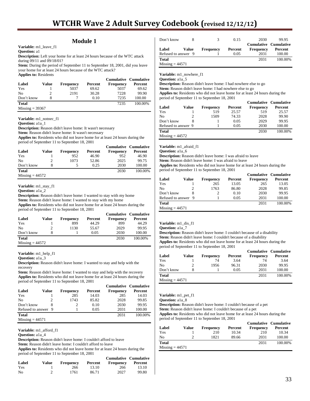# **Module 1**

**Variable:** m1\_leave\_f1

**Question:** a1

**Description:** Left your home for at least 24 hours because of the WTC attack during 09/11 and 09/18/01?

**Stem:** During the period of September 11 to September 18, 2001, did you leave your home for at least 24 hours because of the WTC attack? **Applies to:** Residents

|                   |       |                  |         | <b>Cumulative Cumulative</b> |         |
|-------------------|-------|------------------|---------|------------------------------|---------|
| Label             | Value | <b>Frequency</b> | Percent | <b>Frequency</b>             | Percent |
| Yes               |       | 5037             | 69.62   | 5037                         | 69.62   |
| No                |       | 2191             | 30.28   | 7228                         | 99.90   |
| Don't know        | 8     |                  | 0.10    | 7235                         | 100.00  |
| <b>Total</b>      |       |                  |         | 7235                         | 100.00% |
| $Missing = 39367$ |       |                  |         |                              |         |

**Variable:** m1\_notnec\_f1

**Question:** a1a\_1

**Description:** Reason didn't leave home: It wasn't necessary

Stem: Reason didn't leave home: It wasn't necessary

**Applies to:** Residents who did not leave home for at least 24 hours during the period of September 11 to September 18, 2001

|                   |       |                  |         | <b>Cumulative Cumulative</b> |         |
|-------------------|-------|------------------|---------|------------------------------|---------|
| Label             | Value | <b>Frequency</b> | Percent | <b>Frequency</b>             | Percent |
| Yes               |       | 952              | 46.90   | 952                          | 46.90   |
| No                |       | 1073             | 52.86   | 2025                         | 99.75   |
| Don't know        |       |                  | 0.25    | 2030                         | 100.00  |
| <b>Total</b>      |       |                  |         | 2030                         | 100.00% |
| $Missing = 44572$ |       |                  |         |                              |         |

**Variable:** m1\_stay\_f1

**Question:** a1a\_2

**Description:** Reason didn't leave home: I wanted to stay with my home

Stem: Reason didn't leave home: I wanted to stay with my home

**Applies to:** Residents who did not leave home for at least 24 hours during the period of September 11 to September 18, 2001

|                   |       |                  |         |                  | <b>Cumulative Cumulative</b> |
|-------------------|-------|------------------|---------|------------------|------------------------------|
| Label             | Value | <b>Frequency</b> | Percent | <b>Frequency</b> | Percent                      |
| Yes               |       | 899              | 44.29   | 899              | 44.29                        |
| N <sub>0</sub>    |       | 1130             | 55.67   | 2029             | 99.95                        |
| Don't know        |       |                  | 0.05    | 2030             | 100.00                       |
| <b>Total</b>      |       |                  |         | 2030             | 100.00%                      |
| $Missing = 44572$ |       |                  |         |                  |                              |

**Variable:** m1\_help\_f1

**Question:** a1a\_3

**Description:** Reason didn't leave home: I wanted to stay and help with the recovery

Stem: Reason didn't leave home: I wanted to stay and help with the recovery **Applies to:** Residents who did not leave home for at least 24 hours during the period of September 11 to September 18, 2001

|                     |       |                  |         | <b>Cumulative Cumulative</b> |         |
|---------------------|-------|------------------|---------|------------------------------|---------|
| Label               | Value | <b>Frequency</b> | Percent | <b>Frequency</b>             | Percent |
| Yes                 |       | 285              | 14.03   | 285                          | 14.03   |
| N <sub>0</sub>      |       | 1743             | 85.82   | 2028                         | 99.85   |
| Don't know          |       |                  | 0.10    | 2030                         | 99.95   |
| Refused to answer 9 |       |                  | 0.05    | 2031                         | 100.00  |
| <b>Total</b>        |       |                  |         | 2031                         | 100.00% |
| $Missing = 44571$   |       |                  |         |                              |         |

### **Variable:** m1\_afford\_f1

**Question:** a1a\_4

**Description:** Reason didn't leave home: I couldn't afford to leave

**Stem:** Reason didn't leave home: I couldn't afford to leave

**Applies to:** Residents who did not leave home for at least 24 hours during the period of September 11 to September 18, 2001

| Label | Value | <b>Frequency</b> | Percent | <b>Cumulative Cumulative</b><br>Frequency | Percent |
|-------|-------|------------------|---------|-------------------------------------------|---------|
| Yes   |       | 266              | 13.10   | 266                                       | 13.10   |
| No    |       | 1761             | 86.71   | 2027                                      | 99.80   |

| Don't know          |       |                  | 0.15    | 2030             | 99.95                                   |
|---------------------|-------|------------------|---------|------------------|-----------------------------------------|
| Label               | Value | <b>Frequency</b> | Percent | <b>Frequency</b> | <b>Cumulative Cumulative</b><br>Percent |
| Refused to answer 9 |       |                  | 0.05    | 2031             | 100.00                                  |
| Total               |       |                  |         | 2031             | 100.00%                                 |
| $Missing = 44571$   |       |                  |         |                  |                                         |

**Variable:** m1\_nowhere\_f1

**Question:** a1a 5

**Description:** Reason didn't leave home: I had nowhere else to go

Stem: Reason didn't leave home: I had nowhere else to go **Applies to:** Residents who did not leave home for at least 24 hours during the period of September 11 to September 18, 2001

|                     |       |                  |         | <b>Cumulative Cumulative</b> |         |
|---------------------|-------|------------------|---------|------------------------------|---------|
| Label               | Value | <b>Frequency</b> | Percent | <b>Frequency</b>             | Percent |
| Yes                 |       | 519              | 25.57   | 519                          | 25.57   |
| No                  | 2     | 1509             | 74.33   | 2028                         | 99.90   |
| Don't know          |       |                  | 0.05    | 2029                         | 99.95   |
| Refused to answer 9 |       |                  | 0.05    | 2030                         | 100.00  |
| <b>Total</b>        |       |                  |         | 2030                         | 100.00% |
| $Missing = 44572$   |       |                  |         |                              |         |

**Variable:** m1\_afraid\_f1

**Question:** a1a 6

**Description:** Reason didn't leave home: I was afraid to leave **Stem:** Reason didn't leave home: I was afraid to leave

**Applies to:** Residents who did not leave home for at least 24 hours during the period of September 11 to September 18, 2001

| Label                  | Value | <b>Frequency</b> | Percent | <b>Frequency</b> | <b>Cumulative Cumulative</b><br>Percent |
|------------------------|-------|------------------|---------|------------------|-----------------------------------------|
| Yes                    |       | 265              | 13.05   | 265              | 13.05                                   |
| No                     |       | 1763             | 86.80   | 2028             | 99.85                                   |
| Don't know             |       |                  | 0.10    | 2030             | 99.95                                   |
| Refused to answer 9    |       |                  | 0.05    | 2031             | 100.00                                  |
| <b>Total</b>           |       |                  |         | 2031             | 100.00%                                 |
| $M_{i}$ cing $= 44571$ |       |                  |         |                  |                                         |

viissing =

#### **Variable:** m1\_dis\_f1

**Question:** a1a\_7

**Description:** Reason didn't leave home: I couldn't because of a disability **Stem:** Reason didn't leave home: I couldn't because of a disability **Applies to:** Residents who did not leave home for at least 24 hours during the period of September 11 to September 18, 2001

| Label             | Value | <b>Frequency</b> | Percent | <b>Cumulative Cumulative</b><br><b>Frequency</b> | Percent |
|-------------------|-------|------------------|---------|--------------------------------------------------|---------|
| Yes               |       | 74               | 3.64    | 74                                               | 3.64    |
| No                |       | 1956             | 96.31   | 2030                                             | 99.95   |
| Don't know        | 8     |                  | 0.05    | 2031                                             | 100.00  |
| <b>Total</b>      |       |                  |         | 2031                                             | 100.00% |
| $Missing = 44571$ |       |                  |         |                                                  |         |

# **Variable:** m1\_pet\_f1

**Question:** a1a\_8

**Description:** Reason didn't leave home: I couldn't because of a pet

**Stem:** Reason didn't leave home: I couldn't because of a pet **Applies to:** Residents who did not leave home for at least 24 hours during the period of September 11 to September 18, 2001

|                   |       |                  |         | <b>Cumulative Cumulative</b> |         |
|-------------------|-------|------------------|---------|------------------------------|---------|
| Label             | Value | <b>Frequency</b> | Percent | <b>Frequency</b>             | Percent |
| Yes               |       | 210              | 10.34   | 210                          | 10.34   |
| N <sub>0</sub>    |       | 1821             | 89.66   | 2031                         | 100.00  |
| <b>Total</b>      |       |                  |         | 2031                         | 100.00% |
| $Missing = 44571$ |       |                  |         |                              |         |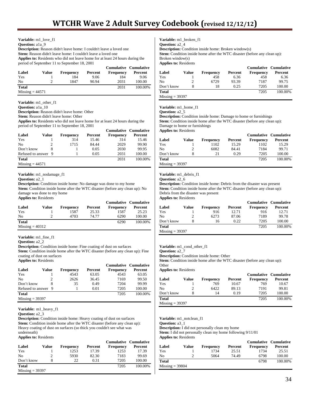| Variable: m1 love f1                                                                 |
|--------------------------------------------------------------------------------------|
| <b>Question:</b> ala 9                                                               |
| <b>Description:</b> Reason didn't leave home: I couldn't leave a loved one           |
| <b>Stem:</b> Reason didn't leave home: I couldn't leave a loved one                  |
| <b>Applies to:</b> Residents who did not leave home for at least 24 hours during the |
| period of September 11 to September 18, 2001                                         |
| Cumulative Cumulati                                                                  |

|                   |       |                  |         | <b>Cumulative Cumulative</b> |         |
|-------------------|-------|------------------|---------|------------------------------|---------|
| Label             | Value | <b>Frequency</b> | Percent | <b>Frequency</b>             | Percent |
| Yes               |       | 184              | 9.06    | 184                          | 9.06    |
| No                |       | 1847             | 90.94   | 2031                         | 100.00  |
| <b>Total</b>      |       |                  |         | 2031                         | 100.00% |
| $Missing = 44571$ |       |                  |         |                              |         |

**Variable:** m1\_other\_f1

**Question:** a1a\_10

**Description:** Reason didn't leave home: Other

**Stem:** Reason didn't leave home: Other

**Applies to:** Residents who did not leave home for at least 24 hours during the period of September 11 to September 18, 2001 **Cumulative Cumulative**

|                     |       |                  |         | Cumulative Cumulative |         |
|---------------------|-------|------------------|---------|-----------------------|---------|
| Label               | Value | <b>Frequency</b> | Percent | <b>Frequency</b>      | Percent |
| Yes                 |       | 314              | 15.46   | 314                   | 15.46   |
| No                  |       | 1715             | 84.44   | 2029                  | 99.90   |
| Don't know          |       |                  | 0.05    | 2030                  | 99.95   |
| Refused to answer 9 |       |                  | 0.05    | 2031                  | 100.00  |
| <b>Total</b>        |       |                  |         | 2031                  | 100.00% |
| $Missing = 44571$   |       |                  |         |                       |         |

#### **Variable:** m1\_nodamage\_f1

**Question:** a2\_1

**Description:** Condition inside home: No damage was done to my home **Stem:** Condition inside home after the WTC disaster (before any clean up): No damage was done to my home **Applies to:** Residents

| Label             | Value | Frequency | Percent | <b>Cumulative Cumulative</b><br><b>Frequency</b> | Percent |
|-------------------|-------|-----------|---------|--------------------------------------------------|---------|
|                   |       |           |         |                                                  |         |
| Yes               |       | 1587      | 25.33   | 1587                                             | 25.23   |
| No                |       | 4703      | 74.77   | 6290                                             | 100.00  |
| <b>Total</b>      |       |           |         | 6290                                             | 100.00% |
| $Missing = 40312$ |       |           |         |                                                  |         |

**Variable:** m1\_fine\_f1

**Question:** a2\_2

**Description:** Condition inside home: Fine coating of dust on surfaces

Stem: Condition inside home after the WTC disaster (before any clean up): Fine coating of dust on surfaces **Applies to:** Residents

|                     |       |                  |         | <b>Cumulative Cumulative</b> |         |
|---------------------|-------|------------------|---------|------------------------------|---------|
| Label               | Value | <b>Frequency</b> | Percent | <b>Frequency</b>             | Percent |
| Yes                 |       | 4543             | 63.05   | 4543                         | 63.05   |
| No                  |       | 2626             | 36.45   | 7169                         | 99.50   |
| Don't know          |       | 35               | 0.49    | 7204                         | 99.99   |
| Refused to answer 9 |       |                  | 0.01    | 7205                         | 100.00  |
| <b>Total</b>        |       |                  |         | 7205                         | 100.00% |
| $Missing = 39397$   |       |                  |         |                              |         |

**Variable:** m1\_heavy\_f1

**Description:** Condition inside home: Heavy coating of dust on surfaces Stem: Condition inside home after the WTC disaster (before any clean up): Heavy coating of dust on surfaces (so thick you couldn't see what was underneath)

# **Applies to:** Residents

|                   |       |                  |         | Cumulative Cumulative |         |
|-------------------|-------|------------------|---------|-----------------------|---------|
| Label             | Value | <b>Frequency</b> | Percent | <b>Frequency</b>      | Percent |
| Yes               |       | 1253             | 17.39   | 1253                  | 17.39   |
| N <sub>0</sub>    |       | 5930             | 82.30   | 7183                  | 99.69   |
| Don't know        |       | 22               | 0.31    | 7205                  | 100.00  |
| <b>Total</b>      |       |                  |         | 7205                  | 100.00% |
| $Missing = 39397$ |       |                  |         |                       |         |

**Variable:** m1\_broken\_f1

**Question:** a2\_4

**Description:** Condition inside home: Broken window(s)

**Stem:** Condition inside home after the WTC disaster (before any clean up): Broken window(s)

**Applies to:** Residents

|                   |       |                  |         |                  | <b>Cumulative Cumulative</b> |
|-------------------|-------|------------------|---------|------------------|------------------------------|
| Label             | Value | <b>Frequency</b> | Percent | <b>Frequency</b> | Percent                      |
| Yes               |       | 458              | 6.36    | 458              | 6.36                         |
| No                |       | 6729             | 93.39   | 7187             | 99.75                        |
| Don't know        | 8     | 18               | 0.25    | 7205             | 100.00                       |
| <b>Total</b>      |       |                  |         | 7205             | 100.00%                      |
| $Missing = 39397$ |       |                  |         |                  |                              |

## **Variable:** m1\_home\_f1

#### **Question:** a2\_5

**Description:** Condition inside home: Damage to home or furnishings **Stem:** Condition inside home after the WTC disaster (before any clean up): Damage to home or furnishings **Applies to:** Residents

|                   |       |           |         | <b>Cumulative Cumulative</b> |         |
|-------------------|-------|-----------|---------|------------------------------|---------|
| Label             | Value | Frequency | Percent | Frequency                    | Percent |
| Yes               |       | 1102      | 15.29   | 1102                         | 15.29   |
| No                |       | 6082      | 84.41   | 7184                         | 99.71   |
| Don't know        |       | 21        | 0.29    | 7205                         | 100.00  |
| <b>Total</b>      |       |           |         | 7205                         | 100.00% |
| $Missing = 39397$ |       |           |         |                              |         |

#### **Variable:** m1\_debris\_f1

#### **Question:** a2 6

**Description:** Condition inside home: Debris from the disaster was present **Stem:** Condition inside home after the WTC disaster (before any clean up): Debris from the disaster was present **Applies to:** Residents

|                   |       |                  |         | Cumulative Cumulative |         |
|-------------------|-------|------------------|---------|-----------------------|---------|
| Label             | Value | <b>Frequency</b> | Percent | <b>Frequency</b>      | Percent |
| Yes               |       | 916              | 12.71   | 916                   | 12.71   |
| No                |       | 6273             | 87.06   | 7189                  | 99.78   |
| Don't know        | 8     | 16               | 0.22    | 7205                  | 100.00  |
| <b>Total</b>      |       |                  |         | 7205                  | 100.00% |
| $Missing = 39397$ |       |                  |         |                       |         |

#### **Variable:** m1\_cond\_other\_f1

**Question:** a2\_7

**Description:** Condition inside home: Other

Stem: Condition inside home after the WTC disaster (before any clean up): **Other** 

**Applies to:** Residents

|                   |       |                  |         | <b>Cumulative Cumulative</b> |         |
|-------------------|-------|------------------|---------|------------------------------|---------|
| Label             | Value | <b>Frequency</b> | Percent | <b>Frequency</b>             | Percent |
| Yes               |       | 769              | 10.67   | 769                          | 10.67   |
| No                |       | 6422             | 89.13   | 7191                         | 99.81   |
| Don't know        |       | 14               | 0.19    | 7205                         | 100.00  |
| <b>Total</b>      |       |                  |         | 7205                         | 100.00% |
| $Missing = 39397$ |       |                  |         |                              |         |

**Variable:** m1\_notclean\_f1

**Question:** a3\_1

**Description:** I did not personally clean my home **Stem:** I did not personally clean my home following 9/11/01

**Applies to:** Residents

|                   |       |                  |         | <b>Cumulative Cumulative</b> |         |
|-------------------|-------|------------------|---------|------------------------------|---------|
| Label             | Value | <b>Frequency</b> | Percent | <b>Frequency</b>             | Percent |
| Yes               |       | 1734             | 25.51   | 1734                         | 25.51   |
| No                |       | 5064             | 74.49   | 6798                         | 100.00  |
| Total             |       |                  |         | 6798                         | 100.00% |
| $Missing = 39804$ |       |                  |         |                              |         |

**Question:** a2\_3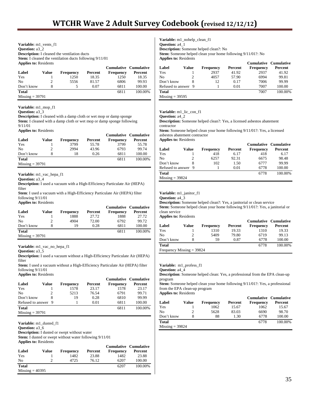**Variable:** m1\_vents\_f1 **Question:** a3\_2 **Description:** I cleaned the ventilation ducts **Stem:** I cleaned the ventilation ducts following 9/11/01 **Applies to:** Residents

|                             |       |                  |         | Cumulative Cumulative |         |
|-----------------------------|-------|------------------|---------|-----------------------|---------|
| Label                       | Value | <b>Frequency</b> | Percent | <b>Frequency</b>      | Percent |
| Yes                         |       | 1250             | 18.35   | 1250                  | 18.35   |
| N <sub>0</sub>              |       | 5556             | 81.57   | 6806                  | 99.93   |
| Don't know                  |       |                  | 0.07    | 6811                  | 100.00  |
| <b>Total</b>                |       |                  |         | 6811                  | 100.00% |
| $M_{\text{resine}} = 20701$ |       |                  |         |                       |         |

# Missing = 39791

# **Variable:** m1\_mop\_f1

**Question:** a3\_3

**Description:** I cleaned with a damp cloth or wet mop or damp sponge **Stem:** I cleaned with a damp cloth or wet mop or damp sponge following 9/11/01

**Applies to:** Residents

|                   |       |                  |         | <b>Cumulative Cumulative</b> |         |
|-------------------|-------|------------------|---------|------------------------------|---------|
| Label             | Value | <b>Frequency</b> | Percent | <b>Frequency</b>             | Percent |
| Yes               |       | 3799             | 55.78   | 3799                         | 55.78   |
| N <sub>0</sub>    |       | 2994             | 43.96   | 6793                         | 99.74   |
| Don't know        | 8     | 18               | 0.26    | 6811                         | 100.00  |
| <b>Total</b>      |       |                  |         | 6811                         | 100.00% |
| $Missing = 39791$ |       |                  |         |                              |         |

### **Variable:** m1\_vac\_hepa\_f1

**Question:** a3\_4

**Description:** I used a vacuum with a High-Efficiency Particulate Air (HEPA) filter

**Stem**: I used a vacuum with a High-Efficiency Particulate Air (HEPA) filter following 9/11/01 **Applies to:** Residents

| Label             | Value | <b>Frequency</b> | Percent | Cumulative Cumulative<br><b>Frequency</b> | Percent |
|-------------------|-------|------------------|---------|-------------------------------------------|---------|
| Yes               |       | 1888             | 27.72   | 1888                                      | 27.72   |
| N <sub>0</sub>    |       | 4904             | 72.00   | 6792                                      | 99.72   |
| Don't know        | 8     | 19               | 0.28    | 6811                                      | 100.00  |
| <b>Total</b>      |       |                  |         | 6811                                      | 100.00% |
| $Missing = 39791$ |       |                  |         |                                           |         |

**Variable:** m1\_vac\_no\_hepa\_f1

**Question:** a3\_5

**Description:** I used a vacuum without a High-Efficiency Particulate Air (HEPA) filter

**Stem:** I used a vacuum without a High-Efficiency Particulate Air (HEPA) filter following 9/11/01

| <b>Applies to: Residents</b> |  |
|------------------------------|--|
|------------------------------|--|

|                     |       |                  |         | <b>Cumulative Cumulative</b> |         |
|---------------------|-------|------------------|---------|------------------------------|---------|
| Label               | Value | <b>Frequency</b> | Percent | Frequency                    | Percent |
| Yes                 |       | 1578             | 23.17   | 1578                         | 23.17   |
| N <sub>0</sub>      |       | 5213             | 76.54   | 6791                         | 99.71   |
| Don't know          |       | 19               | 0.28    | 6810                         | 99.99   |
| Refused to answer 9 |       |                  | 0.01    | 6811                         | 100.00  |
| <b>Total</b>        |       |                  |         | 6811                         | 100.00% |
| $Missing = 39791$   |       |                  |         |                              |         |

**Variable:** m1\_dusted\_f1

**Question:** a3\_6

**Description:** I dusted or swept without water

**Stem:** I dusted or swept without water following 9/11/01

| <b>Applies to: Residents</b> |  |
|------------------------------|--|
|------------------------------|--|

|                   |       |                  |         | <b>Cumulative Cumulative</b> |         |
|-------------------|-------|------------------|---------|------------------------------|---------|
| Label             | Value | <b>Frequency</b> | Percent | <b>Frequency</b>             | Percent |
| Yes               |       | 1482             | 23.88   | 1482                         | 23.88   |
| No                |       | 4725             | 76.12   | 6207                         | 100.00  |
| <b>Total</b>      |       |                  |         | 6207                         | 100.00% |
| $Missing = 40395$ |       |                  |         |                              |         |

**Variable:** m1\_nohelp\_clean\_f1 **Question:** a4\_1 **Description:** Someone helped clean?: No **Stem:** Someone helped clean your home following 9/11/01?: No **Applies to:** Residents

|                     |       |                  |         | <b>Cumulative Cumulative</b> |         |
|---------------------|-------|------------------|---------|------------------------------|---------|
| Label               | Value | <b>Frequency</b> | Percent | <b>Frequency</b>             | Percent |
| Yes                 |       | 2937             | 41.92   | 2937                         | 41.92   |
| No                  |       | 4057             | 57.90   | 6994                         | 99.81   |
| Don't know          |       | 12               | 0.17    | 7006                         | 99.99   |
| Refused to answer 9 |       |                  | 0.01    | 7007                         | 100.00  |
| Total               |       |                  |         | 7007                         | 100.00% |
| $Missing = 39595$   |       |                  |         |                              |         |

# **Variable:** m1\_lic\_con\_f1

**Question:** a4\_2

**Description:** Someone helped clean?: Yes, a licensed asbestos abatement contractor

**Stem:** Someone helped clean your home following 9/11/01?: Yes, a licensed asbestos abatement contractor

**Applies to:** Residents

|                     |       |                  |         | <b>Cumulative Cumulative</b> |         |
|---------------------|-------|------------------|---------|------------------------------|---------|
| Label               | Value | <b>Frequency</b> | Percent | <b>Frequency</b>             | Percent |
| Yes                 |       | 418              | 6.17    | 418                          | 6.17    |
| No                  |       | 6257             | 92.31   | 6675                         | 98.48   |
| Don't know          |       | 102              | 1.50    | 6777                         | 99.99   |
| Refused to answer 9 |       |                  | 0.01    | 6778                         | 100.00  |
| <b>Total</b>        |       |                  |         | 6778                         | 100.00% |
| $Missing = 39824$   |       |                  |         |                              |         |

**Variable:** m1\_janitor\_f1

**Question:** a4\_3

**Description:** Someone helped clean?: Yes, a janitorial or clean service

**Stem:** Someone helped clean your home following 9/11/01?: Yes, a janitorial or clean service

| <b>Applies to: Residents</b> |  |  |  |
|------------------------------|--|--|--|
|------------------------------|--|--|--|

| Label                       | Value | <b>Frequency</b> | Percent | <b>Cumulative Cumulative</b><br><b>Frequency</b> | Percent |  |
|-----------------------------|-------|------------------|---------|--------------------------------------------------|---------|--|
|                             |       |                  |         |                                                  |         |  |
| Yes                         |       | 1310             | 19.33   | 1310                                             | 19.33   |  |
| N <sub>0</sub>              |       | 5409             | 79.80   | 6719                                             | 99.13   |  |
| Don't know                  | 8     | 59               | 0.87    | 6778                                             | 100.00  |  |
| <b>Total</b>                |       |                  |         | 6778                                             | 100.00% |  |
| Frequency Missing $=$ 39824 |       |                  |         |                                                  |         |  |

#### **Variable:** m1\_profess\_f1

**Question:** a4\_4

**Description**: Someone helped clean: Yes, a professional from the EPA clean-up program

**Stem:** Someone helped clean your home following 9/11/01?: Yes, a professional from the EPA clean-up program

**Applies to:** Residents

|                   |       |                  |         |           | <b>Cumulative Cumulative</b> |
|-------------------|-------|------------------|---------|-----------|------------------------------|
| Label             | Value | <b>Frequency</b> | Percent | Frequency | Percent                      |
| Yes               |       | 1062             | 15.67   | 1062      | 15.67                        |
| No                |       | 5628             | 83.03   | 6690      | 98.70                        |
| Don't know        | 8     | 88               | 1.30    | 6778      | 100.00                       |
| Total             |       |                  |         | 6778      | 100.00%                      |
| $Missing = 39824$ |       |                  |         |           |                              |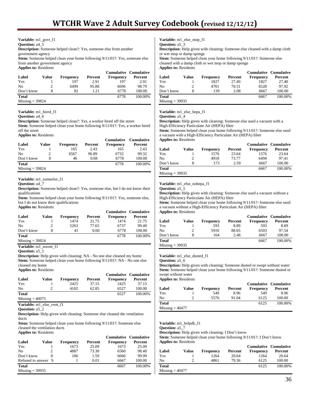**Variable:** m1\_govt\_f1

**Question:** a4\_5

**Description:** Someone helped clean?: Yes, someone else from another

government agency

**Stem:** Someone helped clean your home following 9/11/01?: Yes, someone else from another government agency **Applies to:** Residents

| Label             | Value | <b>Frequency</b> | Percent | Cumulative Cumulative<br><b>Frequency</b> | Percent |
|-------------------|-------|------------------|---------|-------------------------------------------|---------|
| Yes               |       | 197              | 2.91    | 197                                       | 2.91    |
| N <sub>0</sub>    |       | 6499             | 95.88   | 6696                                      | 98.79   |
| Don't know        |       | 82               | 1.21    | 6778                                      | 100.00  |
| <b>Total</b>      |       |                  |         | 6778                                      | 100.00% |
| $Missing = 39824$ |       |                  |         |                                           |         |

**Variable:** m1\_hired\_f1

**Question:** a4\_6

**Description:** Someone helped clean?: Yes, a worker hired off the street

**Stem:** Someone helped clean your home following 9/11/01?: Yes, a worker hired off the street

**Applies to:** Residents

| Label             | Value | <b>Frequency</b> | Percent | <b>Cumulative</b><br><b>Frequency</b> | Cumulative<br>Percent |
|-------------------|-------|------------------|---------|---------------------------------------|-----------------------|
| Yes               |       | 165              | 2.43    | 165                                   | 2.43                  |
| No                |       | 6567             | 96.89   | 6732                                  | 99.32                 |
| Don't know        | 8     | 46               | 0.68    | 6778                                  | 100.00                |
| <b>Total</b>      |       |                  |         | 6778                                  | 100.00%               |
| $Missing = 39824$ |       |                  |         |                                       |                       |

**Variable:** m1\_someelse\_f1

**Question:** a4\_7

**Description:** Someone helped clean?: Yes, someone else, but I do not know their qualifications

**Stem:** Someone helped clean your home following 9/11/01?: Yes, someone else, but I do not know their qualifications

|  | <b>Applies to: Residents</b> |  |
|--|------------------------------|--|
|  |                              |  |

|                   |       |                  |         | Cumulative Cumulative |         |
|-------------------|-------|------------------|---------|-----------------------|---------|
| Label             | Value | <b>Frequency</b> | Percent | <b>Frequency</b>      | Percent |
| Yes               |       | 1474             | 21.75   | 1474                  | 21.75   |
| No                |       | 5263             | 77.65   | 6737                  | 99.40   |
| Don't know        | 8     | 41               | 0.60    | 6778                  | 100.00  |
| <b>Total</b>      |       |                  |         | 6778                  | 100.00% |
| $Missing = 39824$ |       |                  |         |                       |         |

**Variable:** m1\_noone\_f1

**Question:** a5\_1

**Description:** Help given with cleaning: NA - No one else cleaned my home **Stem:** Someone helped clean your home following  $9/11/01$ ?: NA - No one else cleaned my home **Applies to:** Residents

|                   |       |                  |         | <b>Cumulative Cumulative</b> |         |
|-------------------|-------|------------------|---------|------------------------------|---------|
| Label             | Value | <b>Frequency</b> | Percent | <b>Frequency</b>             | Percent |
| Yes               |       | 2425             | 37.15   | 2425                         | 37.15   |
| N <sub>0</sub>    |       | 4102             | 62.85   | 6527                         | 100.00  |
| <b>Total</b>      |       |                  |         | 6527                         | 100.00% |
| $Missing = 40075$ |       |                  |         |                              |         |

**Variable:** m1\_else\_vent\_f1

**Question:** a5 2

**Description:** Help given with cleaning: Someone else cleaned the ventilation ducts

**Stem:** Someone helped clean your home following 9/11/01?: Someone else cleaned the ventilation ducts

**Applies to:** Residents

| Label               | Value | <b>Frequency</b> | Percent | <b>Cumulative Cumulative</b><br><b>Frequency</b> | Percent |
|---------------------|-------|------------------|---------|--------------------------------------------------|---------|
| Yes                 |       | 1673             | 25.09   | 1673                                             | 25.09   |
| N <sub>0</sub>      |       | 4887             | 73.30   | 6560                                             | 98.40   |
| Don't know          |       | 106              | 1.59    | 6666                                             | 99.99   |
| Refused to answer 9 |       |                  | 0.01    | 6667                                             | 100.00  |
| <b>Total</b>        |       |                  |         | 6667                                             | 100.00% |
| $Missing = 39935$   |       |                  |         |                                                  |         |

**Variable:** m1\_else\_mop\_f1

**Question:** a5\_3

**Description:** Help given with cleaning: Someone else cleaned with a damp cloth or wet mop or damp sponge

**Stem:** Someone helped clean your home following 9/11/01?: Someone else cleaned with a damp cloth or wet mop or damp sponge **Applies to:** Residents

|                   |       |                  |         | Cumulative Cumulative |         |
|-------------------|-------|------------------|---------|-----------------------|---------|
| Label             | Value | <b>Frequency</b> | Percent | <b>Frequency</b>      | Percent |
| Yes               |       | 1827             | 27.40   | 1827                  | 27.40   |
| No                |       | 4701             | 70.51   | 6528                  | 97.92   |
| Don't know        | 8     | 139              | 2.08    | 6667                  | 100.00  |
| Total             |       |                  |         | 6667                  | 100.00% |
| $Missing = 39935$ |       |                  |         |                       |         |

**Variable:** m1\_else\_hepa\_f1

**Question:** a5 4

**Description:** Help given with cleaning: Someone else used a vacuum with a High-Efficiency Particulate Air (HEPA) filter

**Stem:** Someone helped clean your home following 9/11/01?: Someone else used a vacuum with a High-Efficiency Particulate Air (HEPA) filter **Applies to:** Residents

| $1.4$ $P2$ $P3$ $P4$ $P5$ $P6$ $P7$ $P8$ $P9$ $P1$ $P1$ $P2$ $P1$ $P2$ $P3$ $P1$ $P2$ $P3$ $P4$ $P5$ $P6$ |       |                  |         |                  | <b>Cumulative Cumulative</b> |
|-----------------------------------------------------------------------------------------------------------|-------|------------------|---------|------------------|------------------------------|
| Label                                                                                                     | Value | <b>Frequency</b> | Percent | <b>Frequency</b> | Percent                      |
| Yes                                                                                                       |       | 1576             | 23.64   | 1576             | 23.64                        |
| No                                                                                                        |       | 4918             | 73.77   | 6494             | 97.41                        |
| Don't know                                                                                                | 8     | 173              | 2.59    | 6667             | 100.00                       |
| <b>Total</b>                                                                                              |       |                  |         | 6667             | 100.00%                      |
| Missing $=$ 39935                                                                                         |       |                  |         |                  |                              |

**Variable:** m1\_else\_nohepa\_f1

**Question:** a5\_5

**Description:** Help given with cleaning: Someone else used a vacuum without a High-Efficiency Particulate Air (HEPA) filter

**Stem:** Someone helped clean your home following 9/11/01?: Someone else used a vacuum without a High-Efficiency Particulate Air (HEPA) filter

**Applies to:** Residents

|                   |       |                  |         |                  | <b>Cumulative Cumulative</b> |
|-------------------|-------|------------------|---------|------------------|------------------------------|
| Label             | Value | <b>Frequency</b> | Percent | <b>Frequency</b> | Percent                      |
| Yes               |       | 593              | 8.89    | 593              | 8.89                         |
| No                |       | 5910             | 88.65   | 6503             | 97.54                        |
| Don't know        |       | 164              | 2.46    | 6667             | 100.00                       |
| <b>Total</b>      |       |                  |         | 6667             | 100.00%                      |
| $Missing = 39935$ |       |                  |         |                  |                              |

**Variable:** m1\_else\_dusted\_f1

**Question:** a5\_6

**Description:** Help given with cleaning: Someone dusted or swept without water **Stem:** Someone helped clean your home following 9/11/01?: Someone dusted or swept without water

**Applies to:** Residents

|                   |       |                  |         | Cumulative Cumulative |         |
|-------------------|-------|------------------|---------|-----------------------|---------|
| Label             | Value | <b>Frequency</b> | Percent | <b>Frequency</b>      | Percent |
| Yes               |       | 549              | 8.96    | 549                   | 8.96    |
| N <sub>0</sub>    |       | 5576             | 91.04   | 6125                  | 100.00  |
| <b>Total</b>      |       |                  |         | 6125                  | 100.00% |
| $Missing = 40477$ |       |                  |         |                       |         |

**Variable:** m1\_helpdk\_f1

**Question:** a5\_7

**Description:** Help given with cleaning: I Don't know

**Stem:** Someone helped clean your home following 9/11/01?: I Don't know **Applies to:** Residents

| Label             | Value | <b>Frequency</b> | Percent | <b>Cumulative Cumulative</b><br><b>Frequency</b> | Percent |
|-------------------|-------|------------------|---------|--------------------------------------------------|---------|
| Yes               |       | 1264             | 20.64   | 1264                                             | 20.64   |
| No                | ∍     | 4861             | 79.36   | 6125                                             | 100.00  |
| Total             |       |                  |         | 6125                                             | 100.00% |
| $Missing = 40477$ |       |                  |         |                                                  |         |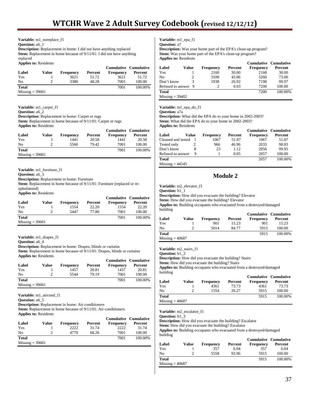**Variable:** m1\_noreplace\_f1

**Question:** a6\_1

**Description:** Replacement in home: I did not have anything replaced **Stem:** Replacement in home because of  $9/11/01$ : I did not have anything replaced

**Applies to:** Residents

|                   |       |                  |         | <b>Cumulative Cumulative</b> |         |
|-------------------|-------|------------------|---------|------------------------------|---------|
| Label             | Value | <b>Frequency</b> | Percent | <b>Frequency</b>             | Percent |
| Yes               |       | 3621             | 51.72   | 3621                         | 51.72   |
| No                |       | 3380             | 48.28   | 7001                         | 100.00  |
| <b>Total</b>      |       |                  |         | 7001                         | 100.00% |
| $Missing = 39601$ |       |                  |         |                              |         |

**Question:** a6\_2

**Description:** Replacement in home: Carpet or rugs

**Stem:** Replacement in home because of 9/11/01: Carpet or rugs **Applies to:** Residents

|                   |       |                  |         | <b>Cumulative Cumulative</b> |         |
|-------------------|-------|------------------|---------|------------------------------|---------|
| Label             | Value | <b>Frequency</b> | Percent | <b>Frequency</b>             | Percent |
| Yes               |       | 1441             | 20.58   | 1441                         | 20.58   |
| No                |       | 5560             | 79.42   | 7001                         | 100.00  |
| <b>Total</b>      |       |                  |         | 7001                         | 100.00% |
| $Missing = 39601$ |       |                  |         |                              |         |

**Variable:** m1\_furniture\_f1

**Question:** a6\_3

**Description:** Replacement in home: Furniture

**Stem:** Replacement in home because of  $9/11/01$ : Furniture (replaced or reupholstered)

**Applies to:** Residents

|                   |       |                  |         | Cumulative Cumulative |         |
|-------------------|-------|------------------|---------|-----------------------|---------|
| Label             | Value | <b>Frequency</b> | Percent | <b>Frequency</b>      | Percent |
| Yes               |       | 1554             | 22.20   | 1554                  | 22.20   |
| No                |       | 5447             | 77.80   | 7001                  | 100.00  |
| <b>Total</b>      |       |                  |         | 7001                  | 100.00% |
| $Missing = 39601$ |       |                  |         |                       |         |

**Variable:** m1\_drapes\_f1

**Question:** a6\_4

**Description:** Replacement in home: Drapes, blinds or curtains

Stem: Replacement in home because of  $9/11/01$ : Drapes, blinds or curtains **Applies to:** Residents

|                   |       |                  |         | <b>Cumulative Cumulative</b> |         |
|-------------------|-------|------------------|---------|------------------------------|---------|
| Label             | Value | <b>Frequency</b> | Percent | <b>Frequency</b>             | Percent |
| Yes               |       | 1457             | 20.81   | 1457                         | 20.81   |
| N <sub>0</sub>    |       | 5544             | 79.19   | 7001                         | 100.00  |
| <b>Total</b>      |       |                  |         | 7001                         | 100.00% |
| $Missing = 39601$ |       |                  |         |                              |         |

**Variable:** m1\_aircond\_f1

**Question:** a6\_5

**Description:** Replacement in home: Air conditioners

**Stem:** Replacement in home because of 9/11/01: Air conditioners **Applies to:** Residents

|                   |       |                  |         | <b>Cumulative Cumulative</b> |         |
|-------------------|-------|------------------|---------|------------------------------|---------|
| Label             | Value | <b>Frequency</b> | Percent | <b>Frequency</b>             | Percent |
| Yes               |       | 2222             | 31.74   | 2222                         | 31.74   |
| No                |       | 4779             | 68.26   | 7001                         | 100.00  |
| <b>Total</b>      |       |                  |         | 7001                         | 100.00% |
| $Missing = 39601$ |       |                  |         |                              |         |

**Variable:** m1\_epa\_f1 **Question:** a7

**Description:** Was your home part of the EPA's clean-up program? **Stem:** Was your home part of the EPA's clean-up program? **Applies to:** Residents

|                     |       |                  |         | <b>Cumulative Cumulative</b> |         |
|---------------------|-------|------------------|---------|------------------------------|---------|
| Label               | Value | <b>Frequency</b> | Percent | Frequency                    | Percent |
| Yes                 |       | 2160             | 30.00   | 2160                         | 30.00   |
| N <sub>0</sub>      |       | 3100             | 43.06   | 5260                         | 73.06   |
| Don't know          | 3     | 1938             | 26.92   | 7198                         | 99.97   |
| Refused to answer 9 |       |                  | 0.03    | 7200                         | 100.00  |
| <b>Total</b>        |       |                  |         | 7200                         | 100.00% |
| $Missing = 39402$   |       |                  |         |                              |         |

**Variable:** m1\_epa\_do\_f1

**Question:** a7a

**Description:** What did the EPA do to your home in 2002-2003? **Stem:** What did the EPA do to your home in 2002-2003?

**Applies to:** Residents

|                    |       |                  |         | <b>Cumulative Cumulative</b> |         |
|--------------------|-------|------------------|---------|------------------------------|---------|
| Label              | Value | <b>Frequency</b> | Percent | <b>Frequency</b>             | Percent |
| Cleaned and tested |       | 1067             | 51.87   | 1067                         | 51.87   |
| Tested only        |       | 966              | 46.96   | 2033                         | 98.83   |
| Don't know         | 8     | 23               | 1.12    | 2056                         | 99.95   |
| Refused to answer  | 9     |                  | 0.05    | 2057                         | 100.00  |
| Total              |       |                  |         | 2057                         | 100.00% |
| $Missing = 44545$  |       |                  |         |                              |         |

# **Module 2**

**Variable:** m2\_elevator\_f1

**Question:** b1\_1

**Description:** How did you evacuate the building? Elevator

**Stem:** How did you evacuate the building? Elevator

**Applies to:** Building occupants who evacuated from a destroyed/damaged building

|                   |       |                  |         | <b>Cumulative Cumulative</b> |         |
|-------------------|-------|------------------|---------|------------------------------|---------|
| Label             | Value | <b>Frequency</b> | Percent | <b>Frequency</b>             | Percent |
| Yes               |       | 901              | 15.23   | 901                          | 15.23   |
| N <sub>0</sub>    |       | 5014             | 84.77   | 5915                         | 100.00  |
| <b>Total</b>      |       |                  |         | 5915                         | 100.00% |
| $Missing = 40687$ |       |                  |         |                              |         |

**Variable:** m2\_stairs\_f1

**Question:** b1\_2

**Description:** How did you evacuate the building? Stairs

**Stem:** How did you evacuate the building? Stairs

**Applies to:** Building occupants who evacuated from a destroyed/damaged building

| Label             | Value | <b>Frequency</b> | Percent | <b>Cumulative Cumulative</b><br><b>Frequency</b> | Percent |
|-------------------|-------|------------------|---------|--------------------------------------------------|---------|
| Yes               |       | 4361             | 73.73   | 4361                                             | 73.73   |
| No                | ∍     | 1554             | 26.27   | 5915                                             | 100.00  |
| Total             |       |                  |         | 5915                                             | 100.00% |
| $Missing = 40687$ |       |                  |         |                                                  |         |

**Variable:** m2\_escalator\_f1

**Question:** b1\_3

**Description:** How did you evacuate the building? Escalator

**Stem:** How did you evacuate the building? Escalator

**Applies to:** Building occupants who evacuated from a destroyed/damaged building

| Label             | Value | <b>Frequency</b> | Percent | <b>Frequency</b> | <b>Cumulative Cumulative</b><br>Percent |
|-------------------|-------|------------------|---------|------------------|-----------------------------------------|
| Yes               |       | 357              | 6.04    | 357              | 6.04                                    |
| No                |       | 5558             | 93.96   | 5915             | 100.00                                  |
| <b>Total</b>      |       |                  |         | 5915             | 100.00%                                 |
| $Missing = 40687$ |       |                  |         |                  |                                         |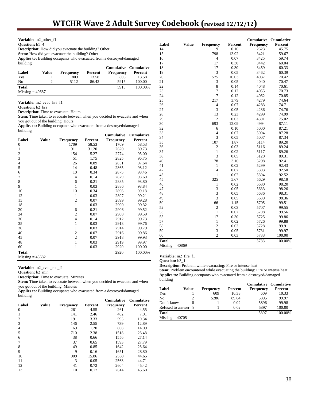| Variable: m2 other f1                                                                 |       |                  |         |                              |         |  |  |
|---------------------------------------------------------------------------------------|-------|------------------|---------|------------------------------|---------|--|--|
| <b>Question:</b> b1 4<br><b>Description:</b> How did you evacuate the building? Other |       |                  |         |                              |         |  |  |
|                                                                                       |       |                  |         |                              |         |  |  |
| building                                                                              |       |                  |         |                              |         |  |  |
|                                                                                       |       |                  |         | <b>Cumulative Cumulative</b> |         |  |  |
| Label                                                                                 | Value | <b>Frequency</b> | Percent | Frequency                    | Percent |  |  |
| Yes                                                                                   |       | 803              | 13.58   | 803                          | 13.58   |  |  |
| No                                                                                    | 2     | 5112             | 86.42   | 5915                         | 100.00  |  |  |
| <b>Total</b>                                                                          |       |                  |         | 5915                         | 100.00% |  |  |
| $Missing = 40687$                                                                     |       |                  |         |                              |         |  |  |

**Variable:** m2\_evac\_hrs\_f1

**Question:** b2\_hrs

**Description:** Time to evacuate: Hours

**Stem:** Time taken to evacuate between when you decided to evacuate and when you got out of the building: Hours

**Applies to:** Building occupants who evacuated from a destroyed/damaged building

|                         |       |                  |         | <b>Cumulative</b> | <b>Cumulative</b> |
|-------------------------|-------|------------------|---------|-------------------|-------------------|
| Label                   | Value | <b>Frequency</b> | Percent | Frequency         | Percent           |
| $\boldsymbol{0}$        |       | 1709             | 58.53   | 1709              | 58.53             |
| 1                       |       | 911              | 31.20   | 2620              | 89.73             |
| $\overline{\mathbf{c}}$ |       | 154              | 5.27    | 2774              | 95.00             |
| 3                       |       | 51               | 1.75    | 2825              | 96.75             |
| $\overline{4}$          |       | 26               | 0.89    | 2851              | 97.64             |
| 5                       |       | 14               | 0.48    | 2865              | 98.12             |
| 6                       |       | 10               | 0.34    | 2875              | 98.46             |
| 7                       |       | $\overline{4}$   | 0.14    | 2879              | 98.60             |
| 8                       |       | 6                | 0.21    | 2885              | 98.80             |
| 9                       |       | $\mathbf{1}$     | 0.03    | 2886              | 98.84             |
| 10                      |       | 10               | 0.34    | 2896              | 99.18             |
| 12                      |       | $\mathbf{1}$     | 0.03    | 2897              | 99.21             |
| 15                      |       | $\overline{c}$   | 0.07    | 2899              | 99.28             |
| 18                      |       | $\mathbf{1}$     | 0.03    | 2900              | 99.32             |
| 20                      |       | 6                | 0.21    | 2906              | 99.52             |
| 24                      |       | $\overline{c}$   | 0.07    | 2908              | 99.59             |
| 30                      |       | $\overline{4}$   | 0.14    | 2912              | 99.73             |
| 35                      |       | $\mathbf{1}$     | 0.03    | 2913              | 99.76             |
| 36                      |       | $\mathbf{1}$     | 0.03    | 2914              | 99.79             |
| 40                      |       | $\overline{c}$   | 0.07    | 2916              | 99.86             |
| 45                      |       | $\overline{2}$   | 0.07    | 2918              | 99.93             |
| 48                      |       | $\mathbf{1}$     | 0.03    | 2919              | 99.97             |
| 60                      |       | $\mathbf{1}$     | 0.03    | 2920              | 100.00            |
| <b>Total</b>            |       |                  |         | 2920              | 100.00%           |
| $Missing = 43682$       |       |                  |         |                   |                   |

**Variable:** m2\_evac\_mn\_f1

**Question:** b2\_min

**Description:** Time to evacuate: Minutes

Stem: Time taken to evacuate between when you decided to evacuate and when you got out of the building: Minutes

**Applies to:** Building occupants who evacuated from a destroyed/damaged building

|                |       |                  |         | <b>Cumulative</b> | <b>Cumulative</b> |
|----------------|-------|------------------|---------|-------------------|-------------------|
| Label          | Value | <b>Frequency</b> | Percent | <b>Frequency</b>  | Percent           |
| $\mathbf{0}$   |       | 261              | 4.55    | 261               | 4.55              |
| 1              |       | 141              | 2.46    | 402               | 7.01              |
| $\overline{2}$ |       | 191              | 3.33    | 593               | 10.34             |
| 3              |       | 146              | 2.55    | 739               | 12.89             |
| 4              |       | 69               | 1.20    | 808               | 14.09             |
| 5              |       | 710              | 12.38   | 1518              | 26.48             |
| 6              |       | 38               | 0.66    | 1556              | 27.14             |
| 7              |       | 37               | 0.65    | 1593              | 27.79             |
| 8              |       | 49               | 0.85    | 1642              | 28.64             |
| 9              |       | 9                | 0.16    | 1651              | 28.80             |
| 10             |       | 909              | 15.86   | 2560              | 44.65             |
| 11             |       | 3                | 0.05    | 2563              | 44.71             |
| 12             |       | 41               | 0.72    | 2604              | 45.42             |
| 13             |       | 10               | 0.17    | 2614              | 45.60             |

|                   |              |                |         | <b>Cumulative</b> | <b>Cumulative</b> |
|-------------------|--------------|----------------|---------|-------------------|-------------------|
| Label             | <b>Value</b> | Frequency      | Percent | Frequency         | Percent           |
| 14                |              | 9              | 0.16    | 2623              | 45.75             |
| 15                |              | 798            | 13.92   | 3421              | 59.67             |
| 16                |              | 4              | 0.07    | 3425              | 59.74             |
| 17                |              | 17             | 0.30    | 3442              | 60.04             |
| 18                |              | 17             | 0.30    | 3459              | 60.33             |
| 19                |              | 3              | 0.05    | 3462              | 60.39             |
| 20                |              | 575            | 10.03   | 4037              | 70.42             |
| 21                |              | 3              | 0.05    | 4040              | 70.47             |
| 22                |              | 8              | 0.14    | 4048              | 70.61             |
| 23                |              | $\overline{7}$ | 0.12    | 4055              | 70.73             |
| 24                |              | 7              | 0.12    | 4062              | 70.85             |
| 25                |              | 217            | 3.79    | 4279              | 74.64             |
| 26                |              | $\overline{4}$ | 0.07    | 4283              | 74.71             |
| 27                |              | 3              | 0.05    | 4286              | 74.76             |
| 28                |              | 13             | 0.23    | 4299              | 74.99             |
| 29                |              | $\overline{2}$ | 0.03    | 4301              | 75.02             |
| 30                |              | 693            | 12.09   | 4994              | 87.11             |
| 32                |              | 6              | 0.10    | 5000              | 87.21             |
| 33                |              | $\overline{4}$ | 0.07    | 5004              | 87.28             |
| 34                |              | 3              | 0.05    | 5007              | 87.34             |
| 35                |              | 107            | 1.87    | 5114              | 89.20             |
| 36                |              | $\overline{2}$ | 0.03    | 5116              | 89.24             |
| 37                |              | $\mathbf{1}$   | 0.02    | 5117              | 89.26             |
| 38                |              | 3              | 0.05    | 5120              | 89.31             |
| 40                |              | 178            | 3.10    | 5298              | 92.41             |
| 41                |              | 1              | 0.02    | 5299              | 92.43             |
| 42                |              | $\overline{4}$ | 0.07    | 5303              | 92.50             |
| 43                |              | $\mathbf{1}$   | 0.02    | 5304              | 92.52             |
| 45                |              | 325            | 5.67    | 5629              | 98.19             |
| 46                |              | $\mathbf{1}$   | 0.02    | 5630              | 98.20             |
| 47                |              | 3              | 0.05    | 5633              | 98.26             |
| 48                |              | 3              | 0.05    | 5636              | 98.31             |
| 49                |              | 3              | 0.05    | 5639              | 98.36             |
| 50                |              | 66             | 1.15    | 5705              | 99.51             |
| 52                |              | $\overline{c}$ | 0.03    | 5707              | 99.55             |
| 53                |              | $\mathbf{1}$   | 0.02    | 5708              | 99.56             |
| 55                |              | 17             | 0.30    | 5725              | 99.86             |
| 57                |              | $\mathbf{1}$   | 0.02    | 5726              | 99.88             |
| 58                |              | $\overline{c}$ | 0.03    | 5728              | 99.91             |
| 59                |              | 3              | 0.05    | 5731              | 99.97             |
| 60                |              | $\overline{2}$ | 0.03    | 5733              | 100.00            |
| <b>Total</b>      |              |                |         | 5733              | 100.00%           |
| $Missing = 40869$ |              |                |         |                   |                   |

**Variable:** m2\_fire\_f1

**Question:** b3\_1

**Description:** Problem while evacuating: Fire or intense heat

Stem: Problem encountered while evacuating the building: Fire or intense heat **Applies to:** Building occupants who evacuated from a destroyed/damaged building

|                     |       |                  |         | <b>Cumulative Cumulative</b> |         |
|---------------------|-------|------------------|---------|------------------------------|---------|
| Label               | Value | <b>Frequency</b> | Percent | <b>Frequency</b>             | Percent |
| Yes                 |       | 609              | 10.33   | 609                          | 10.33   |
| N <sub>0</sub>      |       | 5286             | 89.64   | 5895                         | 99.97   |
| Don't know          |       |                  | 0.02    | 5896                         | 99.98   |
| Refused to answer 9 |       |                  | 0.02    | 5897                         | 100.00  |
| <b>Total</b>        |       |                  |         | 5897                         | 100.00% |
| $Missing = 40705$   |       |                  |         |                              |         |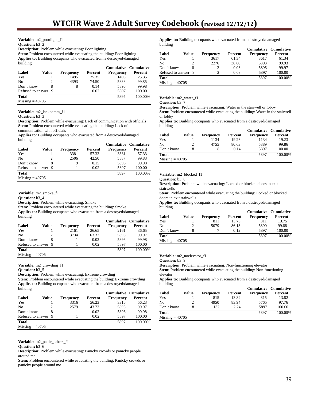**Variable:** m2\_poorlight\_f1

#### **Question:** b3\_2

**Description:** Problem while evacuating: Poor lighting

**Stem:** Problem encountered while evacuating the building: Poor lighting **Applies to:** Building occupants who evacuated from a destroyed/damaged building

|                     |       |                  |         | <b>Cumulative Cumulative</b> |         |
|---------------------|-------|------------------|---------|------------------------------|---------|
| Label               | Value | <b>Frequency</b> | Percent | <b>Frequency</b>             | Percent |
| Yes                 |       | 1495             | 25.35   | 1495                         | 25.35   |
| No                  |       | 4393             | 74.50   | 5888                         | 99.85   |
| Don't know          |       | 8                | 0.14    | 5896                         | 99.98   |
| Refused to answer 9 |       |                  | 0.02    | 5897                         | 100.00  |
| <b>Total</b>        |       |                  |         | 5897                         | 100.00% |
| Missing $=$ 40705   |       |                  |         |                              |         |

**Variable:** m2\_lackcomm\_f1

#### **Question: b3** 3

**Description:** Problem while evacuating: Lack of communication with officials Stem: Problem encountered while evacuating the building: Lack of communication with officials

**Applies to:** Building occupants who evacuated from a destroyed/damaged building

|                     |       |                  |         | <b>Cumulative Cumulative</b> |         |
|---------------------|-------|------------------|---------|------------------------------|---------|
| Label               | Value | <b>Frequency</b> | Percent | <b>Frequency</b>             | Percent |
| Yes                 |       | 3381             | 57.33   | 3381                         | 57.33   |
| No                  |       | 2506             | 42.50   | 5887                         | 99.83   |
| Don't know          |       | 9                | 0.15    | 5896                         | 99.98   |
| Refused to answer 9 |       |                  | 0.02    | 5897                         | 100.00  |
| <b>Total</b>        |       |                  |         | 5897                         | 100.00% |
| $Missing = 40705$   |       |                  |         |                              |         |

**Variable:** m2\_smoke\_f1

**Question:** b3\_4

**Description:** Problem while evacuating: Smoke

**Stem:** Problem encountered while evacuating the building: Smoke

**Applies to:** Building occupants who evacuated from a destroyed/damaged building

|                     |       |           |         | <b>Cumulative Cumulative</b> |         |
|---------------------|-------|-----------|---------|------------------------------|---------|
| Label               | Value | Frequency | Percent | <b>Frequency</b>             | Percent |
| Yes                 |       | 2161      | 36.65   | 2161                         | 36.65   |
| N <sub>0</sub>      |       | 3734      | 63.32   | 5895                         | 99.97   |
| Don't know          | 8     |           | 0.02    | 5896                         | 99.98   |
| Refused to answer 9 |       |           | 0.02    | 5897                         | 100.00  |
| <b>Total</b>        |       |           |         | 5897                         | 100.00% |
| $Missing = 40705$   |       |           |         |                              |         |

**Variable:** m2\_crowding\_f1

**Question:** b3\_5

**Description:** Problem while evacuating: Extreme crowding

**Stem:** Problem encountered while evacuating the building: Extreme crowding **Applies to:** Building occupants who evacuated from a destroyed/damaged building

|                     |       |                  |         | <b>Cumulative Cumulative</b> |         |
|---------------------|-------|------------------|---------|------------------------------|---------|
| Label               | Value | <b>Frequency</b> | Percent | <b>Frequency</b>             | Percent |
| Yes                 |       | 3316             | 56.23   | 3316                         | 56.23   |
| N <sub>0</sub>      |       | 2579             | 43.73   | 5895                         | 99.97   |
| Don't know          |       |                  | 0.02    | 5896                         | 99.98   |
| Refused to answer 9 |       |                  | 0.02    | 5897                         | 100.00  |
| <b>Total</b>        |       |                  |         | 5897                         | 100.00% |
| $Missing = 40705$   |       |                  |         |                              |         |

**Variable:** m2\_panic\_others\_f1

**Question:** b3\_6

**Description:** Problem while evacuating: Panicky crowds or panicky people around me

Stem: Problem encountered while evacuating the building: Panicky crowds or panicky people around me

**Applies to:** Building occupants who evacuated from a destroyed/damaged building

|                     |       |                  |         | <b>Cumulative Cumulative</b> |         |
|---------------------|-------|------------------|---------|------------------------------|---------|
| Label               | Value | <b>Frequency</b> | Percent | <b>Frequency</b>             | Percent |
| Yes                 |       | 3617             | 61.34   | 3617                         | 61.34   |
| N <sub>0</sub>      |       | 2276             | 38.60   | 5893                         | 99.93   |
| Don't know          |       |                  | 0.03    | 5895                         | 99.97   |
| Refused to answer 9 |       | C                | 0.03    | 5897                         | 100.00  |
| <b>Total</b>        |       |                  |         | 5897                         | 100.00% |
| $Missing = 40705$   |       |                  |         |                              |         |

**Variable:** m2\_water\_f1

**Question:** b3\_7

**Description:** Problem while evacuating: Water in the stairwell or lobby **Stem:** Problem encountered while evacuating the building: Water in the stairwell or lobby

**Applies to:** Building occupants who evacuated from a destroyed/damaged building

|                   |       |                  |         | <b>Cumulative Cumulative</b> |         |
|-------------------|-------|------------------|---------|------------------------------|---------|
| Label             | Value | <b>Frequency</b> | Percent | <b>Frequency</b>             | Percent |
| Yes               |       | 1134             | 19.23   | 1134                         | 19.23   |
| No                |       | 4755             | 80.63   | 5889                         | 99.86   |
| Don't know        |       |                  | 0.14    | 5897                         | 100.00  |
| <b>Total</b>      |       |                  |         | 5897                         | 100.00% |
| $Missing = 40705$ |       |                  |         |                              |         |

#### **Variable:** m2\_blocked\_f1

**Question:** b3\_8

**Description:** Problem while evacuating: Locked or blocked doors in exit stairwells

**Stem:** Problem encountered while evacuating the building: Locked or blocked doors in exit stairwells

**Applies to:** Building occupants who evacuated from a destroyed/damaged building

|                   |       |           |         | <b>Cumulative Cumulative</b> |         |
|-------------------|-------|-----------|---------|------------------------------|---------|
| Label             | Value | Frequency | Percent | <b>Frequency</b>             | Percent |
| Yes               |       | 811       | 13.75   | 811                          | 13.75   |
| N <sub>0</sub>    |       | 5079      | 86.13   | 5890                         | 99.88   |
| Don't know        |       |           | 0.12    | 5897                         | 100.00  |
| <b>Total</b>      |       |           |         | 5897                         | 100.00% |
| $Missing = 40705$ |       |           |         |                              |         |

**Variable:** m2\_noelevator\_f1

**Question:** b3\_9

**Description:** Problem while evacuating: Non-functioning elevator Stem: Problem encountered while evacuating the building: Non-functioning elevator

**Applies to:** Building occupants who evacuated from a destroyed/damaged building

|                   |       |           |         | Cumulative Cumulative |         |
|-------------------|-------|-----------|---------|-----------------------|---------|
| Label             | Value | Frequency | Percent | <b>Frequency</b>      | Percent |
| Yes               |       | 815       | 13.82   | 815                   | 13.82   |
| N <sub>0</sub>    |       | 4950      | 83.94   | 5765                  | 97.76   |
| Don't know        |       | 132       | 2.24    | 5897                  | 100.00  |
| <b>Total</b>      |       |           |         | 5897                  | 100.00% |
| $Missing = 40705$ |       |           |         |                       |         |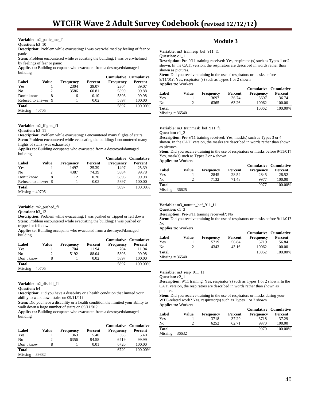**Variable:** m2\_panic\_me\_f1

**Question:** b3  $10$ 

**Description:** Problem while evacuating: I was overwhelmed by feeling of fear or panic

Stem: Problem encountered while evacuating the building: I was overwhelmed by feelings of fear or panic

**Applies to:** Building occupants who evacuated from a destroyed/damaged building

|                     |       |                  |         | <b>Cumulative Cumulative</b> |         |
|---------------------|-------|------------------|---------|------------------------------|---------|
| Label               | Value | <b>Frequency</b> | Percent | <b>Frequency</b>             | Percent |
| Yes                 |       | 2304             | 39.07   | 2304                         | 39.07   |
| No                  |       | 3586             | 60.81   | 5890                         | 99.88   |
| Don't know          |       | 6                | 0.10    | 5896                         | 99.98   |
| Refused to answer 9 |       |                  | 0.02    | 5897                         | 100.00  |
| <b>Total</b>        |       |                  |         | 5897                         | 100.00% |
| Missing $=$ 40705   |       |                  |         |                              |         |

**Variable:** m2\_flights\_f1

**Question:** b3\_11

**Description:** Problem while evacuating: I encountered many flights of stairs **Stem:** Problem encountered while evacuating the building: I encountered many flights of stairs (was exhausted)

**Applies to:** Building occupants who evacuated from a destroyed/damaged building

|                     |       |                  |         | <b>Cumulative Cumulative</b> |         |
|---------------------|-------|------------------|---------|------------------------------|---------|
| Label               | Value | <b>Frequency</b> | Percent | <b>Frequency</b>             | Percent |
| Yes                 |       | 1497             | 25.39   | 1497                         | 25.39   |
| N <sub>0</sub>      |       | 4387             | 74.39   | 5884                         | 99.78   |
| Don't know          |       | 12               | 0.20    | 5896                         | 99.98   |
| Refused to answer 9 |       |                  | 0.02    | 5897                         | 100.00  |
| <b>Total</b>        |       |                  |         | 5897                         | 100.00% |
| $Missing = 40705$   |       |                  |         |                              |         |

**Variable:** m2\_pushed\_f1

**Question:** b3\_12

**Description:** Problem while evacuating: I was pushed or tripped or fell down Stem: Problem encountered while evacuating the building: I was pushed or tripped or fell down

**Applies to**: Building occupants who evacuated from a destroyed/damaged building

|                   |       |           |         | <b>Cumulative Cumulative</b> |         |
|-------------------|-------|-----------|---------|------------------------------|---------|
| Label             | Value | Frequency | Percent | <b>Frequency</b>             | Percent |
| Yes               |       | 704       | 11.94   | 704                          | 11.94   |
| N <sub>0</sub>    |       | 5192      | 88.04   | 5896                         | 99.98   |
| Don't know        |       |           | 0.02    | 5897                         | 100.00  |
| <b>Total</b>      |       |           |         | 5897                         | 100.00% |
| $Missing = 40705$ |       |           |         |                              |         |

**Variable:** m2\_disabil\_f1

**Question:** b4

**Description:** Did you have a disability or a health condition that limited your ability to walk down stairs on 09/11/01?

**Stem:** Did you have a disability or a health condition that limited your ability to walk down a large number of stairs on 09/11/01?

**Applies to:** Building occupants who evacuated from a destroyed/damaged building

|                   |       |           |         | Cumulative Cumulative |         |
|-------------------|-------|-----------|---------|-----------------------|---------|
| Label             | Value | Frequency | Percent | <b>Frequency</b>      | Percent |
| Yes               |       | 363       | 5.40    | 363                   | 5.40    |
| No                |       | 6356      | 94.58   | 6719                  | 99.99   |
| Don't know        |       |           | 0.01    | 6720                  | 100.00  |
| <b>Total</b>      |       |           |         | 6720                  | 100.00% |
| $Missing = 39882$ |       |           |         |                       |         |

#### **Module 3**

**Variable:** m3\_trainresp\_bef\_911\_f1

**Question:** c1\_1

**Description:** Pre-9/11 training received: Yes, respirator (s) such as Types 1 or 2 shown. In the CATI version, the respirators are described in words rather than shown as pictures.

Stem: Did you receive training in the use of respirators or masks before 9/11/01?: Yes, respirator (s) such as Types 1 or 2 shown **Applies to:** Workers

| Label             | Value | <b>Frequency</b> | Percent | Cumulative Cumulative<br><b>Frequency</b> | Percent |
|-------------------|-------|------------------|---------|-------------------------------------------|---------|
| Yes               |       | 3697             | 36.74   | 3697                                      | 36.74   |
| N <sub>0</sub>    |       | 6365             | 63.26   | 10062                                     | 100.00  |
| <b>Total</b>      |       |                  |         | 10062                                     | 100.00% |
| $Missing = 36540$ |       |                  |         |                                           |         |

**Variable:** m3\_trainmask\_bef\_911\_f1

**Question:** c1 2

**Description:** Pre-9/11 training received: Yes, mask(s) such as Types 3 or 4 shown. In the CATI version, the masks are described in words rather than shown as pictures.

**Stem:** Did you receive training in the use of respirators or masks before  $9/11/01$ ? Yes, mask(s) such as Types 3 or 4 shown

**Applies to:** Workers

|                   |       |           |         | <b>Cumulative Cumulative</b> |         |
|-------------------|-------|-----------|---------|------------------------------|---------|
| Label             | Value | Frequency | Percent | <b>Frequency</b>             | Percent |
| Yes               |       | 2845      | 28.52   | 2845                         | 28.52   |
| No                |       | 7132      | 71.48   | 9977                         | 100.00  |
| Total             |       |           |         | 9977                         | 100.00% |
| $Missing = 36625$ |       |           |         |                              |         |

#### **Variable:** m3\_notrain\_bef\_911\_f1

**Question:** c1\_3

**Description:** Pre-9/11 training received?: No

**Stem:** Did you receive training in the use of respirators or masks before  $9/11/01$ ? No

**Applies to:** Workers

|                   |       |                  |         | <b>Cumulative Cumulative</b> |         |
|-------------------|-------|------------------|---------|------------------------------|---------|
| Label             | Value | <b>Frequency</b> | Percent | <b>Frequency</b>             | Percent |
| Yes               |       | 5719             | 56.84   | 5719                         | 56.84   |
| N <sub>0</sub>    | っ     | 4343             | 43.16   | 10062                        | 100.00  |
| <b>Total</b>      |       |                  |         | 10062                        | 100.00% |
| $Missing = 36540$ |       |                  |         |                              |         |

**Variable:** m3\_resp\_911\_f1

**Question:** c2 1

**Description:** 9/11 training: Yes, respirator(s) such as Types 1 or 2 shown. In the CATI version, the respirators are described in words rather than shown as pictures.

Stem: Did you receive training in the use of respirators or masks during your WTC-related work? Yes, respirator(s) such as Types 1 or 2 shown **Applies to:** Workers

|                   |       |                  |         | <b>Cumulative Cumulative</b> |         |
|-------------------|-------|------------------|---------|------------------------------|---------|
| Label             | Value | <b>Frequency</b> | Percent | <b>Frequency</b>             | Percent |
| Yes               |       | 3718             | 37.29   | 3718                         | 37.29   |
| No                |       | 6252             | 62.71   | 9970                         | 100.00  |
| Total             |       |                  |         | 9970                         | 100.00% |
| $Missing = 36632$ |       |                  |         |                              |         |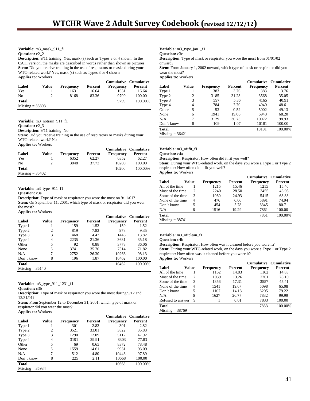#### **Variable:** m3\_mask\_911\_f1

**Question:** c2\_2

**Description:** 9/11 training: Yes, mask (s) such as Types 3 or 4 shown. In the CATI version, the masks are described in words rather than shown as pictures. Stem: Did you receive training in the use of respirators or masks during your WTC-related work? Yes, mask (s) such as Types 3 or 4 shown **Applies to:** Workers

|                   |       |                  |         | <b>Cumulative Cumulative</b> |         |
|-------------------|-------|------------------|---------|------------------------------|---------|
| Label             | Value | <b>Frequency</b> | Percent | <b>Frequency</b>             | Percent |
| Yes               |       | 1631             | 16.64   | 1631                         | 16.64   |
| No                |       | 8168             | 83.36   | 9799                         | 100.00  |
| <b>Total</b>      |       |                  |         | 9799                         | 100.00% |
| $Missing = 36803$ |       |                  |         |                              |         |

**Variable:** m3\_notrain\_911\_f1 **Question:** c2\_3 **Description:** 9/11 training: No **Stem:** Did you receive training in the use of respirators or masks during your WTC-related work? No **Applies to:** Workers **Cumulative Cumulative**

| Label             | Value | <b>Frequency</b> | Percent | Сининануе Сининануе<br><b>Frequency</b> | Percent |
|-------------------|-------|------------------|---------|-----------------------------------------|---------|
| Yes               |       | 6352             | 62.27   | 6352                                    | 62.27   |
| No                |       | 3848             | 37.73   | 10200                                   | 100.00  |
| <b>Total</b>      |       |                  |         | 10200                                   | 100.00% |
| $Missing = 36402$ |       |                  |         |                                         |         |

**Variable:** m3\_type\_911\_f1

**Question:** c3a

**Description:** Type of mask or respirator you wore the most on 9/11/01? Stem: On September 11, 2001, which type of mask or respirator did you wear the most? **Applies to:** Workers

|                   |       |                  |         | <b>Cumulative Cumulative</b> |         |
|-------------------|-------|------------------|---------|------------------------------|---------|
| Label             | Value | <b>Frequency</b> | Percent | <b>Frequency</b>             | Percent |
| Type 1            |       | 159              | 1.52    | 159                          | 1.52    |
| Type 2            | 2     | 819              | 7.83    | 978                          | 9.35    |
| Type 3            | 3     | 468              | 4.47    | 1446                         | 13.82   |
| Type 4            | 4     | 2235             | 21.36   | 3681                         | 35.18   |
| Other             | 5     | 92               | 0.88    | 3773                         | 36.06   |
| None              | 6     | 3741             | 35.76   | 7514                         | 71.82   |
| N/A               |       | 2752             | 26.30   | 10266                        | 98.13   |
| Don't know        | 8     | 196              | 1.87    | 10462                        | 100.00  |
| <b>Total</b>      |       |                  |         | 10462                        | 100.00% |
| $Missing = 36140$ |       |                  |         |                              |         |

**Variable:** m3\_type\_911\_1231\_f1

**Question:** c3b

**Description:** Type of mask or respirator you wore the most during 9/12 and 12/31/01?

**Stem:** From September 12 to December 31, 2001, which type of mask or respirator did you wear the most?

|  |  | <b>Applies to: Workers</b> |
|--|--|----------------------------|
|--|--|----------------------------|

|                   |       |           |         | <b>Cumulative Cumulative</b> |         |
|-------------------|-------|-----------|---------|------------------------------|---------|
| Label             | Value | Frequency | Percent | Frequency                    | Percent |
| Type 1            |       | 301       | 2.82    | 301                          | 2.82    |
| Type 2            | 2     | 3521      | 33.01   | 3822                         | 35.83   |
| Type 3            | 3     | 1290      | 12.09   | 5112                         | 47.92   |
| Type 4            | 4     | 3191      | 29.91   | 8303                         | 77.83   |
| Other             | 5     | 69        | 0.65    | 8372                         | 78.48   |
| None              | 6     | 1559      | 14.61   | 9931                         | 93.09   |
| N/A               | 7     | 512       | 4.80    | 10443                        | 97.89   |
| Don't know        | 8     | 225       | 2.11    | 10668                        | 100.00  |
| <b>Total</b>      |       |           |         | 10668                        | 100.00% |
| $Missing = 35934$ |       |           |         |                              |         |

**Variable:** m3\_type\_jan1\_f1 **Question:** c3c **Description**: Type of mask or respirator you wore the most from 01/01/02

onward?

**Stem:** From January 1, 2002 onward, which type of mask or respirator did you wear the most?

**Applies to:** Workers

|                   |       |           |         |           | <b>Cumulative Cumulative</b> |
|-------------------|-------|-----------|---------|-----------|------------------------------|
| Label             | Value | Frequency | Percent | Frequency | Percent                      |
| Type 1            |       | 383       | 3.76    | 383       | 3.76                         |
| Type 2            | 2     | 3185      | 31.28   | 3568      | 35.05                        |
| Type 3            | 3     | 597       | 5.86    | 4165      | 40.91                        |
| Type 4            | 4     | 784       | 7.70    | 4949      | 48.61                        |
| Other             | 5     | 53        | 0.52    | 5002      | 49.13                        |
| None              | 6     | 1941      | 19.06   | 6943      | 68.20                        |
| N/A               | 7     | 3129      | 30.73   | 10072     | 98.93                        |
| Don't know        | 8     | 109       | 1.07    | 10181     | 100.00                       |
| <b>Total</b>      |       |           |         | 10181     | 100.00%                      |
| $Missing = 36421$ |       |           |         |           |                              |

**Variable:** m3\_oftfit\_f1

**Question:** c4a

**Description:** Respirator: How often did it fit you well?

Stem: During your WTC-related work, on the days you wore a Type 1 or Type 2 respirator: How often did it fit you well?

**Applies to:** Workers

|                   |       |                  |         | <b>Cumulative Cumulative</b> |         |
|-------------------|-------|------------------|---------|------------------------------|---------|
| Label             | Value | <b>Frequency</b> | Percent | <b>Frequency</b>             | Percent |
| All of the time   |       | 1215             | 15.46   | 1215                         | 15.46   |
| Most of the time  | 2     | 2240             | 28.50   | 3455                         | 43.95   |
| Some of the time  | 3     | 1960             | 24.93   | 5415                         | 68.88   |
| None of the time. | 4     | 476              | 6.06    | 5891                         | 74.94   |
| Don't know        | 5     | 454              | 5.78    | 6345                         | 80.71   |
| N/A               | 6     | 1516             | 19.29   | 7861                         | 100.00  |
| <b>Total</b>      |       |                  |         | 7861                         | 100.00% |
| $Missing = 38741$ |       |                  |         |                              |         |

#### **Variable:** m3\_oftclean\_f1

**Question:** c4b

**Description:** Respirator: How often was it cleaned before you wore it? **Stem:** During your WTC-related work, on the days you wore a Type 1 or Type 2 respirator: How often was it cleaned before you wore it? **Applies to:** Workers

|                   |       |                  |         | <b>Cumulative Cumulative</b> |         |
|-------------------|-------|------------------|---------|------------------------------|---------|
| Label             | Value | <b>Frequency</b> | Percent | Frequency                    | Percent |
| All of the time   |       | 1162             | 14.83   | 1162                         | 14.83   |
| Most of the time  | 2     | 1039             | 13.26   | 2201                         | 28.10   |
| Some of the time  | 3     | 1356             | 17.31   | 3557                         | 45.41   |
| None of the time. | 4     | 1541             | 19.67   | 5098                         | 65.08   |
| Don't know        | 5     | 1107             | 14.13   | 6205                         | 79.22   |
| N/A               | 6     | 1627             | 20.77   | 7832                         | 99.99   |
| Refused to answer | 9     |                  | 0.01    | 7833                         | 100.00  |
| <b>Total</b>      |       |                  |         | 7833                         | 100.00% |
| $Missing = 38769$ |       |                  |         |                              |         |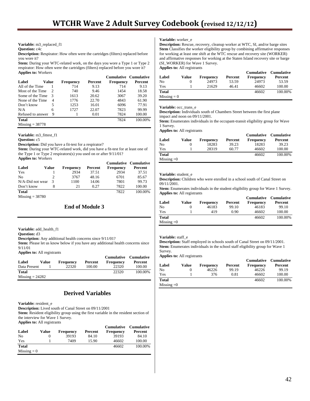#### **Variable:** m3\_replaced\_f1

**Question:** c4c

**Description:** Respirator: How often were the cartridges (filters) replaced before you wore it?

Stem: During your WTC-related work, on the days you wore a Type 1 or Type 2 respirator: How often were the cartridges (filters) replaced before you wore it? **Applies to:** Workers

|                   |       |           |         | Cumulative Cumulative |         |
|-------------------|-------|-----------|---------|-----------------------|---------|
| Label             | Value | Frequency | Percent | <b>Frequency</b>      | Percent |
| All of the Time   |       | 714       | 9.13    | 714                   | 9.13    |
| Most of the Time  | 2     | 740       | 9.46    | 1454                  | 18.58   |
| Some of the Time  | 3     | 1613      | 20.62   | 3067                  | 39.20   |
| None of the Time  | 4     | 1776      | 22.70   | 4843                  | 61.90   |
| Don't know        | 5     | 1253      | 16.01   | 6096                  | 77.91   |
| N/A               | 6     | 1727      | 22.07   | 7823                  | 99.99   |
| Refused to answer | 9     |           | 0.01    | 7824                  | 100.00  |
| <b>Total</b>      |       |           |         | 7824                  | 100.00% |
| $Missing = 38778$ |       |           |         |                       |         |

**Variable:** m3\_fittest\_f1

**Question:** c5

**Description:** Did you have a fit-test for a respirator?

Stem: During your WTC-related work, did you have a fit-test for at least one of the Type 1 or Type 2 respirators(s) you used on or after 9/11/01? **Applies to:** Workers

|                  |       |                  |         |                  | Cumulative Cumulative |
|------------------|-------|------------------|---------|------------------|-----------------------|
| Label            | Value | <b>Frequency</b> | Percent | <b>Frequency</b> | Percent               |
| Yes              |       | 2934             | 37.51   | 2934             | 37.51                 |
| N <sub>0</sub>   |       | 3767             | 48.16   | 6701             | 85.67                 |
| N/A-Did not wear | 3     | 1100             | 14.06   | 7801             | 99.73                 |
| Don't know       |       | 21               | 0.27    | 7822             | 100.00                |
| <b>Total</b>     |       |                  |         | 7822             | 100.00%               |

 $Missing = 38780$ 

#### **End of Module 3**

**Variable:** add\_health\_f1

**Question:** d3

**Description:** Any additional health concerns since 9/11/01?

**Stem:** Please let us know below if you have any additional health concerns since 9/11/01

**Applies to:** All registrants

|                   |       |                  |         |                  | <b>Cumulative Cumulative</b> |
|-------------------|-------|------------------|---------|------------------|------------------------------|
| Label             | Value | <b>Frequency</b> | Percent | <b>Frequency</b> | Percent                      |
| Data Present      |       | 22320            | 100.00  | 22320            | 100.00                       |
| <b>Total</b>      |       |                  |         | 22320            | 100.00%                      |
| $Missing = 24282$ |       |                  |         |                  |                              |

### **Derived Variables**

**Variable:** resident\_e

**Description:** Lived south of Canal Street on 09/11/2001

**Stem:** Resident eligibility group using the first variable in the resident section of the interview for Wave 1 Survey.

| <b>Applies to:</b> All registrants |
|------------------------------------|
|------------------------------------|

| Label         | Value | <b>Frequency</b> | Percent | <b>Cumulative</b><br><b>Frequency</b> | <b>Cumulative</b><br>Percent |
|---------------|-------|------------------|---------|---------------------------------------|------------------------------|
| No            | 0     | 39193            | 84.10   | 39193                                 | 84.10                        |
| Yes           |       | 7409             | 15.90   | 46602                                 | 100.00                       |
| <b>Total</b>  |       |                  |         | 46602                                 | 100.00%                      |
| $Missing = 0$ |       |                  |         |                                       |                              |

#### **Variable:** worker\_e

**Description:** Rescue, recovery, cleanup worker at WTC, SI, and/or barge sites **Stem** Classifies the worker eligibility group by combining affirmative responses for working at least one shift at the WTC rescue and recovery site (WORKER) and affirmative responses for working at the Staten Island recovery site or barge (SI\_WORKER) for Wave 1 Survey. **Applies to:** All registrants

| Label         | Value | <b>Frequency</b> | Percent | <b>Frequency</b> | <b>Cumulative Cumulative</b><br>Percent |
|---------------|-------|------------------|---------|------------------|-----------------------------------------|
| No            |       | 24973            | 53.59   | 24973            | 53.59                                   |
|               |       |                  |         |                  |                                         |
| Yes           |       | 21629            | 46.41   | 46602            | 100.00                                  |
| Total         |       |                  |         | 46602            | 100.00%                                 |
| $Missing = 0$ |       |                  |         |                  |                                         |

#### **Variable:** occ\_trans\_e

**Description:** Individuals south of Chambers Street between the first plane impact and noon on 09/11/2001.

**Stem:** Enumerates individuals in the occupant-transit eligibility group for Wave 1 Survey.

**Applies to:** All registrants

| Label        | Value | Frequency | Percent | <b>Cumulative</b><br><b>Frequency</b> | <b>Cumulative</b><br>Percent |
|--------------|-------|-----------|---------|---------------------------------------|------------------------------|
| No           |       | 18283     | 39.23   | 18283                                 | 39.23                        |
| Yes          |       | 28319     | 60.77   | 46602                                 | 100.00                       |
| <b>Total</b> |       |           |         | 46602                                 | 100.00%                      |
| Missing $=0$ |       |           |         |                                       |                              |

#### **Variable:** student\_e

**Description:** Children who were enrolled in a school south of Canal Street on 09/11/2001.

**Stem:** Enumerates individuals in the student eligibility group for Wave 1 Survey. **Applies to:** All registrants

| Label        | Value  | <b>Frequency</b> | Percent | <b>Cumulative</b><br><b>Frequency</b> | Cumulative<br>Percent |
|--------------|--------|------------------|---------|---------------------------------------|-----------------------|
| No           | $_{0}$ | 46183            | 99.10   | 46183                                 | 99.10                 |
| Yes          |        | 419              | 0.90    | 46602                                 | 100.00                |
| <b>Total</b> |        |                  |         | 46602                                 | 100.00%               |
| Missing $=0$ |        |                  |         |                                       |                       |

#### **Variable:** staff\_e

**Description:** Staff employed in schools south of Canal Street on 09/11/2001. **Stem:** Enumerates individuals in the school staff eligibility group for Wave 1 Survey.

**Applies to:** All registrants

| Label        | Value | <b>Frequency</b> | Percent | <b>Cumulative</b><br><b>Frequency</b> | <b>Cumulative</b><br>Percent |
|--------------|-------|------------------|---------|---------------------------------------|------------------------------|
| No           |       | 46226            | 99.19   | 46226                                 | 99.19                        |
| Yes          |       | 376              | 0.81    | 46602                                 | 100.00                       |
| <b>Total</b> |       |                  |         | 46602                                 | 100.00%                      |
| Missing $=0$ |       |                  |         |                                       |                              |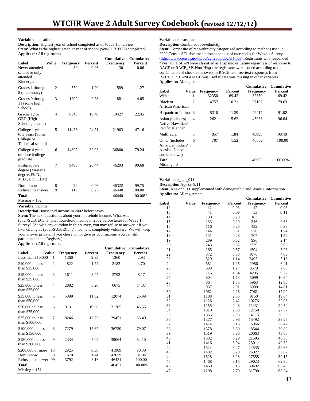#### **Variable:** education

**Description:** Highest year of school completed as of Wave 1 interview Stem: What is the highest grade or year of school (you/SUBJECT) completed? **Applies to:** All registrants

|                                                                        |                |                  |         | Cumulative       | <b>Cumulative</b> |
|------------------------------------------------------------------------|----------------|------------------|---------|------------------|-------------------|
| Label                                                                  | Value          | <b>Frequency</b> | Percent | <b>Frequency</b> | Percent           |
| Never attended<br>school or only<br>attended<br>Kindergarten           | 1              | 30               | 0.06    | 30               | 0.06              |
| Grades 1 through<br>8 (elementary)                                     | $\overline{c}$ | 559              | 1.20    | 589              | 1.27              |
| Grades 9 through<br>11 (some high<br>School)                           | 3              | 1292             | 2.78    | 1881             | 4.05              |
| Grades 12 or<br>GED (High<br>School graduate)                          | 4              | 8546             | 18.40   | 10427            | 22.45             |
| College 1 year<br>to 3 years (Some<br>College or<br>Technical school)  | 5              | 11476            | 24.71   | 21903            | 47.16             |
| College 4 year<br>or more (college<br>graduate)                        | 6              | 14897            | 32.08   | 36800            | 79.24             |
| Postgraduate<br>degree (Master's<br>degree, Ph.D.,<br>M.D., J.D., LLM) | 7              | 9493             | 20.44   | 46293            | 99.68             |
| Don't know                                                             | 8              | 29               | 0.06    | 46322            | 99.75             |
| Refused to answer                                                      | 9              | 118              | 0.25    | 46440            | 100.00            |
| <b>Total</b><br>$Missine = 162$                                        |                |                  |         | 46440            | 100.00%           |

**Variable:** income

**Description** Household income in 2002 before taxes

**Stem:** The next question is about your household income. What was (your/SUBJECT's) total household income in 2002 before taxes for Wave 1 Survey? (As with any question in this survey, you may refuse to answer it if you like. Giving us (your/SUBJECT's) income is completely voluntary. We will keep your answer private. If you chose to not give us your income, you can still participate in the Registry.)

**Applies to:** All registrants

|                     |                |                  |         | Cumulative       | <b>Cumulative</b> |
|---------------------|----------------|------------------|---------|------------------|-------------------|
| Label               | <b>Value</b>   | <b>Frequency</b> | Percent | <b>Frequency</b> | Percent           |
| Less than $$10,000$ | 1              | 1360             | 2.93    | 1360             | 2.93              |
| \$10,000 to less    | $\overline{2}$ | 822              | 1.77    | 2182             | 4.70              |
| than \$15,000       |                |                  |         |                  |                   |
| \$15,000 to less    | 3              | 1611             | 3.47    | 3793             | 8.17              |
| than \$25,000       |                |                  |         |                  |                   |
| \$25,000 to less    | $\overline{4}$ | 2882             | 6.20    | 6675             | 14.37             |
| than \$35,000       |                |                  |         |                  |                   |
| \$35,000 to less    | 5              | 5399             | 11.62   | 12074            | 25.99             |
| than \$50,000       |                |                  |         |                  |                   |
| \$50,000 to less    | 6              | 9131             | 19.66   | 21205            | 45.65             |
| than \$75,000       |                |                  |         |                  |                   |
| \$75,000 to less    | 7              | 8246             | 17.75   | 29451            | 63.40             |
| than \$100,000      |                |                  |         |                  |                   |
| \$100,000 to less   | 8              | 7279             | 15.67   | 36730            | 79.07             |
| than \$150,000      |                |                  |         |                  |                   |
| \$150,000 to less   | 9              | 2334             | 5.02    | 39064            | 84.10             |
| than \$200,000      |                |                  |         |                  |                   |
| \$200,000 or more   | 10             | 2925             | 6.30    | 41989            | 90.39             |
| Don't know          | 88             | 670              | 1.44    | 42659            | 91.84             |
|                     | 99             |                  |         | 46451            |                   |
| Refused to answer   |                | 3792             | 8.16    |                  | 100.00            |
| Total               |                |                  |         | 46451            | 100.00%           |
| $Missing = 151$     |                |                  |         |                  |                   |

**Variable:** census\_race

**Description** Combined race/ethnicity

Stem: Composite of race/ethnicity categorized according to methods used in 2000 Census SF1 documentation appendix of race codes for Wave 1 Survey. (http://www.census.gov/prod/cen2000/doc/sf1.pdf). Registrants who responded "Yes" to HISPAN were classified as Hispanic or Latino regardless of response to RACE or RACE\_SP. Non-Hispanic registrants were coded according to the combination of checklist answers in RACE and free-text responses from RACE\_SP. LANGUAGE was used if data was missing in other variables. **Applies to:** All registrants

| Label<br>White                                                        | Value<br>1                  | <b>Frequency</b><br>32350 | Percent<br>69.42 | Cumulative<br><b>Frequency</b><br>32350 | <b>Cumulative</b><br>Percent<br>69.42 |
|-----------------------------------------------------------------------|-----------------------------|---------------------------|------------------|-----------------------------------------|---------------------------------------|
| Black or<br>African American                                          | $\mathcal{D}_{\mathcal{L}}$ | 4757                      | 10.21            | 37107                                   | 79.63                                 |
| Hispanic or Latino 3                                                  |                             | 5310                      | 11.39            | 42417                                   | 91.02                                 |
| Asian (includes)<br>Native Hawaiian/<br>Pacific Islander              | 4                           | 2621                      | 5.62             | 45038                                   | 96.64                                 |
| Multiracial                                                           | 5                           | 857                       | 1.84             | 45895                                   | 98.48                                 |
| Other (includes<br>American Indian/<br>Alaskan Native<br>and unknown) | 6                           | 707                       | 1.52             | 46602                                   | 100.00                                |
| Total<br>Missing $=0$                                                 |                             |                           |                  | 46602                                   | 100.00%                               |

#### **Variable:** c\_age\_911

**Description** Age on 9/11 **Stem:** Age on 9/11 supplemented with demographic and Wave 1 information **Applies to:** All registrants

|       |              |                  |         | Cumulative       | Cumulative |
|-------|--------------|------------------|---------|------------------|------------|
| Label | <b>Value</b> | <b>Frequency</b> | Percent | <b>Frequency</b> | Percent    |
| 12    |              | 12               | 0.03    | 12               | 0.03       |
| 13    |              | 41               | 0.09    | 53               | 0.11       |
| 14    |              | 130              | 0.28    | 183              | 0.39       |
| 15    |              | 133              | 0.29    | 316              | 0.68       |
| 16    |              | 116              | 0.25    | 432              | 0.93       |
| 17    |              | 144              | 0.31    | 576              | 1.24       |
| 18    |              | 131              | 0.28    | 707              | 1.52       |
| 19    |              | 289              | 0.62    | 996              | 2.14       |
| 20    |              | 243              | 0.52    | 1239             | 2.66       |
| 21    |              | 265              | 0.57    | 1504             | 3.23       |
| 22    |              | 372              | 0.80    | 1876             | 4.03       |
| 23    |              | 529              | 1.14    | 2405             | 5.16       |
| 24    |              | 581              | 1.25    | 2986             | 6.41       |
| 25    |              | 593              | 1.27    | 3579             | 7.68       |
| 26    |              | 716              | 1.54    | 4295             | 9.22       |
| 27    |              | 804              | 1.73    | 5099             | 10.94      |
| 28    |              | 864              | 1.85    | 5963             | 12.80      |
| 29    |              | 937              | 2.01    | 6900             | 14.81      |
| 30    |              | 1062             | 2.28    | 7962             | 17.09      |
| 31    |              | 1188             | 2.55    | 9150             | 19.64      |
| 32    |              | 1126             | 2.42    | 10276            | 22.06      |
| 33    |              | 1155             | 2.48    | 11431            | 24.54      |
| 34    |              | 1319             | 2.83    | 12750            | 27.37      |
| 35    |              | 1365             | 2.93    | 14115            | 30.30      |
| 36    |              | 1377             | 2.96    | 15492            | 33.25      |
| 37    |              | 1474             | 3.16    | 16966            | 36.42      |
| 38    |              | 1578             | 3.39    | 18544            | 39.80      |
| 39    |              | 1519             | 3.26    | 20063            | 43.06      |
| 40    |              | 1532             | 3.29    | 21595            | 46.35      |
| 41    |              | 1416             | 3.04    | 23011            | 49.39      |
| 42    |              | 1524             | 3.27    | 24535            | 52.66      |
| 43    |              | 1492             | 3.20    | 26027            | 55.87      |
| 44    |              | 1528             | 3.28    | 27555            | 59.15      |
| 45    |              | 1468             | 3.15    | 29023            | 62.30      |
| 46    |              | 1469             | 3.15    | 30492            | 65.45      |
| 47    |              | 1298             | 2.79    | 31790            | 68.24      |
|       |              |                  |         |                  |            |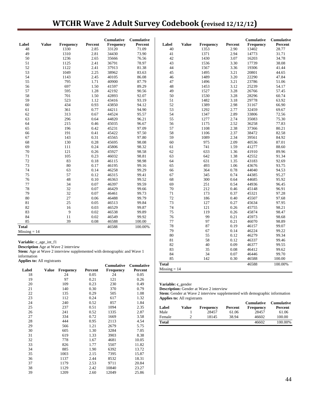# **WTCHR Wave 2 Adult Survey Codebook (revised 12/12/12)**

| Label<br><b>Value</b>     | <b>Frequency</b> | Percent | <b>Cumulative</b><br>Frequency | <b>Cumulative</b><br>Percent | Label | <b>Value</b> | Frequency | Percent | <b>Cumulative</b><br>Frequency | Cumulative<br>Percent |
|---------------------------|------------------|---------|--------------------------------|------------------------------|-------|--------------|-----------|---------|--------------------------------|-----------------------|
| 48                        | 1330             | 2.85    | 33120                          | 71.09                        | 40    |              | 1353      | 2.90    | 13402                          | 28.77                 |
| 49                        | 1310             | 2.81    | 34430                          | 73.90                        | 41    |              | 1371      | 2.94    | 14773                          | 31.71                 |
| 50                        | 1236             | 2.65    | 35666                          | 76.56                        | 42    |              | 1430      | 3.07    | 16203                          | 34.78                 |
| 51                        | 1125             | 2.41    | 36791                          | 78.97                        | 43    |              | 1536      | 3.30    | 17739                          | 38.08                 |
| 52                        | 1122             | 2.41    | 37913                          | 81.38                        | 44    |              | 1567      | 3.36    | 19306                          | 41.44                 |
| 53                        | 1049             | 2.25    | 38962                          | 83.63                        | 45    |              | 1495      | 3.21    | 20801                          | 44.65                 |
| 54                        | 1143             | 2.45    | 40105                          | 86.08                        | 46    |              | 1489      | 3.20    | 22290                          | 47.84                 |
| 55                        | 795              | 1.71    | 40900                          | 87.79                        | 47    |              | 1496      | 3.21    | 23786                          | 51.06                 |
| 56                        | 697              | 1.50    | 41597                          | 89.29                        | 48    |              | 1453      | 3.12    | 25239                          | 54.17                 |
| 57                        | 595              | 1.28    | 42192                          | 90.56                        | 49    |              | 1527      | 3.28    | 26766                          | 57.45                 |
| 58                        | 701              | 1.50    | 42893                          | 92.07                        | 50    |              | 1530      | 3.28    | 28296                          | 60.74                 |
| 59                        | 523              | 1.12    | 43416                          | 93.19                        | 51    |              | 1482      | 3.18    | 29778                          | 63.92                 |
| 60                        | 434              | 0.93    | 43850                          | 94.12                        | 52    |              | 1389      | 2.98    | 31167                          | 66.90                 |
| 61                        | 361              | 0.77    | 44211                          | 94.90                        | 53    |              | 1292      | 2.77    | 32459                          | 69.67                 |
| 62                        | 313              | 0.67    | 44524                          | 95.57                        | 54    |              | 1347      | 2.89    | 33806                          | 72.56                 |
| 63                        | 296              | 0.64    | 44820                          | 96.21                        | 55    |              | 1277      | 2.74    | 35083                          | 75.30                 |
| 64                        | 215              | 0.46    | 45035                          | 96.67                        | 56    |              | 1175      | 2.52    | 36258                          | 77.83                 |
| 65                        | 196              | 0.42    | 45231                          | 97.09                        | 57    |              | 1108      | 2.38    | 37366                          | 80.21                 |
| 66                        | 191              | 0.41    | 45422                          | 97.50                        | 58    |              | 1106      | 2.37    | 38472                          | 82.58                 |
| 67                        | 143              | 0.31    | 45565                          | 97.80                        | 59    |              | 1089      | 2.34    | 39561                          | 84.92                 |
| 68                        | 130              | 0.28    | 45695                          | 98.08                        | 60    |              | 975       | 2.09    | 40536                          | 87.01                 |
| 69                        | 111              | 0.24    | 45806                          | 98.32                        | 61    |              | 741       | 1.59    | 41277                          | 88.60                 |
| 70                        | 121              | 0.26    | 45927                          | 98.58                        | 62    |              | 633       | 1.36    | 41910                          | 89.96                 |
| 71                        | 105              | 0.23    | 46032                          | 98.81                        | 63    |              | 642       | 1.38    | 42552                          | 91.34                 |
| 72                        | 83               | 0.18    | 46115                          | 98.98                        | 64    |              | 631       | 1.35    | 43183                          | 92.69                 |
| 73                        | 80               | 0.17    | 46195                          | 99.16                        | 65    |              | 493       | 1.06    | 43676                          | 93.75                 |
| 74                        | 63               | 0.14    | 46258                          | 99.29                        | 66    |              | 364       | 0.78    | 44040                          | 94.53                 |
| 75                        | 57               | 0.12    | 46315                          | 99.41                        | 67    |              | 345       | 0.74    | 44385                          | 95.27                 |
| 76                        | 48               | 0.10    | 46363                          | 99.52                        | 68    |              | 300       | 0.64    | 44685                          | 95.92                 |
| 77                        | 34               | 0.07    | 46397                          | 99.59                        | 69    |              | 251       | 0.54    | 44936                          | 96.45                 |
| 78                        | 32               | 0.07    | 46429                          | 99.66                        | 70    |              | 212       | 0.46    | 45148                          | 96.91                 |
| 79                        | 32               | 0.07    | 46461                          | 99.73                        | 71    |              | 173       | 0.37    | 45321                          | 97.28                 |
| 80                        | 27               | 0.06    | 46488                          | 99.79                        | 72    |              | 186       | 0.40    | 45507                          | 97.68                 |
| 81                        | 25               | 0.05    | 46513                          | 99.84                        | 73    |              | 127       | 0.27    | 45634                          | 97.95                 |
| 82                        | 16               | 0.03    | 46529                          | 99.87                        | 74    |              | 121       | 0.26    | 45755                          | 98.21                 |
| 83                        | 9                | 0.02    | 46538                          | 99.89                        | 75    |              | 119       | 0.26    | 45874                          | 98.47                 |
| 84                        | 11               | 0.02    | 46549                          | 99.92                        | 76    |              | 99        | 0.21    | 45973                          | 98.68                 |
| 85                        | 39               | 0.08    | 46588                          | 100.00                       | 77    |              | 97        | 0.21    | 46070                          | 98.89                 |
| <b>Total</b>              |                  |         | 46588                          | 100.00%                      | 78    |              | 87        | 0.19    | 46157                          | 99.07                 |
| $Missing = 14$            |                  |         |                                |                              | 79    |              | 67        | 0.14    | 46224                          | 99.22                 |
|                           |                  |         |                                |                              | 80    |              | 55        | 0.12    | 46279                          | 99.34                 |
| $V$ omiobles e ego int fl |                  |         |                                |                              | 81    |              | 58        | 0.12    | 46337                          | 99.46                 |

**Variable:** c\_age\_int\_f1

**Description** Age at Wave 2 interview

**Stem:** Age at Wave 2 interview supplemented with demographic and Wave 1 information **Applies to:** All registrants

 **Cumulative Cumulative Value Frequency Percent Frequency Percent**<br>24 0.05 24 0.05 18 24 0.05 24 0.05 19 97 0.21 121 0.26 20 109 0.23 230 0.49 21 140 0.30 370 0.79 22 135 0.29 505 1.08 23 112 0.24 617 1.32 24 240 0.52 857 1.84 25 237 0.51 1094 2.35 26 241 0.52 1335 2.87 27 334 0.72 1669 3.58 28 444 0.95 2113 4.54 29 566 1.21 2679 5.75 30 605 1.30 3284 7.05 31 619 1.33 3903 8.38 32 778 1.67 4681 10.05 33 826 1.77 5507 11.82 34 885 1.90 6392 13.72 35 1003 2.15 7395 15.87 36 1137 2.44 8532 18.31 37 1179 2.53 9711 20.84 38 1129 2.42 10840 23.27 39 1209 2.60 12049 25.86

**Total** 46588 100.00%  $Missing = 14$ 

**Variable: c\_**gender

**Description:** Gender at Wave 2 interview

**Stem:** Gender at Wave 2 interview supplemented with demographic information **Applies to:** All registrants

 82 40 0.09 46377 99.55 83 35 0.08 46412 99.62 84 34 0.07 46446 99.70 85 142 0.30 46588 100.00

|              |       |           |         | <b>Cumulative</b> | <b>Cumulative</b> |
|--------------|-------|-----------|---------|-------------------|-------------------|
| Label        | Value | Frequency | Percent | <b>Frequency</b>  | Percent           |
| Male         |       | 28457     | 61.06   | 28457             | 61.06             |
| Female       | っ     | 18145     | 38.94   | 46602             | 100.00            |
| <b>Total</b> |       |           |         | 46602             | 100.00%           |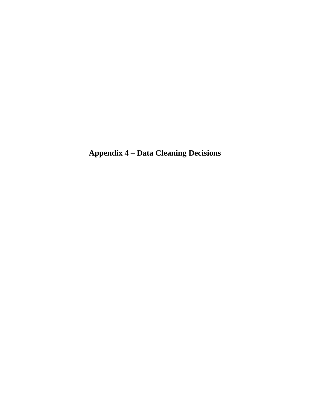**Appendix 4 – Data Cleaning Decisions**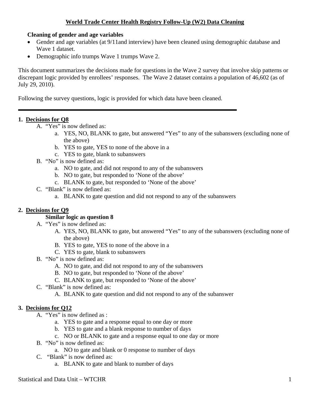### **World Trade Center Health Registry Follow-Up (W2) Data Cleaning**

### **Cleaning of gender and age variables**

- Gender and age variables (at 9/11and interview) have been cleaned using demographic database and Wave 1 dataset.
- Demographic info trumps Wave 1 trumps Wave 2.

This document summarizes the decisions made for questions in the Wave 2 survey that involve skip patterns or discrepant logic provided by enrollees' responses. The Wave 2 dataset contains a population of 46,602 (as of July 29, 2010).

Following the survey questions, logic is provided for which data have been cleaned.

### **1. Decisions for Q8**

İ

- A. "Yes" is now defined as:
	- a. YES, NO, BLANK to gate, but answered "Yes" to any of the subanswers (excluding none of the above)
	- b. YES to gate, YES to none of the above in a
	- c. YES to gate, blank to subanswers
- B. "No" is now defined as:
	- a. NO to gate, and did not respond to any of the subanswers
	- b. NO to gate, but responded to 'None of the above'
	- c. BLANK to gate, but responded to 'None of the above'
- C. "Blank" is now defined as:
	- a. BLANK to gate question and did not respond to any of the subanswers

# **2. Decisions for Q9**

# **Similar logic as question 8**

- A. "Yes" is now defined as:
	- A. YES, NO, BLANK to gate, but answered "Yes" to any of the subanswers (excluding none of the above)
	- B. YES to gate, YES to none of the above in a
	- C. YES to gate, blank to subanswers
- B. "No" is now defined as:
	- A. NO to gate, and did not respond to any of the subanswers
	- B. NO to gate, but responded to 'None of the above'
	- C. BLANK to gate, but responded to 'None of the above'
- C. "Blank" is now defined as:
	- A. BLANK to gate question and did not respond to any of the subanswer

# **3. Decisions for Q12**

- A. "Yes" is now defined as :
	- a. YES to gate and a response equal to one day or more
	- b. YES to gate and a blank response to number of days
	- c. NO or BLANK to gate and a response equal to one day or more
- B. "No" is now defined as:
	- a. NO to gate and blank or 0 response to number of days
- C. "Blank" is now defined as:
	- a. BLANK to gate and blank to number of days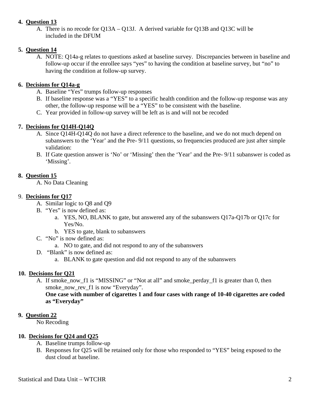### **4. Question 13**

A. There is no recode for Q13A – Q13J. A derived variable for Q13B and Q13C will be included in the DFUM

# **5. Question 14**

A. NOTE: Q14a-g relates to questions asked at baseline survey. Discrepancies between in baseline and follow-up occur if the enrollee says "yes" to having the condition at baseline survey, but "no" to having the condition at follow-up survey.

# **6. Decisions for Q14a-g**

- A. Baseline "Yes" trumps follow-up responses
- B. If baseline response was a "YES" to a specific health condition and the follow-up response was any other, the follow-up response will be a "YES" to be consistent with the baseline.
- C. Year provided in follow-up survey will be left as is and will not be recoded

# **7. Decisions for Q14H-Q14Q**

- A. Since Q14H-Q14Q do not have a direct reference to the baseline, and we do not much depend on subanswers to the 'Year' and the Pre- 9/11 questions, so frequencies produced are just after simple validation:
- B. If Gate question answer is 'No' or 'Missing' then the 'Year' and the Pre- 9/11 subanswer is coded as 'Missing'.

# **8. Question 15**

A. No Data Cleaning

# 9. **Decisions for Q17**

- A. Similar logic to Q8 and Q9
- B. "Yes" is now defined as:
	- a. YES, NO, BLANK to gate, but answered any of the subanswers Q17a-Q17b or Q17c for Yes/No.
	- b. YES to gate, blank to subanswers
- C. "No" is now defined as:
	- a. NO to gate, and did not respond to any of the subanswers
- D. "Blank" is now defined as:
	- a. BLANK to gate question and did not respond to any of the subanswers

# **10. Decisions for Q21**

A. If smoke\_now\_f1 is "MISSING" or "Not at all" and smoke\_perday\_f1 is greater than 0, then smoke now rev f1 is now "Everyday".

**One case with number of cigarettes 1 and four cases with range of 10-40 cigarettes are coded as "Everyday"** 

# **9. Question 22**

No Recoding

# **10. Decisions for Q24 and Q25**

- A. Baseline trumps follow-up
- B. Responses for Q25 will be retained only for those who responded to "YES" being exposed to the dust cloud at baseline.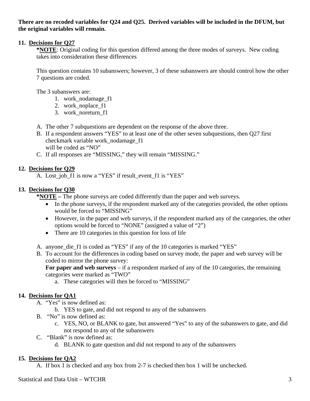### **There are no recoded variables for Q24 and Q25. Derived variables will be included in the DFUM, but the original variables will remain.**

### **11. Decisions for Q27**

**\*NOTE**: Original coding for this question differed among the three modes of surveys. New coding takes into consideration these differences

This question contains 10 subanswers; however, 3 of these subanswers are should control how the other 7 questions are coded.

The 3 subanswers are:

- 1. work\_nodamage\_f1
- 2. work\_noplace\_f1
- 3. work\_noreturn\_f1
- A. The other 7 subquestions are dependent on the response of the above three.
- B. If a respondent answers "YES" to at least one of the other seven subquestions, then Q27 first checkmark variable work\_nodamage\_f1 will be coded as "NO"
- C. If all responses are "MISSING," they will remain "MISSING."

# **12. Decisions for Q29**

A. Lost\_job\_f1 is now a "YES" if result\_event\_f1 is "YES"

# **13. Decisions for Q30**

**\*NOTE –** The phone surveys are coded differently than the paper and web surveys.

- In the phone surveys, if the respondent marked any of the categories provided, the other options would be forced to "MISSING"
- However, in the paper and web surveys, if the respondent marked any of the categories, the other options would be forced to "NONE" (assigned a value of "2")
- There are 10 categories in this question for loss of life
- A. anyone die f1 is coded as "YES" if any of the 10 categories is marked "YES"
- B. To account for the differences in coding based on survey mode, the paper and web survey will be coded to mirror the phone survey:

**For paper and web surveys** – if a respondent marked of any of the 10 categories, the remaining categories were marked as "TWO"

a. These categories will then be forced to "MISSING"

# **14. Decisions for QA1**

- A. "Yes" is now defined as:
	- b. YES to gate, and did not respond to any of the subanswers
- B. "No" is now defined as:
	- c. YES, NO, or BLANK to gate, but answered "Yes" to any of the subanswers to gate, and did not respond to any of the subanswers
- C. "Blank" is now defined as:
	- d. BLANK to gate question and did not respond to any of the subanswers

# **15. Decisions for QA2**

A. If box 1 is checked and any box from 2-7 is checked then box 1 will be unchecked.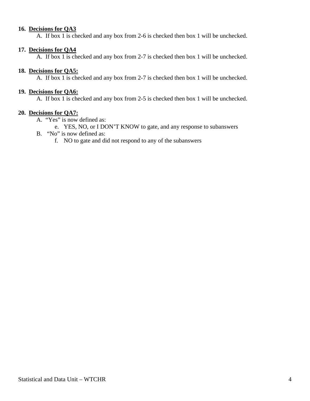#### **16. Decisions for QA3**

A. If box 1 is checked and any box from 2-6 is checked then box 1 will be unchecked.

#### **17. Decisions for QA4**

A. If box 1 is checked and any box from 2-7 is checked then box 1 will be unchecked.

#### **18. Decisions for QA5:**

A. If box 1 is checked and any box from 2-7 is checked then box 1 will be unchecked.

#### **19. Decisions for QA6:**

A. If box 1 is checked and any box from 2-5 is checked then box 1 will be unchecked.

#### **20. Decisions for QA7:**

- A. "Yes" is now defined as:
	- e. YES, NO, or I DON'T KNOW to gate, and any response to subanswers
- B. "No" is now defined as:
	- f. NO to gate and did not respond to any of the subanswers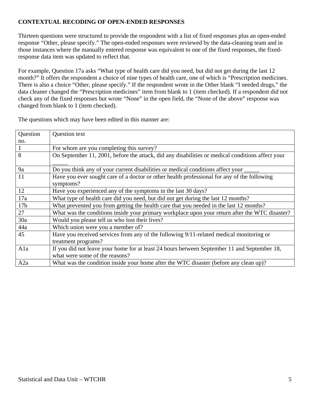## **CONTEXTUAL RECODING OF OPEN-ENDED RESPONSES**

Thirteen questions were structured to provide the respondent with a list of fixed responses plus an open-ended response "Other, please specify." The open-ended responses were reviewed by the data-cleaning team and in those instances where the manually entered response was equivalent to one of the fixed responses, the fixedresponse data item was updated to reflect that.

For example, Question 17a asks "What type of health care did you need, but did not get during the last 12 month?" It offers the respondent a choice of nine types of health care, one of which is "Prescription medicines. There is also a choice "Other, please specify." If the respondent wrote in the Other blank "I needed drugs," the data cleaner changed the "Prescription medicines" item from blank to 1 (item checked). If a respondent did not check any of the fixed responses but wrote "None" in the open field, the "None of the above" response was changed from blank to 1 (item checked).

The questions which may have been edited in this manner are:

| Question        | Question text                                                                                            |
|-----------------|----------------------------------------------------------------------------------------------------------|
| no.             |                                                                                                          |
|                 | For whom are you completing this survey?                                                                 |
| 8               | On September 11, 2001, before the attack, did any disabilities or medical conditions affect your         |
| 9a              | Do you think any of your current disabilities or medical conditions affect your _                        |
| 11              | Have you ever sought care of a doctor or other health professional for any of the following<br>symptoms? |
| 12              | Have you experienced any of the symptoms in the last 30 days?                                            |
| 17a             | What type of health care did you need, but did not get during the last 12 months?                        |
| 17 <sub>b</sub> | What prevented you from getting the health care that you needed in the last 12 months?                   |
| 27              | What was the conditions inside your primary workplace upon your return after the WTC disaster?           |
| 30a             | Would you please tell us who lost their lives?                                                           |
| 44a             | Which union were you a member of?                                                                        |
| 45              | Have you received services from any of the following 9/11-related medical monitoring or                  |
|                 | treatment programs?                                                                                      |
| Ala             | If you did not leave your home for at least 24 hours between September 11 and September 18,              |
|                 | what were some of the reasons?                                                                           |
| A2a             | What was the condition inside your home after the WTC disaster (before any clean up)?                    |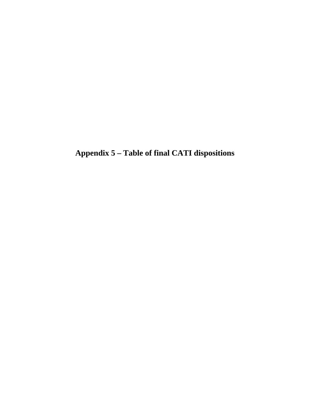**Appendix 5 – Table of final CATI dispositions**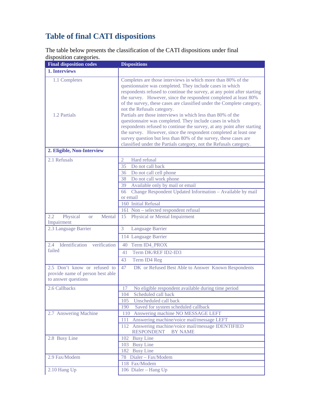# **Table of final CATI dispositions**

The table below presents the classification of the CATI dispositions under final disposition categories.

| <b>Final disposition codes</b>                                                          | <b>Dispositions</b>                                                                                                                                                                                                                                                                                                                                                                                                                            |  |  |  |
|-----------------------------------------------------------------------------------------|------------------------------------------------------------------------------------------------------------------------------------------------------------------------------------------------------------------------------------------------------------------------------------------------------------------------------------------------------------------------------------------------------------------------------------------------|--|--|--|
| 1. Interviews                                                                           |                                                                                                                                                                                                                                                                                                                                                                                                                                                |  |  |  |
| 1.1 Completes<br>1.2 Partials                                                           | Completes are those interviews in which more than 80% of the<br>questionnaire was completed. They include cases in which<br>respondents refused to continue the survey, at any point after starting<br>the survey. However, since the respondent completed at least 80%<br>of the survey, these cases are classified under the Complete category,<br>not the Refusals category.<br>Partials are those interviews in which less than 80% of the |  |  |  |
|                                                                                         | questionnaire was completed. They include cases in which<br>respondents refused to continue the survey, at any point after starting<br>the survey. However, since the respondent completed at least one<br>survey question but less than 80% of the survey, these cases are<br>classified under the Partials category, not the Refusals category.                                                                                              |  |  |  |
| 2. Eligible, Non-Interview                                                              |                                                                                                                                                                                                                                                                                                                                                                                                                                                |  |  |  |
| 2.1 Refusals                                                                            | Hard refusal<br>$\overline{2}$                                                                                                                                                                                                                                                                                                                                                                                                                 |  |  |  |
|                                                                                         | 35<br>Do not call back                                                                                                                                                                                                                                                                                                                                                                                                                         |  |  |  |
|                                                                                         | 36 Do not call cell phone                                                                                                                                                                                                                                                                                                                                                                                                                      |  |  |  |
|                                                                                         | 38 Do not call work phone                                                                                                                                                                                                                                                                                                                                                                                                                      |  |  |  |
|                                                                                         | Available only by mail or email<br>39                                                                                                                                                                                                                                                                                                                                                                                                          |  |  |  |
|                                                                                         | Change Respondent Updated Information - Available by mail<br>66<br>or email                                                                                                                                                                                                                                                                                                                                                                    |  |  |  |
|                                                                                         | 160 Initial Refusal                                                                                                                                                                                                                                                                                                                                                                                                                            |  |  |  |
|                                                                                         | 161 Non - selected respondent refusal                                                                                                                                                                                                                                                                                                                                                                                                          |  |  |  |
| 2.2<br>Physical<br>Mental<br><b>or</b><br>Impairment                                    | Physical or Mental Impairment<br>15                                                                                                                                                                                                                                                                                                                                                                                                            |  |  |  |
| 2.3 Language Barrier                                                                    | 3<br><b>Language Barrier</b>                                                                                                                                                                                                                                                                                                                                                                                                                   |  |  |  |
|                                                                                         | 114 Language Barrier                                                                                                                                                                                                                                                                                                                                                                                                                           |  |  |  |
| Identification verification<br>2.4                                                      | Term ID4_PROX<br>40                                                                                                                                                                                                                                                                                                                                                                                                                            |  |  |  |
| failed                                                                                  | Term DK/REF ID2-ID3<br>41                                                                                                                                                                                                                                                                                                                                                                                                                      |  |  |  |
|                                                                                         | Term ID4 Reg<br>43                                                                                                                                                                                                                                                                                                                                                                                                                             |  |  |  |
| 2.5 Don't know or refused to<br>provide name of person best able<br>to answer questions | DK or Refused Best Able to Answer Known Respondents<br>47                                                                                                                                                                                                                                                                                                                                                                                      |  |  |  |
| 2.6 Callbacks                                                                           | 17 No eligible respondent available during time period                                                                                                                                                                                                                                                                                                                                                                                         |  |  |  |
|                                                                                         | Scheduled call back<br>104                                                                                                                                                                                                                                                                                                                                                                                                                     |  |  |  |
|                                                                                         | Unscheduled call back<br>105                                                                                                                                                                                                                                                                                                                                                                                                                   |  |  |  |
|                                                                                         | 190<br>Saved for system scheduled callback                                                                                                                                                                                                                                                                                                                                                                                                     |  |  |  |
| 2.7 Answering Machine                                                                   | 110 Answering machine NO MESSAGE LEFT                                                                                                                                                                                                                                                                                                                                                                                                          |  |  |  |
|                                                                                         | Answering machine/voice mail/message LEFT<br>111                                                                                                                                                                                                                                                                                                                                                                                               |  |  |  |
|                                                                                         | 112 Answering machine/voice mail/message IDENTIFIED<br><b>RESPONDENT</b><br><b>BY NAME</b>                                                                                                                                                                                                                                                                                                                                                     |  |  |  |
| 2.8 Busy Line                                                                           | 102 Busy Line                                                                                                                                                                                                                                                                                                                                                                                                                                  |  |  |  |
|                                                                                         | 103 Busy Line                                                                                                                                                                                                                                                                                                                                                                                                                                  |  |  |  |
|                                                                                         | 182 Busy Line                                                                                                                                                                                                                                                                                                                                                                                                                                  |  |  |  |
| 2.9 Fax/Modem                                                                           | 78 Dialer - Fax/Modem                                                                                                                                                                                                                                                                                                                                                                                                                          |  |  |  |
| 2.10 Hang Up                                                                            | 118 Fax/Modem<br>106 Dialer - Hang Up                                                                                                                                                                                                                                                                                                                                                                                                          |  |  |  |
|                                                                                         |                                                                                                                                                                                                                                                                                                                                                                                                                                                |  |  |  |